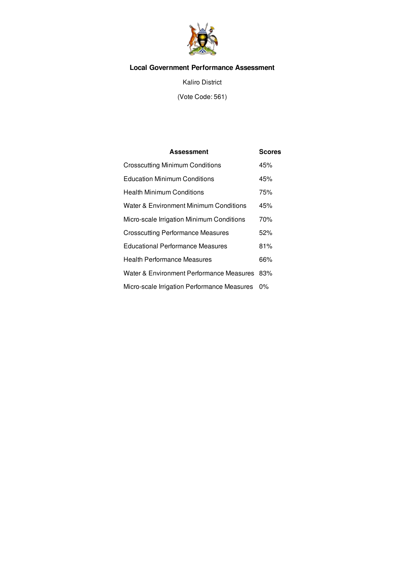

# **Local Government Performance Assessment**

Kaliro District

(Vote Code: 561)

| Assessment                                        | <b>Scores</b> |
|---------------------------------------------------|---------------|
| <b>Crosscutting Minimum Conditions</b>            | 45%           |
| <b>Education Minimum Conditions</b>               | 45%           |
| <b>Health Minimum Conditions</b>                  | 75%           |
| <b>Water &amp; Environment Minimum Conditions</b> | 45%           |
| Micro-scale Irrigation Minimum Conditions         | 70%           |
| <b>Crosscutting Performance Measures</b>          | 52%           |
| <b>Educational Performance Measures</b>           | 81%           |
| Health Performance Measures                       | 66%           |
| Water & Environment Performance Measures          | 83%           |
| Micro-scale Irrigation Performance Measures       | $0\%$         |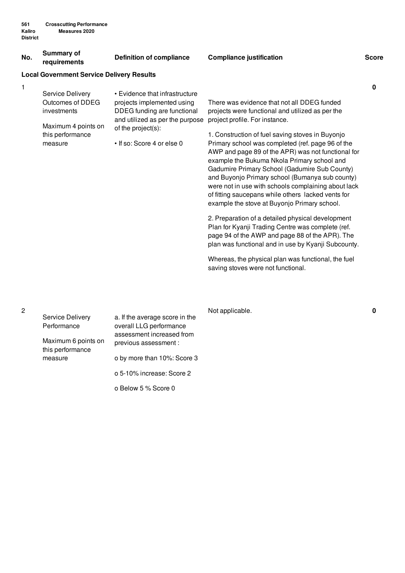#### **No. Summary of requirements Definition of compliance Compliance justification Score Local Government Service Delivery Results** 1 Service Delivery Outcomes of DDEG investments Maximum 4 points on this performance measure • Evidence that infrastructure projects implemented using DDEG funding are functional and utilized as per the purpose project profile. For instance. of the project(s): • If so: Score 4 or else 0 There was evidence that not all DDEG funded projects were functional and utilized as per the 1. Construction of fuel saving stoves in Buyonjo Primary school was completed (ref. page 96 of the AWP and page 89 of the APR) was not functional for example the Bukuma Nkola Primary school and Gadumire Primary School (Gadumire Sub County) and Buyonjo Primary school (Bumanya sub county) were not in use with schools complaining about lack of fitting saucepans while others lacked vents for example the stove at Buyonjo Primary school. 2. Preparation of a detailed physical development Plan for Kyanji Trading Centre was complete (ref. page 94 of the AWP and page 88 of the APR). The plan was functional and in use by Kyanji Subcounty. Whereas, the physical plan was functional, the fuel saving stoves were not functional. **0**

|                                         |                                                                                        | Not applicable. | 0 |
|-----------------------------------------|----------------------------------------------------------------------------------------|-----------------|---|
| Service Delivery<br>Performance         | a. If the average score in the<br>overall LLG performance<br>assessment increased from |                 |   |
| Maximum 6 points on<br>this performance | previous assessment :                                                                  |                 |   |
| measure                                 | o by more than 10%: Score 3                                                            |                 |   |
|                                         | o 5-10% increase: Score 2                                                              |                 |   |
|                                         | o Below 5 % Score 0                                                                    |                 |   |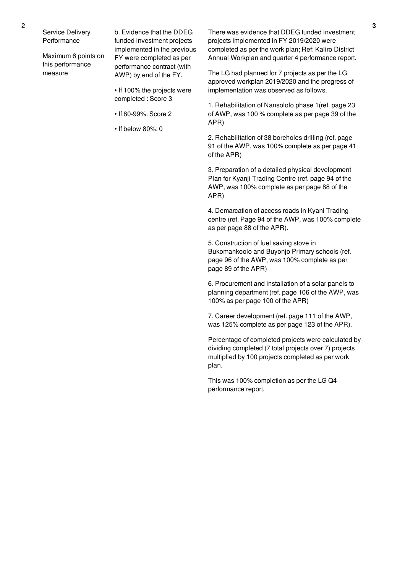Service Delivery **Performance** 

Maximum 6 points on this performance measure

b. Evidence that the DDEG funded investment projects implemented in the previous FY were completed as per performance contract (with AWP) by end of the FY.

- If 100% the projects were completed : Score 3
- If 80-99%: Score 2
- If below 80%: 0

There was evidence that DDEG funded investment projects implemented in FY 2019/2020 were completed as per the work plan; Ref: Kaliro District Annual Workplan and quarter 4 performance report.

The LG had planned for 7 projects as per the LG approved workplan 2019/2020 and the progress of implementation was observed as follows.

1. Rehabilitation of Nansololo phase 1(ref. page 23 of AWP, was 100 % complete as per page 39 of the APR)

2. Rehabilitation of 38 boreholes drilling (ref. page 91 of the AWP, was 100% complete as per page 41 of the APR)

3. Preparation of a detailed physical development Plan for Kyanji Trading Centre (ref. page 94 of the AWP, was 100% complete as per page 88 of the APR)

4. Demarcation of access roads in Kyani Trading centre (ref, Page 94 of the AWP, was 100% complete as per page 88 of the APR).

5. Construction of fuel saving stove in Bukomankoolo and Buyonjo Primary schools (ref. page 96 of the AWP, was 100% complete as per page 89 of the APR)

6. Procurement and installation of a solar panels to planning department (ref. page 106 of the AWP, was 100% as per page 100 of the APR)

7. Career development (ref. page 111 of the AWP, was 125% complete as per page 123 of the APR).

Percentage of completed projects were calculated by dividing completed (7 total projects over 7) projects multiplied by 100 projects completed as per work plan.

This was 100% completion as per the LG Q4 performance report.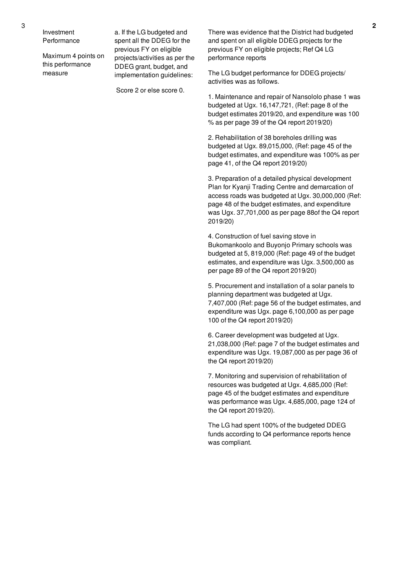Investment **Performance** 

Maximum 4 points on this performance measure

a. If the LG budgeted and spent all the DDEG for the previous FY on eligible projects/activities as per the DDEG grant, budget, and implementation guidelines:

Score 2 or else score 0.

There was evidence that the District had budgeted and spent on all eligible DDEG projects for the previous FY on eligible projects; Ref Q4 LG performance reports

The LG budget performance for DDEG projects/ activities was as follows.

1. Maintenance and repair of Nansololo phase 1 was budgeted at Ugx. 16,147,721, (Ref: page 8 of the budget estimates 2019/20, and expenditure was 100 % as per page 39 of the Q4 report 2019/20)

2. Rehabilitation of 38 boreholes drilling was budgeted at Ugx. 89,015,000, (Ref: page 45 of the budget estimates, and expenditure was 100% as per page 41, of the Q4 report 2019/20)

3. Preparation of a detailed physical development Plan for Kyanji Trading Centre and demarcation of access roads was budgeted at Ugx. 30,000,000 (Ref: page 48 of the budget estimates, and expenditure was Ugx. 37,701,000 as per page 88of the Q4 report 2019/20)

4. Construction of fuel saving stove in Bukomankoolo and Buyonjo Primary schools was budgeted at 5, 819,000 (Ref: page 49 of the budget estimates, and expenditure was Ugx. 3,500,000 as per page 89 of the Q4 report 2019/20)

5. Procurement and installation of a solar panels to planning department was budgeted at Ugx. 7,407,000 (Ref: page 56 of the budget estimates, and expenditure was Ugx. page 6,100,000 as per page 100 of the Q4 report 2019/20)

6. Career development was budgeted at Ugx. 21,038,000 (Ref: page 7 of the budget estimates and expenditure was Ugx. 19,087,000 as per page 36 of the Q4 report 2019/20)

7. Monitoring and supervision of rehabilitation of resources was budgeted at Ugx. 4,685,000 (Ref: page 45 of the budget estimates and expenditure was performance was Ugx. 4,685,000, page 124 of the Q4 report 2019/20).

The LG had spent 100% of the budgeted DDEG funds according to Q4 performance reports hence was compliant.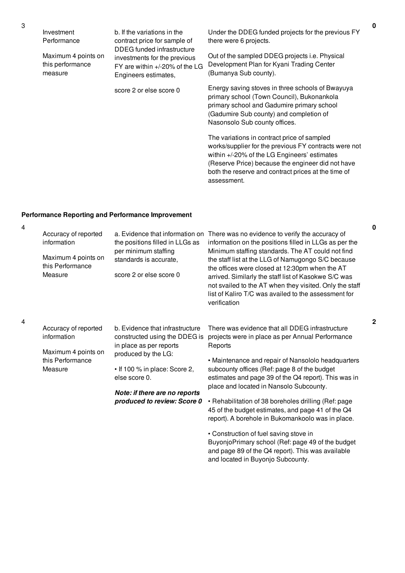| Investment<br>Performance                          | b. If the variations in the<br>contract price for sample of<br>DDEG funded infrastructure<br>investments for the previous<br>FY are within +/-20% of the LG<br>Engineers estimates, | Under the DDEG funded projects for the previous FY<br>there were 6 projects.                                                                                                                                             |
|----------------------------------------------------|-------------------------------------------------------------------------------------------------------------------------------------------------------------------------------------|--------------------------------------------------------------------------------------------------------------------------------------------------------------------------------------------------------------------------|
| Maximum 4 points on<br>this performance<br>measure |                                                                                                                                                                                     | Out of the sampled DDEG projects <i>i.e.</i> Physical<br>Development Plan for Kyani Trading Center<br>(Bumanya Sub county).                                                                                              |
|                                                    | score 2 or else score 0                                                                                                                                                             | Energy saving stoves in three schools of Bwayuya<br>primary school (Town Council), Bukonankola<br>primary school and Gadumire primary school<br>(Gadumire Sub county) and completion of<br>Nasonsolo Sub county offices. |
|                                                    |                                                                                                                                                                                     | The variations in contract price of sampled<br>works/supplier for the previous FY contracts were not<br>within +/-20% of the LG Engineers' estimates<br>(Reserve Price) because the engineer did not have                |

assessment.

both the reserve and contract prices at the time of

## **Performance Reporting and Performance Improvement**

| Accuracy of reported<br>information<br>Maximum 4 points on<br>this Performance<br>Measure | a. Evidence that information on<br>the positions filled in LLGs as<br>per minimum staffing<br>standards is accurate,<br>score 2 or else score 0                                                                                      | There was no evidence to verify the accuracy of<br>information on the positions filled in LLGs as per the<br>Minimum staffing standards. The AT could not find<br>the staff list at the LLG of Namugongo S/C because<br>the offices were closed at 12:30pm when the AT<br>arrived. Similarly the staff list of Kasokwe S/C was<br>not svailed to the AT when they visited. Only the staff<br>list of Kaliro T/C was availed to the assessment for<br>verification                                                                                                                                                                                                                  |
|-------------------------------------------------------------------------------------------|--------------------------------------------------------------------------------------------------------------------------------------------------------------------------------------------------------------------------------------|------------------------------------------------------------------------------------------------------------------------------------------------------------------------------------------------------------------------------------------------------------------------------------------------------------------------------------------------------------------------------------------------------------------------------------------------------------------------------------------------------------------------------------------------------------------------------------------------------------------------------------------------------------------------------------|
| Accuracy of reported<br>information<br>Maximum 4 points on<br>this Performance<br>Measure | b. Evidence that infrastructure<br>constructed using the DDEG is<br>in place as per reports<br>produced by the LG:<br>. If 100 % in place: Score 2,<br>else score 0.<br>Note: if there are no reports<br>produced to review: Score 0 | There was evidence that all DDEG infrastructure<br>projects were in place as per Annual Performance<br>Reports<br>• Maintenance and repair of Nansololo headquarters<br>subcounty offices (Ref: page 8 of the budget<br>estimates and page 39 of the Q4 report). This was in<br>place and located in Nansolo Subcounty.<br>• Rehabilitation of 38 boreholes drilling (Ref: page<br>45 of the budget estimates, and page 41 of the Q4<br>report). A borehole in Bukomankoolo was in place.<br>• Construction of fuel saving stove in<br>BuyonjoPrimary school (Ref: page 49 of the budget<br>and page 89 of the Q4 report). This was available<br>and located in Buyonjo Subcounty. |

4

4

**0**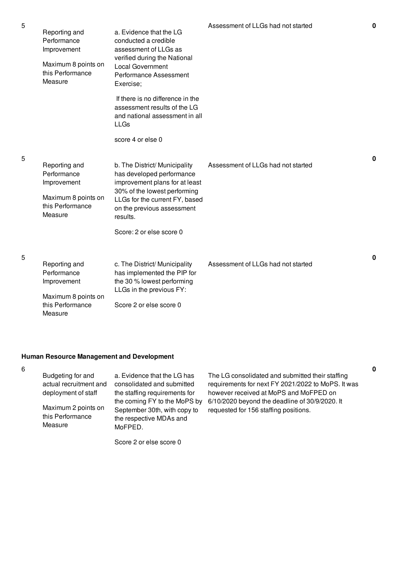| Reporting and<br>Performance<br>Improvement<br>Maximum 8 points on<br>this Performance<br>Measure | a. Evidence that the LG<br>conducted a credible<br>assessment of LLGs as<br>verified during the National<br><b>Local Government</b><br>Performance Assessment<br>Exercise;<br>If there is no difference in the<br>assessment results of the LG<br>and national assessment in all<br><b>LLGs</b><br>score 4 or else 0 | Assessment of LLGs had not started | $\bf{0}$    |
|---------------------------------------------------------------------------------------------------|----------------------------------------------------------------------------------------------------------------------------------------------------------------------------------------------------------------------------------------------------------------------------------------------------------------------|------------------------------------|-------------|
| Reporting and<br>Performance<br>Improvement<br>Maximum 8 points on<br>this Performance<br>Measure | b. The District/ Municipality<br>has developed performance<br>improvement plans for at least<br>30% of the lowest performing<br>LLGs for the current FY, based<br>on the previous assessment<br>results.<br>Score: 2 or else score 0                                                                                 | Assessment of LLGs had not started | $\mathbf 0$ |
| Reporting and<br>Performance<br>Improvement<br>Maximum 8 points on<br>this Performance<br>Measure | c. The District/ Municipality<br>has implemented the PIP for<br>the 30 % lowest performing<br>LLGs in the previous FY:<br>Score 2 or else score 0                                                                                                                                                                    | Assessment of LLGs had not started | 0           |

## **Human Resource Management and Development**

| 6 | Budgeting for and<br>actual recruitment and<br>deployment of staff<br>Maximum 2 points on<br>this Performance<br>Measure | a. Evidence that the LG has<br>consolidated and submitted<br>the staffing requirements for<br>the coming FY to the MoPS by<br>September 30th, with copy to<br>the respective MDAs and<br>MoFPED. | The LG consolidated and submitted their staffing<br>requirements for next FY 2021/2022 to MoPS. It was<br>however received at MoPS and MoFPED on<br>6/10/2020 beyond the deadline of 30/9/2020. It<br>requested for 156 staffing positions. |
|---|--------------------------------------------------------------------------------------------------------------------------|--------------------------------------------------------------------------------------------------------------------------------------------------------------------------------------------------|---------------------------------------------------------------------------------------------------------------------------------------------------------------------------------------------------------------------------------------------|
|   |                                                                                                                          | Score 2 or else score 0                                                                                                                                                                          |                                                                                                                                                                                                                                             |

**0**

5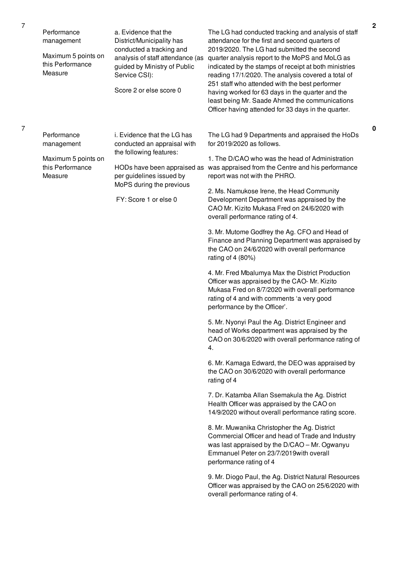| Performance<br>management<br>Maximum 5 points on<br>this Performance<br>Measure | a. Evidence that the<br>District/Municipality has<br>conducted a tracking and<br>analysis of staff attendance (as<br>guided by Ministry of Public<br>Service CSI):<br>Score 2 or else score 0 | The LG had conducted tracking and analysis of staff<br>attendance for the first and second quarters of<br>2019/2020. The LG had submitted the second<br>quarter analysis report to the MoPS and MoLG as<br>indicated by the stamps of receipt at both ministries<br>reading 17/1/2020. The analysis covered a total of<br>251 staff who attended with the best performer<br>having worked for 63 days in the quarter and the<br>least being Mr. Saade Ahmed the communications<br>Officer having attended for 33 days in the quarter.                                                                                                                                                                                                                                                                                                                                                                                                                                                                                                                                                                                                                                                                                                                                                                                                                                                                                                                                                                                                                                                                                                                                           |
|---------------------------------------------------------------------------------|-----------------------------------------------------------------------------------------------------------------------------------------------------------------------------------------------|---------------------------------------------------------------------------------------------------------------------------------------------------------------------------------------------------------------------------------------------------------------------------------------------------------------------------------------------------------------------------------------------------------------------------------------------------------------------------------------------------------------------------------------------------------------------------------------------------------------------------------------------------------------------------------------------------------------------------------------------------------------------------------------------------------------------------------------------------------------------------------------------------------------------------------------------------------------------------------------------------------------------------------------------------------------------------------------------------------------------------------------------------------------------------------------------------------------------------------------------------------------------------------------------------------------------------------------------------------------------------------------------------------------------------------------------------------------------------------------------------------------------------------------------------------------------------------------------------------------------------------------------------------------------------------|
| Performance<br>management<br>Maximum 5 points on<br>this Performance<br>Measure | i. Evidence that the LG has<br>conducted an appraisal with<br>the following features:<br>per guidelines issued by<br>MoPS during the previous<br>FY: Score 1 or else 0                        | The LG had 9 Departments and appraised the HoDs<br>for 2019/2020 as follows.<br>1. The D/CAO who was the head of Administration<br>HODs have been appraised as was appraised from the Centre and his performance<br>report was not with the PHRO.<br>2. Ms. Namukose Irene, the Head Community<br>Development Department was appraised by the<br>CAO Mr. Kizito Mukasa Fred on 24/6/2020 with<br>overall performance rating of 4.<br>3. Mr. Mutome Godfrey the Ag. CFO and Head of<br>Finance and Planning Department was appraised by<br>the CAO on 24/6/2020 with overall performance<br>rating of 4 $(80%)$<br>4. Mr. Fred Mbalumya Max the District Production<br>Officer was appraised by the CAO-Mr. Kizito<br>Mukasa Fred on 8/7/2020 with overall performance<br>rating of 4 and with comments 'a very good<br>performance by the Officer'.<br>5. Mr. Nyonyi Paul the Ag. District Engineer and<br>head of Works department was appraised by the<br>CAO on 30/6/2020 with overall performance rating of<br>4.<br>6. Mr. Kamaga Edward, the DEO was appraised by<br>the CAO on 30/6/2020 with overall performance<br>rating of 4<br>7. Dr. Katamba Allan Ssemakula the Ag. District<br>Health Officer was appraised by the CAO on<br>14/9/2020 without overall performance rating score.<br>8. Mr. Muwanika Christopher the Ag. District<br>Commercial Officer and head of Trade and Industry<br>was last appraised by the D/CAO - Mr. Ogwanyu<br>Emmanuel Peter on 23/7/2019 with overall<br>performance rating of 4<br>9. Mr. Diogo Paul, the Ag. District Natural Resources<br>Officer was appraised by the CAO on 25/6/2020 with<br>overall performance rating of 4. |

**0**

7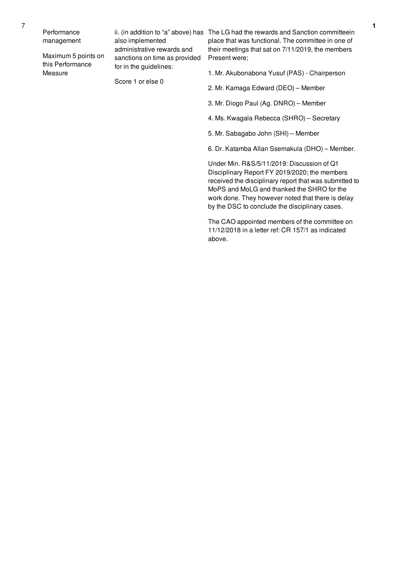Performance management

Maximum 5 points on this Performance Measure

also implemented administrative rewards and sanctions on time as provided for in the guidelines:

Score 1 or else 0

ii. (in addition to "a" above) has The LG had the rewards and Sanction committeein place that was functional. The committee in one of their meetings that sat on 7/11/2019, the members Present were;

1. Mr. Akubonabona Yusuf (PAS) - Chairperson

- 2. Mr. Kamaga Edward (DEO) Member
- 3. Mr. Diogo Paul (Ag. DNRO) Member
- 4. Ms. Kwagala Rebecca (SHRO) Secretary
- 5. Mr. Sabagabo John (SHI) Member

6. Dr. Katamba Allan Ssemakula (DHO) – Member.

Under Min. R&S/5/11/2019: Discussion of Q1 Disciplinary Report FY 2019/2020; the members received the disciplinary report that was submitted to MoPS and MoLG and thanked the SHRO for the work done. They however noted that there is delay by the DSC to conclude the disciplinary cases.

The CAO appointed members of the committee on 11/12/2018 in a letter ref: CR 157/1 as indicated above.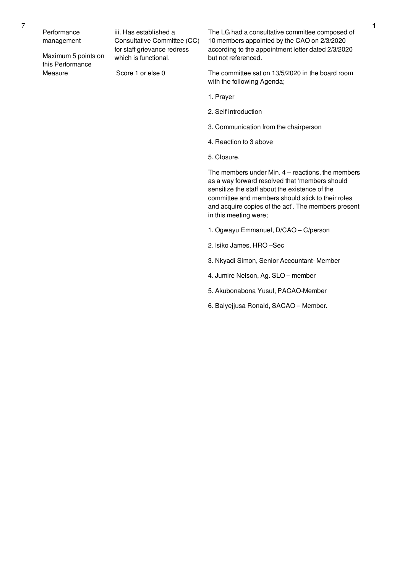Maximum 5 points on this Performance Measure

iii. Has established a Consultative Committee (CC) for staff grievance redress which is functional.

Score 1 or else 0

The LG had a consultative committee composed of 10 members appointed by the CAO on 2/3/2020 according to the appointment letter dated 2/3/2020 but not referenced.

The committee sat on 13/5/2020 in the board room with the following Agenda;

- 1. Prayer
- 2. Self introduction
- 3. Communication from the chairperson
- 4. Reaction to 3 above
- 5. Closure.

The members under Min. 4 – reactions, the members as a way forward resolved that 'members should sensitize the staff about the existence of the committee and members should stick to their roles and acquire copies of the act'. The members present in this meeting were;

- 1. Ogwayu Emmanuel, D/CAO C/person
- 2. Isiko James, HRO –Sec
- 3. Nkyadi Simon, Senior Accountant- Member
- 4. Jumire Nelson, Ag. SLO member
- 5. Akubonabona Yusuf, PACAO-Member
- 6. Balyejjusa Ronald, SACAO Member.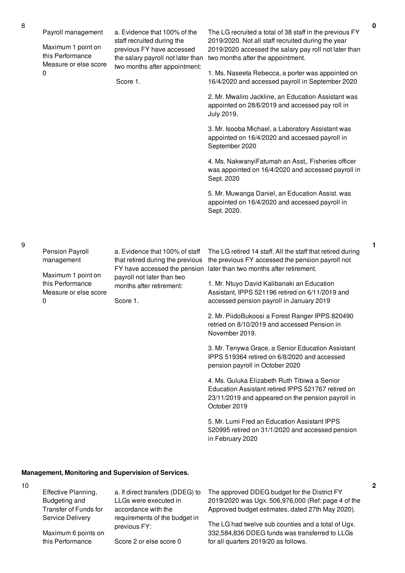Maximum 1 point on this Performance Measure or else score  $\Omega$ 

a. Evidence that 100% of the staff recruited during the previous FY have accessed two months after appointment:

Score 1.

the salary payroll not later than two months after the appointment. The LG recruited a total of 38 staff in the previous FY 2019/2020. Not all staff recruited during the year 2019/2020 accessed the salary pay roll not later than

> 1. Ms. Naseeta Rebecca, a porter was appointed on 16/4/2020 and accessed payroll in September 2020

> 2. Mr. Mwaliro Jackline, an Education Assistant was appointed on 28/6/2019 and accessed pay roll in July 2019,

3. Mr. Isooba Michael, a Laboratory Assistant was appointed on 16/4/2020 and accessed payroll in September 2020

4. Ms. NakwanyiFatumah an Asst,. Fisheries officer was appointed on 16/4/2020 and accessed payroll in Sept. 2020

5. Mr. Muwanga Daniel, an Education Assist. was appointed on 16/4/2020 and accessed payroll in Sept. 2020.

| Pension Payroll<br>management                                        | a. Evidence that 100% of staff<br>that retired during the previous<br>FY have accessed the pension | The LG retired 14 staff. All the staff that retired during<br>the previous FY accessed the pension payroll not<br>later than two months after retirement. |
|----------------------------------------------------------------------|----------------------------------------------------------------------------------------------------|-----------------------------------------------------------------------------------------------------------------------------------------------------------|
| Maximum 1 point on<br>this Performance<br>Measure or else score<br>0 | payroll not later than two<br>months after retirement:<br>Score 1.                                 | 1. Mr. Ntuyo David Kalibanaki an Education<br>Assistant, IPPS 521196 retired on 6/11/2019 and<br>accessed pension payroll in January 2019                 |
|                                                                      |                                                                                                    | 2. Mr. PiidoBukoosi a Forest Ranger IPPS 820490<br>retried on 8/10/2019 and accessed Pension in<br>November 2019.                                         |
|                                                                      |                                                                                                    | 3. Mr. Tenywa Grace, a Senior Education Assistant<br>IPPS 519364 retired on 6/8/2020 and accessed<br>pension payroll in October 2020                      |

4. Ms. Guluka Elizabeth Ruth Tibiwa a Senior Education Assistant retired IPPS 521767 retired on 23/11/2019 and appeared on the pension payroll in October 2019

5. Mr. Lumi Fred an Education Assistant IPPS 520995 retired on 31/1/2020 and accessed pension in February 2020

### **Management, Monitoring and Supervision of Services.**

this Performance

10

| Effective Planning,   | a. If direct transfers (DDEG) to              | The approved DDEG budget for the District FY       |
|-----------------------|-----------------------------------------------|----------------------------------------------------|
| Budgeting and         | LLGs were executed in                         | 2019/2020 was Ugx. 506,976,000 (Ref: page 4 of the |
| Transfer of Funds for | accordance with the                           | Approved budget estimates, dated 27th May 2020).   |
| Service Delivery      | requirements of the budget in<br>previous FY: | The LG had twelve sub counties and a total of Ugx. |
| Maximum 6 points on   |                                               | 332,584,836 DDEG funds was transferred to LLGs     |

Score 2 or else score 0

332,584,836 DDEG funds was transferred to LLGs for all quarters 2019/20 as follows.

**1**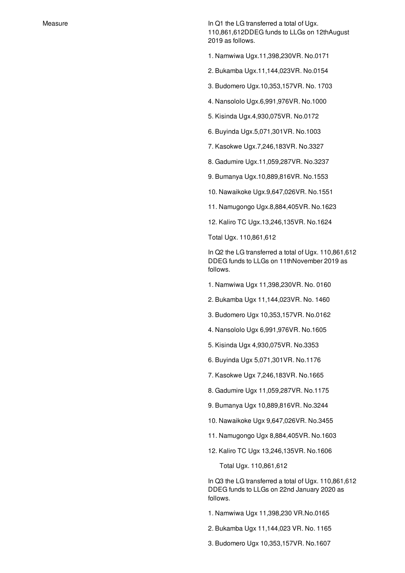Measure **In Q1** the LG transferred a total of Ugx. 110,861,612DDEG funds to LLGs on 12thAugust 2019 as follows.

1. Namwiwa Ugx.11,398,230VR. No.0171

2. Bukamba Ugx.11,144,023VR. No.0154

3. Budomero Ugx.10,353,157VR. No. 1703

4. Nansololo Ugx.6,991,976VR. No.1000

5. Kisinda Ugx.4,930,075VR. No.0172

6. Buyinda Ugx.5,071,301VR. No.1003

7. Kasokwe Ugx.7,246,183VR. No.3327

8. Gadumire Ugx.11,059,287VR. No.3237

9. Bumanya Ugx.10,889,816VR. No.1553

10. Nawaikoke Ugx.9,647,026VR. No.1551

11. Namugongo Ugx.8,884,405VR. No.1623

12. Kaliro TC Ugx.13,246,135VR. No.1624

Total Ugx. 110,861,612

In Q2 the LG transferred a total of Ugx. 110,861,612 DDEG funds to LLGs on 11thNovember 2019 as follows.

1. Namwiwa Ugx 11,398,230VR. No. 0160

2. Bukamba Ugx 11,144,023VR. No. 1460

3. Budomero Ugx 10,353,157VR. No.0162

4. Nansololo Ugx 6,991,976VR. No.1605

5. Kisinda Ugx 4,930,075VR. No.3353

6. Buyinda Ugx 5,071,301VR. No.1176

7. Kasokwe Ugx 7,246,183VR. No.1665

8. Gadumire Ugx 11,059,287VR. No.1175

9. Bumanya Ugx 10,889,816VR. No.3244

10. Nawaikoke Ugx 9,647,026VR. No.3455

11. Namugongo Ugx 8,884,405VR. No.1603

12. Kaliro TC Ugx 13,246,135VR. No.1606

Total Ugx. 110,861,612

In Q3 the LG transferred a total of Ugx. 110,861,612 DDEG funds to LLGs on 22nd January 2020 as follows.

1. Namwiwa Ugx 11,398,230 VR.No.0165

2. Bukamba Ugx 11,144,023 VR. No. 1165

3. Budomero Ugx 10,353,157VR. No.1607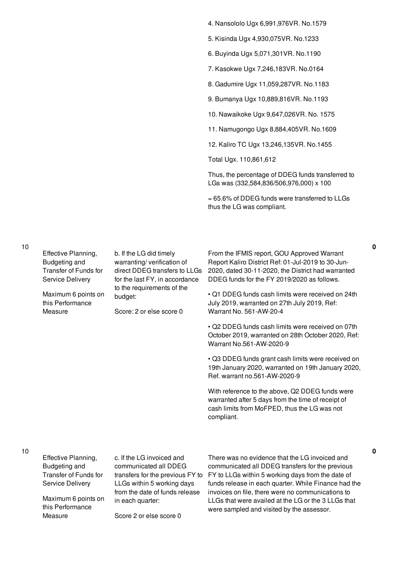- 4. Nansololo Ugx 6,991,976VR. No.1579
- 5. Kisinda Ugx 4,930,075VR. No.1233
- 6. Buyinda Ugx 5,071,301VR. No.1190
- 7. Kasokwe Ugx 7,246,183VR. No.0164
- 8. Gadumire Ugx 11,059,287VR. No.1183
- 9. Bumanya Ugx 10,889,816VR. No.1193
- 10. Nawaikoke Ugx 9,647,026VR. No. 1575
- 11. Namugongo Ugx 8,884,405VR. No.1609
- 12. Kaliro TC Ugx 13,246,135VR. No.1455

Total Ugx. 110,861,612

Thus, the percentage of DDEG funds transferred to LGs was (332,584,836/506,976,000) x 100

= 65.6% of DDEG funds were transferred to LLGs thus the LG was compliant.

10

| Effective Planning,<br>Budgeting and<br>Transfer of Funds for<br>Service Delivery<br>Maximum 6 points on<br>this Performance<br>Measure | b. If the LG did timely<br>warranting/verification of<br>direct DDEG transfers to LLGs<br>for the last FY, in accordance<br>to the requirements of the<br>budget:<br>Score: 2 or else score 0 | From the IFMIS report, GOU Approved Warrant<br>Report Kaliro District Ref: 01-Jul-2019 to 30-Jun-<br>2020, dated 30-11-2020, the District had warranted<br>DDEG funds for the FY 2019/2020 as follows.<br>• Q1 DDEG funds cash limits were received on 24th<br>July 2019, warranted on 27th July 2019, Ref:<br>Warrant No. 561-AW-20-4<br>• Q2 DDEG funds cash limits were received on 07th<br>October 2019, warranted on 28th October 2020, Ref:<br>Warrant No.561-AW-2020-9<br>• Q3 DDEG funds grant cash limits were received on<br>19th January 2020, warranted on 19th January 2020,<br>Ref. warrant no.561-AW-2020-9 |
|-----------------------------------------------------------------------------------------------------------------------------------------|-----------------------------------------------------------------------------------------------------------------------------------------------------------------------------------------------|----------------------------------------------------------------------------------------------------------------------------------------------------------------------------------------------------------------------------------------------------------------------------------------------------------------------------------------------------------------------------------------------------------------------------------------------------------------------------------------------------------------------------------------------------------------------------------------------------------------------------|
|                                                                                                                                         |                                                                                                                                                                                               | With reference to the above, Q2 DDEG funds were<br>warranted after 5 days from the time of receipt of<br>cash limits from MoFPED, thus the LG was not<br>compliant.                                                                                                                                                                                                                                                                                                                                                                                                                                                        |

10

**0**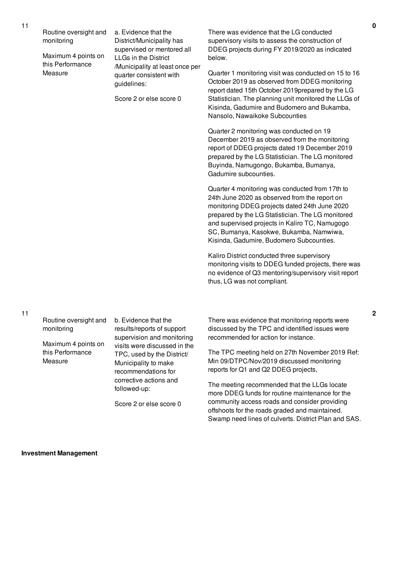Routine oversight and monitoring

Maximum 4 points on this Performance Measure

a. Evidence that the District/Municipality has supervised or mentored all LLGs in the District /Municipality at least once per quarter consistent with guidelines:

Score 2 or else score 0

There was evidence that the LG conducted supervisory visits to assess the construction of DDEG projects during FY 2019/2020 as indicated below.

Quarter 1 monitoring visit was conducted on 15 to 16 October 2019 as observed from DDEG monitoring report dated 15th October 2019prepared by the LG Statistician. The planning unit monitored the LLGs of Kisinda, Gadumire and Budomero and Bukamba, Nansolo, Nawaikoke Subcounties

Quarter 2 monitoring was conducted on 19 December 2019 as observed from the monitoring report of DDEG projects dated 19 December 2019 prepared by the LG Statistician. The LG monitored Buyinda, Namugongo, Bukamba, Bumanya, Gadumire subcounties.

Quarter 4 monitoring was conducted from 17th to 24th June 2020 as observed from the report on monitoring DDEG projects dated 24th June 2020 prepared by the LG Statistician. The LG monitored and supervised projects in Kaliro TC, Namugogo SC, Bumanya, Kasokwe, Bukamba, Namwiwa, Kisinda, Gadumire, Budomero Subcounties.

Kaliro District conducted three supervisory monitoring visits to DDEG funded projects, there was no evidence of Q3 mentoring/supervisory visit report thus, LG was not compliant.

11

Routine oversight and monitoring

Maximum 4 points on this Performance Measure

b. Evidence that the results/reports of support supervision and monitoring visits were discussed in the TPC, used by the District/ Municipality to make recommendations for corrective actions and followed-up:

Score 2 or else score 0

There was evidence that monitoring reports were discussed by the TPC and identified issues were recommended for action for instance.

The TPC meeting held on 27th November 2019 Ref: Min 09/DTPC/Nov/2019 discussed monitoring reports for Q1 and Q2 DDEG projects,

The meeting recommended that the LLGs locate more DDEG funds for routine maintenance for the community access roads and consider providing offshoots for the roads graded and maintained. Swamp need lines of culverts. District Plan and SAS.

**Investment Management**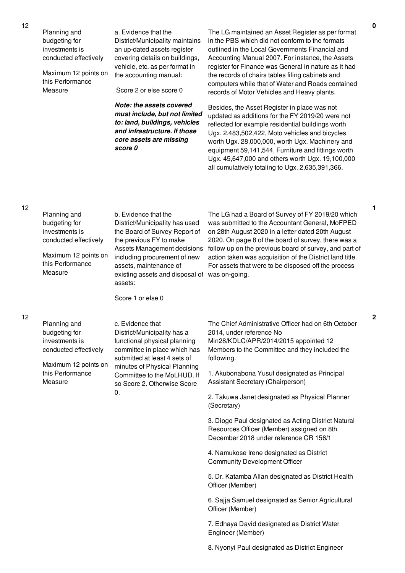Planning and budgeting for investments is conducted effectively

Maximum 12 points on this Performance Measure

a. Evidence that the District/Municipality maintains an up-dated assets register covering details on buildings, vehicle, etc. as per format in the accounting manual:

Score 2 or else score 0

*Note: the assets covered must include, but not limited to: land, buildings, vehicles and infrastructure. If those core assets are missing score 0*

The LG maintained an Asset Register as per format in the PBS which did not conform to the formats outlined in the Local Governments Financial and Accounting Manual 2007. For instance, the Assets register for Finance was General in nature as it had the records of chairs tables filing cabinets and computers while that of Water and Roads contained records of Motor Vehicles and Heavy plants.

Besides, the Asset Register in place was not updated as additions for the FY 2019/20 were not reflected for example residential buildings worth Ugx. 2,483,502,422, Moto vehicles and bicycles worth Ugx. 28,000,000, worth Ugx. Machinery and equipment 59,141,544, Furniture and fittings worth Ugx. 45,647,000 and others worth Ugx. 19,100,000 all cumulatively totaling to Ugx. 2,635,391,366.

12

12

|  | Planning and<br>budgeting for<br>investments is<br>conducted effectively<br>Maximum 12 points on<br>this Performance<br>Measure | b. Evidence that the<br>District/Municipality has used<br>the Board of Survey Report of<br>the previous FY to make<br>Assets Management decisions<br>including procurement of new<br>assets, maintenance of<br>existing assets and disposal of was on-going.<br>assets:<br>Score 1 or else 0 | The LG had a Board of Survey of FY 2019/20 which<br>was submitted to the Accountant General, MoFPED<br>on 28th August 2020 in a letter dated 20th August<br>2020. On page 8 of the board of survey, there was a<br>follow up on the previous board of survey, and part of<br>action taken was acquisition of the District land title.<br>For assets that were to be disposed off the process |
|--|---------------------------------------------------------------------------------------------------------------------------------|----------------------------------------------------------------------------------------------------------------------------------------------------------------------------------------------------------------------------------------------------------------------------------------------|----------------------------------------------------------------------------------------------------------------------------------------------------------------------------------------------------------------------------------------------------------------------------------------------------------------------------------------------------------------------------------------------|
|  | Planning and<br>budgeting for<br>investments is<br>conducted effectively<br>Maximum 12 points on                                | c. Evidence that<br>District/Municipality has a<br>functional physical planning<br>committee in place which has<br>submitted at least 4 sets of                                                                                                                                              | The Chief Administrative Officer had on 6th October<br>2014, under reference No<br>Min28/KDLC/APR/2014/2015 appointed 12<br>Members to the Committee and they included the<br>following.                                                                                                                                                                                                     |
|  | this Performance<br>Measure                                                                                                     | minutes of Physical Planning<br>Committee to the MoLHUD. If<br>so Score 2. Otherwise Score<br>$\mathbf{0}$ .                                                                                                                                                                                 | 1. Akubonabona Yusuf designated as Principal<br>Assistant Secretary (Chairperson)                                                                                                                                                                                                                                                                                                            |
|  |                                                                                                                                 |                                                                                                                                                                                                                                                                                              | 2. Takuwa Janet designated as Physical Planner<br>(Secretary)                                                                                                                                                                                                                                                                                                                                |
|  |                                                                                                                                 |                                                                                                                                                                                                                                                                                              | 3. Diogo Paul designated as Acting District Natural<br>Resources Officer (Member) assigned on 8th<br>December 2018 under reference CR 156/1                                                                                                                                                                                                                                                  |
|  |                                                                                                                                 |                                                                                                                                                                                                                                                                                              | 4. Namukose Irene designated as District<br><b>Community Development Officer</b>                                                                                                                                                                                                                                                                                                             |
|  |                                                                                                                                 |                                                                                                                                                                                                                                                                                              | 5. Dr. Katamba Allan designated as District Health<br>Officer (Member)                                                                                                                                                                                                                                                                                                                       |
|  |                                                                                                                                 |                                                                                                                                                                                                                                                                                              | 6. Sajja Samuel designated as Senior Agricultural<br>Officer (Member)                                                                                                                                                                                                                                                                                                                        |
|  |                                                                                                                                 |                                                                                                                                                                                                                                                                                              | 7. Edhaya David designated as District Water                                                                                                                                                                                                                                                                                                                                                 |

Engineer (Member)

8. Nyonyi Paul designated as District Engineer

**0**

**2**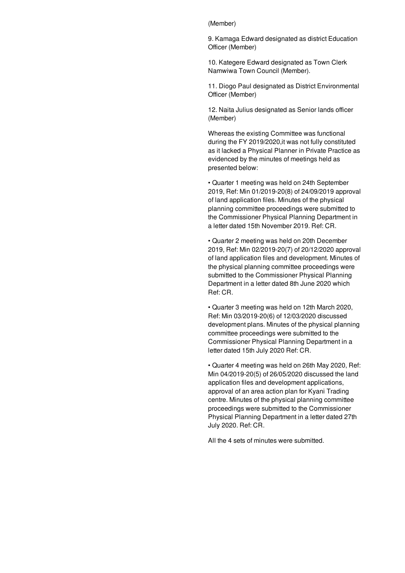(Member)

9. Kamaga Edward designated as district Education Officer (Member)

10. Kategere Edward designated as Town Clerk Namwiwa Town Council (Member).

11. Diogo Paul designated as District Environmental Officer (Member)

12. Naita Julius designated as Senior lands officer (Member)

Whereas the existing Committee was functional during the FY 2019/2020,it was not fully constituted as it lacked a Physical Planner in Private Practice as evidenced by the minutes of meetings held as presented below:

• Quarter 1 meeting was held on 24th September 2019, Ref: Min 01/2019-20(8) of 24/09/2019 approval of land application files. Minutes of the physical planning committee proceedings were submitted to the Commissioner Physical Planning Department in a letter dated 15th November 2019. Ref: CR.

• Quarter 2 meeting was held on 20th December 2019, Ref: Min 02/2019-20(7) of 20/12/2020 approval of land application files and development. Minutes of the physical planning committee proceedings were submitted to the Commissioner Physical Planning Department in a letter dated 8th June 2020 which Ref: CR.

• Quarter 3 meeting was held on 12th March 2020, Ref: Min 03/2019-20(6) of 12/03/2020 discussed development plans. Minutes of the physical planning committee proceedings were submitted to the Commissioner Physical Planning Department in a letter dated 15th July 2020 Ref: CR.

• Quarter 4 meeting was held on 26th May 2020, Ref: Min 04/2019-20(5) of 26/05/2020 discussed the land application files and development applications, approval of an area action plan for Kyani Trading centre. Minutes of the physical planning committee proceedings were submitted to the Commissioner Physical Planning Department in a letter dated 27th July 2020. Ref: CR.

All the 4 sets of minutes were submitted.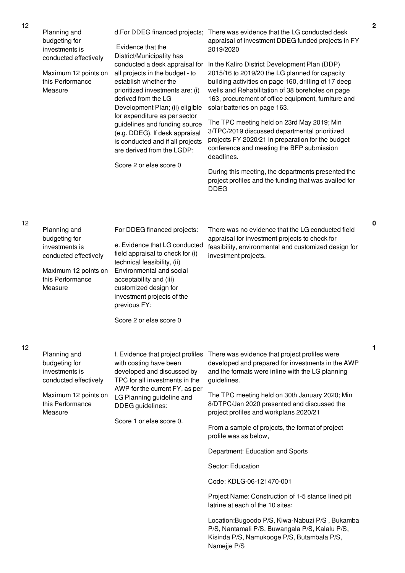| Planning and<br>budgeting for<br>investments is<br>conducted effectively<br>Maximum 12 points on<br>this Performance<br>Measure | Evidence that the<br>District/Municipality has<br>conducted a desk appraisal for<br>all projects in the budget - to<br>establish whether the<br>prioritized investments are: (i)<br>derived from the LG<br>Development Plan; (ii) eligible<br>for expenditure as per sector<br>guidelines and funding source<br>(e.g. DDEG). If desk appraisal<br>is conducted and if all projects<br>are derived from the LGDP:<br>Score 2 or else score 0 | d.For DDEG financed projects; There was evidence that the LG conducted desk<br>appraisal of investment DDEG funded projects in FY<br>2019/2020<br>In the Kaliro District Development Plan (DDP)<br>2015/16 to 2019/20 the LG planned for capacity<br>building activities on page 160, drilling of 17 deep<br>wells and Rehabilitation of 38 boreholes on page<br>163, procurement of office equipment, furniture and<br>solar batteries on page 163.<br>The TPC meeting held on 23rd May 2019; Min<br>3/TPC/2019 discussed departmental prioritized<br>projects FY 2020/21 in preparation for the budget<br>conference and meeting the BFP submission<br>deadlines.<br>During this meeting, the departments presented the<br>project profiles and the funding that was availed for<br><b>DDEG</b> |
|---------------------------------------------------------------------------------------------------------------------------------|---------------------------------------------------------------------------------------------------------------------------------------------------------------------------------------------------------------------------------------------------------------------------------------------------------------------------------------------------------------------------------------------------------------------------------------------|---------------------------------------------------------------------------------------------------------------------------------------------------------------------------------------------------------------------------------------------------------------------------------------------------------------------------------------------------------------------------------------------------------------------------------------------------------------------------------------------------------------------------------------------------------------------------------------------------------------------------------------------------------------------------------------------------------------------------------------------------------------------------------------------------|
| Planning and<br>budgeting for<br>investments is<br>conducted effectively<br>Maximum 12 points on<br>this Performance<br>Measure | For DDEG financed projects:<br>e. Evidence that LG conducted<br>field appraisal to check for (i)<br>technical feasibility, (ii)<br>Environmental and social<br>acceptability and (iii)<br>customized design for<br>investment projects of the<br>previous FY:<br>Score 2 or else score 0                                                                                                                                                    | There was no evidence that the LG conducted field<br>appraisal for investment projects to check for<br>feasibility, environmental and customized design for<br>investment projects.                                                                                                                                                                                                                                                                                                                                                                                                                                                                                                                                                                                                               |
| Planning and<br>budgeting for<br>investments is<br>conducted effectively<br>Maximum 12 points on<br>this Performance<br>Measure | f. Evidence that project profiles<br>with costing have been<br>developed and discussed by<br>TPC for all investments in the<br>AWP for the current FY, as per<br>LG Planning guideline and<br>DDEG guidelines:<br>Score 1 or else score 0.                                                                                                                                                                                                  | There was evidence that project profiles were<br>developed and prepared for investments in the AWP<br>and the formats were inline with the LG planning<br>guidelines.<br>The TPC meeting held on 30th January 2020; Min<br>8/DTPC/Jan 2020 presented and discussed the<br>project profiles and workplans 2020/21<br>From a sample of projects, the format of project<br>profile was as below,<br>Department: Education and Sports<br>Sector: Education<br>Code: KDLG-06-121470-001<br>Project Name: Construction of 1-5 stance lined pit<br>latrine at each of the 10 sites:<br>Location: Bugoodo P/S, Kiwa-Nabuzi P/S, Bukamba<br>P/S, Nantamali P/S, Buwangala P/S, Kalalu P/S,<br>Kisinda P/S, Namukooge P/S, Butambala P/S,<br>Namejje P/S                                                    |

**0**

**1**

12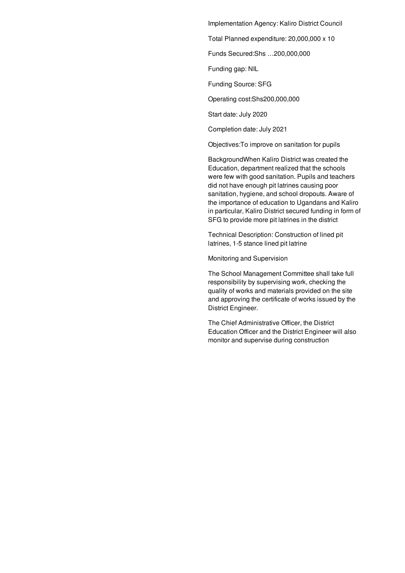Implementation Agency: Kaliro District Council

Total Planned expenditure: 20,000,000 x 10

Funds Secured:Shs …200,000,000

Funding gap: NIL

Funding Source: SFG

Operating cost:Shs200,000,000

Start date: July 2020

Completion date: July 2021

Objectives:To improve on sanitation for pupils

BackgroundWhen Kaliro District was created the Education, department realized that the schools were few with good sanitation. Pupils and teachers did not have enough pit latrines causing poor sanitation, hygiene, and school dropouts. Aware of the importance of education to Ugandans and Kaliro in particular, Kaliro District secured funding in form of SFG to provide more pit latrines in the district

Technical Description: Construction of lined pit latrines, 1-5 stance lined pit latrine

Monitoring and Supervision

The School Management Committee shall take full responsibility by supervising work, checking the quality of works and materials provided on the site and approving the certificate of works issued by the District Engineer.

The Chief Administrative Officer, the District Education Officer and the District Engineer will also monitor and supervise during construction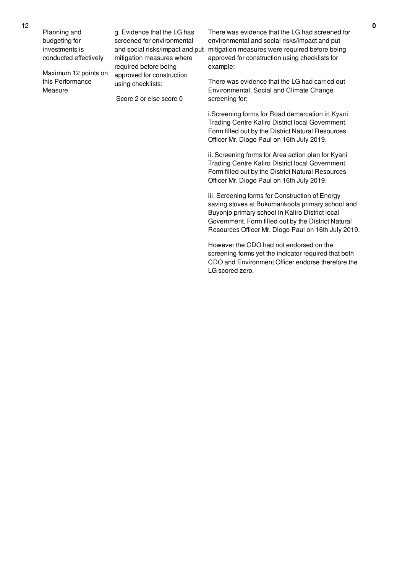Planning and budgeting for investments is conducted effectively

Maximum 12 points on this Performance Measure

g. Evidence that the LG has screened for environmental and social risks/impact and put mitigation measures where required before being approved for construction using checklists:

Score 2 or else score 0

There was evidence that the LG had screened for environmental and social risks/impact and put mitigation measures were required before being approved for construction using checklists for example;

There was evidence that the LG had carried out Environmental, Social and Climate Change screening for;

i.Screening forms for Road demarcation in Kyani Trading Centre Kaliro District local Government. Form filled out by the District Natural Resources Officer Mr. Diogo Paul on 16th July 2019.

ii. Screening forms for Area action plan for Kyani Trading Centre Kaliro District local Government. Form filled out by the District Natural Resources Officer Mr. Diogo Paul on 16th July 2019.

iii. Screening forms for Construction of Energy saving stoves at Bukumankoola primary school and Buyonjo primary school in Kaliro District local Government. Form filled out by the District Natural Resources Officer Mr. Diogo Paul on 16th July 2019.

However the CDO had not endorsed on the screening forms yet the indicator required that both CDO and Environment Officer endorse therefore the LG scored zero.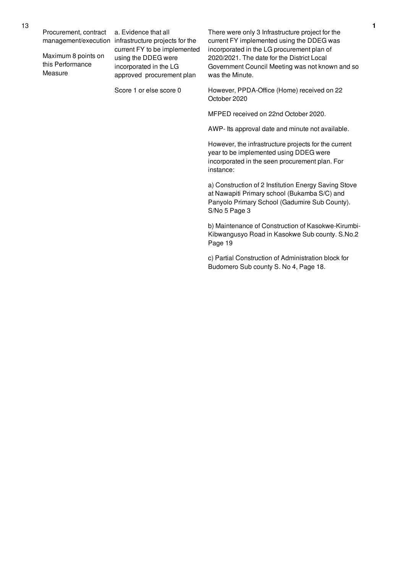Procurement, contract

Maximum 8 points on this Performance Measure

management/execution infrastructure projects for the a. Evidence that all current FY to be implemented using the DDEG were incorporated in the LG approved procurement plan

Score 1 or else score 0

There were only 3 Infrastructure project for the current FY implemented using the DDEG was incorporated in the LG procurement plan of 2020/2021. The date for the District Local Government Council Meeting was not known and so was the Minute.

However, PPDA-Office (Home) received on 22 October 2020

MFPED received on 22nd October 2020.

AWP- Its approval date and minute not available.

However, the infrastructure projects for the current year to be implemented using DDEG were incorporated in the seen procurement plan. For instance:

a) Construction of 2 Institution Energy Saving Stove at Nawapiti Primary school (Bukamba S/C) and Panyolo Primary School (Gadumire Sub County). S/No 5 Page 3

b) Maintenance of Construction of Kasokwe-Kirumbi-Kibwangusyo Road in Kasokwe Sub county. S.No.2 Page 19

c) Partial Construction of Administration block for Budomero Sub county S. No 4, Page 18.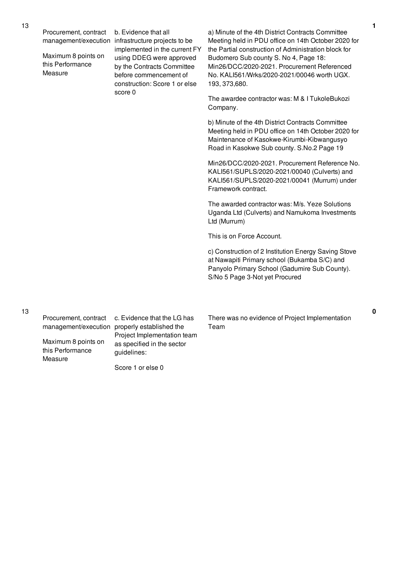| Procurement, contract<br>management/execution<br>Maximum 8 points on<br>this Performance<br>Measure | b. Evidence that all<br>infrastructure projects to be<br>implemented in the current FY<br>using DDEG were approved<br>by the Contracts Committee<br>before commencement of<br>construction: Score 1 or else<br>score 0 | a) Minute of the 4th District Contracts Committee<br>Meeting held in PDU office on 14th October 2020 for<br>the Partial construction of Administration block for<br>Budomero Sub county S. No 4, Page 18:<br>Min26/DCC/2020-2021. Procurement Referenced<br>No. KALI561/Wrks/2020-2021/00046 worth UGX.<br>193, 373, 680. |
|-----------------------------------------------------------------------------------------------------|------------------------------------------------------------------------------------------------------------------------------------------------------------------------------------------------------------------------|---------------------------------------------------------------------------------------------------------------------------------------------------------------------------------------------------------------------------------------------------------------------------------------------------------------------------|
|                                                                                                     |                                                                                                                                                                                                                        | The awardee contractor was: M & I Tukole Bukozi<br>Company.                                                                                                                                                                                                                                                               |
|                                                                                                     |                                                                                                                                                                                                                        | b) Minute of the 4th District Contracts Committee<br>Meeting held in PDU office on 14th October 2020 for<br>Maintenance of Kasokwe-Kirumbi-Kibwangusyo<br>Road in Kasokwe Sub county. S.No.2 Page 19                                                                                                                      |
|                                                                                                     |                                                                                                                                                                                                                        | Min26/DCC/2020-2021. Procurement Reference No.<br>KALI561/SUPLS/2020-2021/00040 (Culverts) and<br>KALI561/SUPLS/2020-2021/00041 (Murrum) under<br>Framework contract.                                                                                                                                                     |
|                                                                                                     |                                                                                                                                                                                                                        | The awarded contractor was: M/s. Yeze Solutions<br>Uganda Ltd (Culverts) and Namukoma Investments<br>Ltd (Murrum)                                                                                                                                                                                                         |
|                                                                                                     |                                                                                                                                                                                                                        | This is on Force Account.                                                                                                                                                                                                                                                                                                 |
|                                                                                                     |                                                                                                                                                                                                                        | c) Construction of 2 Institution Energy Saving Stove<br>at Nawapiti Primary school (Bukamba S/C) and<br>Panyolo Primary School (Gadumire Sub County).<br>S/No 5 Page 3-Not yet Procured                                                                                                                                   |
|                                                                                                     |                                                                                                                                                                                                                        |                                                                                                                                                                                                                                                                                                                           |

Procurement, contract

Maximum 8 points on this Performance Measure

management/execution properly established the c. Evidence that the LG has Project Implementation team as specified in the sector guidelines:

Score 1 or else 0

There was no evidence of Project Implementation Team

**1**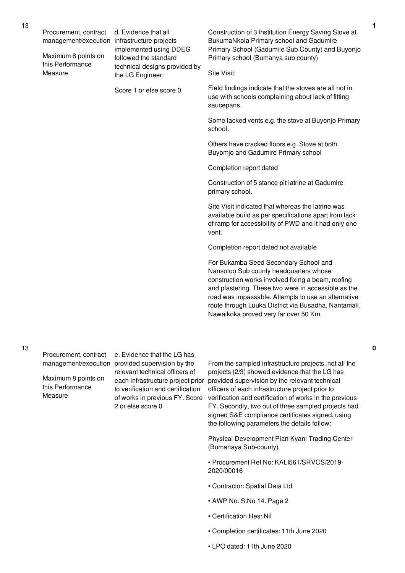|  | Procurement, contract<br>management/execution      | d. Evidence that all<br>infrastructure projects<br>implemented using DDEG                             | Construction of 3 Institution Energy Saving Stove at<br>BukumaNkola Primary school and Gadumire                                                                                                                                                                                                                                                      |
|--|----------------------------------------------------|-------------------------------------------------------------------------------------------------------|------------------------------------------------------------------------------------------------------------------------------------------------------------------------------------------------------------------------------------------------------------------------------------------------------------------------------------------------------|
|  | Maximum 8 points on<br>this Performance<br>Measure | followed the standard<br>technical designs provided by<br>the LG Engineer:<br>Score 1 or else score 0 | Primary School (Gadumile Sub County) and Buyonjo<br>Primary school (Bumanya sub county)                                                                                                                                                                                                                                                              |
|  |                                                    |                                                                                                       | Site Visit:                                                                                                                                                                                                                                                                                                                                          |
|  |                                                    |                                                                                                       | Field findings indicate that the stoves are all not in<br>use with schools complaining about lack of fitting<br>saucepans.                                                                                                                                                                                                                           |
|  |                                                    |                                                                                                       | Some lacked vents e.g. the stove at Buyonjo Primary<br>school.                                                                                                                                                                                                                                                                                       |
|  |                                                    |                                                                                                       | Others have cracked floors e.g. Stove at both<br>Buyomjo and Gadumire Primary school                                                                                                                                                                                                                                                                 |
|  |                                                    |                                                                                                       | Completion report dated                                                                                                                                                                                                                                                                                                                              |
|  |                                                    |                                                                                                       | Construction of 5 stance pit latrine at Gadumire<br>primary school.                                                                                                                                                                                                                                                                                  |
|  |                                                    |                                                                                                       | Site Visit indicated that whereas the latrine was<br>available build as per specifications apart from lack<br>of ramp for accessibility of PWD and it had only one<br>vent.                                                                                                                                                                          |
|  |                                                    |                                                                                                       | Completion report dated not available                                                                                                                                                                                                                                                                                                                |
|  |                                                    |                                                                                                       | For Bukamba Seed Secondary School and<br>Nansoloo Sub county headquarters whose<br>construction works involved fixing a beam, roofing<br>and plastering. These two were in accessible as the<br>road was impassable. Attempts to use an alternative<br>route through Luuka District via Busadha, Nantamali,<br>Nawaikoka proved very far over 50 Km. |

Procurement, contract

Maximum 8 points on this Performance Measure

management/execution provided supervision by the e. Evidence that the LG has relevant technical officers of to verification and certification of works in previous FY. Score 2 or else score 0

each infrastructure project prior provided supervision by the relevant technical From the sampled infrastructure projects, not all the projects (2/3) showed evidence that the LG has officers of each infrastructure project prior to verification and certification of works in the previous FY. Secondly, two out of three sampled projects had signed S&E compliance certificates signed. using the following parameters the details follow:

> Physical Development Plan Kyani Trading Center (Bumanaya Sub-county)

• Procurement Ref No: KALI561/SRVCS/2019- 2020/00016

- Contractor: Spatial Data Ltd
- AWP No: S.No 14. Page 2
- Certification files: Nil
- Completion certificates: 11th June 2020

**0**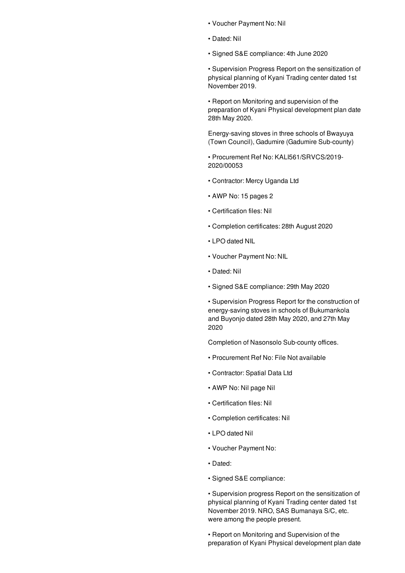- Voucher Payment No: Nil
- Dated: Nil
- Signed S&E compliance: 4th June 2020

• Supervision Progress Report on the sensitization of physical planning of Kyani Trading center dated 1st November 2019.

• Report on Monitoring and supervision of the preparation of Kyani Physical development plan date 28th May 2020.

Energy-saving stoves in three schools of Bwayuya (Town Council), Gadumire (Gadumire Sub-county)

• Procurement Ref No: KALI561/SRVCS/2019- 2020/00053

- Contractor: Mercy Uganda Ltd
- AWP No: 15 pages 2
- Certification files: Nil
- Completion certificates: 28th August 2020
- LPO dated NIL
- Voucher Payment No: NIL
- Dated: Nil
- Signed S&E compliance: 29th May 2020

• Supervision Progress Report for the construction of energy-saving stoves in schools of Bukumankola and Buyonjo dated 28th May 2020, and 27th May 2020

Completion of Nasonsolo Sub-county offices.

- Procurement Ref No: File Not available
- Contractor: Spatial Data Ltd
- AWP No: Nil page Nil
- Certification files: Nil
- Completion certificates: Nil
- LPO dated Nil
- Voucher Payment No:
- Dated:
- Signed S&E compliance:

• Supervision progress Report on the sensitization of physical planning of Kyani Trading center dated 1st November 2019. NRO, SAS Bumanaya S/C, etc. were among the people present.

• Report on Monitoring and Supervision of the preparation of Kyani Physical development plan date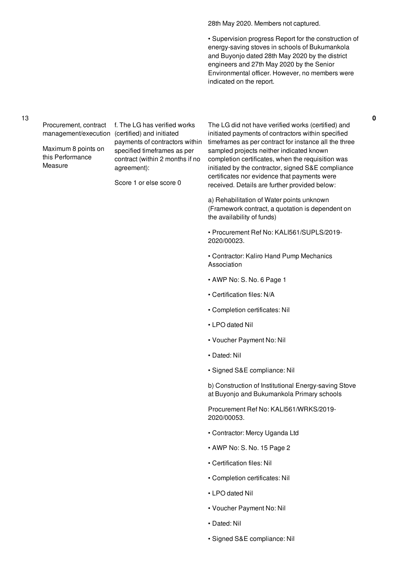28th May 2020. Members not captured.

• Supervision progress Report for the construction of energy-saving stoves in schools of Bukumankola and Buyonjo dated 28th May 2020 by the district engineers and 27th May 2020 by the Senior Environmental officer. However, no members were indicated on the report.

#### 13

Procurement, contract f. The LG has verified works management/execution (certified) and initiated

Maximum 8 points on this Performance **Measure** 

payments of contractors within specified timeframes as per contract (within 2 months if no agreement):

Score 1 or else score 0

The LG did not have verified works (certified) and initiated payments of contractors within specified timeframes as per contract for instance all the three sampled projects neither indicated known completion certificates, when the requisition was initiated by the contractor, signed S&E compliance certificates nor evidence that payments were received. Details are further provided below:

a) Rehabilitation of Water points unknown (Framework contract, a quotation is dependent on the availability of funds)

• Procurement Ref No: KALI561/SUPLS/2019- 2020/00023.

• Contractor: Kaliro Hand Pump Mechanics Association

- AWP No: S. No. 6 Page 1
- Certification files: N/A
- Completion certificates: Nil
- LPO dated Nil
- Voucher Payment No: Nil
- Dated: Nil
- Signed S&E compliance: Nil

b) Construction of Institutional Energy-saving Stove at Buyonjo and Bukumankola Primary schools

Procurement Ref No: KALI561/WRKS/2019- 2020/00053.

- Contractor: Mercy Uganda Ltd
- AWP No: S. No. 15 Page 2
- Certification files: Nil
- Completion certificates: Nil
- LPO dated Nil
- Voucher Payment No: Nil
- Dated: Nil
- Signed S&E compliance: Nil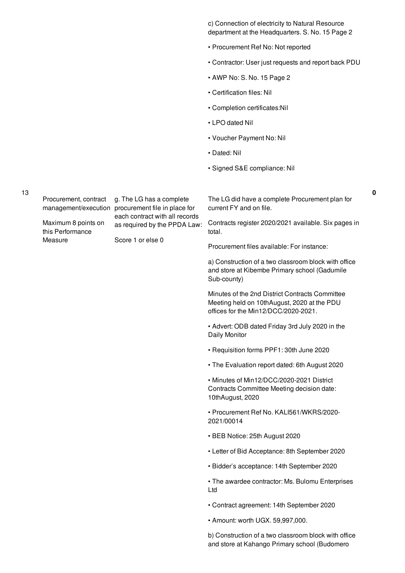c) Connection of electricity to Natural Resource department at the Headquarters. S. No. 15 Page 2

- Procurement Ref No: Not reported
- Contractor: User just requests and report back PDU
- AWP No: S. No. 15 Page 2
- Certification files: Nil
- Completion certificates:Nil
- LPO dated Nil
- Voucher Payment No: Nil
- Dated: Nil
- Signed S&E compliance: Nil

13

Procurement, contract g. The LG has a complete

management/execution procurement file in place for each contract with all records as required by the PPDA Law:

Maximum 8 points on this Performance Measure

Score 1 or else 0

The LG did have a complete Procurement plan for current FY and on file.

**0**

Contracts register 2020/2021 available. Six pages in total.

Procurement files available: For instance:

a) Construction of a two classroom block with office and store at Kibembe Primary school (Gadumile Sub-county)

Minutes of the 2nd District Contracts Committee Meeting held on 10thAugust, 2020 at the PDU offices for the Min12/DCC/2020-2021.

• Advert: ODB dated Friday 3rd July 2020 in the Daily Monitor

- Requisition forms PPF1: 30th June 2020
- The Evaluation report dated: 6th August 2020

• Minutes of Min12/DCC/2020-2021 District Contracts Committee Meeting decision date: 10thAugust, 2020

• Procurement Ref No. KALI561/WKRS/2020- 2021/00014

- BEB Notice: 25th August 2020
- Letter of Bid Acceptance: 8th September 2020
- Bidder's acceptance: 14th September 2020

• The awardee contractor: Ms. Bulomu Enterprises Ltd

- Contract agreement: 14th September 2020
- Amount: worth UGX. 59,997,000.

b) Construction of a two classroom block with office and store at Kahango Primary school (Budomero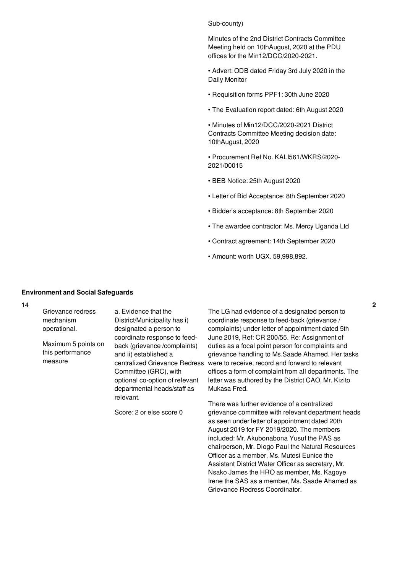### Sub-county)

Minutes of the 2nd District Contracts Committee Meeting held on 10thAugust, 2020 at the PDU offices for the Min12/DCC/2020-2021.

• Advert: ODB dated Friday 3rd July 2020 in the Daily Monitor

- Requisition forms PPF1: 30th June 2020
- The Evaluation report dated: 6th August 2020

• Minutes of Min12/DCC/2020-2021 District Contracts Committee Meeting decision date: 10thAugust, 2020

• Procurement Ref No. KALI561/WKRS/2020- 2021/00015

- BEB Notice: 25th August 2020
- Letter of Bid Acceptance: 8th September 2020
- Bidder's acceptance: 8th September 2020
- The awardee contractor: Ms. Mercy Uganda Ltd
- Contract agreement: 14th September 2020
- Amount: worth UGX. 59,998,892.

#### **Environment and Social Safeguards**

14

Grievance redress mechanism operational.

Maximum 5 points on this performance measure

a. Evidence that the District/Municipality has i) designated a person to coordinate response to feedback (grievance /complaints) and ii) established a centralized Grievance Redress Committee (GRC), with optional co-option of relevant departmental heads/staff as relevant.

Score: 2 or else score 0

The LG had evidence of a designated person to coordinate response to feed-back (grievance / complaints) under letter of appointment dated 5th June 2019, Ref: CR 200/55. Re: Assignment of duties as a focal point person for complaints and grievance handling to Ms.Saade Ahamed. Her tasks were to receive, record and forward to relevant offices a form of complaint from all departments. The letter was authored by the District CAO, Mr. Kizito Mukasa Fred.

There was further evidence of a centralized grievance committee with relevant department heads as seen under letter of appointment dated 20th August 2019 for FY 2019/2020. The members included: Mr. Akubonabona Yusuf the PAS as chairperson, Mr. Diogo Paul the Natural Resources Officer as a member, Ms. Mutesi Eunice the Assistant District Water Officer as secretary, Mr. Nsako James the HRO as member, Ms. Kagoye Irene the SAS as a member, Ms. Saade Ahamed as Grievance Redress Coordinator.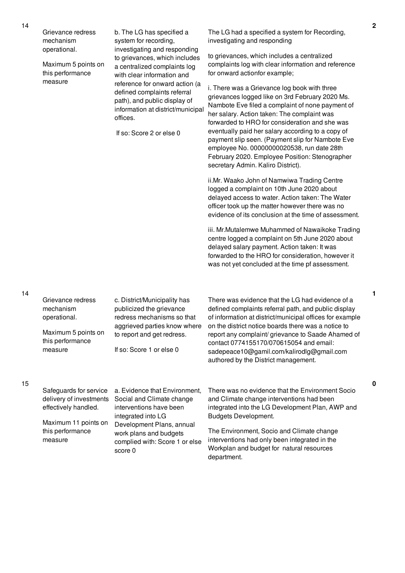| Grievance redress<br>mechanism<br>operational.<br>Maximum 5 points on<br>this performance<br>measure                             | b. The LG has specified a<br>system for recording,<br>investigating and responding<br>to grievances, which includes<br>a centralized complaints log<br>with clear information and<br>reference for onward action (a<br>defined complaints referral<br>path), and public display of<br>information at district/municipal<br>offices.<br>If so: Score 2 or else 0 | The LG had a specified a system for Recording,<br>investigating and responding<br>to grievances, which includes a centralized<br>complaints log with clear information and reference<br>for onward actionfor example;<br>i. There was a Grievance log book with three<br>grievances logged like on 3rd February 2020 Ms.<br>Nambote Eve filed a complaint of none payment of<br>her salary. Action taken: The complaint was<br>forwarded to HRO for consideration and she was<br>eventually paid her salary according to a copy of<br>payment slip seen. (Payment slip for Nambote Eve<br>employee No. 00000000020538, run date 28th<br>February 2020. Employee Position: Stenographer<br>secretary Admin. Kaliro District). |
|----------------------------------------------------------------------------------------------------------------------------------|-----------------------------------------------------------------------------------------------------------------------------------------------------------------------------------------------------------------------------------------------------------------------------------------------------------------------------------------------------------------|------------------------------------------------------------------------------------------------------------------------------------------------------------------------------------------------------------------------------------------------------------------------------------------------------------------------------------------------------------------------------------------------------------------------------------------------------------------------------------------------------------------------------------------------------------------------------------------------------------------------------------------------------------------------------------------------------------------------------|
|                                                                                                                                  |                                                                                                                                                                                                                                                                                                                                                                 | ii.Mr. Waako John of Namwiwa Trading Centre<br>logged a complaint on 10th June 2020 about<br>delayed access to water. Action taken: The Water<br>officer took up the matter however there was no<br>evidence of its conclusion at the time of assessment.                                                                                                                                                                                                                                                                                                                                                                                                                                                                    |
|                                                                                                                                  |                                                                                                                                                                                                                                                                                                                                                                 | iii. Mr.Mutalemwe Muhammed of Nawaikoke Trading<br>centre logged a complaint on 5th June 2020 about<br>delayed salary payment. Action taken: It was<br>forwarded to the HRO for consideration, however it<br>was not yet concluded at the time pf assessment.                                                                                                                                                                                                                                                                                                                                                                                                                                                                |
| Grievance redress<br>mechanism<br>operational.<br>Maximum 5 points on<br>this performance<br>measure                             | c. District/Municipality has<br>publicized the grievance<br>redress mechanisms so that<br>aggrieved parties know where<br>to report and get redress.<br>If so: Score 1 or else 0                                                                                                                                                                                | There was evidence that the LG had evidence of a<br>defined complaints referral path, and public display<br>of information at district/municipal offices for example<br>on the district notice boards there was a notice to<br>report any complaint/grievance to Saade Ahamed of<br>contact 0774155170/070615054 and email:<br>sadepeace10@gamil.com/kalirodlg@gmail.com<br>authored by the District management.                                                                                                                                                                                                                                                                                                             |
| Safeguards for service<br>delivery of investments<br>effectively handled.<br>Maximum 11 points on<br>this performance<br>measure | a. Evidence that Environment,<br>Social and Climate change<br>interventions have been<br>integrated into LG<br>Development Plans, annual<br>work plans and budgets<br>complied with: Score 1 or else                                                                                                                                                            | There was no evidence that the Environment Socio<br>and Climate change interventions had been<br>integrated into the LG Development Plan, AWP and<br><b>Budgets Development.</b><br>The Environment, Socio and Climate change<br>interventions had only been integrated in the                                                                                                                                                                                                                                                                                                                                                                                                                                               |

complied with: Score 1 or else

Workplan and budget for natural resources

department.

score 0

14

14

15

**2**

**0**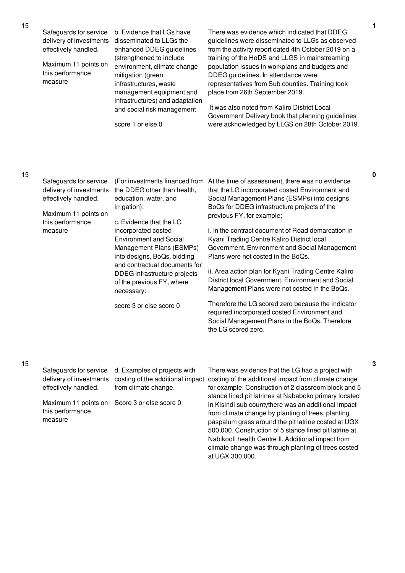Safeguards for service delivery of investments effectively handled.

Maximum 11 points on this performance measure

b. Evidence that LGs have disseminated to LLGs the enhanced DDEG guidelines (strengthened to include environment, climate change mitigation (green infrastructures, waste management equipment and infrastructures) and adaptation and social risk management

score 1 or else 0

There was evidence which indicated that DDEG guidelines were disseminated to LLGs as observed from the activity report dated 4th October 2019 on a training of the HoDS and LLGS in mainstreaming population issues in workplans and budgets and DDEG guidelines. In attendance were representatives from Sub counties. Training took place from 26th September 2019.

It was also noted from Kaliro District Local Government Delivery book that planning guidelines were acknowledged by LLGS on 28th October 2019.

climate change was through planting of trees costed

at UGX 300,000.

|  | Safeguards for service<br>delivery of investments<br>effectively handled.<br>Maximum 11 points on<br>this performance<br>measure | (For investments financed from<br>the DDEG other than health,<br>education, water, and<br>irrigation):<br>c. Evidence that the LG<br>incorporated costed | At the time of assessment, there was no evidence<br>that the LG incorporated costed Environment and<br>Social Management Plans (ESMPs) into designs,<br>BoQs for DDEG infrastructure projects of the<br>previous FY, for example;<br>i. In the contract document of Road demarcation in |
|--|----------------------------------------------------------------------------------------------------------------------------------|----------------------------------------------------------------------------------------------------------------------------------------------------------|-----------------------------------------------------------------------------------------------------------------------------------------------------------------------------------------------------------------------------------------------------------------------------------------|
|  |                                                                                                                                  | <b>Environment and Social</b>                                                                                                                            | Kyani Trading Centre Kaliro District local                                                                                                                                                                                                                                              |
|  |                                                                                                                                  | Management Plans (ESMPs)<br>into designs, BoQs, bidding                                                                                                  | Government. Environment and Social Management<br>Plans were not costed in the BoQs.                                                                                                                                                                                                     |
|  |                                                                                                                                  | and contractual documents for<br>DDEG infrastructure projects<br>of the previous FY, where<br>necessary:                                                 | ii. Area action plan for Kyani Trading Centre Kaliro<br>District local Government. Environment and Social<br>Management Plans were not costed in the BoQs.                                                                                                                              |
|  |                                                                                                                                  | score 3 or else score 0                                                                                                                                  | Therefore the LG scored zero because the indicator<br>required incorporated costed Environment and<br>Social Management Plans in the BoQs. Therefore<br>the LG scored zero.                                                                                                             |
|  |                                                                                                                                  |                                                                                                                                                          |                                                                                                                                                                                                                                                                                         |

## 15

| Safeguards for service                       | d. Examples of projects with | There was evidence that the LG had a project with                                     |
|----------------------------------------------|------------------------------|---------------------------------------------------------------------------------------|
| delivery of investments                      |                              | costing of the additional impact costing of the additional impact from climate change |
| effectively handled.                         | from climate change.         | for example; Construction of 2 classroom block and 5                                  |
|                                              |                              | stance lined pit latrines at Nababoko primary located                                 |
| Maximum 11 points on Score 3 or else score 0 |                              | in Kisindi sub countythere was an additional impact                                   |
| this performance                             |                              | from climate change by planting of trees, planting                                    |
| measure                                      |                              | paspalum grass around the pit latrine costed at UGX                                   |
|                                              |                              | 500,000. Construction of 5 stance lined pit latrine at                                |
|                                              |                              | Nabikooli health Centre II. Additional impact from                                    |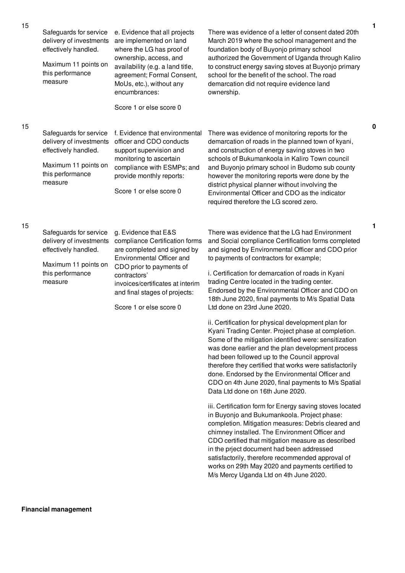| 15 | Safeguards for service<br>delivery of investments<br>effectively handled. | e. Evidence that all projects<br>are implemented on land<br>where the LG has proof of<br>ownership, access, and | There was evidence of a letter of consent dated 20th<br>March 2019 where the school management and the<br>foundation body of Buyonjo primary school<br>authorized the Government of Uganda through Kaliro                                                                                                                                                                                                                    |
|----|---------------------------------------------------------------------------|-----------------------------------------------------------------------------------------------------------------|------------------------------------------------------------------------------------------------------------------------------------------------------------------------------------------------------------------------------------------------------------------------------------------------------------------------------------------------------------------------------------------------------------------------------|
|    | Maximum 11 points on<br>this performance<br>measure                       | availability (e.g. a land title,<br>agreement; Formal Consent,<br>MoUs, etc.), without any<br>encumbrances:     | to construct energy saving stoves at Buyonjo primary<br>school for the benefit of the school. The road<br>demarcation did not require evidence land<br>ownership.                                                                                                                                                                                                                                                            |
|    |                                                                           | Score 1 or else score 0                                                                                         |                                                                                                                                                                                                                                                                                                                                                                                                                              |
| 15 |                                                                           |                                                                                                                 |                                                                                                                                                                                                                                                                                                                                                                                                                              |
|    | Safeguards for service<br>delivery of investments<br>effectively handled. | f. Evidence that environmental<br>officer and CDO conducts<br>support supervision and                           | There was evidence of monitoring reports for the<br>demarcation of roads in the planned town of kyani,<br>and construction of energy saving stoves in two                                                                                                                                                                                                                                                                    |
|    | Maximum 11 points on<br>this performance<br>measure                       | monitoring to ascertain<br>compliance with ESMPs; and<br>provide monthly reports:                               | schools of Bukumankoola in Kaliro Town council<br>and Buyonjo primary school in Budomo sub county<br>however the monitoring reports were done by the                                                                                                                                                                                                                                                                         |
|    |                                                                           | Score 1 or else score 0                                                                                         | district physical planner without involving the<br>Environmental Officer and CDO as the indicator<br>required therefore the LG scored zero.                                                                                                                                                                                                                                                                                  |
| 15 |                                                                           |                                                                                                                 |                                                                                                                                                                                                                                                                                                                                                                                                                              |
|    | Safeguards for service<br>delivery of investments<br>effectively handled. | g. Evidence that E&S<br>compliance Certification forms<br>are completed and signed by                           | There was evidence that the LG had Environment<br>and Social compliance Certification forms completed<br>and signed by Environmental Officer and CDO prior                                                                                                                                                                                                                                                                   |
|    | Maximum 11 points on                                                      | Environmental Officer and<br>CDO prior to payments of                                                           | to payments of contractors for example;                                                                                                                                                                                                                                                                                                                                                                                      |
|    | this performance<br>measure                                               | contractors'<br>invoices/certificates at interim<br>and final stages of projects:                               | i. Certification for demarcation of roads in Kyani<br>trading Centre located in the trading center.<br>Endorsed by the Environmental Officer and CDO on                                                                                                                                                                                                                                                                      |
|    |                                                                           | Score 1 or else score 0                                                                                         | 18th June 2020, final payments to M/s Spatial Data<br>Ltd done on 23rd June 2020.                                                                                                                                                                                                                                                                                                                                            |
|    |                                                                           |                                                                                                                 | ii. Certification for physical development plan for<br>Kyani Trading Center. Project phase at completion.<br>Some of the mitigation identified were: sensitization<br>was done earlier and the plan development process<br>had been followed up to the Council approval<br>therefore they certified that works were satisfactorily<br>done. Endorsed by the Environmental Officer and                                        |
|    |                                                                           |                                                                                                                 | CDO on 4th June 2020, final payments to M/s Spatial<br>Data Ltd done on 16th June 2020.                                                                                                                                                                                                                                                                                                                                      |
|    |                                                                           |                                                                                                                 | iii. Certification form for Energy saving stoves located<br>in Buyonjo and Bukumankoola. Project phase:<br>completion. Mitigation measures: Debris cleared and<br>chimney installed. The Environment Officer and<br>CDO certified that mitigation measure as described<br>in the prject document had been addressed<br>satisfactorily, therefore recommended approval of<br>works on 29th May 2020 and payments certified to |

**0**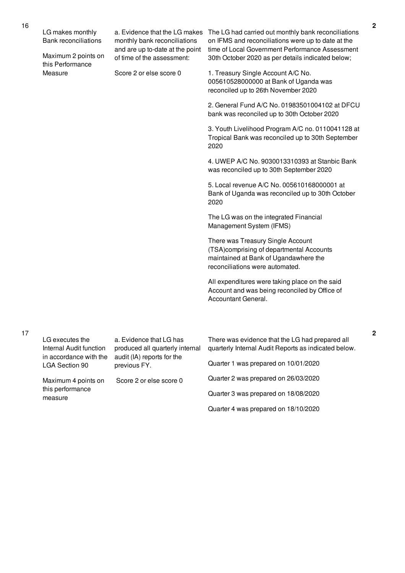|  | LG makes monthly<br><b>Bank reconciliations</b><br>Maximum 2 points on | a. Evidence that the LG makes<br>monthly bank reconciliations<br>and are up to-date at the point<br>of time of the assessment: | The LG had carried out monthly bank reconciliations<br>on IFMS and reconciliations were up to date at the<br>time of Local Government Performance Assessment<br>30th October 2020 as per details indicated below; |
|--|------------------------------------------------------------------------|--------------------------------------------------------------------------------------------------------------------------------|-------------------------------------------------------------------------------------------------------------------------------------------------------------------------------------------------------------------|
|  | this Performance<br>Measure                                            | Score 2 or else score 0                                                                                                        | 1. Treasury Single Account A/C No.<br>005610528000000 at Bank of Uganda was<br>reconciled up to 26th November 2020                                                                                                |
|  |                                                                        |                                                                                                                                | 2. General Fund A/C No. 01983501004102 at DFCU<br>bank was reconciled up to 30th October 2020                                                                                                                     |
|  |                                                                        |                                                                                                                                | 3. Youth Livelihood Program A/C no. 0110041128 at<br>Tropical Bank was reconciled up to 30th September<br>2020                                                                                                    |
|  |                                                                        |                                                                                                                                | 4. UWEP A/C No. 9030013310393 at Stanbic Bank<br>was reconciled up to 30th September 2020                                                                                                                         |
|  |                                                                        |                                                                                                                                | 5. Local revenue A/C No. 005610168000001 at<br>Bank of Uganda was reconciled up to 30th October<br>2020                                                                                                           |
|  |                                                                        |                                                                                                                                | The LG was on the integrated Financial<br>Management System (IFMS)                                                                                                                                                |
|  |                                                                        |                                                                                                                                | There was Treasury Single Account<br>(TSA)comprising of departmental Accounts<br>maintained at Bank of Ugandawhere the<br>reconciliations were automated.                                                         |
|  |                                                                        |                                                                                                                                | All expenditures were taking place on the said<br>Account and was being reconciled by Office of<br>Accountant General.                                                                                            |
|  |                                                                        |                                                                                                                                |                                                                                                                                                                                                                   |
|  | LG executes the<br>Internal Audit function<br>in accordance with the   | a. Evidence that LG has<br>produced all quarterly internal<br>audit (IA) reports for the<br>previous FY.                       | There was evidence that the LG had prepared all<br>quarterly Internal Audit Reports as indicated below.                                                                                                           |
|  | LGA Section 90                                                         |                                                                                                                                | Quarter 1 was prepared on 10/01/2020                                                                                                                                                                              |
|  | Maximum 4 points on                                                    | Score 2 or else score 0                                                                                                        | Quarter 2 was prepared on 26/03/2020                                                                                                                                                                              |

this performance measure

Quarter 3 was prepared on 18/08/2020 Quarter 4 was prepared on 18/10/2020

17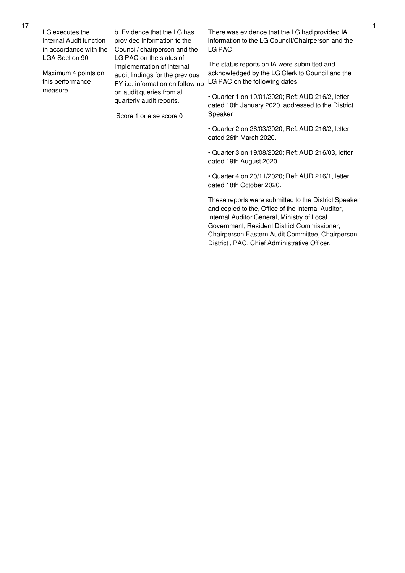LG executes the Internal Audit function in accordance with the LGA Section 90

Maximum 4 points on this performance measure

b. Evidence that the LG has provided information to the Council/ chairperson and the LG PAC on the status of implementation of internal audit findings for the previous FY i.e. information on follow up on audit queries from all quarterly audit reports.

Score 1 or else score 0

There was evidence that the LG had provided IA information to the LG Council/Chairperson and the LG PAC.

The status reports on IA were submitted and acknowledged by the LG Clerk to Council and the LG PAC on the following dates.

• Quarter 1 on 10/01/2020; Ref: AUD 216/2, letter dated 10th January 2020, addressed to the District Speaker

• Quarter 2 on 26/03/2020, Ref: AUD 216/2, letter dated 26th March 2020.

• Quarter 3 on 19/08/2020; Ref: AUD 216/03, letter dated 19th August 2020

• Quarter 4 on 20/11/2020; Ref: AUD 216/1, letter dated 18th October 2020.

These reports were submitted to the District Speaker and copied to the, Office of the Internal Auditor, Internal Auditor General, Ministry of Local Government, Resident District Commissioner, Chairperson Eastern Audit Committee, Chairperson District , PAC, Chief Administrative Officer.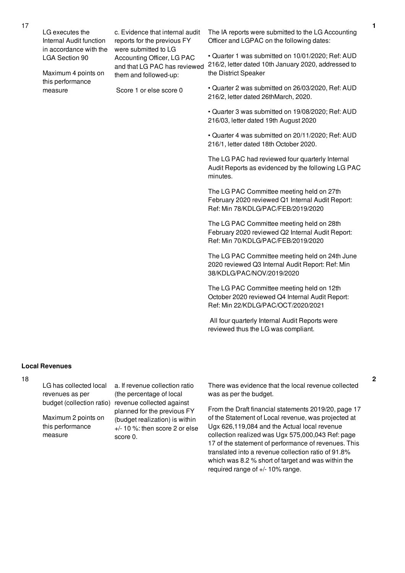| LG executes the<br>Internal Audit function      | c. Evidence that internal audit<br>reports for the previous FY                     | The IA reports were submitted to the LG Accounting<br>Officer and LGPAC on the following dates:                                     |
|-------------------------------------------------|------------------------------------------------------------------------------------|-------------------------------------------------------------------------------------------------------------------------------------|
| in accordance with the<br><b>LGA Section 90</b> | were submitted to LG<br>Accounting Officer, LG PAC<br>and that LG PAC has reviewed | • Quarter 1 was submitted on 10/01/2020; Ref: AUD<br>216/2, letter dated 10th January 2020, addressed to                            |
| Maximum 4 points on<br>this performance         | them and followed-up:                                                              | the District Speaker                                                                                                                |
| measure                                         | Score 1 or else score 0                                                            | • Quarter 2 was submitted on 26/03/2020, Ref: AUD<br>216/2, letter dated 26thMarch, 2020.                                           |
|                                                 |                                                                                    | • Quarter 3 was submitted on 19/08/2020; Ref: AUD<br>216/03, letter dated 19th August 2020                                          |
|                                                 |                                                                                    | • Quarter 4 was submitted on 20/11/2020; Ref: AUD<br>216/1, letter dated 18th October 2020.                                         |
|                                                 |                                                                                    | The LG PAC had reviewed four quarterly Internal<br>Audit Reports as evidenced by the following LG PAC<br>minutes.                   |
|                                                 |                                                                                    | The LG PAC Committee meeting held on 27th<br>February 2020 reviewed Q1 Internal Audit Report:<br>Ref: Min 78/KDLG/PAC/FEB/2019/2020 |
|                                                 |                                                                                    | The LG PAC Committee meeting held on 28th<br>February 2020 reviewed Q2 Internal Audit Report:<br>Ref: Min 70/KDLG/PAC/FEB/2019/2020 |
|                                                 |                                                                                    | The LG PAC Committee meeting held on 24th June<br>2020 reviewed Q3 Internal Audit Report: Ref: Min<br>38/KDLG/PAC/NOV/2019/2020     |
|                                                 |                                                                                    |                                                                                                                                     |

The LG PAC Committee meeting held on 12th October 2020 reviewed Q4 Internal Audit Report: Ref: Min 22/KDLG/PAC/OCT/2020/2021

All four quarterly Internal Audit Reports were reviewed thus the LG was compliant.

### **Local Revenues**

18

LG has collected local revenues as per

Maximum 2 points on this performance measure

budget (collection ratio) revenue collected against a. If revenue collection ratio (the percentage of local planned for the previous FY (budget realization) is within +/- 10 %: then score 2 or else score 0.

There was evidence that the local revenue collected was as per the budget.

From the Draft financial statements 2019/20, page 17 of the Statement of Local revenue, was projected at Ugx 626,119,084 and the Actual local revenue collection realized was Ugx 575,000,043 Ref: page 17 of the statement of performance of revenues. This translated into a revenue collection ratio of 91.8% which was 8.2 % short of target and was within the required range of +/- 10% range.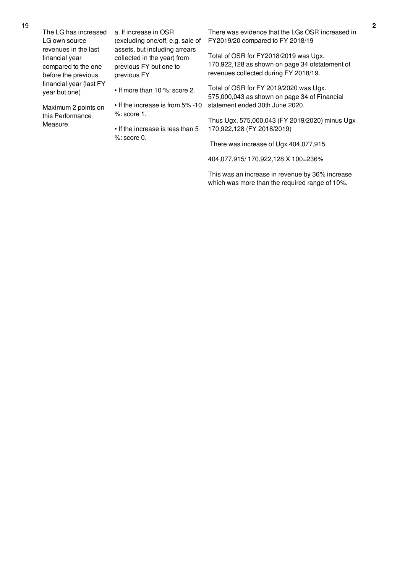| The LG has increased                                                                 | a. If increase in OSR                                                                                 | There was evidence that the LGs OSR increased in                                                                                 |
|--------------------------------------------------------------------------------------|-------------------------------------------------------------------------------------------------------|----------------------------------------------------------------------------------------------------------------------------------|
| LG own source                                                                        | (excluding one/off, e.g. sale of                                                                      | FY2019/20 compared to FY 2018/19                                                                                                 |
| revenues in the last<br>financial year<br>compared to the one<br>before the previous | assets, but including arrears<br>collected in the year) from<br>previous FY but one to<br>previous FY | Total of OSR for FY2018/2019 was Ugx.<br>170,922,128 as shown on page 34 ofstatement of<br>revenues collected during FY 2018/19. |
| financial year (last FY<br>year but one)                                             | $\cdot$ If more than 10 %; score 2.                                                                   | Total of OSR for FY 2019/2020 was Ugx.<br>575,000,043 as shown on page 34 of Financial                                           |
| Maximum 2 points on                                                                  | • If the increase is from 5% -10                                                                      | statement ended 30th June 2020.                                                                                                  |
| this Performance                                                                     | $%$ : score 1.                                                                                        | Thus Ugx. 575,000,043 (FY 2019/2020) minus Ugx                                                                                   |
| Measure.                                                                             | • If the increase is less than 5                                                                      | 170,922,128 (FY 2018/2019)                                                                                                       |
|                                                                                      | $%$ : score 0.                                                                                        | There was increase of Ugx 404,077,915                                                                                            |
|                                                                                      |                                                                                                       |                                                                                                                                  |

404,077,915/ 170,922,128 X 100=236%

This was an increase in revenue by 36% increase which was more than the required range of 10%.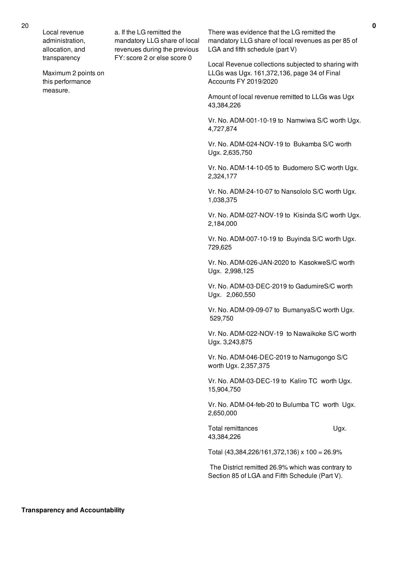Local revenue administration, allocation, and transparency

Maximum 2 points on this performance measure.

a. If the LG remitted the mandatory LLG share of local revenues during the previous FY: score 2 or else score 0

There was evidence that the LG remitted the mandatory LLG share of local revenues as per 85 of LGA and fifth schedule (part V)

Local Revenue collections subjected to sharing with LLGs was Ugx. 161,372,136, page 34 of Final Accounts FY 2019/2020

Amount of local revenue remitted to LLGs was Ugx 43,384,226

Vr. No. ADM-001-10-19 to Namwiwa S/C worth Ugx. 4,727,874

Vr. No. ADM-024-NOV-19 to Bukamba S/C worth Ugx. 2,635,750

Vr. No. ADM-14-10-05 to Budomero S/C worth Ugx. 2,324,177

Vr. No. ADM-24-10-07 to Nansololo S/C worth Ugx. 1,038,375

Vr. No. ADM-027-NOV-19 to Kisinda S/C worth Ugx. 2,184,000

Vr. No. ADM-007-10-19 to Buyinda S/C worth Ugx. 729,625

Vr. No. ADM-026-JAN-2020 to KasokweS/C worth Ugx. 2,998,125

Vr. No. ADM-03-DEC-2019 to GadumireS/C worth Ugx. 2,060,550

Vr. No. ADM-09-09-07 to BumanyaS/C worth Ugx. 529,750

Vr. No. ADM-022-NOV-19 to Nawaikoke S/C worth Ugx. 3,243,875

Vr. No. ADM-046-DEC-2019 to Namugongo S/C worth Ugx. 2,357,375

Vr. No. ADM-03-DEC-19 to Kaliro TC worth Ugx. 15,904,750

Vr. No. ADM-04-feb-20 to Bulumba TC worth Ugx. 2,650,000

Total remittances Ugx. 43,384,226

Total (43,384,226/161,372,136) x 100 = 26.9%

The District remitted 26.9% which was contrary to Section 85 of LGA and Fifth Schedule (Part V).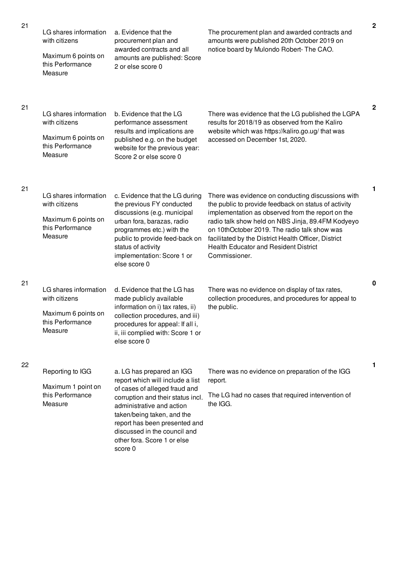|    | LG shares information<br>with citizens<br>Maximum 6 points on<br>this Performance<br>Measure | a. Evidence that the<br>procurement plan and<br>awarded contracts and all<br>amounts are published: Score<br>2 or else score 0                                                                                                                                                                            | The procurement plan and awarded contracts and<br>amounts were published 20th October 2019 on<br>notice board by Mulondo Robert- The CAO.                                                                                                                                                                                                                                                    |              |
|----|----------------------------------------------------------------------------------------------|-----------------------------------------------------------------------------------------------------------------------------------------------------------------------------------------------------------------------------------------------------------------------------------------------------------|----------------------------------------------------------------------------------------------------------------------------------------------------------------------------------------------------------------------------------------------------------------------------------------------------------------------------------------------------------------------------------------------|--------------|
| 21 | LG shares information<br>with citizens<br>Maximum 6 points on<br>this Performance<br>Measure | b. Evidence that the LG<br>performance assessment<br>results and implications are<br>published e.g. on the budget<br>website for the previous year:<br>Score 2 or else score 0                                                                                                                            | There was evidence that the LG published the LGPA<br>results for 2018/19 as observed from the Kaliro<br>website which was https://kaliro.go.ug/ that was<br>accessed on December 1st, 2020.                                                                                                                                                                                                  | $\mathbf{2}$ |
| 21 | LG shares information<br>with citizens<br>Maximum 6 points on<br>this Performance<br>Measure | c. Evidence that the LG during<br>the previous FY conducted<br>discussions (e.g. municipal<br>urban fora, barazas, radio<br>programmes etc.) with the<br>public to provide feed-back on<br>status of activity<br>implementation: Score 1 or<br>else score 0                                               | There was evidence on conducting discussions with<br>the public to provide feedback on status of activity<br>implementation as observed from the report on the<br>radio talk show held on NBS Jinja, 89.4FM Kodyeyo<br>on 10thOctober 2019. The radio talk show was<br>facilitated by the District Health Officer, District<br><b>Health Educator and Resident District</b><br>Commissioner. | 1            |
| 21 | LG shares information<br>with citizens<br>Maximum 6 points on<br>this Performance<br>Measure | d. Evidence that the LG has<br>made publicly available<br>information on i) tax rates, ii)<br>collection procedures, and iii)<br>procedures for appeal: If all i,<br>ii, iii complied with: Score 1 or<br>else score 0                                                                                    | There was no evidence on display of tax rates,<br>collection procedures, and procedures for appeal to<br>the public.                                                                                                                                                                                                                                                                         | 0            |
| 22 | Reporting to IGG<br>Maximum 1 point on<br>this Performance<br>Measure                        | a. LG has prepared an IGG<br>report which will include a list<br>of cases of alleged fraud and<br>corruption and their status incl.<br>administrative and action<br>taken/being taken, and the<br>report has been presented and<br>discussed in the council and<br>other fora. Score 1 or else<br>score 0 | There was no evidence on preparation of the IGG<br>report.<br>The LG had no cases that required intervention of<br>the IGG.                                                                                                                                                                                                                                                                  | 1            |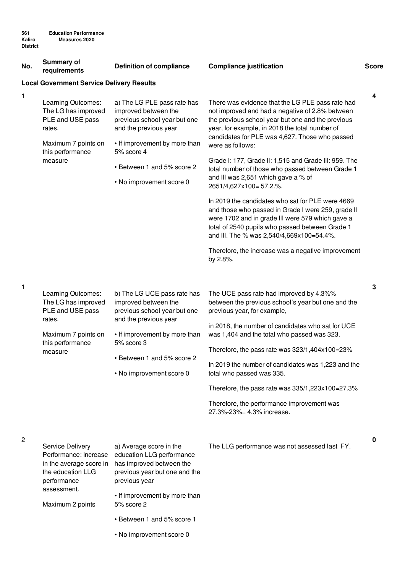| No. | <b>Summary of</b><br>requirements                                                                               | <b>Definition of compliance</b>                                                                                                               | <b>Compliance justification</b>                                                                                                                                                                                                                                                  | <b>Score</b> |
|-----|-----------------------------------------------------------------------------------------------------------------|-----------------------------------------------------------------------------------------------------------------------------------------------|----------------------------------------------------------------------------------------------------------------------------------------------------------------------------------------------------------------------------------------------------------------------------------|--------------|
|     | <b>Local Government Service Delivery Results</b>                                                                |                                                                                                                                               |                                                                                                                                                                                                                                                                                  |              |
|     | Learning Outcomes:<br>The LG has improved<br>PLE and USE pass<br>rates.<br>Maximum 7 points on                  | a) The LG PLE pass rate has<br>improved between the<br>previous school year but one<br>and the previous year<br>• If improvement by more than | There was evidence that the LG PLE pass rate had<br>not improved and had a negative of 2.8% between<br>the previous school year but one and the previous<br>year, for example, in 2018 the total number of<br>candidates for PLE was 4,627. Those who passed<br>were as follows: | 4            |
|     | this performance<br>measure                                                                                     | 5% score 4                                                                                                                                    | Grade I: 177, Grade II: 1,515 and Grade III: 959. The                                                                                                                                                                                                                            |              |
|     |                                                                                                                 | • Between 1 and 5% score 2<br>• No improvement score 0                                                                                        | total number of those who passed between Grade 1<br>and III was 2,651 which gave a % of                                                                                                                                                                                          |              |
|     |                                                                                                                 |                                                                                                                                               | 2651/4,627x100=57.2.%.                                                                                                                                                                                                                                                           |              |
|     |                                                                                                                 |                                                                                                                                               | In 2019 the candidates who sat for PLE were 4669<br>and those who passed in Grade I were 259, grade II<br>were 1702 and in grade III were 579 which gave a<br>total of 2540 pupils who passed between Grade 1<br>and III. The % was 2,540/4,669x100=54.4%.                       |              |
|     |                                                                                                                 |                                                                                                                                               | Therefore, the increase was a negative improvement<br>by 2.8%.                                                                                                                                                                                                                   |              |
|     |                                                                                                                 |                                                                                                                                               |                                                                                                                                                                                                                                                                                  |              |
| 1   | Learning Outcomes:<br>The LG has improved<br>PLE and USE pass                                                   | b) The LG UCE pass rate has<br>improved between the<br>previous school year but one                                                           | The UCE pass rate had improved by 4.3%%<br>between the previous school's year but one and the<br>previous year, for example,                                                                                                                                                     | 3            |
|     | rates.<br>Maximum 7 points on                                                                                   | and the previous year<br>• If improvement by more than                                                                                        | in 2018, the number of candidates who sat for UCE<br>was 1,404 and the total who passed was 323.                                                                                                                                                                                 |              |
|     | this performance<br>measure                                                                                     | 5% score 3                                                                                                                                    | Therefore, the pass rate was 323/1,404x100=23%                                                                                                                                                                                                                                   |              |
|     |                                                                                                                 | • Between 1 and 5% score 2<br>• No improvement score 0                                                                                        | In 2019 the number of candidates was 1,223 and the<br>total who passed was 335.                                                                                                                                                                                                  |              |
|     |                                                                                                                 |                                                                                                                                               | Therefore, the pass rate was 335/1,223x100=27.3%                                                                                                                                                                                                                                 |              |
|     |                                                                                                                 |                                                                                                                                               | Therefore, the performance improvement was<br>27.3%-23%= 4.3% increase.                                                                                                                                                                                                          |              |
|     |                                                                                                                 |                                                                                                                                               |                                                                                                                                                                                                                                                                                  |              |
| 2   | <b>Service Delivery</b><br>Performance: Increase<br>in the average score in<br>the education LLG<br>performance | a) Average score in the<br>education LLG performance<br>has improved between the<br>previous year but one and the<br>previous year            | The LLG performance was not assessed last FY.                                                                                                                                                                                                                                    | 0            |
|     | assessment.<br>Maximum 2 points                                                                                 | • If improvement by more than<br>5% score 2                                                                                                   |                                                                                                                                                                                                                                                                                  |              |
|     |                                                                                                                 | • Between 1 and 5% score 1                                                                                                                    |                                                                                                                                                                                                                                                                                  |              |

• No improvement score 0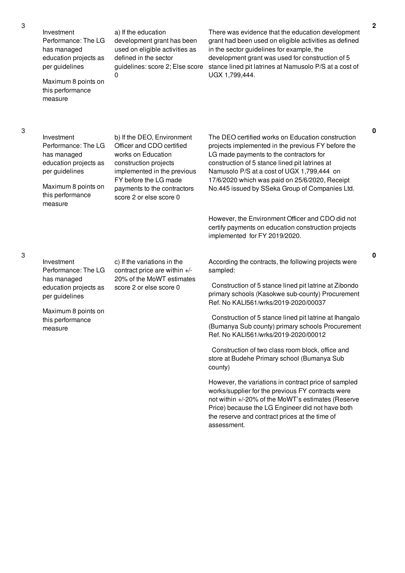Investment Performance: The LG has managed education projects as per guidelines

Maximum 8 points on this performance measure

a) If the education development grant has been used on eligible activities as defined in the sector guidelines: score 2; Else score 0

There was evidence that the education development grant had been used on eligible activities as defined in the sector guidelines for example, the development grant was used for construction of 5 stance lined pit latrines at Namusolo P/S at a cost of UGX 1,799,444.

Investment Performance: The LG has managed education projects as per guidelines

Maximum 8 points on this performance measure

b) If the DEO, Environment Officer and CDO certified works on Education construction projects implemented in the previous FY before the LG made payments to the contractors score 2 or else score 0

The DEO certified works on Education construction projects implemented in the previous FY before the LG made payments to the contractors for construction of 5 stance lined pit latrines at Namusolo P/S at a cost of UGX 1,799,444 on 17/6/2020 which was paid on 25/6/2020, Receipt No.445 issued by SSeka Group of Companies Ltd.

However, the Environment Officer and CDO did not certify payments on education construction projects implemented for FY 2019/2020.

Investment Performance: The LG has managed education projects as per guidelines

c) If the variations in the contract price are within +/- 20% of the MoWT estimates score 2 or else score 0

Maximum 8 points on this performance measure

According the contracts, the following projects were sampled:

Construction of 5 stance lined pit latrine at Zibondo primary schools (Kasokwe sub-county) Procurement Ref. No KALI561/wrks/2019-2020/00037

Construction of 5 stance lined pit latrine at Ihangalo (Bumanya Sub county) primary schools Procurement Ref. No KALI561/wrks/2019-2020/00012

Construction of two class room block, office and store at Budehe Primary school (Bumanya Sub county)

However, the variations in contract price of sampled works/supplier for the previous FY contracts were not within +/-20% of the MoWT's estimates (Reserve Price) because the LG Engineer did not have both the reserve and contract prices at the time of assessment.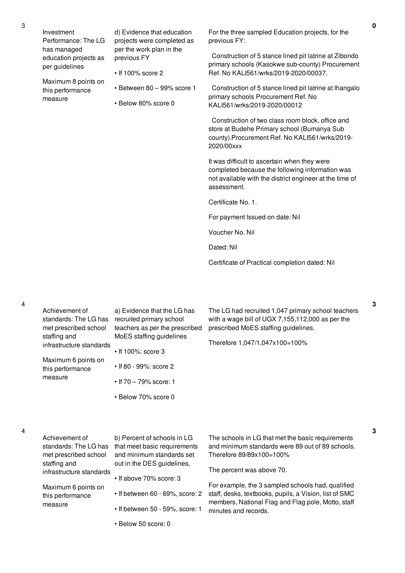Maximum 8 points on this performance

measure

d) Evidence that education projects were completed as per the work plan in the previous FY

- If 100% score 2
- Between 80 99% score 1
- Below 80% score 0

For the three sampled Education projects, for the previous FY:

Construction of 5 stance lined pit latrine at Zibondo primary schools (Kasokwe sub-county) Procurement Ref. No KALI561/wrks/2019-2020/00037.

Construction of 5 stance lined pit latrine at Ihangalo primary schools Procurement Ref. No KALI561/wrks/2019-2020/00012

Construction of two class room block, office and store at Budehe Primary school (Bumanya Sub county).Procurement Ref. No KALI561/wrks/2019- 2020/00xxx

It was difficult to ascertain when they were completed because the following information was not available with the district engineer at the time of assessment.

Certificate No. 1.

For payment Issued on date: Nil

Voucher No. Nil

Dated: Nil

Certificate of Practical completion dated: Nil

4

3

| Achievement of<br>standards: The LG has<br>met prescribed school<br>staffing and<br>infrastructure standards<br>Maximum 6 points on<br>this performance<br>measure | a) Evidence that the LG has<br>recruited primary school<br>teachers as per the prescribed<br>MoES staffing guidelines<br>$\cdot$ If 100%: score 3<br>• If 80 - 99%: score 2<br>• If 70 - 79% score: 1<br>• Below 70% score 0 | The LG had recruited 1,047 primary school teachers<br>with a wage bill of UGX 7,155,112,000 as per the<br>prescribed MoES staffing guidelines.<br>Therefore 1,047/1,047x100=100%                                                                                                                                                    |
|--------------------------------------------------------------------------------------------------------------------------------------------------------------------|------------------------------------------------------------------------------------------------------------------------------------------------------------------------------------------------------------------------------|-------------------------------------------------------------------------------------------------------------------------------------------------------------------------------------------------------------------------------------------------------------------------------------------------------------------------------------|
| Achievement of<br>standards: The LG has<br>met prescribed school<br>staffing and<br>infrastructure standards<br>Maximum 6 points on<br>this performance            | b) Percent of schools in LG<br>that meet basic requirements<br>and minimum standards set<br>out in the DES guidelines,<br>• If above 70% score: 3<br>• If between 60 - 69%, score: 2                                         | The schools in LG that met the basic requirements<br>and minimum standards were 89 out of 89 schools.<br>Therefore 89/89x100=100%<br>The percent was above 70.<br>For example, the 3 sampled schools had, qualified<br>staff, desks, textbooks, pupils, a Vision, list of SMC<br>members, National Flag and Flag pole, Motto, staff |
| measure                                                                                                                                                            | • If between 50 - 59%, score: 1                                                                                                                                                                                              | minutes and records.                                                                                                                                                                                                                                                                                                                |

• Below 50 score: 0

**3**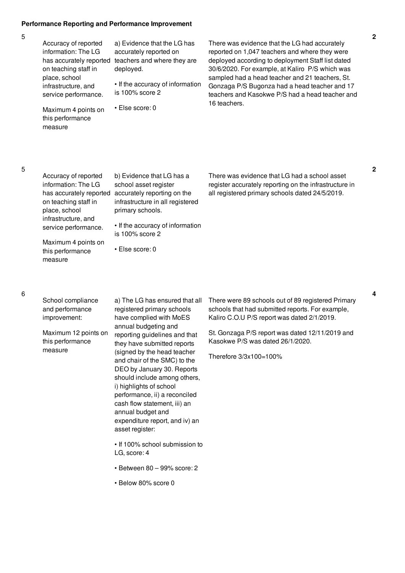### **Performance Reporting and Performance Improvement**

| Accuracy of reported<br>information: The LG                      | a) Evidence that the LG has<br>accurately reported on | There was ey<br>reported on 1                |
|------------------------------------------------------------------|-------------------------------------------------------|----------------------------------------------|
| has accurately reported<br>on teaching staff in<br>place, school | teachers and where they are<br>deployed.              | deployed acc<br>30/6/2020. Fo<br>sampled had |
| infrastructure, and<br>service performance.                      | • If the accuracy of information<br>is 100% score 2   | Gonzaga P/S<br>teachers and                  |
| Maximum 4 points on<br>this performance<br>measure               | $\cdot$ Else score: 0                                 | 16 teachers.                                 |
|                                                                  |                                                       |                                              |

vidence that the LG had accurately ,047 teachers and where they were cording to deployment Staff list dated or example, at Kaliro P/S which was a head teacher and 21 teachers, St. Gougonza had a head teacher and 17 Kasokwe P/S had a head teacher and

5

| Accuracy of reported<br>information: The LG<br>on teaching staff in<br>place, school<br>infrastructure, and<br>service performance. | b) Evidence that LG has a<br>school asset register<br>has accurately reported accurately reporting on the<br>infrastructure in all registered<br>primary schools.<br>• If the accuracy of information<br>is 100% score 2 | There was evidence that LG had a school asset<br>register accurately reporting on the infrastructure in<br>all registered primary schools dated 24/5/2019. |
|-------------------------------------------------------------------------------------------------------------------------------------|--------------------------------------------------------------------------------------------------------------------------------------------------------------------------------------------------------------------------|------------------------------------------------------------------------------------------------------------------------------------------------------------|
| Maximum 4 points on<br>this performance<br>measure                                                                                  | $\cdot$ Else score: 0                                                                                                                                                                                                    |                                                                                                                                                            |

#### 6

| School compliance |
|-------------------|
| and performance   |
| improvement:      |

Maximum 12 points on this performance measure

a) The LG has ensured that all registered primary schools have complied with MoES annual budgeting and reporting guidelines and that they have submitted reports (signed by the head teacher and chair of the SMC) to the DEO by January 30. Reports should include among others, i) highlights of school performance, ii) a reconciled cash flow statement, iii) an annual budget and expenditure report, and iv) an asset register:

• If 100% school submission to LG, score: 4

- Between 80 99% score: 2
- Below 80% score 0

There were 89 schools out of 89 registered Primary schools that had submitted reports. For example, Kaliro C.O.U P/S report was dated 2/1/2019.

St. Gonzaga P/S report was dated 12/11/2019 and Kasokwe P/S was dated 26/1/2020.

Therefore 3/3x100=100%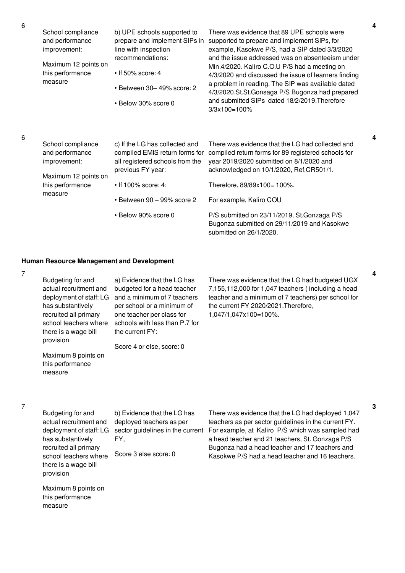| School compliance<br>and performance<br>improvement:<br>Maximum 12 points on<br>this performance<br>measure | b) UPE schools supported to<br>prepare and implement SIPs in<br>line with inspection<br>recommendations:<br>$\cdot$ If 50% score: 4<br>$\cdot$ Between 30-49% score: 2<br>• Below 30% score 0 | There was evidence that 89 UPE schools were<br>supported to prepare and implement SIPs, for<br>example, Kasokwe P/S, had a SIP dated 3/3/2020<br>and the issue addressed was on absenteeism under<br>Min.4/2020. Kaliro C.O.U P/S had a meeting on<br>4/3/2020 and discussed the issue of learners finding<br>a problem in reading. The SIP was available dated<br>4/3/2020.St.St.Gonsaga P/S Bugonza had prepared<br>and submitted SIPs dated 18/2/2019. Therefore<br>$3/3x100=100%$ |
|-------------------------------------------------------------------------------------------------------------|-----------------------------------------------------------------------------------------------------------------------------------------------------------------------------------------------|---------------------------------------------------------------------------------------------------------------------------------------------------------------------------------------------------------------------------------------------------------------------------------------------------------------------------------------------------------------------------------------------------------------------------------------------------------------------------------------|
| School compliance<br>and performance<br>improvement:<br>Maximum 12 points on                                | c) If the LG has collected and<br>compiled EMIS return forms for<br>all registered schools from the<br>previous FY year:                                                                      | There was evidence that the LG had collected and<br>compiled return forms for 89 registered schools for<br>year 2019/2020 submitted on 8/1/2020 and<br>acknowledged on 10/1/2020, Ref.CR501/1.                                                                                                                                                                                                                                                                                        |
| this performance                                                                                            | $\cdot$ If 100% score: 4:                                                                                                                                                                     | Therefore, 89/89x100= 100%.                                                                                                                                                                                                                                                                                                                                                                                                                                                           |
| measure                                                                                                     | $\cdot$ Between 90 - 99% score 2                                                                                                                                                              | For example, Kaliro COU                                                                                                                                                                                                                                                                                                                                                                                                                                                               |
|                                                                                                             | • Below 90% score 0                                                                                                                                                                           | P/S submitted on 23/11/2019, St.Gonzaga P/S<br>Bugonza submitted on 29/11/2019 and Kasokwe                                                                                                                                                                                                                                                                                                                                                                                            |

submitted on 26/1/2020.

# **Human Resource Management and Development**

7

6

6

| Budgeting for and<br>a) Evidence that the LG has<br>actual recruitment and<br>budgeted for a head teacher<br>and a minimum of 7 teachers<br>deployment of staff: LG<br>has substantively<br>per school or a minimum of<br>recruited all primary<br>one teacher per class for<br>schools with less than P.7 for<br>school teachers where<br>there is a wage bill<br>the current FY:<br>provision<br>Score 4 or else, score: 0<br>Maximum 8 points on<br>this performance<br>measure | There was evidence that the LG had budgeted UGX<br>7,155,112,000 for 1,047 teachers (including a head<br>teacher and a minimum of 7 teachers) per school for<br>the current FY 2020/2021. Therefore,<br>1,047/1,047x100=100%. |
|------------------------------------------------------------------------------------------------------------------------------------------------------------------------------------------------------------------------------------------------------------------------------------------------------------------------------------------------------------------------------------------------------------------------------------------------------------------------------------|-------------------------------------------------------------------------------------------------------------------------------------------------------------------------------------------------------------------------------|
|------------------------------------------------------------------------------------------------------------------------------------------------------------------------------------------------------------------------------------------------------------------------------------------------------------------------------------------------------------------------------------------------------------------------------------------------------------------------------------|-------------------------------------------------------------------------------------------------------------------------------------------------------------------------------------------------------------------------------|

7

Budgeting for and actual recruitment and has substantively recruited all primary school teachers where there is a wage bill provision

b) Evidence that the LG has deployed teachers as per FY,

Score 3 else score: 0

Maximum 8 points on this performance measure

deployment of staff: LG  $\,$  sector guidelines in the current  $\,$  For example, at Kaliro  $\,$  P/S which was sampled had There was evidence that the LG had deployed 1,047 teachers as per sector guidelines in the current FY. a head teacher and 21 teachers, St. Gonzaga P/S Bugonza had a head teacher and 17 teachers and Kasokwe P/S had a head teacher and 16 teachers.

**4**

**4**

**4**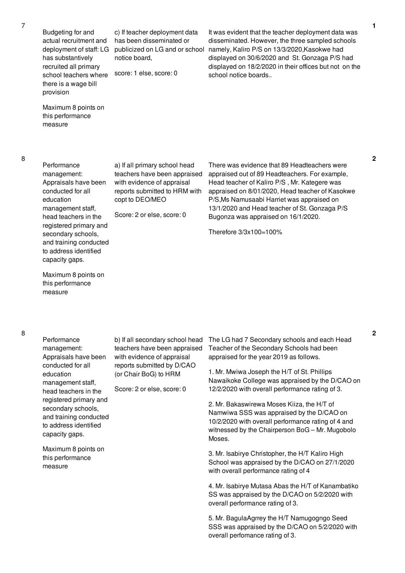Budgeting for and actual recruitment and deployment of staff: LG has substantively recruited all primary school teachers where there is a wage bill provision

Maximum 8 points on this performance

measure

c) If teacher deployment data has been disseminated or publicized on LG and or school notice board,

score: 1 else, score: 0

It was evident that the teacher deployment data was disseminated. However, the three sampled schools namely, Kaliro P/S on 13/3/2020,Kasokwe had displayed on 30/6/2020 and St. Gonzaga P/S had displayed on 18/2/2020 in their offices but not on the school notice boards..

**Performance** management: Appraisals have been conducted for all education management staff, head teachers in the registered primary and secondary schools, and training conducted to address identified capacity gaps.

a) If all primary school head teachers have been appraised with evidence of appraisal reports submitted to HRM with copt to DEO/MEO

Score: 2 or else, score: 0

There was evidence that 89 Headteachers were appraised out of 89 Headteachers. For example, Head teacher of Kaliro P/S , Mr. Kategere was appraised on 8/01/2020, Head teacher of Kasokwe P/S,Ms Namusaabi Harriet was appraised on 13/1/2020 and Head teacher of St. Gonzaga P/S Bugonza was appraised on 16/1/2020.

Therefore 3/3x100=100%

Maximum 8 points on this performance measure

8

**Performance** management: Appraisals have been conducted for all education management staff, head teachers in the registered primary and secondary schools, and training conducted to address identified capacity gaps.

Maximum 8 points on this performance measure

b) If all secondary school head teachers have been appraised with evidence of appraisal reports submitted by D/CAO (or Chair BoG) to HRM

Score: 2 or else, score: 0

The LG had 7 Secondary schools and each Head Teacher of the Secondary Schools had been appraised for the year 2019 as follows.

1. Mr. Mwiwa Joseph the H/T of St. Phillips Nawaikoke College was appraised by the D/CAO on 12/2/2020 with overall performance rating of 3.

2. Mr. Bakaswirewa Moses Kiiza, the H/T of Namwiwa SSS was appraised by the D/CAO on 10/2/2020 with overall performance rating of 4 and witnessed by the Chairperson BoG – Mr. Mugobolo Moses.

3. Mr. Isabirye Christopher, the H/T Kaliro High School was appraised by the D/CAO on 27/1/2020 with overall performance rating of 4

4. Mr. Isabirye Mutasa Abas the H/T of Kanambatiko SS was appraised by the D/CAO on 5/2/2020 with overall performance rating of 3.

5. Mr. BagulaAgrrey the H/T Namugogngo Seed SSS was appraised by the D/CAO on 5/2/2020 with overall perfomance rating of 3.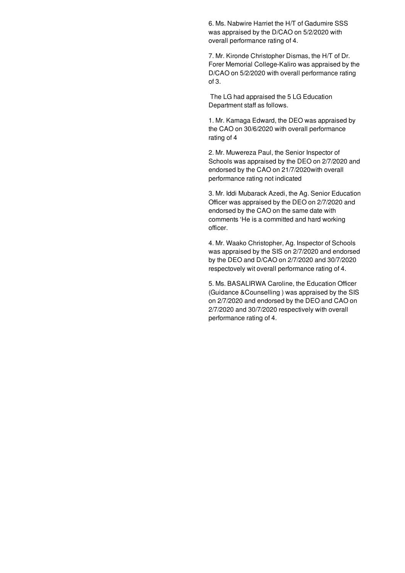6. Ms. Nabwire Harriet the H/T of Gadumire SSS was appraised by the D/CAO on 5/2/2020 with overall performance rating of 4.

7. Mr. Kironde Christopher Dismas, the H/T of Dr. Forer Memorial College-Kaliro was appraised by the D/CAO on 5/2/2020 with overall performance rating of 3.

The LG had appraised the 5 LG Education Department staff as follows.

1. Mr. Kamaga Edward, the DEO was appraised by the CAO on 30/6/2020 with overall performance rating of 4

2. Mr. Muwereza Paul, the Senior Inspector of Schools was appraised by the DEO on 2/7/2020 and endorsed by the CAO on 21/7/2020with overall performance rating not indicated

3. Mr. Iddi Mubarack Azedi, the Ag. Senior Education Officer was appraised by the DEO on 2/7/2020 and endorsed by the CAO on the same date with comments 'He is a committed and hard working officer.

4. Mr. Waako Christopher, Ag. Inspector of Schools was appraised by the SIS on 2/7/2020 and endorsed by the DEO and D/CAO on 2/7/2020 and 30/7/2020 respectovely wit overall performance rating of 4.

5. Ms. BASALIRWA Caroline, the Education Officer (Guidance &Counselling ) was appraised by the SIS on 2/7/2020 and endorsed by the DEO and CAO on 2/7/2020 and 30/7/2020 respectively with overall performance rating of 4.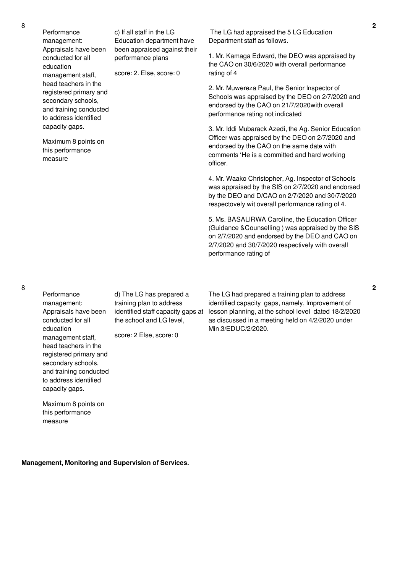Performance management: Appraisals have been conducted for all education management staff, head teachers in the registered primary and secondary schools, and training conducted to address identified capacity gaps.

Maximum 8 points on this performance measure

The LG had appraised the 5 LG Education Department staff as follows.

1. Mr. Kamaga Edward, the DEO was appraised by the CAO on 30/6/2020 with overall performance rating of 4

2. Mr. Muwereza Paul, the Senior Inspector of Schools was appraised by the DEO on 2/7/2020 and endorsed by the CAO on 21/7/2020with overall performance rating not indicated

3. Mr. Iddi Mubarack Azedi, the Ag. Senior Education Officer was appraised by the DEO on 2/7/2020 and endorsed by the CAO on the same date with comments 'He is a committed and hard working officer.

4. Mr. Waako Christopher, Ag. Inspector of Schools was appraised by the SIS on 2/7/2020 and endorsed by the DEO and D/CAO on 2/7/2020 and 30/7/2020 respectovely wit overall performance rating of 4.

5. Ms. BASALIRWA Caroline, the Education Officer (Guidance &Counselling ) was appraised by the SIS on 2/7/2020 and endorsed by the DEO and CAO on 2/7/2020 and 30/7/2020 respectively with overall performance rating of

**Performance** management: Appraisals have been conducted for all education management staff, head teachers in the registered primary and secondary schools, and training conducted to address identified capacity gaps.

Maximum 8 points on this performance

measure

d) The LG has prepared a training plan to address the school and LG level,

score: 2 Else, score: 0

c) If all staff in the LG Education department have been appraised against their

performance plans

score: 2. Else, score: 0

identified staff capacity gaps at lesson planning, at the school level dated 18/2/2020 The LG had prepared a training plan to address identified capacity gaps, namely, Improvement of as discussed in a meeting held on 4/2/2020 under Min.3/EDUC/2/2020.

**Management, Monitoring and Supervision of Services.**

8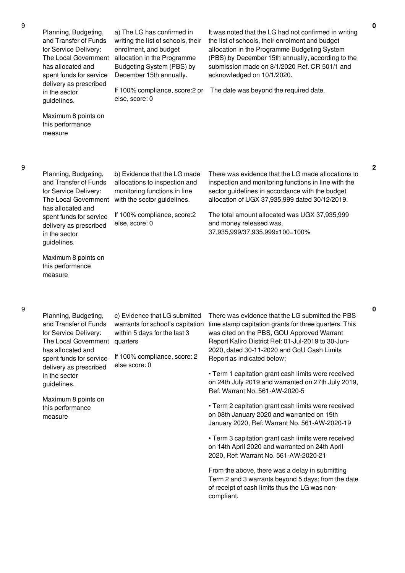**2**

**0**

Planning, Budgeting, and Transfer of Funds for Service Delivery: The Local Government has allocated and spent funds for service delivery as prescribed in the sector guidelines.

a) The LG has confirmed in writing the list of schools, their enrolment, and budget allocation in the Programme Budgeting System (PBS) by December 15th annually.

If 100% compliance, score:2 or else, score: 0

It was noted that the LG had not confirmed in writing the list of schools, their enrolment and budget allocation in the Programme Budgeting System (PBS) by December 15th annually, according to the submission made on 8/1/2020 Ref. CR 501/1 and acknowledged on 10/1/2020.

The date was beyond the required date.

Maximum 8 points on this performance measure

Planning, Budgeting, and Transfer of Funds for Service Delivery: The Local Government has allocated and spent funds for service delivery as prescribed in the sector guidelines.

b) Evidence that the LG made allocations to inspection and monitoring functions in line with the sector guidelines.

If 100% compliance, score:2 else, score: 0

There was evidence that the LG made allocations to inspection and monitoring functions in line with the sector guidelines in accordance with the budget allocation of UGX 37,935,999 dated 30/12/2019.

The total amount allocated was UGX 37,935,999 and money released was, 37,935,999/37,935,999x100=100%

Maximum 8 points on this performance measure

9

Planning, Budgeting, and Transfer of Funds for Service Delivery: The Local Government has allocated and spent funds for service delivery as prescribed in the sector guidelines.

c) Evidence that LG submitted warrants for school's capitation within 5 days for the last 3 quarters

If 100% compliance, score: 2 else score: 0

Maximum 8 points on this performance measure

There was evidence that the LG submitted the PBS time stamp capitation grants for three quarters. This was cited on the PBS, GOU Approved Warrant Report Kaliro District Ref: 01-Jul-2019 to 30-Jun-2020, dated 30-11-2020 and GoU Cash Limits Report as indicated below;

• Term 1 capitation grant cash limits were received on 24th July 2019 and warranted on 27th July 2019, Ref: Warrant No. 561-AW-2020-5

• Term 2 capitation grant cash limits were received on 08th January 2020 and warranted on 19th January 2020, Ref: Warrant No. 561-AW-2020-19

• Term 3 capitation grant cash limits were received on 14th April 2020 and warranted on 24th April 2020, Ref: Warrant No. 561-AW-2020-21

From the above, there was a delay in submitting Term 2 and 3 warrants beyond 5 days; from the date of receipt of cash limits thus the LG was noncompliant.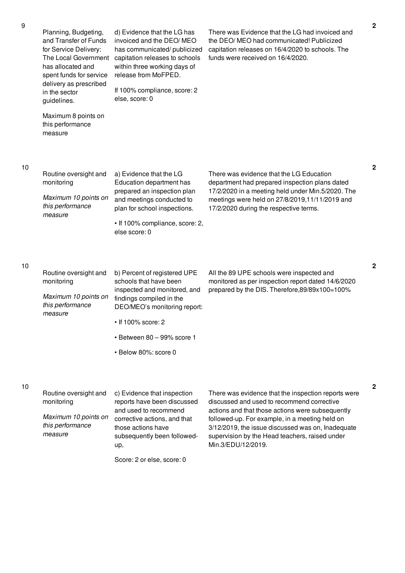| Planning, Budgeting,  |  |
|-----------------------|--|
| and Transfer of Funds |  |
| for Service Delivery: |  |
| The Local Covernmen   |  |

has allocated and spent funds for service delivery as prescribed

in the sector guidelines.

The Local Government capitation releases to schools d) Evidence that the LG has invoiced and the DEO/ MEO has communicated/ publicized within three working days of release from MoFPED.

> If 100% compliance, score: 2 else, score: 0

Maximum 8 points on this performance measure

Routine oversight and

*Maximum 10 points on this performance*

monitoring

*measure*

10

9

a) Evidence that the LG Education department has prepared an inspection plan and meetings conducted to plan for school inspections. • If 100% compliance, score: 2, There was evidence that the LG Education department had prepared inspection plans dated 17/2/2020 in a meeting held under Min.5/2020. The meetings were held on 27/8/2019,11/11/2019 and 17/2/2020 during the respective terms.

10

| Routine oversight and<br>monitoring                 | b) Percent of registered UPE<br>schools that have been<br>inspected and monitored, and | All the 89 UPE schools were inspected and<br>monitored as per inspection report dated 14/6/2020<br>prepared by the DIS. Therefore, 89/89x100=100% |
|-----------------------------------------------------|----------------------------------------------------------------------------------------|---------------------------------------------------------------------------------------------------------------------------------------------------|
| Maximum 10 points on<br>this performance<br>measure | findings compiled in the<br>DEO/MEO's monitoring report:                               |                                                                                                                                                   |
|                                                     | $\cdot$ If 100% score: 2                                                               |                                                                                                                                                   |

else score: 0

- Between 80 99% score 1
- Below 80%: score 0

#### 10

| Routine oversight and                               | c) Evidence that inspection                                                                                |
|-----------------------------------------------------|------------------------------------------------------------------------------------------------------------|
| monitoring                                          | reports have been discussed                                                                                |
| Maximum 10 points on<br>this performance<br>measure | and used to recommend<br>corrective actions, and that<br>those actions have<br>subsequently been followed- |
|                                                     | up,                                                                                                        |

Score: 2 or else, score: 0

There was evidence that the inspection reports were discussed and used to recommend corrective actions and that those actions were subsequently followed-up. For example, in a meeting held on 3/12/2019, the issue discussed was on, Inadequate supervision by the Head teachers, raised under Min.3/EDU/12/2019.

There was Evidence that the LG had invoiced and the DEO/ MEO had communicated! Publicized capitation releases on 16/4/2020 to schools. The

funds were received on 16/4/2020.

**2**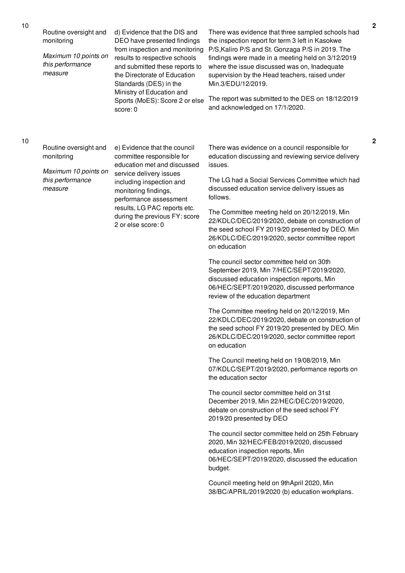*Maximum 10 points on this performance measure*

d) Evidence that the DIS and DEO have presented findings from inspection and monitoring results to respective schools and submitted these reports to the Directorate of Education Standards (DES) in the Ministry of Education and Sports (MoES): Score 2 or else score: 0

There was evidence that three sampled schools had the inspection report for term 3 left in Kasokwe P/S,Kaliro P/S and St. Gonzaga P/S in 2019. The findings were made in a meeting held on 3/12/2019 where the issue discussed was on, Inadequate supervision by the Head teachers, raised under Min.3/EDU/12/2019.

The report was submitted to the DES on 18/12/2019 and acknowledged on 17/1/2020.

#### 10

Routine oversight and monitoring

*Maximum 10 points on this performance measure*

e) Evidence that the council committee responsible for education met and discussed service delivery issues including inspection and monitoring findings, performance assessment results, LG PAC reports etc. during the previous FY: score 2 or else score: 0

There was evidence on a council responsible for education discussing and reviewing service delivery issues.

The LG had a Social Services Committee which had discussed education service delivery issues as follows.

The Committee meeting held on 20/12/2019, Min 22/KDLC/DEC/2019/2020, debate on construction of the seed school FY 2019/20 presented by DEO. Min 26/KDLC/DEC/2019/2020, sector committee report on education

The council sector committee held on 30th September 2019, Min 7/HEC/SEPT/2019/2020, discussed education inspection reports, Min 06/HEC/SEPT/2019/2020, discussed performance review of the education department

The Committee meeting held on 20/12/2019, Min 22/KDLC/DEC/2019/2020, debate on construction of the seed school FY 2019/20 presented by DEO. Min 26/KDLC/DEC/2019/2020, sector committee report on education

The Council meeting held on 19/08/2019, Min 07/KDLC/SEPT/2019/2020, performance reports on the education sector

The council sector committee held on 31st December 2019, Min 22/HEC/DEC/2019/2020, debate on construction of the seed school FY 2019/20 presented by DEO

The council sector committee held on 25th February 2020, Min 32/HEC/FEB/2019/2020, discussed education inspection reports, Min 06/HEC/SEPT/2019/2020, discussed the education budget.

Council meeting held on 9thApril 2020, Min 38/BC/APRIL/2019/2020 (b) education workplans.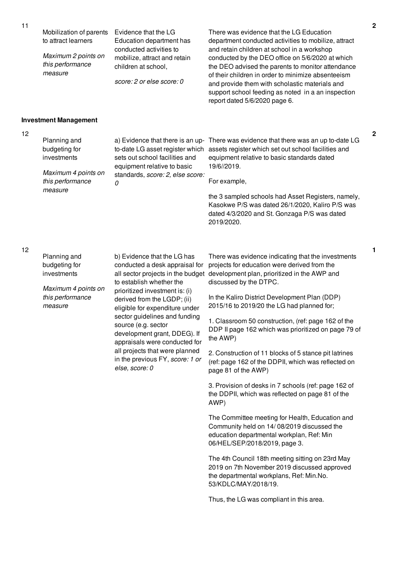source (e.g. sector

*else, score: 0*

development grant, DDEG). If appraisals were conducted for all projects that were planned in the previous FY, *score: 1 or*

| Mobilization of parents<br>to attract learners<br>Maximum 2 points on<br>this performance<br>measure | Evidence that the LG<br>Education department has<br>conducted activities to<br>mobilize, attract and retain<br>children at school,<br>score: 2 or else score: 0                              | There was evidence that the LG Education<br>department conducted activities to mobilize, attract<br>and retain children at school in a workshop<br>conducted by the DEO office on 5/6/2020 at which<br>the DEO advised the parents to monitor attendance<br>of their children in order to minimize absenteeism<br>and provide them with scholastic materials and<br>support school feeding as noted in a an inspection<br>report dated 5/6/2020 page 6. | $\mathbf 2$                                                                                                                                                                                                     |
|------------------------------------------------------------------------------------------------------|----------------------------------------------------------------------------------------------------------------------------------------------------------------------------------------------|---------------------------------------------------------------------------------------------------------------------------------------------------------------------------------------------------------------------------------------------------------------------------------------------------------------------------------------------------------------------------------------------------------------------------------------------------------|-----------------------------------------------------------------------------------------------------------------------------------------------------------------------------------------------------------------|
|                                                                                                      |                                                                                                                                                                                              |                                                                                                                                                                                                                                                                                                                                                                                                                                                         |                                                                                                                                                                                                                 |
| Planning and<br>budgeting for<br>investments<br>Maximum 4 points on<br>this performance<br>measure   | sets out school facilities and<br>equipment relative to basic<br>standards, score: 2, else score:<br>0                                                                                       | equipment relative to basic standards dated<br>19/6//2019.<br>For example,<br>the 3 sampled schools had Asset Registers, namely,<br>Kasokwe P/S was dated 26/1/2020, Kaliro P/S was<br>dated 4/3/2020 and St. Gonzaga P/S was dated<br>2019/2020.                                                                                                                                                                                                       | $\overline{2}$                                                                                                                                                                                                  |
| Planning and<br>budgeting for<br>investments<br>Maximum 4 points on<br>this performance<br>measure   | b) Evidence that the LG has<br>conducted a desk appraisal for<br>to establish whether the<br>prioritized investment is: (i)<br>derived from the LGDP; (ii)<br>eligible for expenditure under | There was evidence indicating that the investments<br>projects for education were derived from the<br>development plan, prioritized in the AWP and<br>discussed by the DTPC.<br>In the Kaliro District Development Plan (DDP)<br>2015/16 to 2019/20 the LG had planned for;                                                                                                                                                                             | 1                                                                                                                                                                                                               |
|                                                                                                      | <b>Investment Management</b>                                                                                                                                                                 | sector guidelines and funding                                                                                                                                                                                                                                                                                                                                                                                                                           | a) Evidence that there is an up- There was evidence that there was an up to-date LG<br>to-date LG asset register which assets register which set out school facilities and<br>all sector projects in the budget |

1. Classroom 50 construction, (ref: page 162 of the DDP II page 162 which was prioritized on page 79 of the AWP)

2. Construction of 11 blocks of 5 stance pit latrines (ref: page 162 of the DDPII, which was reflected on page 81 of the AWP)

3. Provision of desks in 7 schools (ref: page 162 of the DDPII, which was reflected on page 81 of the AWP)

The Committee meeting for Health, Education and Community held on 14/ 08/2019 discussed the education departmental workplan, Ref: Min 06/HEL/SEP/2018/2019, page 3.

The 4th Council 18th meeting sitting on 23rd May 2019 on 7th November 2019 discussed approved the departmental workplans, Ref: Min.No. 53/KDLC/MAY/2018/19.

Thus, the LG was compliant in this area.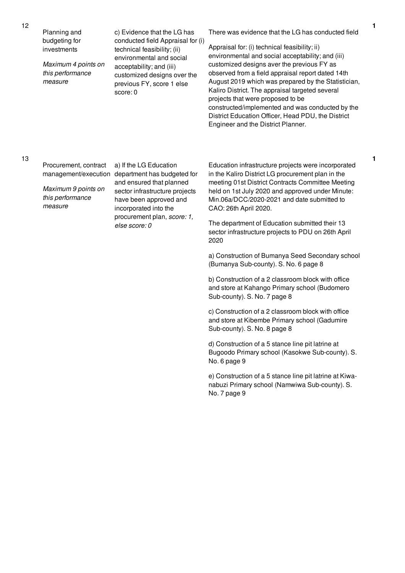Planning and budgeting for investments

*Maximum 4 points on this performance measure*

c) Evidence that the LG has conducted field Appraisal for (i) technical feasibility; (ii) environmental and social acceptability; and (iii) customized designs over the previous FY, score 1 else score: 0

There was evidence that the LG has conducted field

Appraisal for: (i) technical feasibility; ii) environmental and social acceptability; and (iii) customized designs aver the previous FY as observed from a field appraisal report dated 14th August 2019 which was prepared by the Statistician, Kaliro District. The appraisal targeted several projects that were proposed to be constructed/implemented and was conducted by the District Education Officer, Head PDU, the District Engineer and the District Planner.

#### 13

Procurement, contract

*Maximum 9 points on this performance measure*

management/execution department has budgeted for a) If the LG Education and ensured that planned sector infrastructure projects have been approved and incorporated into the procurement plan, *score: 1, else score: 0*

Education infrastructure projects were incorporated in the Kaliro District LG procurement plan in the meeting 01st District Contracts Committee Meeting held on 1st July 2020 and approved under Minute: Min.06a/DCC/2020-2021 and date submitted to CAO: 26th April 2020.

The department of Education submitted their 13 sector infrastructure projects to PDU on 26th April 2020

a) Construction of Bumanya Seed Secondary school (Bumanya Sub-county). S. No. 6 page 8

b) Construction of a 2 classroom block with office and store at Kahango Primary school (Budomero Sub-county). S. No. 7 page 8

c) Construction of a 2 classroom block with office and store at Kibembe Primary school (Gadumire Sub-county). S. No. 8 page 8

d) Construction of a 5 stance line pit latrine at Bugoodo Primary school (Kasokwe Sub-county). S. No. 6 page 9

e) Construction of a 5 stance line pit latrine at Kiwanabuzi Primary school (Namwiwa Sub-county). S. No. 7 page 9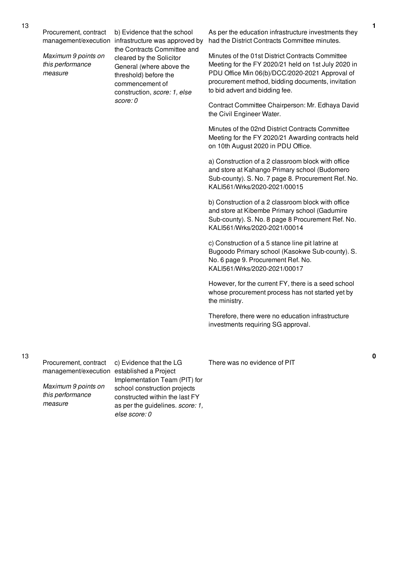*Maximum 9 points on this performance measure*

management/execution infrastructure was approved by b) Evidence that the school the Contracts Committee and cleared by the Solicitor General (where above the threshold) before the commencement of construction, *score: 1, else score: 0*

As per the education infrastructure investments they had the District Contracts Committee minutes.

Minutes of the 01st District Contracts Committee Meeting for the FY 2020/21 held on 1st July 2020 in PDU Office Min 06(b)/DCC/2020-2021 Approval of procurement method, bidding documents, invitation to bid advert and bidding fee.

Contract Committee Chairperson: Mr. Edhaya David the Civil Engineer Water.

Minutes of the 02nd District Contracts Committee Meeting for the FY 2020/21 Awarding contracts held on 10th August 2020 in PDU Office.

a) Construction of a 2 classroom block with office and store at Kahango Primary school (Budomero Sub-county). S. No. 7 page 8. Procurement Ref. No. KALI561/Wrks/2020-2021/00015

b) Construction of a 2 classroom block with office and store at Kibembe Primary school (Gadumire Sub-county). S. No. 8 page 8 Procurement Ref. No. KALI561/Wrks/2020-2021/00014

c) Construction of a 5 stance line pit latrine at Bugoodo Primary school (Kasokwe Sub-county). S. No. 6 page 9. Procurement Ref. No. KALI561/Wrks/2020-2021/00017

However, for the current FY, there is a seed school whose procurement process has not started yet by the ministry.

Therefore, there were no education infrastructure investments requiring SG approval.

13

Procurement, contract management/execution established a Project

*Maximum 9 points on this performance measure*

c) Evidence that the LG Implementation Team (PIT) for school construction projects constructed within the last FY as per the guidelines. *score: 1, else score: 0*

There was no evidence of PIT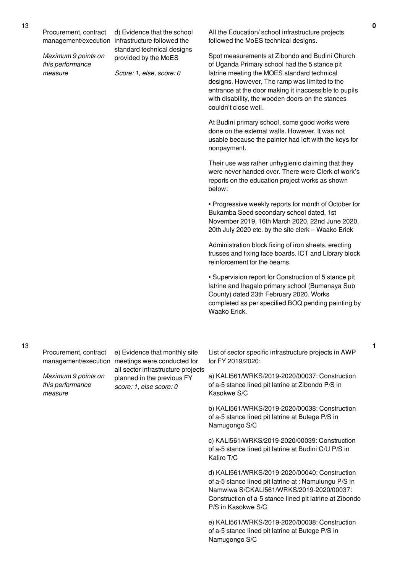Procurement, contract

*Maximum 9 points on this performance measure*

management/execution infrastructure followed the d) Evidence that the school standard technical designs provided by the MoES

*Score: 1, else, score: 0*

All the Education/ school infrastructure projects followed the MoES technical designs.

Spot measurements at Zibondo and Budini Church of Uganda Primary school had the 5 stance pit latrine meeting the MOES standard technical designs. However, The ramp was limited to the entrance at the door making it inaccessible to pupils with disability, the wooden doors on the stances couldn't close well.

At Budini primary school, some good works were done on the external walls. However, It was not usable because the painter had left with the keys for nonpayment.

Their use was rather unhygienic claiming that they were never handed over. There were Clerk of work's reports on the education project works as shown below:

• Progressive weekly reports for month of October for Bukamba Seed secondary school dated, 1st November 2019, 16th March 2020, 22nd June 2020, 20th July 2020 etc. by the site clerk – Waako Erick

Administration block fixing of iron sheets, erecting trusses and fixing face boards. ICT and Library block reinforcement for the beams.

• Supervision report for Construction of 5 stance pit latrine and Ihagalo primary school (Bumanaya Sub County) dated 23th February 2020. Works completed as per specified BOQ pending painting by Waako Erick.

Procurement, contract

*Maximum 9 points on this performance measure*

management/execution meetings were conducted for e) Evidence that monthly site all sector infrastructure projects planned in the previous FY *score: 1, else score: 0*

List of sector specific infrastructure projects in AWP for FY 2019/2020:

a) KALI561/WRKS/2019-2020/00037: Construction of a-5 stance lined pit latrine at Zibondo P/S in Kasokwe S/C

b) KALI561/WRKS/2019-2020/00038: Construction of a-5 stance lined pit latrine at Butege P/S in Namugongo S/C

c) KALI561/WRKS/2019-2020/00039: Construction of a-5 stance lined pit latrine at Budini C/U P/S in Kaliro T/C

d) KALI561/WRKS/2019-2020/00040: Construction of a-5 stance lined pit latrine at : Namulungu P/S in Namwiwa S/CKALI561/WRKS/2019-2020/00037: Construction of a-5 stance lined pit latrine at Zibondo P/S in Kasokwe S/C

e) KALI561/WRKS/2019-2020/00038: Construction of a-5 stance lined pit latrine at Butege P/S in Namugongo S/C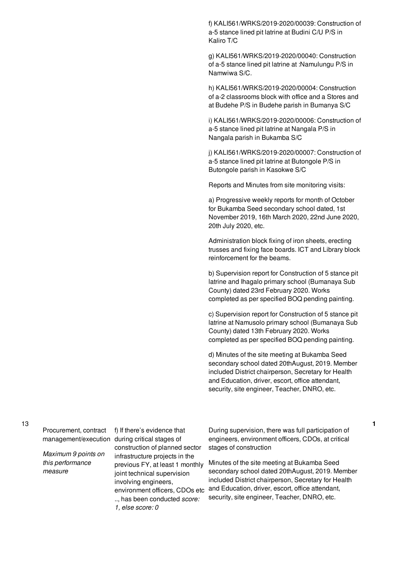f) KALI561/WRKS/2019-2020/00039: Construction of a-5 stance lined pit latrine at Budini C/U P/S in Kaliro T/C

g) KALI561/WRKS/2019-2020/00040: Construction of a-5 stance lined pit latrine at :Namulungu P/S in Namwiwa S/C.

h) KALI561/WRKS/2019-2020/00004: Construction of a-2 classrooms block with office and a Stores and at Budehe P/S in Budehe parish in Bumanya S/C

i) KALI561/WRKS/2019-2020/00006: Construction of a-5 stance lined pit latrine at Nangala P/S in Nangala parish in Bukamba S/C

j) KALI561/WRKS/2019-2020/00007: Construction of a-5 stance lined pit latrine at Butongole P/S in Butongole parish in Kasokwe S/C

Reports and Minutes from site monitoring visits:

a) Progressive weekly reports for month of October for Bukamba Seed secondary school dated, 1st November 2019, 16th March 2020, 22nd June 2020, 20th July 2020, etc.

Administration block fixing of iron sheets, erecting trusses and fixing face boards. ICT and Library block reinforcement for the beams.

b) Supervision report for Construction of 5 stance pit latrine and Ihagalo primary school (Bumanaya Sub County) dated 23rd February 2020. Works completed as per specified BOQ pending painting.

c) Supervision report for Construction of 5 stance pit latrine at Namusolo primary school (Bumanaya Sub County) dated 13th February 2020. Works completed as per specified BOQ pending painting.

d) Minutes of the site meeting at Bukamba Seed secondary school dated 20thAugust, 2019. Member included District chairperson, Secretary for Health and Education, driver, escort, office attendant, security, site engineer, Teacher, DNRO, etc.

13

Procurement, contract

*Maximum 9 points on this performance measure*

management/execution during critical stages of f) If there's evidence that construction of planned sector infrastructure projects in the previous FY, at least 1 monthly joint technical supervision involving engineers, environment officers, CDOs etc .., has been conducted *score: 1, else score: 0*

During supervision, there was full participation of engineers, environment officers, CDOs, at critical stages of construction

**1**

Minutes of the site meeting at Bukamba Seed secondary school dated 20thAugust, 2019. Member included District chairperson, Secretary for Health and Education, driver, escort, office attendant, security, site engineer, Teacher, DNRO, etc.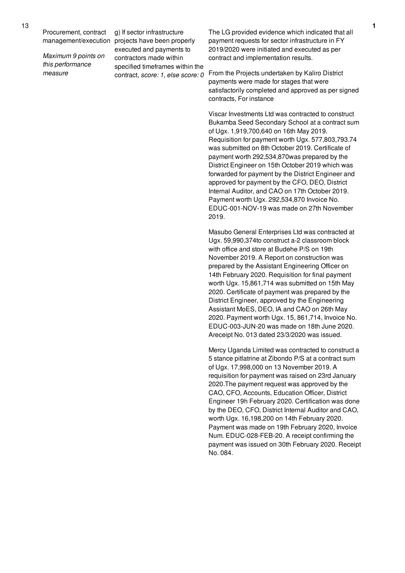Procurement, contract

*Maximum 9 points on this performance measure*

management/execution projects have been properly g) If sector infrastructure executed and payments to contractors made within specified timeframes within the contract, *score: 1, else score: 0*

The LG provided evidence which indicated that all payment requests for sector infrastructure in FY 2019/2020 were initiated and executed as per contract and implementation results.

From the Projects undertaken by Kaliro District payments were made for stages that were satisfactorily completed and approved as per signed contracts, For instance

Viscar Investments Ltd was contracted to construct Bukamba Seed Secondary School at a contract sum of Ugx. 1,919,700,640 on 16th May 2019. Requisition for payment worth Ugx. 577,803,793.74 was submitted on 8th October 2019. Certificate of payment worth 292,534,870was prepared by the District Engineer on 15th October 2019 which was forwarded for payment by the District Engineer and approved for payment by the CFO, DEO, District Internal Auditor, and CAO on 17th October 2019. Payment worth Ugx. 292,534,870 Invoice No. EDUC-001-NOV-19 was made on 27th November 2019.

Masubo General Enterprises Ltd was contracted at Ugx. 59,990,374to construct a-2 classroom block with office and store at Budehe P/S on 19th November 2019. A Report on construction was prepared by the Assistant Engineering Officer on 14th February 2020. Requisition for final payment worth Ugx. 15,861,714 was submitted on 15th May 2020. Certificate of payment was prepared by the District Engineer, approved by the Engineering Assistant MoES, DEO, IA and CAO on 26th May 2020. Payment worth Ugx. 15, 861,714, Invoice No. EDUC-003-JUN-20 was made on 18th June 2020. Areceipt No. 013 dated 23/3/2020 was issued.

Mercy Uganda Limited was contracted to construct a 5 stance pitlatrine at Zibondo P/S at a contract sum of Ugx. 17,998,000 on 13 November 2019. A requisition for payment was raised on 23rd January 2020.The payment request was approved by the CAO, CFO, Accounts, Education Officer, District Engineer 19h February 2020. Certification was done by the DEO, CFO, District Internal Auditor and CAO, worth Ugx. 16,198,200 on 14th February 2020. Payment was made on 19th February 2020, Invoice Num. EDUC-028-FEB-20. A receipt confirming the payment was issued on 30th February 2020. Receipt No. 084.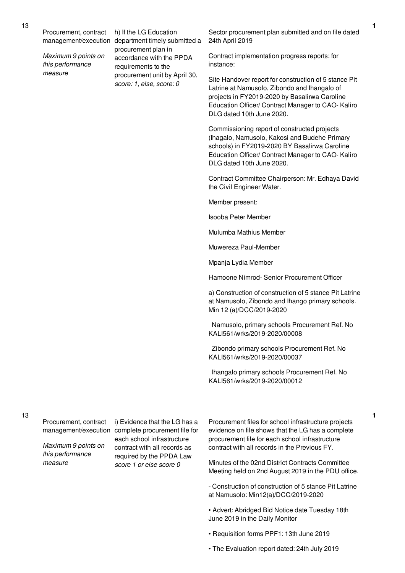Procurement, contract

*Maximum 9 points on this performance measure*

management/execution department timely submitted a h) If the LG Education procurement plan in accordance with the PPDA requirements to the procurement unit by April 30, *score: 1, else, score: 0*

Sector procurement plan submitted and on file dated 24th April 2019

Contract implementation progress reports: for instance:

Site Handover report for construction of 5 stance Pit Latrine at Namusolo, Zibondo and Ihangalo of projects in FY2019-2020 by Basalirwa Caroline Education Officer/ Contract Manager to CAO- Kaliro DLG dated 10th June 2020.

Commissioning report of constructed projects (Ihagalo, Namusolo, Kakosi and Budehe Primary schools) in FY2019-2020 BY Basalirwa Caroline Education Officer/ Contract Manager to CAO- Kaliro DLG dated 10th June 2020.

Contract Committee Chairperson: Mr. Edhaya David the Civil Engineer Water.

Member present:

Isooba Peter Member

Mulumba Mathius Member

Muwereza Paul-Member

Mpanja Lydia Member

Hamoone Nimrod- Senior Procurement Officer

a) Construction of construction of 5 stance Pit Latrine at Namusolo, Zibondo and Ihango primary schools. Min 12 (a)/DCC/2019-2020

Namusolo, primary schools Procurement Ref. No KALI561/wrks/2019-2020/00008

Zibondo primary schools Procurement Ref. No KALI561/wrks/2019-2020/00037

Ihangalo primary schools Procurement Ref. No KALI561/wrks/2019-2020/00012

Procurement, contract

*Maximum 9 points on this performance measure*

management/execution complete procurement file for i) Evidence that the LG has a each school infrastructure contract with all records as required by the PPDA Law *score 1 or else score 0*

Procurement files for school infrastructure projects evidence on file shows that the LG has a complete procurement file for each school infrastructure contract with all records in the Previous FY.

Minutes of the 02nd District Contracts Committee Meeting held on 2nd August 2019 in the PDU office.

- Construction of construction of 5 stance Pit Latrine at Namusolo: Min12(a)/DCC/2019-2020

• Advert: Abridged Bid Notice date Tuesday 18th June 2019 in the Daily Monitor

- Requisition forms PPF1: 13th June 2019
- The Evaluation report dated: 24th July 2019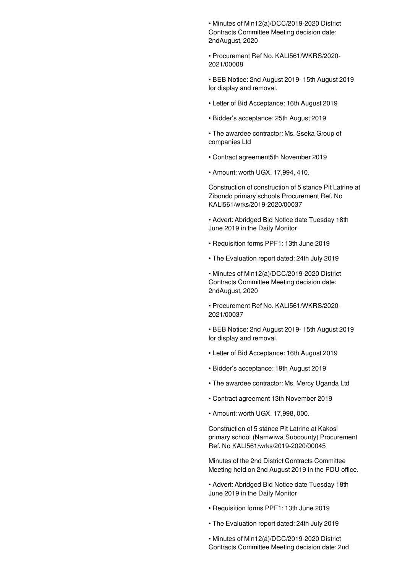• Minutes of Min12(a)/DCC/2019-2020 District Contracts Committee Meeting decision date: 2ndAugust, 2020

• Procurement Ref No. KALI561/WKRS/2020- 2021/00008

• BEB Notice: 2nd August 2019- 15th August 2019 for display and removal.

- Letter of Bid Acceptance: 16th August 2019
- Bidder's acceptance: 25th August 2019
- The awardee contractor: Ms. Sseka Group of companies Ltd
- Contract agreement5th November 2019
- Amount: worth UGX. 17,994, 410.

Construction of construction of 5 stance Pit Latrine at Zibondo primary schools Procurement Ref. No KALI561/wrks/2019-2020/00037

- Advert: Abridged Bid Notice date Tuesday 18th June 2019 in the Daily Monitor
- Requisition forms PPF1: 13th June 2019
- The Evaluation report dated: 24th July 2019

• Minutes of Min12(a)/DCC/2019-2020 District Contracts Committee Meeting decision date: 2ndAugust, 2020

• Procurement Ref No. KALI561/WKRS/2020- 2021/00037

- BEB Notice: 2nd August 2019- 15th August 2019 for display and removal.
- Letter of Bid Acceptance: 16th August 2019
- Bidder's acceptance: 19th August 2019
- The awardee contractor: Ms. Mercy Uganda Ltd
- Contract agreement 13th November 2019
- Amount: worth UGX. 17,998, 000.

Construction of 5 stance Pit Latrine at Kakosi primary school (Namwiwa Subcounty) Procurement Ref. No KALI561/wrks/2019-2020/00045

Minutes of the 2nd District Contracts Committee Meeting held on 2nd August 2019 in the PDU office.

• Advert: Abridged Bid Notice date Tuesday 18th June 2019 in the Daily Monitor

- Requisition forms PPF1: 13th June 2019
- The Evaluation report dated: 24th July 2019

• Minutes of Min12(a)/DCC/2019-2020 District Contracts Committee Meeting decision date: 2nd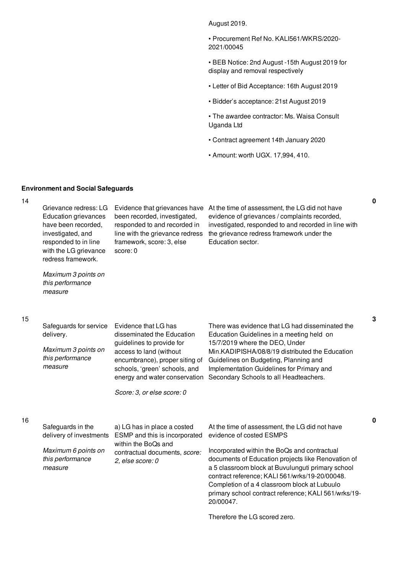August 2019.

• Procurement Ref No. KALI561/WKRS/2020- 2021/00045

• BEB Notice: 2nd August -15th August 2019 for display and removal respectively

- Letter of Bid Acceptance: 16th August 2019
- Bidder's acceptance: 21st August 2019

• The awardee contractor: Ms. Waisa Consult Uganda Ltd

- Contract agreement 14th January 2020
- Amount: worth UGX. 17,994, 410.

### **Environment and Social Safeguards**

 $\overline{14}$ 

| $1 +$ | Grievance redress: LG<br><b>Education grievances</b><br>have been recorded,<br>investigated, and<br>responded to in line<br>with the LG grievance<br>redress framework. | Evidence that grievances have<br>been recorded, investigated,<br>responded to and recorded in<br>line with the grievance redress<br>framework, score: 3, else<br>score: 0 | At the time of assessment, the LG did not have<br>evidence of grievances / complaints recorded,<br>investigated, responded to and recorded in line with<br>the grievance redress framework under the<br>Education sector. |
|-------|-------------------------------------------------------------------------------------------------------------------------------------------------------------------------|---------------------------------------------------------------------------------------------------------------------------------------------------------------------------|---------------------------------------------------------------------------------------------------------------------------------------------------------------------------------------------------------------------------|
|       | Maximum 3 points on<br>this performance<br>measure                                                                                                                      |                                                                                                                                                                           |                                                                                                                                                                                                                           |
| 15    |                                                                                                                                                                         |                                                                                                                                                                           |                                                                                                                                                                                                                           |
|       | Safeguards for service<br>delivery.                                                                                                                                     | Evidence that LG has<br>disseminated the Education                                                                                                                        | There was evidence that LG had disseminated the<br>Education Guidelines in a meeting held on                                                                                                                              |
|       | Maximum 3 points on<br>this performance<br>measure                                                                                                                      | guidelines to provide for<br>access to land (without<br>encumbrance), proper siting of<br>schools, 'green' schools, and<br>energy and water conservation                  | 15/7/2019 where the DEO, Under<br>Min.KADIPISHA/08/8/19 distributed the Education<br>Guidelines on Budgeting, Planning and<br>Implementation Guidelines for Primary and<br>Secondary Schools to all Headteachers.         |
|       |                                                                                                                                                                         | Score: 3, or else score: 0                                                                                                                                                |                                                                                                                                                                                                                           |
| 16    |                                                                                                                                                                         |                                                                                                                                                                           |                                                                                                                                                                                                                           |
|       | Safeguards in the<br>delivery of investments                                                                                                                            | a) LG has in place a costed<br>ESMP and this is incorporated<br>within the BoQs and                                                                                       | At the time of assessment, the LG did not have<br>evidence of costed ESMPS                                                                                                                                                |
|       | Maximum 6 points on<br>this performance<br>measure                                                                                                                      | contractual documents, score:<br>2, else score: 0                                                                                                                         | Incorporated within the BoQs and contractual<br>documents of Education projects like Renovation of<br>a 5 classroom block at Buvulunguti primary school<br>contract reference: KALI 561/wrks/19-20/00048.                 |

contract reference; KALI 561/wrks/19-20/00048. Completion of a 4 classroom block at Lubuulo primary school contract reference; KALI 561/wrks/19- 20/00047.

Therefore the LG scored zero.

**0**

**3**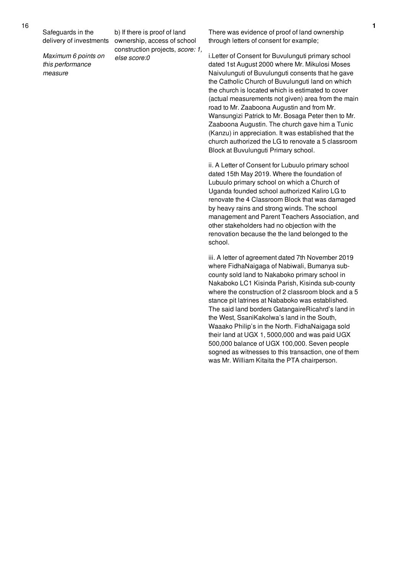Safeguards in the delivery of investments

*Maximum 6 points on this performance measure*

b) If there is proof of land ownership, access of school construction projects, *score: 1, else score:0*

There was evidence of proof of land ownership through letters of consent for example;

i.Letter of Consent for Buvulunguti primary school dated 1st August 2000 where Mr. Mikulosi Moses Naivulunguti of Buvulunguti consents that he gave the Catholic Church of Buvulunguti land on which the church is located which is estimated to cover (actual measurements not given) area from the main road to Mr. Zaaboona Augustin and from Mr. Wansungizi Patrick to Mr. Bosaga Peter then to Mr. Zaaboona Augustin. The church gave him a Tunic (Kanzu) in appreciation. It was established that the church authorized the LG to renovate a 5 classroom Block at Buvulunguti Primary school.

ii. A Letter of Consent for Lubuulo primary school dated 15th May 2019. Where the foundation of Lubuulo primary school on which a Church of Uganda founded school authorized Kaliro LG to renovate the 4 Classroom Block that was damaged by heavy rains and strong winds. The school management and Parent Teachers Association, and other stakeholders had no objection with the renovation because the the land belonged to the school.

iii. A letter of agreement dated 7th November 2019 where FidhaNaigaga of Nabiwali, Bumanya subcounty sold land to Nakaboko primary school in Nakaboko LC1 Kisinda Parish, Kisinda sub-county where the construction of 2 classroom block and a 5 stance pit latrines at Nababoko was established. The said land borders GatangaireRicahrd's land in the West, SsaniKakolwa's land in the South, Waaako Philip's in the North. FidhaNaigaga sold their land at UGX 1, 5000,000 and was paid UGX 500,000 balance of UGX 100,000. Seven people sogned as witnesses to this transaction, one of them was Mr. William Kitaita the PTA chairperson.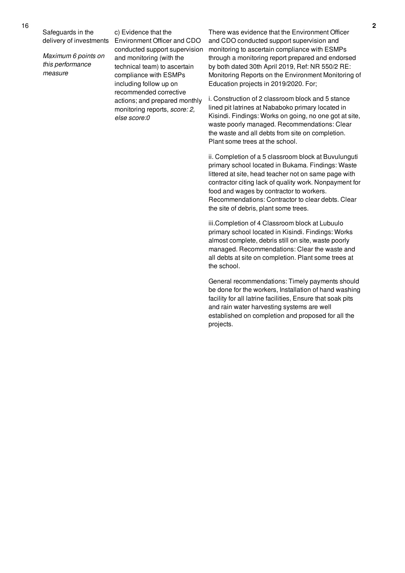Safeguards in the delivery of investments

*Maximum 6 points on this performance measure*

c) Evidence that the Environment Officer and CDO conducted support supervision and monitoring (with the technical team) to ascertain compliance with ESMPs including follow up on recommended corrective actions; and prepared monthly monitoring reports, *score: 2, else score:0*

There was evidence that the Environment Officer and CDO conducted support supervision and monitoring to ascertain compliance with ESMPs through a monitoring report prepared and endorsed by both dated 30th April 2019, Ref: NR 550/2 RE: Monitoring Reports on the Environment Monitoring of Education projects in 2019/2020. For;

i. Construction of 2 classroom block and 5 stance lined pit latrines at Nababoko primary located in Kisindi. Findings: Works on going, no one got at site, waste poorly managed. Recommendations: Clear the waste and all debts from site on completion. Plant some trees at the school.

ii. Completion of a 5 classroom block at Buvulunguti primary school located in Bukama. Findings: Waste littered at site, head teacher not on same page with contractor citing lack of quality work. Nonpayment for food and wages by contractor to workers. Recommendations: Contractor to clear debts. Clear the site of debris, plant some trees.

iii.Completion of 4 Classroom block at Lubuulo primary school located in Kisindi. Findings: Works almost complete, debris still on site, waste poorly managed. Recommendations: Clear the waste and all debts at site on completion. Plant some trees at the school.

General recommendations: Timely payments should be done for the workers, Installation of hand washing facility for all latrine facilities, Ensure that soak pits and rain water harvesting systems are well established on completion and proposed for all the projects.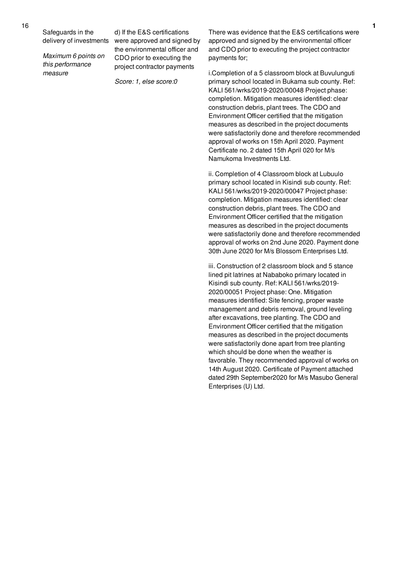Safeguards in the

16

delivery of investments

*Maximum 6 points on this performance measure*

d) If the E&S certifications were approved and signed by the environmental officer and CDO prior to executing the project contractor payments

*Score: 1, else score:0*

There was evidence that the E&S certifications were approved and signed by the environmental officer and CDO prior to executing the project contractor payments for;

i.Completion of a 5 classroom block at Buvulunguti primary school located in Bukama sub county. Ref: KALI 561/wrks/2019-2020/00048 Project phase: completion. Mitigation measures identified: clear construction debris, plant trees. The CDO and Environment Officer certified that the mitigation measures as described in the project documents were satisfactorily done and therefore recommended approval of works on 15th April 2020. Payment Certificate no. 2 dated 15th April 020 for M/s Namukoma Investments Ltd.

ii. Completion of 4 Classroom block at Lubuulo primary school located in Kisindi sub county. Ref: KALI 561/wrks/2019-2020/00047 Project phase: completion. Mitigation measures identified: clear construction debris, plant trees. The CDO and Environment Officer certified that the mitigation measures as described in the project documents were satisfactorily done and therefore recommended approval of works on 2nd June 2020. Payment done 30th June 2020 for M/s Blossom Enterprises Ltd.

iii. Construction of 2 classroom block and 5 stance lined pit latrines at Nababoko primary located in Kisindi sub county. Ref: KALI 561/wrks/2019- 2020/00051 Project phase: One. Mitigation measures identified: Site fencing, proper waste management and debris removal, ground leveling after excavations, tree planting. The CDO and Environment Officer certified that the mitigation measures as described in the project documents were satisfactorily done apart from tree planting which should be done when the weather is favorable. They recommended approval of works on 14th August 2020. Certificate of Payment attached dated 29th September2020 for M/s Masubo General Enterprises (U) Ltd.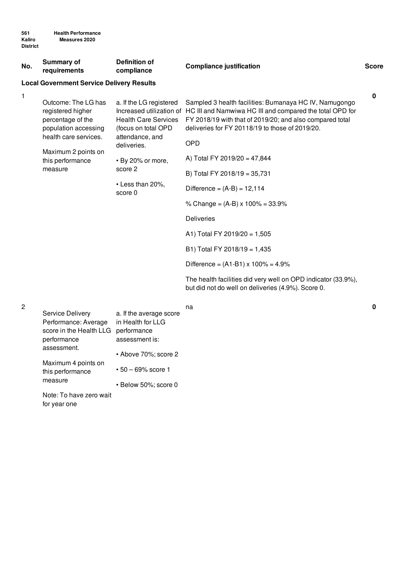score in the Health LLG performance

assessment is:

• Above 70%; score 2

• Below 50%; score 0

• 50 – 69% score 1

performance assessment.

measure

for year one

Maximum 4 points on this performance

Note: To have zero wait

| No. | <b>Summary of</b><br>requirements                                                                                                                                    | <b>Definition of</b><br>compliance                                                                                                                                                                         | <b>Compliance justification</b>                                                                                                                                                                                                                                                                                                                                                                                                                                                                                                                                                                                                                         | <b>Score</b> |
|-----|----------------------------------------------------------------------------------------------------------------------------------------------------------------------|------------------------------------------------------------------------------------------------------------------------------------------------------------------------------------------------------------|---------------------------------------------------------------------------------------------------------------------------------------------------------------------------------------------------------------------------------------------------------------------------------------------------------------------------------------------------------------------------------------------------------------------------------------------------------------------------------------------------------------------------------------------------------------------------------------------------------------------------------------------------------|--------------|
|     | <b>Local Government Service Delivery Results</b>                                                                                                                     |                                                                                                                                                                                                            |                                                                                                                                                                                                                                                                                                                                                                                                                                                                                                                                                                                                                                                         |              |
| 1   | Outcome: The LG has<br>registered higher<br>percentage of the<br>population accessing<br>health care services.<br>Maximum 2 points on<br>this performance<br>measure | a. If the LG registered<br>Increased utilization of<br><b>Health Care Services</b><br>(focus on total OPD<br>attendance, and<br>deliveries.<br>• By 20% or more,<br>score 2<br>• Less than 20%,<br>score 0 | Sampled 3 health facilities: Bumanaya HC IV, Namugongo<br>HC III and Namwiwa HC III and compared the total OPD for<br>FY 2018/19 with that of 2019/20; and also compared total<br>deliveries for FY 20118/19 to those of 2019/20.<br><b>OPD</b><br>A) Total FY 2019/20 = 47,844<br>B) Total FY 2018/19 = 35,731<br>Difference = $(A-B) = 12,114$<br>% Change = $(A-B) \times 100\% = 33.9\%$<br><b>Deliveries</b><br>A1) Total FY 2019/20 = 1,505<br>B1) Total FY 2018/19 = 1,435<br>Difference = $(A1-B1) \times 100\% = 4.9\%$<br>The health facilities did very well on OPD indicator (33.9%),<br>but did not do well on deliveries (4.9%). Score 0. | $\mathbf 0$  |
| 2   | Service Delivery<br>Performance: Average                                                                                                                             | a. If the average score<br>in Health for LLG                                                                                                                                                               | na                                                                                                                                                                                                                                                                                                                                                                                                                                                                                                                                                                                                                                                      | 0            |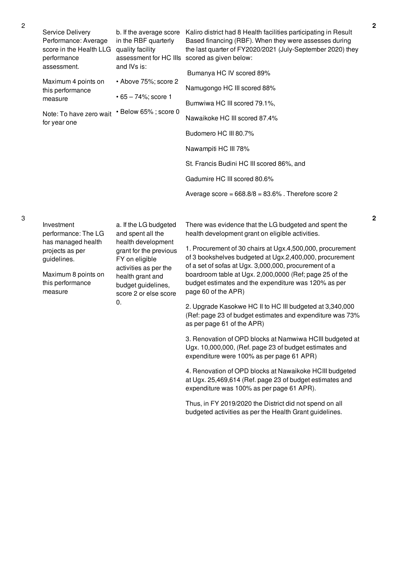| Service Delivery<br>Performance: Average<br>score in the Health LLG quality facility<br>performance<br>assessment.<br>Maximum 4 points on<br>this performance<br>measure<br>Note: To have zero wait<br>for year one | b. If the average score<br>in the RBF quarterly<br>and IVs is:<br>• Above 75%; score 2<br>$• 65 - 74\%$ ; score 1<br>· Below 65%; score 0                                                                      | Kaliro district had 8 Health facilities participating in Result<br>Based financing (RBF). When they were assesses during<br>the last quarter of FY2020/2021 (July-September 2020) they<br>assessment for HC IIIs scored as given below:<br>Bumanya HC IV scored 89%<br>Namugongo HC III scored 88%<br>Bumwiwa HC III scored 79.1%,<br>Nawaikoke HC III scored 87.4%<br>Budomero HC III 80.7%<br>Nawampiti HC III 78%<br>St. Francis Budini HC III scored 86%, and<br>Gadumire HC III scored 80.6%<br>Average score = $668.8/8 = 83.6%$ . Therefore score 2                                                                                                                                                                                                                                                                |
|---------------------------------------------------------------------------------------------------------------------------------------------------------------------------------------------------------------------|----------------------------------------------------------------------------------------------------------------------------------------------------------------------------------------------------------------|---------------------------------------------------------------------------------------------------------------------------------------------------------------------------------------------------------------------------------------------------------------------------------------------------------------------------------------------------------------------------------------------------------------------------------------------------------------------------------------------------------------------------------------------------------------------------------------------------------------------------------------------------------------------------------------------------------------------------------------------------------------------------------------------------------------------------|
| Investment<br>performance: The LG<br>has managed health<br>projects as per<br>guidelines.<br>Maximum 8 points on<br>this performance<br>measure                                                                     | a. If the LG budgeted<br>and spent all the<br>health development<br>grant for the previous<br>FY on eligible<br>activities as per the<br>health grant and<br>budget guidelines,<br>score 2 or else score<br>0. | There was evidence that the LG budgeted and spent the<br>health development grant on eligible activities.<br>1. Procurement of 30 chairs at Ugx.4,500,000, procurement<br>of 3 bookshelves budgeted at Ugx.2,400,000, procurement<br>of a set of sofas at Ugx. 3,000,000, procurement of a<br>boardroom table at Ugx. 2,000,0000 (Ref; page 25 of the<br>budget estimates and the expenditure was 120% as per<br>page 60 of the APR)<br>2. Upgrade Kasokwe HC II to HC III budgeted at 3,340,000<br>(Ref: page 23 of budget estimates and expenditure was 73%<br>as per page 61 of the APR)<br>3. Renovation of OPD blocks at Namwiwa HCIII budgeted at<br>Ugx. 10,000,000, (Ref. page 23 of budget estimates and<br>expenditure were 100% as per page 61 APR)<br>4. Renovation of OPD blocks at Nawaikoke HCIII budgeted |

at Ugx. 25,469,614 (Ref. page 23 of budget estimates and expenditure was 100% as per page 61 APR).

Thus, in FY 2019/2020 the District did not spend on all budgeted activities as per the Health Grant guidelines.

3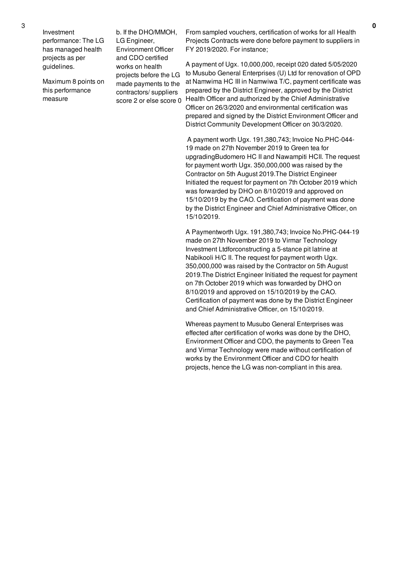Investment performance: The LG has managed health projects as per guidelines.

Maximum 8 points on this performance measure

b. If the DHO/MMOH, LG Engineer, Environment Officer and CDO certified works on health projects before the LG made payments to the contractors/ suppliers score 2 or else score 0

From sampled vouchers, certification of works for all Health Projects Contracts were done before payment to suppliers in FY 2019/2020. For instance;

A payment of Ugx. 10,000,000, receipt 020 dated 5/05/2020 to Musubo General Enterprises (U) Ltd for renovation of OPD at Namwima HC III in Namwiwa T/C, payment certificate was prepared by the District Engineer, approved by the District Health Officer and authorized by the Chief Administrative Officer on 26/3/2020 and environmental certification was prepared and signed by the District Environment Officer and District Community Development Officer on 30/3/2020.

A payment worth Ugx. 191,380,743; Invoice No.PHC-044- 19 made on 27th November 2019 to Green tea for upgradingBudomero HC II and Nawampiti HCII. The request for payment worth Ugx. 350,000,000 was raised by the Contractor on 5th August 2019.The District Engineer Initiated the request for payment on 7th October 2019 which was forwarded by DHO on 8/10/2019 and approved on 15/10/2019 by the CAO. Certification of payment was done by the District Engineer and Chief Administrative Officer, on 15/10/2019.

A Paymentworth Ugx. 191,380,743; Invoice No.PHC-044-19 made on 27th November 2019 to Virmar Technology Investment Ltdforconstructing a 5-stance pit latrine at Nabikooli H/C II. The request for payment worth Ugx. 350,000,000 was raised by the Contractor on 5th August 2019.The District Engineer Initiated the request for payment on 7th October 2019 which was forwarded by DHO on 8/10/2019 and approved on 15/10/2019 by the CAO. Certification of payment was done by the District Engineer and Chief Administrative Officer, on 15/10/2019.

Whereas payment to Musubo General Enterprises was effected after certification of works was done by the DHO, Environment Officer and CDO, the payments to Green Tea and Virmar Technology were made without certification of works by the Environment Officer and CDO for health projects, hence the LG was non-compliant in this area.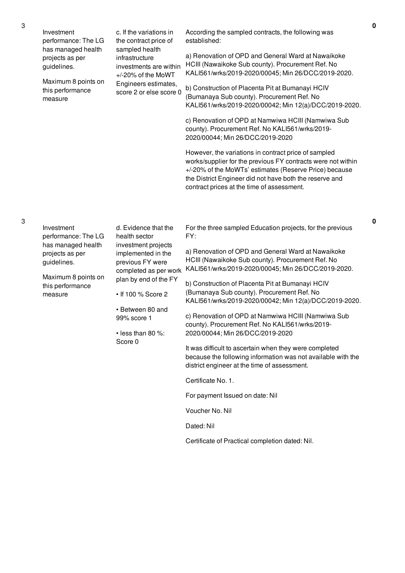|  | Investment<br>performance: The LG                    | c. If the variations in<br>the contract price of                                                          | According the sampled contracts, the following was<br>established:                                                                                                                                                                                                                      |
|--|------------------------------------------------------|-----------------------------------------------------------------------------------------------------------|-----------------------------------------------------------------------------------------------------------------------------------------------------------------------------------------------------------------------------------------------------------------------------------------|
|  | has managed health<br>projects as per<br>guidelines. | sampled health<br>infrastructure<br>investments are within<br>+/-20% of the MoWT                          | a) Renovation of OPD and General Ward at Nawaikoke<br>HCIII (Nawaikoke Sub county). Procurement Ref. No<br>KALI561/wrks/2019-2020/00045; Min 26/DCC/2019-2020.                                                                                                                          |
|  | Maximum 8 points on<br>this performance<br>measure   | Engineers estimates,<br>score 2 or else score 0                                                           | b) Construction of Placenta Pit at Bumanayi HCIV<br>(Bumanaya Sub county). Procurement Ref. No<br>KALI561/wrks/2019-2020/00042; Min 12(a)/DCC/2019-2020.                                                                                                                                |
|  |                                                      |                                                                                                           | c) Renovation of OPD at Namwiwa HCIII (Namwiwa Sub<br>county). Procurement Ref. No KALI561/wrks/2019-<br>2020/00044; Min 26/DCC/2019-2020                                                                                                                                               |
|  |                                                      |                                                                                                           | However, the variations in contract price of sampled<br>works/supplier for the previous FY contracts were not within<br>+/-20% of the MoWTs' estimates (Reserve Price) because<br>the District Engineer did not have both the reserve and<br>contract prices at the time of assessment. |
|  |                                                      |                                                                                                           |                                                                                                                                                                                                                                                                                         |
|  | Investment<br>performance: The LG                    | d. Evidence that the<br>health sector                                                                     | For the three sampled Education projects, for the previous<br>FY:                                                                                                                                                                                                                       |
|  | has managed health<br>projects as per<br>guidelines. | investment projects<br>implemented in the<br>previous FY were<br>completed as per work                    | a) Renovation of OPD and General Ward at Nawaikoke<br>HCIII (Nawaikoke Sub county). Procurement Ref. No<br>KALI561/wrks/2019-2020/00045; Min 26/DCC/2019-2020.                                                                                                                          |
|  | Maximum 8 points on<br>this performance<br>measure   | plan by end of the FY<br>• If 100 % Score 2<br>• Between 80 and<br>99% score 1<br>$\cdot$ less than 80 %: | b) Construction of Placenta Pit at Bumanayi HCIV<br>(Bumanaya Sub county). Procurement Ref. No<br>KALI561/wrks/2019-2020/00042; Min 12(a)/DCC/2019-2020.                                                                                                                                |
|  |                                                      |                                                                                                           | c) Renovation of OPD at Namwiwa HCIII (Namwiwa Sub<br>county). Procurement Ref. No KALI561/wrks/2019-<br>2020/00044; Min 26/DCC/2019-2020                                                                                                                                               |
|  |                                                      | Score 0                                                                                                   | It was difficult to ascertain when they were completed<br>because the following information was not available with the<br>district engineer at the time of assessment.                                                                                                                  |
|  |                                                      |                                                                                                           | Certificate No. 1.                                                                                                                                                                                                                                                                      |
|  |                                                      |                                                                                                           | For payment Issued on date: Nil                                                                                                                                                                                                                                                         |
|  |                                                      |                                                                                                           | Voucher No. Nil                                                                                                                                                                                                                                                                         |
|  |                                                      |                                                                                                           | Dated: Nil                                                                                                                                                                                                                                                                              |
|  |                                                      |                                                                                                           | Certificate of Practical completion dated: Nil.                                                                                                                                                                                                                                         |

3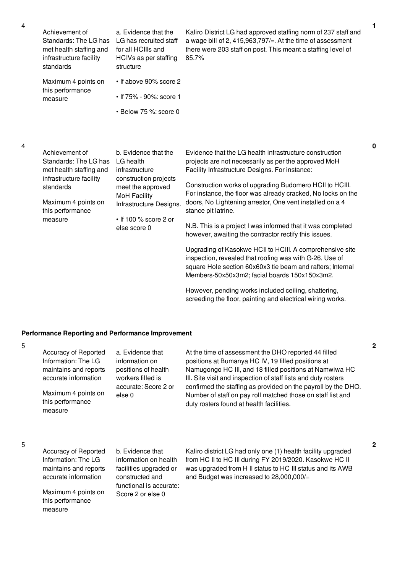4

| Achievement of<br>Standards: The LG has<br>met health staffing and<br>infrastructure facility<br>standards | a. Evidence that the<br>LG has recruited staff<br>for all HCIIIs and<br>HCIVs as per staffing<br>structure | Kaliro District LG had approved staffing norm of 237 staff and<br>a wage bill of 2, 415,963,797/ $=$ . At the time of assessment<br>there were 203 staff on post. This meant a staffing level of<br>85.7% |   |
|------------------------------------------------------------------------------------------------------------|------------------------------------------------------------------------------------------------------------|-----------------------------------------------------------------------------------------------------------------------------------------------------------------------------------------------------------|---|
| Maximum 4 points on<br>this performance<br>measure                                                         | $\cdot$ If above 90% score 2<br>• If 75% - 90%: score 1                                                    |                                                                                                                                                                                                           |   |
|                                                                                                            | $\cdot$ Below 75 %: score 0                                                                                |                                                                                                                                                                                                           |   |
| Achievement of<br>Standards: The LG has                                                                    | b. Evidence that the<br>LG health                                                                          | Evidence that the LG health infrastructure construction<br>projects are not necessarily as per the approved MoH                                                                                           | 0 |

met health staffing and infrastructure facility standards Maximum 4 points on this performance measure infrastructure construction projects meet the approved MoH Facility Infrastructure Designs. • If 100 % score 2 or else score 0 Facility Infrastructure Designs. For instance: Construction works of upgrading Budomero HCII to HCIII. For instance, the floor was already cracked, No locks on the doors, No Lightening arrestor, One vent installed on a 4 stance pit latrine. N.B. This is a project I was informed that it was completed however, awaiting the contractor rectify this issues. Upgrading of Kasokwe HCII to HCIII. A comprehensive site inspection, revealed that roofing was with G-26, Use of square Hole section 60x60x3 tie beam and rafters; Internal Members-50x50x3m2; facial boards 150x150x3m2.

However, pending works included ceiling, shattering, screeding the floor, painting and electrical wiring works.

### **Performance Reporting and Performance Improvement**

5

| this performance<br>measure | Accuracy of Reported<br>Information: The LG<br>maintains and reports<br>accurate information<br>Maximum 4 points on | a. Evidence that<br>information on<br>positions of health<br>workers filled is<br>accurate: Score 2 or<br>else 0 | At the time of assessment the DHO reported 44 filled<br>positions at Bumanya HC IV, 19 filled positions at<br>Namugongo HC III, and 18 filled positions at Namwiwa HC<br>III. Site visit and inspection of staff lists and duty rosters<br>confirmed the staffing as provided on the payroll by the DHO.<br>Number of staff on pay roll matched those on staff list and<br>duty rosters found at health facilities. |
|-----------------------------|---------------------------------------------------------------------------------------------------------------------|------------------------------------------------------------------------------------------------------------------|---------------------------------------------------------------------------------------------------------------------------------------------------------------------------------------------------------------------------------------------------------------------------------------------------------------------------------------------------------------------------------------------------------------------|
|                             | Accuracy of Reported                                                                                                | b. Evidence that                                                                                                 | Kaliro district LG had only one (1) health facility upgraded                                                                                                                                                                                                                                                                                                                                                        |
|                             | lath                                                                                                                | information on boolth                                                                                            | from LIC II to LIC III during EV 0010/0000 Keeplane LIC II                                                                                                                                                                                                                                                                                                                                                          |

5

Information: The LG maintains and reports accurate information

Maximum 4 points on this performance measure

information on health facilities upgraded or constructed and functional is accurate: Score 2 or else 0

from HC II to HC III during FY 2019/2020. Kasokwe HC II was upgraded from H II status to HC III status and its AWB and Budget was increased to 28,000,000/=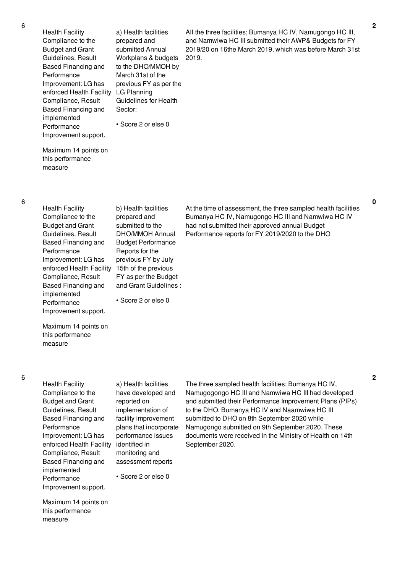| <b>Health Facility</b>   | a) Health facilities   | All the |
|--------------------------|------------------------|---------|
| Compliance to the        | prepared and           | and N   |
| <b>Budget and Grant</b>  | submitted Annual       | 2019/2  |
| Guidelines, Result       | Workplans & budgets    | 2019.   |
| Based Financing and      | to the DHO/MMOH by     |         |
| Performance              | March 31st of the      |         |
| Improvement: LG has      | previous FY as per the |         |
| enforced Health Facility | LG Planning            |         |
| Compliance, Result       | Guidelines for Health  |         |
| Based Financing and      | Sector:                |         |
| implemented              |                        |         |
| Performance              | • Score 2 or else 0    |         |
| Improvement support.     |                        |         |
|                          |                        |         |

All the three facilities; Bumanya HC IV, Namugongo HC III, and Namwiwa HC III submitted their AWP& Budgets for FY 2019/20 on 16the March 2019, which was before March 31st

Maximum 14 points on this performance measure

| b) Health facilities   |
|------------------------|
| prepared and           |
| submitted to the       |
| <b>DHO/MMOH Annual</b> |
| Budget Performance     |
| Reports for the        |
| previous FY by July    |
| 15th of the previous   |
| FY as per the Budget   |
| and Grant Guidelines:  |
|                        |
| • Score 2 or else 0    |
|                        |
|                        |

At the time of assessment, the three sampled health facilities Bumanya HC IV, Namugongo HC III and Namwiwa HC IV had not submitted their approved annual Budget Performance reports for FY 2019/2020 to the DHO

Maximum 14 points on this performance measure

Health Facility Compliance to the Budget and Grant Guidelines, Result Based Financing and Performance Improvement: LG has enforced Health Facility identified in Compliance, Result Based Financing and implemented Performance Improvement support.

a) Health facilities have developed and reported on implementation of facility improvement plans that incorporate performance issues monitoring and assessment reports

• Score 2 or else 0

Maximum 14 points on this performance measure

The three sampled health facilities; Bumanya HC IV, Namugogongo HC III and Namwiwa HC III had developed and submitted their Performance Improvement Plans (PIPs) to the DHO. Bumanya HC IV and Naamwiwa HC III submitted to DHO on 8th September 2020 while Namugongo submitted on 9th September 2020. These documents were received in the Ministry of Health on 14th September 2020.

**0**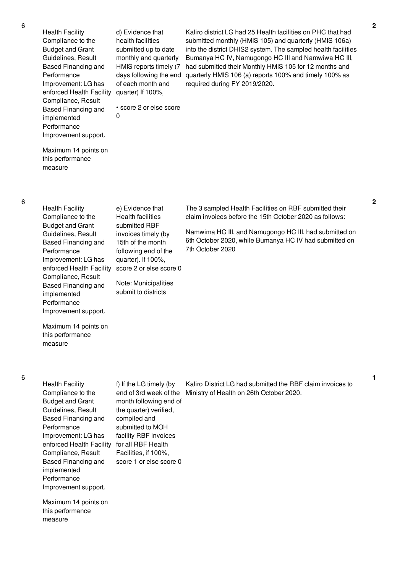Health Facility Compliance to the Budget and Grant Guidelines, Result Based Financing and Performance Improvement: LG has enforced Health Facility quarter) If 100%, Compliance, Result Based Financing and implemented Performance Improvement support.

d) Evidence that health facilities submitted up to date monthly and quarterly HMIS reports timely (7 days following the end of each month and

• score 2 or else score

0

Kaliro district LG had 25 Health facilities on PHC that had submitted monthly (HMIS 105) and quarterly (HMIS 106a) into the district DHIS2 system. The sampled health facilities Bumanya HC IV, Namugongo HC III and Namwiwa HC III, had submitted their Monthly HMIS 105 for 12 months and quarterly HMIS 106 (a) reports 100% and timely 100% as required during FY 2019/2020.

Maximum 14 points on this performance measure

| <b>Health Facility</b><br>Compliance to the<br><b>Budget and Grant</b><br>Guidelines, Result<br><b>Based Financing and</b><br>Performance<br>Improvement: LG has<br>enforced Health Facility<br>Compliance, Result<br>Based Financing and<br>implemented<br>Performance | e) Evidence that<br><b>Health facilities</b><br>submitted RBF<br>invoices timely (by<br>15th of the month<br>following end of the<br>quarter). If $100\%$ ,<br>score 2 or else score 0<br>Note: Municipalities<br>submit to districts | The 3 sampled Health Facilities on RBF submitted their<br>claim invoices before the 15th October 2020 as follows:<br>Namwima HC III, and Namugongo HC III, had submitted on<br>6th October 2020, while Bumanya HC IV had submitted on<br>7th October 2020 |
|-------------------------------------------------------------------------------------------------------------------------------------------------------------------------------------------------------------------------------------------------------------------------|---------------------------------------------------------------------------------------------------------------------------------------------------------------------------------------------------------------------------------------|-----------------------------------------------------------------------------------------------------------------------------------------------------------------------------------------------------------------------------------------------------------|
| Improvement support.                                                                                                                                                                                                                                                    |                                                                                                                                                                                                                                       |                                                                                                                                                                                                                                                           |
| Maximum 14 points on                                                                                                                                                                                                                                                    |                                                                                                                                                                                                                                       |                                                                                                                                                                                                                                                           |

Maximum 14 points on this performance measure

#### 6

| <b>Health Facility</b>   | f) If the LG timely (by | Kaliro District LG had submitted the RBF claim invoices to |
|--------------------------|-------------------------|------------------------------------------------------------|
| Compliance to the        | end of 3rd week of the  | Ministry of Health on 26th October 2020.                   |
| <b>Budget and Grant</b>  | month following end of  |                                                            |
| Guidelines, Result       | the quarter) verified,  |                                                            |
| Based Financing and      | compiled and            |                                                            |
| Performance              | submitted to MOH        |                                                            |
| Improvement: LG has      | facility RBF invoices   |                                                            |
| enforced Health Facility | for all RBF Health      |                                                            |
| Compliance, Result       | Facilities, if 100%,    |                                                            |
| Based Financing and      | score 1 or else score 0 |                                                            |
| implemented              |                         |                                                            |
| Performance              |                         |                                                            |
| Improvement support.     |                         |                                                            |
|                          |                         |                                                            |

Maximum 14 points on this performance measure

**1**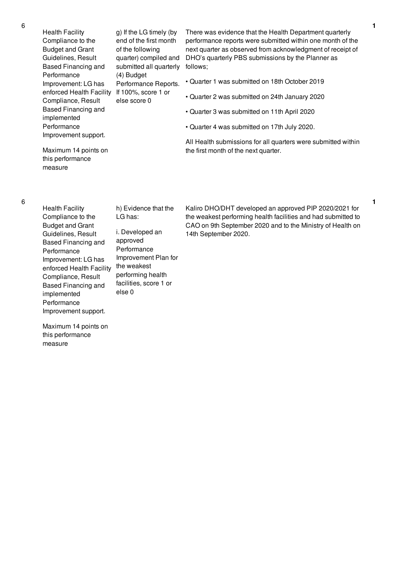Health Facility Compliance to the Budget and Grant Guidelines, Result Based Financing and Performance Improvement: LG has enforced Health Facility If 100%, score 1 or Compliance, Result Based Financing and implemented Performance Improvement support. Maximum 14 points on this performance measure g) If the LG timely (by end of the first month of the following quarter) compiled and submitted all quarterly (4) Budget Performance Reports. else score 0 There was evidence that the Health Department quarterly performance reports were submitted within one month of the next quarter as observed from acknowledgment of receipt of DHO's quarterly PBS submissions by the Planner as follows; • Quarter 1 was submitted on 18th October 2019 • Quarter 2 was submitted on 24th January 2020 • Quarter 3 was submitted on 11th April 2020 • Quarter 4 was submitted on 17th July 2020. All Health submissions for all quarters were submitted within the first month of the next quarter.

- Health Facility Compliance to the Budget and Grant Guidelines, Result Based Financing and Performance Improvement: LG has enforced Health Facility Compliance, Result Based Financing and implemented Performance Improvement support.
- h) Evidence that the LG has:

i. Developed an approved Performance Improvement Plan for the weakest performing health facilities, score 1 or else 0

Kaliro DHO/DHT developed an approved PIP 2020/2021 for the weakest performing health facilities and had submitted to CAO on 9th September 2020 and to the Ministry of Health on 14th September 2020.

**1**

**1**

Maximum 14 points on this performance measure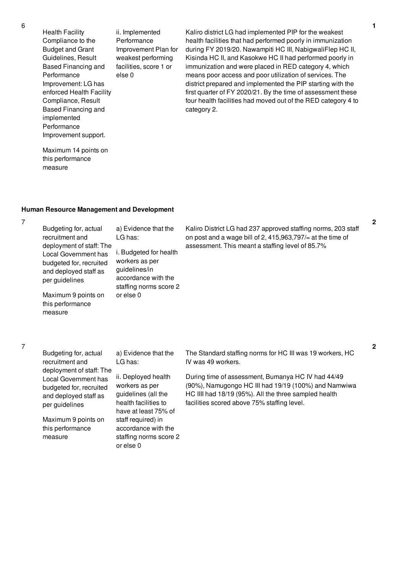Health Facility Compliance to the Budget and Grant Guidelines, Result Based Financing and Performance Improvement: LG has enforced Health Facility Compliance, Result Based Financing and implemented Performance Improvement support.

ii. Implemented Performance Improvement Plan for weakest performing facilities, score 1 or else 0

Kaliro district LG had implemented PIP for the weakest health facilities that had performed poorly in immunization during FY 2019/20. Nawampiti HC III, NabigwaliFlep HC II, Kisinda HC II, and Kasokwe HC II had performed poorly in immunization and were placed in RED category 4, which means poor access and poor utilization of services. The district prepared and implemented the PIP starting with the first quarter of FY 2020/21. By the time of assessment these four health facilities had moved out of the RED category 4 to category 2.

## Maximum 14 points on this performance measure

### **Human Resource Management and Development**

7

| Budgeting for, actual<br>recruitment and<br>deployment of staff: The<br>Local Government has<br>budgeted for, recruited<br>and deployed staff as<br>per guidelines | a) Evidence that the<br>LG has:<br>i. Budgeted for health<br>workers as per<br>guidelines/in<br>accordance with the<br>staffing norms score 2 | Kaliro District LG had 237 approved staffing norms, 203 staff<br>on post and a wage bill of 2, 415,963,797/ $=$ at the time of<br>assessment. This meant a staffing level of 85.7% |
|--------------------------------------------------------------------------------------------------------------------------------------------------------------------|-----------------------------------------------------------------------------------------------------------------------------------------------|------------------------------------------------------------------------------------------------------------------------------------------------------------------------------------|
| Maximum 9 points on<br>this performance                                                                                                                            | or else 0                                                                                                                                     |                                                                                                                                                                                    |

7

measure

| Budgeting for, actual                            | a) Evidence that the                         | The Standard staffing norms for HC III was 19 workers, HC                                                     |
|--------------------------------------------------|----------------------------------------------|---------------------------------------------------------------------------------------------------------------|
| recruitment and<br>deployment of staff: The      | LG has:                                      | IV was 49 workers.                                                                                            |
| Local Government has                             | ii. Deployed health                          | During time of assessment, Bumanya HC IV had 44/49                                                            |
| budgeted for, recruited<br>and deployed staff as | workers as per<br>guidelines (all the        | (90%), Namugongo HC III had 19/19 (100%) and Namwiwa<br>HC IIII had 18/19 (95%). All the three sampled health |
| per guidelines                                   | health facilities to<br>have at least 75% of | facilities scored above 75% staffing level.                                                                   |
| Maximum 9 points on                              | staff required) in                           |                                                                                                               |
| this performance                                 | accordance with the                          |                                                                                                               |
| measure                                          | staffing norms score 2                       |                                                                                                               |
|                                                  |                                              |                                                                                                               |

or else 0

6

**2**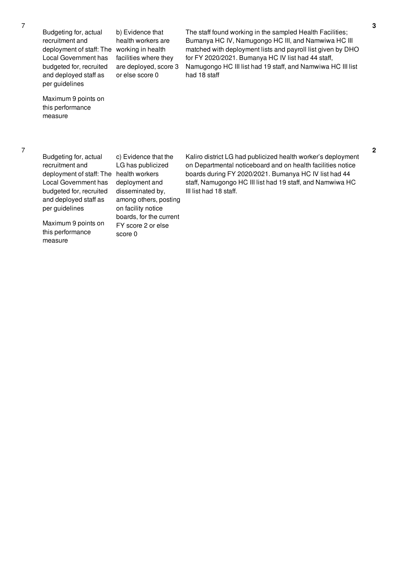Budgeting for, actual recruitment and deployment of staff: The working in health Local Government has budgeted for, recruited and deployed staff as per guidelines

b) Evidence that health workers are facilities where they are deployed, score 3 or else score 0

Maximum 9 points on this performance measure

The staff found working in the sampled Health Facilities; Bumanya HC IV, Namugongo HC III, and Namwiwa HC III matched with deployment lists and payroll list given by DHO for FY 2020/2021. Bumanya HC IV list had 44 staff, Namugongo HC III list had 19 staff, and Namwiwa HC III list had 18 staff

Budgeting for, actual recruitment and deployment of staff: The health workers Local Government has budgeted for, recruited and deployed staff as per guidelines

Maximum 9 points on this performance measure

c) Evidence that the LG has publicized deployment and disseminated by, among others, posting on facility notice boards, for the current FY score 2 or else score 0

Kaliro district LG had publicized health worker's deployment on Departmental noticeboard and on health facilities notice boards during FY 2020/2021. Bumanya HC IV list had 44 staff, Namugongo HC III list had 19 staff, and Namwiwa HC III list had 18 staff.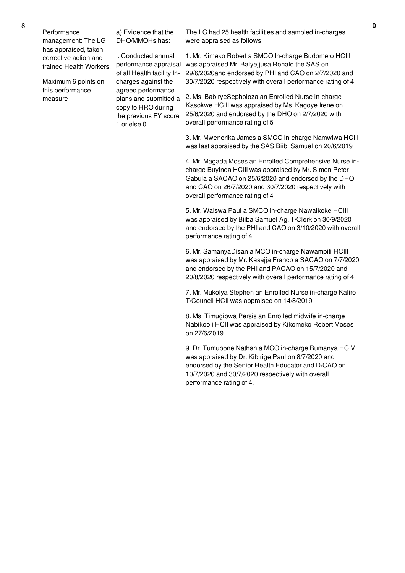Maximum 6 points on this performance measure

a) Evidence that the DHO/MMOHs has:

i. Conducted annual of all Health facility Incharges against the agreed performance plans and submitted a copy to HRO during the previous FY score 1 or else 0

The LG had 25 health facilities and sampled in-charges were appraised as follows.

performance appraisal was appraised Mr. Balyejjusa Ronald the SAS on 1. Mr. Kimeko Robert a SMCO In-charge Budomero HCIII 29/6/2020and endorsed by PHI and CAO on 2/7/2020 and 30/7/2020 respectively with overall performance rating of 4

> 2. Ms. BabiryeSepholoza an Enrolled Nurse in-charge Kasokwe HCIII was appraised by Ms. Kagoye Irene on 25/6/2020 and endorsed by the DHO on 2/7/2020 with overall performance rating of 5

3. Mr. Mwenerika James a SMCO in-charge Namwiwa HCIII was last appraised by the SAS Biibi Samuel on 20/6/2019

4. Mr. Magada Moses an Enrolled Comprehensive Nurse incharge Buyinda HCIII was appraised by Mr. Simon Peter Gabula a SACAO on 25/6/2020 and endorsed by the DHO and CAO on 26/7/2020 and 30/7/2020 respectively with overall performance rating of 4

5. Mr. Waiswa Paul a SMCO in-charge Nawaikoke HCIII was appraised by Biiba Samuel Ag. T/Clerk on 30/9/2020 and endorsed by the PHI and CAO on 3/10/2020 with overall performance rating of 4.

6. Mr. SamanyaDisan a MCO in-charge Nawampiti HCIII was appraised by Mr. Kasajja Franco a SACAO on 7/7/2020 and endorsed by the PHI and PACAO on 15/7/2020 and 20/8/2020 respectively with overall performance rating of 4

7. Mr. Mukolya Stephen an Enrolled Nurse in-charge Kaliro T/Council HCII was appraised on 14/8/2019

8. Ms. Timugibwa Persis an Enrolled midwife in-charge Nabikooli HCII was appraised by Kikomeko Robert Moses on 27/6/2019.

9. Dr. Tumubone Nathan a MCO in-charge Bumanya HCIV was appraised by Dr. Kibirige Paul on 8/7/2020 and endorsed by the Senior Health Educator and D/CAO on 10/7/2020 and 30/7/2020 respectively with overall performance rating of 4.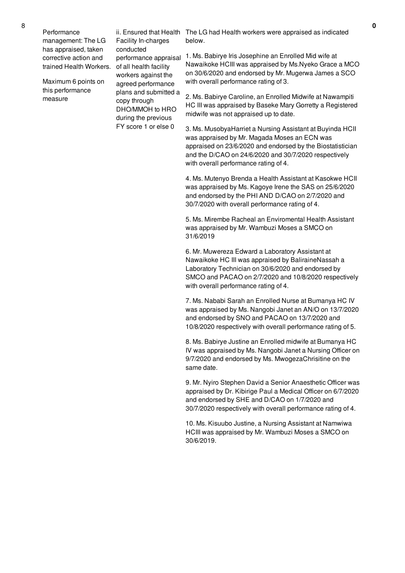Performance management: The LG has appraised, taken corrective action and trained Health Workers. of all health facility

Maximum 6 points on this performance measure

Facility In-charges conducted performance appraisal workers against the agreed performance plans and submitted a copy through DHO/MMOH to HRO during the previous FY score 1 or else 0

ii. Ensured that Health The LG had Health workers were appraised as indicated below.

> 1. Ms. Babirye Iris Josephine an Enrolled Mid wife at Nawaikoke HCIII was appraised by Ms.Nyeko Grace a MCO on 30/6/2020 and endorsed by Mr. Mugerwa James a SCO with overall performance rating of 3.

> 2. Ms. Babirye Caroline, an Enrolled Midwife at Nawampiti HC III was appraised by Baseke Mary Gorretty a Registered midwife was not appraised up to date.

> 3. Ms. MusobyaHarriet a Nursing Assistant at Buyinda HCII was appraised by Mr. Magada Moses an ECN was appraised on 23/6/2020 and endorsed by the Biostatistician and the D/CAO on 24/6/2020 and 30/7/2020 respectively with overall performance rating of 4.

> 4. Ms. Mutenyo Brenda a Health Assistant at Kasokwe HCII was appraised by Ms. Kagoye Irene the SAS on 25/6/2020 and endorsed by the PHI AND D/CAO on 2/7/2020 and 30/7/2020 with overall performance rating of 4.

5. Ms. Mirembe Racheal an Enviromental Health Assistant was appraised by Mr. Wambuzi Moses a SMCO on 31/6/2019

6. Mr. Muwereza Edward a Laboratory Assistant at Nawaikoke HC III was appraised by BaliraineNassah a Laboratory Technician on 30/6/2020 and endorsed by SMCO and PACAO on 2/7/2020 and 10/8/2020 respectively with overall performance rating of 4.

7. Ms. Nababi Sarah an Enrolled Nurse at Bumanya HC IV was appraised by Ms. Nangobi Janet an AN/O on 13/7/2020 and endorsed by SNO and PACAO on 13/7/2020 and 10/8/2020 respectively with overall performance rating of 5.

8. Ms. Babirye Justine an Enrolled midwife at Bumanya HC IV was appraised by Ms. Nangobi Janet a Nursing Officer on 9/7/2020 and endorsed by Ms. MwogezaChrisitine on the same date.

9. Mr. Nyiro Stephen David a Senior Anaesthetic Officer was appraised by Dr. Kibirige Paul a Medical Officer on 6/7/2020 and endorsed by SHE and D/CAO on 1/7/2020 and 30/7/2020 respectively with overall performance rating of 4.

10. Ms. Kisuubo Justine, a Nursing Assistant at Namwiwa HCIII was appraised by Mr. Wambuzi Moses a SMCO on 30/6/2019.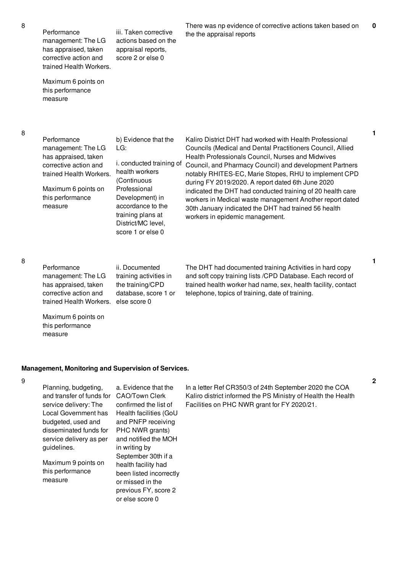Performance management: The LG has appraised, taken corrective action and trained Health Workers. iii. Taken corrective actions based on the appraisal reports, score 2 or else 0

Maximum 6 points on this performance measure

8

| <b>Councils (Medical and Dental Practitioners Council, Allied</b><br>management: The LG<br>LG:<br>has appraised, taken<br>i. conducted training of<br>corrective action and<br>health workers<br>trained Health Workers.<br>(Continuous<br>Maximum 6 points on<br>Professional<br>this performance<br>Development) in<br>accordance to the<br>measure<br>training plans at<br>District/MC level,<br>score 1 or else 0 | Health Professionals Council, Nurses and Midwives<br>Council, and Pharmacy Council) and development Partners<br>notably RHITES-EC, Marie Stopes, RHU to implement CPD<br>during FY 2019/2020. A report dated 6th June 2020<br>indicated the DHT had conducted training of 20 health care<br>workers in Medical waste management Another report dated<br>30th January indicated the DHT had trained 56 health<br>workers in epidemic management. |
|-----------------------------------------------------------------------------------------------------------------------------------------------------------------------------------------------------------------------------------------------------------------------------------------------------------------------------------------------------------------------------------------------------------------------|-------------------------------------------------------------------------------------------------------------------------------------------------------------------------------------------------------------------------------------------------------------------------------------------------------------------------------------------------------------------------------------------------------------------------------------------------|
|-----------------------------------------------------------------------------------------------------------------------------------------------------------------------------------------------------------------------------------------------------------------------------------------------------------------------------------------------------------------------------------------------------------------------|-------------------------------------------------------------------------------------------------------------------------------------------------------------------------------------------------------------------------------------------------------------------------------------------------------------------------------------------------------------------------------------------------------------------------------------------------|

the the appraisal reports

8

| Performance                          | ii. Documented         |
|--------------------------------------|------------------------|
| management: The LG                   | training activities in |
| has appraised, taken                 | the training/CPD       |
| corrective action and                | database, score 1 or   |
| trained Health Workers. else score 0 |                        |

The DHT had documented training Activities in hard copy and soft copy training lists /CPD Database. Each record of trained health worker had name, sex, health facility, contact telephone, topics of training, date of training.

There was np evidence of corrective actions taken based on

## Maximum 6 points on this performance measure

## **Management, Monitoring and Supervision of Services.**

or else score 0

9

| Planning, budgeting,<br>and transfer of funds for | a. Evidence that the<br>CAO/Town Clerk | In a letter Ref CR350/3 of 24th September 2020 the COA<br>Kaliro district informed the PS Ministry of Health the Health |
|---------------------------------------------------|----------------------------------------|-------------------------------------------------------------------------------------------------------------------------|
| service delivery: The                             | confirmed the list of                  | Facilities on PHC NWR grant for FY 2020/21.                                                                             |
| Local Government has                              | Health facilities (GoU                 |                                                                                                                         |
| budgeted, used and                                | and PNFP receiving                     |                                                                                                                         |
| disseminated funds for                            | PHC NWR grants)                        |                                                                                                                         |
| service delivery as per                           | and notified the MOH                   |                                                                                                                         |
| guidelines.                                       | in writing by                          |                                                                                                                         |
|                                                   | September 30th if a                    |                                                                                                                         |
| Maximum 9 points on                               | health facility had                    |                                                                                                                         |
| this performance<br>measure                       | been listed incorrectly                |                                                                                                                         |
|                                                   | or missed in the                       |                                                                                                                         |
|                                                   | previous FY, score 2                   |                                                                                                                         |

**2**

**1**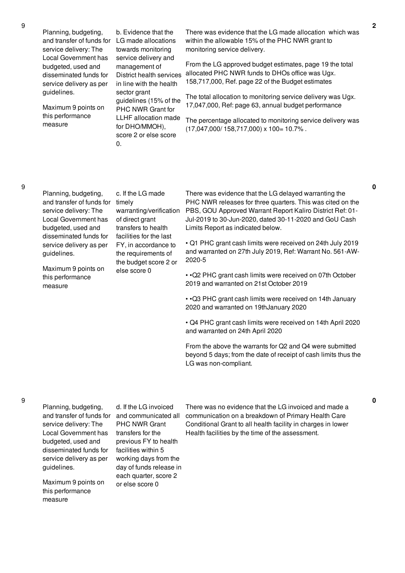**2**

**0**

**0**

| Planning, budgeting,<br>and transfer of funds for<br>service delivery: The<br>Local Government has<br>budgeted, used and<br>disseminated funds for<br>service delivery as per<br>guidelines.<br>Maximum 9 points on<br>this performance<br>measure | b. Evidence that the<br>LG made allocations<br>towards monitoring<br>service delivery and<br>management of<br>District health services<br>in line with the health<br>sector grant<br>guidelines (15% of the<br>PHC NWR Grant for<br><b>LLHF</b> allocation made<br>for DHO/MMOH),<br>score 2 or else score<br>0. | The<br>with<br>mor<br>Fro<br>allo<br>158<br>The<br>17,<br>The<br>(17) |
|----------------------------------------------------------------------------------------------------------------------------------------------------------------------------------------------------------------------------------------------------|------------------------------------------------------------------------------------------------------------------------------------------------------------------------------------------------------------------------------------------------------------------------------------------------------------------|-----------------------------------------------------------------------|
| Planning, budgeting,<br>and transfer of funds for<br>service delivery: The<br>Local Government has                                                                                                                                                 | c. If the LG made<br>timely<br>warranting/verification<br>of direct grant                                                                                                                                                                                                                                        | The<br>PH۱<br>PB:<br>Jul-                                             |

ere was evidence that the LG made allocation which was in the allowable 15% of the PHC NWR grant to nitoring service delivery.

m the LG approved budget estimates, page 19 the total cated PHC NWR funds to DHOs office was Ugx. 158,717,000, Ref. page 22 of the Budget estimates

e total allocation to monitoring service delivery was Ugx. 047,000, Ref: page 63, annual budget performance

e percentage allocated to monitoring service delivery was (17,047,000/ 158,717,000) x 100= 10.7% .

#### 9

| Planning, budgeting,<br>and transfer of funds for<br>service delivery: The<br>Local Government has | c. If the LG made<br>timely<br>warranting/verification<br>of direct grant                       | There was evidence that the LG delayed warranting the<br>PHC NWR releases for three quarters. This was cited on the<br>PBS, GOU Approved Warrant Report Kaliro District Ref: 01-<br>Jul-2019 to 30-Jun-2020, dated 30-11-2020 and GoU Cash |
|----------------------------------------------------------------------------------------------------|-------------------------------------------------------------------------------------------------|--------------------------------------------------------------------------------------------------------------------------------------------------------------------------------------------------------------------------------------------|
| budgeted, used and                                                                                 | transfers to health                                                                             | Limits Report as indicated below.                                                                                                                                                                                                          |
| disseminated funds for<br>service delivery as per<br>guidelines.                                   | facilities for the last<br>FY, in accordance to<br>the requirements of<br>the budget score 2 or | • Q1 PHC grant cash limits were received on 24th July 2019<br>and warranted on 27th July 2019, Ref: Warrant No. 561-AW-<br>2020-5                                                                                                          |
| Maximum 9 points on                                                                                | else score 0                                                                                    |                                                                                                                                                                                                                                            |

• •Q2 PHC grant cash limits were received on 07th October 2019 and warranted on 21st October 2019

• •Q3 PHC grant cash limits were received on 14th January 2020 and warranted on 19thJanuary 2020

• Q4 PHC grant cash limits were received on 14th April 2020 and warranted on 24th April 2020

From the above the warrants for Q2 and Q4 were submitted beyond 5 days; from the date of receipt of cash limits thus the LG was non-compliant.

## 9

and transfer of funds for and communicated all service delivery: The Local Government has transfers for the budgeted, used and disseminated funds for service delivery as per guidelines.

Planning, budgeting,

this performance

measure

Maximum 9 points on this performance measure

d. If the LG invoiced PHC NWR Grant previous FY to health facilities within 5 working days from the day of funds release in each quarter, score 2 or else score 0

There was no evidence that the LG invoiced and made a communication on a breakdown of Primary Health Care Conditional Grant to all health facility in charges in lower Health facilities by the time of the assessment.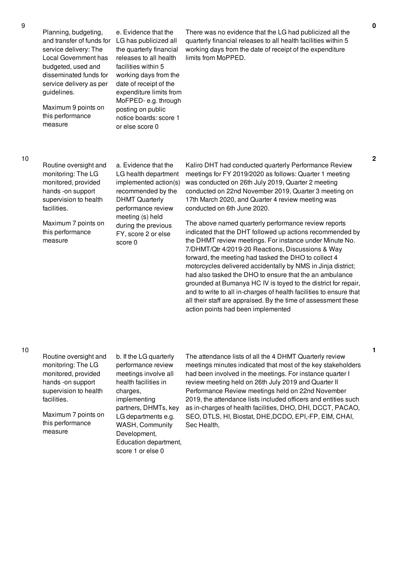Planning, budgeting, and transfer of funds for LG has publicized all service delivery: The Local Government has budgeted, used and disseminated funds for service delivery as per guidelines.

Maximum 9 points on this performance measure

e. Evidence that the the quarterly financial releases to all health facilities within 5 working days from the date of receipt of the expenditure limits from MoFPED- e.g. through posting on public notice boards: score 1 or else score 0

There was no evidence that the LG had publicized all the quarterly financial releases to all health facilities within 5 working days from the date of receipt of the expenditure limits from MoPPED.

10

Routine oversight and monitoring: The LG monitored, provided hands -on support supervision to health facilities.

Maximum 7 points on this performance measure

a. Evidence that the LG health department implemented action(s) recommended by the DHMT Quarterly performance review meeting (s) held during the previous FY, score 2 or else score 0

Kaliro DHT had conducted quarterly Performance Review meetings for FY 2019/2020 as follows: Quarter 1 meeting was conducted on 26th July 2019, Quarter 2 meeting conducted on 22nd November 2019, Quarter 3 meeting on 17th March 2020, and Quarter 4 review meeting was conducted on 6th June 2020.

The above named quarterly performance review reports indicated that the DHT followed up actions recommended by the DHMT review meetings. For instance under Minute No. 7/DHMT/Qtr 4/2019-20 Reactions, Discussions & Way forward, the meeting had tasked the DHO to collect 4 motorcycles delivered accidentally by NMS in Jinja district; had also tasked the DHO to ensure that the an ambulance grounded at Bumanya HC IV is toyed to the district for repair, and to write to all in-charges of health facilities to ensure that all their staff are appraised. By the time of assessment these action points had been implemented

| Routine oversight and<br>monitoring: The LG<br>monitored, provided<br>hands -on support<br>supervision to health<br>facilities. | b. If the LG quarterly<br>performance review<br>meetings involve all<br>health facilities in<br>charges,<br>implementing<br>partners, DHMTs, key<br>LG departments e.g.<br><b>WASH, Community</b><br>Development,<br>Education department,<br>score 1 or else 0 | The attendance lists of all the 4 DHMT Quarterly review<br>meetings minutes indicated that most of the key stakeholders<br>had been involved in the meetings. For instance quarter I<br>review meeting held on 26th July 2019 and Quarter II<br>Performance Review meetings held on 22nd November<br>2019, the attendance lists included officers and entities such |
|---------------------------------------------------------------------------------------------------------------------------------|-----------------------------------------------------------------------------------------------------------------------------------------------------------------------------------------------------------------------------------------------------------------|---------------------------------------------------------------------------------------------------------------------------------------------------------------------------------------------------------------------------------------------------------------------------------------------------------------------------------------------------------------------|
| Maximum 7 points on<br>this performance<br>measure                                                                              |                                                                                                                                                                                                                                                                 | as in-charges of health facilities, DHO, DHI, DCCT, PACAO,<br>SEO, DTLS, HI, Biostat, DHE, DCDO, EPI,-FP, EIM, CHAI,<br>Sec Health,                                                                                                                                                                                                                                 |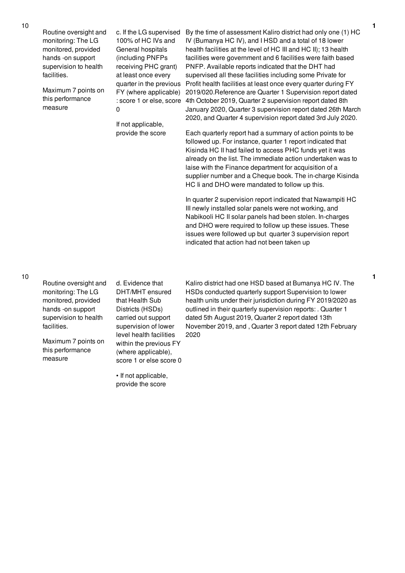Routine oversight and monitoring: The LG monitored, provided hands -on support supervision to health facilities.

Maximum 7 points on this performance measure

c. If the LG supervised 100% of HC IVs and General hospitals (including PNFPs receiving PHC grant) at least once every quarter in the previous FY (where applicable) 0

If not applicable, provide the score

provide the score

: score 1 or else, score 4th October 2019, Quarter 2 supervision report dated 8th By the time of assessment Kaliro district had only one (1) HC IV (Bumanya HC IV), and I HSD and a total of 18 lower health facilities at the level of HC III and HC II); 13 health facilities were government and 6 facilities were faith based PNFP. Available reports indicated that the DHT had supervised all these facilities including some Private for Profit health facilities at least once every quarter during FY 2019/020.Reference are Quarter 1 Supervision report dated January 2020, Quarter 3 supervision report dated 26th March 2020, and Quarter 4 supervision report dated 3rd July 2020.

> Each quarterly report had a summary of action points to be followed up. For instance, quarter 1 report indicated that Kisinda HC II had failed to access PHC funds yet it was already on the list. The immediate action undertaken was to laise with the Finance department for acquisition of a supplier number and a Cheque book. The in-charge Kisinda HC Ii and DHO were mandated to follow up this.

In quarter 2 supervision report indicated that Nawampiti HC III newly installed solar panels were not working, and Nabikooli HC II solar panels had been stolen. In-charges and DHO were required to follow up these issues. These issues were followed up but quarter 3 supervision report indicated that action had not been taken up

10

| Routine oversight and | d. Evidence that        | Kaliro district had one HSD based at Bumanya HC IV. The      |
|-----------------------|-------------------------|--------------------------------------------------------------|
| monitoring: The LG    | DHT/MHT ensured         | HSDs conducted quarterly support Supervision to lower        |
| monitored, provided   | that Health Sub         | health units under their jurisdiction during FY 2019/2020 as |
| hands -on support     | Districts (HSDs)        | outlined in their quarterly supervision reports: . Quarter 1 |
| supervision to health | carried out support     | dated 5th August 2019, Quarter 2 report dated 13th           |
| facilities.           | supervision of lower    | November 2019, and, Quarter 3 report dated 12th February     |
|                       | level health facilities | 2020                                                         |
| Maximum 7 points on   | within the previous FY  |                                                              |
| this performance      | (where applicable),     |                                                              |
| measure               | score 1 or else score 0 |                                                              |
|                       |                         |                                                              |
|                       | • If not applicable,    |                                                              |

10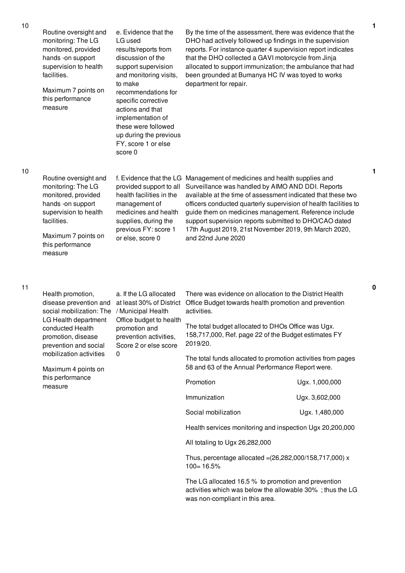|  | Routine oversight and<br>monitoring: The LG<br>monitored, provided<br>hands -on support<br>supervision to health<br>facilities.<br>Maximum 7 points on<br>this performance<br>measure | e. Evidence that the<br>LG used<br>results/reports from<br>discussion of the<br>support supervision<br>and monitoring visits,<br>to make<br>recommendations for<br>specific corrective<br>actions and that<br>implementation of<br>these were followed<br>up during the previous<br>FY, score 1 or else<br>score 0 | By the time of the assessment, there was evidence that the<br>DHO had actively followed up findings in the supervision<br>reports. For instance quarter 4 supervision report indicates<br>that the DHO collected a GAVI motorcycle from Jinja<br>allocated to support immunization; the ambulance that had<br>been grounded at Bumanya HC IV was toyed to works<br>department for repair.                                                  |                |
|--|---------------------------------------------------------------------------------------------------------------------------------------------------------------------------------------|--------------------------------------------------------------------------------------------------------------------------------------------------------------------------------------------------------------------------------------------------------------------------------------------------------------------|--------------------------------------------------------------------------------------------------------------------------------------------------------------------------------------------------------------------------------------------------------------------------------------------------------------------------------------------------------------------------------------------------------------------------------------------|----------------|
|  | Routine oversight and<br>monitoring: The LG<br>monitored, provided<br>hands -on support<br>supervision to health<br>facilities.<br>Maximum 7 points on<br>this performance<br>measure | f. Evidence that the LG<br>provided support to all<br>health facilities in the<br>management of<br>medicines and health<br>supplies, during the<br>previous FY: score 1<br>or else, score 0                                                                                                                        | Management of medicines and health supplies and<br>Surveillance was handled by AIMO AND DDI. Reports<br>available at the time of assessment indicated that these two<br>officers conducted quarterly supervision of health facilities to<br>guide them on medicines management. Reference include<br>support supervision reports submitted to DHO/CAO dated<br>17th August 2019, 21st November 2019, 9th March 2020,<br>and 22nd June 2020 |                |
|  | Health promotion,<br>disease prevention and<br>social mobilization: The<br>LG Health department<br>conducted Health<br>promotion, disease<br>prevention and social                    | a. If the LG allocated<br>at least 30% of District<br>/ Municipal Health<br>Office budget to health<br>promotion and<br>prevention activities,<br>Score 2 or else score<br>0                                                                                                                                       | There was evidence on allocation to the District Health<br>Office Budget towards health promotion and prevention<br>activities.                                                                                                                                                                                                                                                                                                            |                |
|  |                                                                                                                                                                                       |                                                                                                                                                                                                                                                                                                                    | The total budget allocated to DHOs Office was Ugx.<br>158,717,000, Ref. page 22 of the Budget estimates FY<br>2019/20.                                                                                                                                                                                                                                                                                                                     |                |
|  | mobilization activities<br>Maximum 4 points on<br>this performance<br>measure                                                                                                         |                                                                                                                                                                                                                                                                                                                    | The total funds allocated to promotion activities from pages<br>58 and 63 of the Annual Performance Report were.                                                                                                                                                                                                                                                                                                                           |                |
|  |                                                                                                                                                                                       |                                                                                                                                                                                                                                                                                                                    | Promotion                                                                                                                                                                                                                                                                                                                                                                                                                                  | Ugx. 1,000,000 |
|  |                                                                                                                                                                                       |                                                                                                                                                                                                                                                                                                                    | Immunization                                                                                                                                                                                                                                                                                                                                                                                                                               | Ugx. 3,602,000 |
|  |                                                                                                                                                                                       |                                                                                                                                                                                                                                                                                                                    | Social mobilization                                                                                                                                                                                                                                                                                                                                                                                                                        | Ugx. 1,480,000 |
|  |                                                                                                                                                                                       |                                                                                                                                                                                                                                                                                                                    | Health services monitoring and inspection Ugx 20,200,000                                                                                                                                                                                                                                                                                                                                                                                   |                |
|  |                                                                                                                                                                                       |                                                                                                                                                                                                                                                                                                                    | All totaling to Ugx 26,282,000                                                                                                                                                                                                                                                                                                                                                                                                             |                |
|  |                                                                                                                                                                                       |                                                                                                                                                                                                                                                                                                                    | Thus, percentage allocated = (26,282,000/158,717,000) x<br>$100 = 16.5%$                                                                                                                                                                                                                                                                                                                                                                   |                |
|  |                                                                                                                                                                                       |                                                                                                                                                                                                                                                                                                                    | The LG allocated 16.5 % to promotion and prevention<br>activities which was below the allowable 30%; thus the LG<br>was non-compliant in this area.                                                                                                                                                                                                                                                                                        |                |

**1**

**1**

**0**

10

10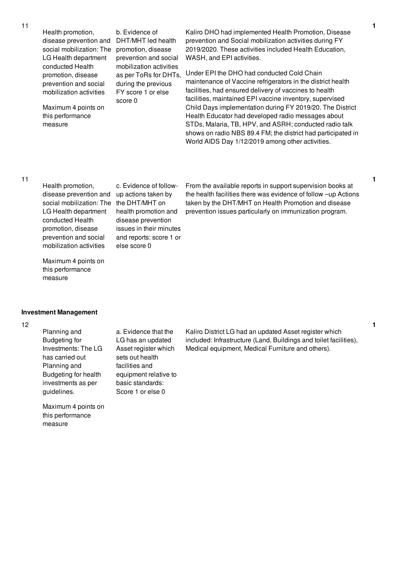Health promotion, disease prevention and social mobilization: The promotion, disease LG Health department conducted Health promotion, disease prevention and social mobilization activities

Maximum 4 points on this performance measure

b. Evidence of DHT/MHT led health prevention and social mobilization activities as per ToRs for DHTs, during the previous FY score 1 or else score 0

Kaliro DHO had implemented Health Promotion, Disease prevention and Social mobilization activities during FY 2019/2020. These activities included Health Education, WASH, and EPI activities.

Under EPI the DHO had conducted Cold Chain maintenance of Vaccine refrigerators in the district health facilities, had ensured delivery of vaccines to health facilities, maintained EPI vaccine inventory, supervised Child Days implementation during FY 2019/20. The District Health Educator had developed radio messages about STDs, Malaria, TB, HPV, and ASRH; conducted radio talk shows on radio NBS 89.4 FM; the district had participated in World AIDS Day 1/12/2019 among other activities.

## 11

Health promotion, disease prevention and up actions taken by social mobilization: The the DHT/MHT on LG Health department conducted Health promotion, disease prevention and social mobilization activities

c. Evidence of followhealth promotion and disease prevention issues in their minutes and reports: score 1 or else score 0

From the available reports in support supervision books at the health facilities there was evidence of follow –up Actions taken by the DHT/MHT on Health Promotion and disease prevention issues particularly on immunization program.

Maximum 4 points on this performance measure

## **Investment Management**

## 12

Planning and Budgeting for Investments: The LG has carried out Planning and Budgeting for health investments as per guidelines.

Maximum 4 points on this performance measure

a. Evidence that the LG has an updated Asset register which sets out health facilities and equipment relative to basic standards: Score 1 or else 0

Kaliro District LG had an updated Asset register which included: Infrastructure (Land, Buildings and toilet facilities), Medical equipment, Medical Furniture and others).

**1**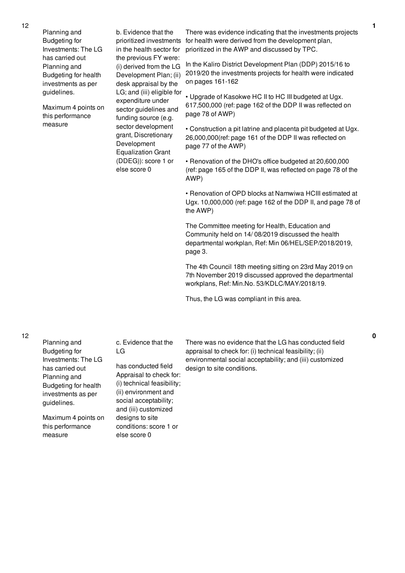Planning and Budgeting for Investments: The LG has carried out Planning and Budgeting for health investments as per guidelines.

Maximum 4 points on this performance measure

b. Evidence that the in the health sector for the previous FY were: (i) derived from the LG Development Plan; (ii) desk appraisal by the LG; and (iii) eligible for expenditure under sector guidelines and funding source (e.g. sector development grant, Discretionary Development Equalization Grant (DDEG)): score 1 or else score 0

prioritized investments for health were derived from the development plan, There was evidence indicating that the investments projects prioritized in the AWP and discussed by TPC.

> In the Kaliro District Development Plan (DDP) 2015/16 to 2019/20 the investments projects for health were indicated on pages 161-162

• Upgrade of Kasokwe HC II to HC III budgeted at Ugx. 617,500,000 (ref: page 162 of the DDP II was reflected on page 78 of AWP)

• Construction a pit latrine and placenta pit budgeted at Ugx. 26,000,000(ref: page 161 of the DDP II was reflected on page 77 of the AWP)

• Renovation of the DHO's office budgeted at 20,600,000 (ref: page 165 of the DDP II, was reflected on page 78 of the AWP)

• Renovation of OPD blocks at Namwiwa HCIII estimated at Ugx. 10,000,000 (ref: page 162 of the DDP II, and page 78 of the AWP)

The Committee meeting for Health, Education and Community held on 14/ 08/2019 discussed the health departmental workplan, Ref: Min 06/HEL/SEP/2018/2019, page 3.

The 4th Council 18th meeting sitting on 23rd May 2019 on 7th November 2019 discussed approved the departmental workplans, Ref: Min.No. 53/KDLC/MAY/2018/19.

Thus, the LG was compliant in this area.

Planning and Budgeting for Investments: The LG has carried out Planning and Budgeting for health LG

Maximum 4 points on this performance measure

investments as per

guidelines.

c. Evidence that the

has conducted field Appraisal to check for: (i) technical feasibility; (ii) environment and social acceptability; and (iii) customized designs to site conditions: score 1 or else score 0

There was no evidence that the LG has conducted field appraisal to check for: (i) technical feasibility; (ii) environmental social acceptability; and (iii) customized design to site conditions.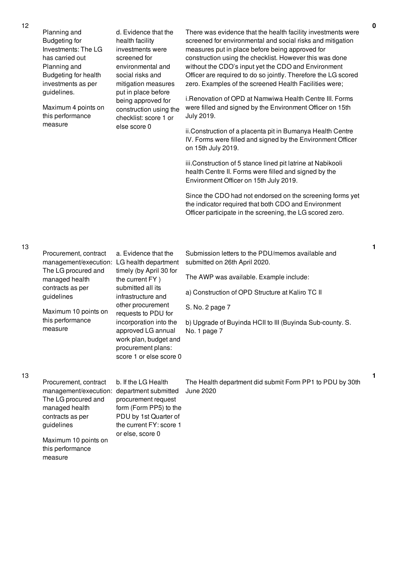| Planning and<br><b>Budgeting for</b><br>Investments: The LG<br>has carried out<br>Planning and<br>Budgeting for health<br>investments as per<br>guidelines.<br>Maximum 4 points on<br>this performance<br>measure | d. Evidence that the<br>health facility<br>investments were<br>screened for<br>environmental and<br>social risks and<br>mitigation measures<br>put in place before<br>being approved for<br>construction using the<br>checklist: score 1 or<br>else score 0 | There was evidence that the health facility investments were<br>screened for environmental and social risks and mitigation<br>measures put in place before being approved for<br>construction using the checklist. However this was done<br>without the CDO's input yet the CDO and Environment<br>Officer are required to do so jointly. Therefore the LG scored<br>zero. Examples of the screened Health Facilities were;<br>i.Renovation of OPD at Namwiwa Health Centre III. Forms<br>were filled and signed by the Environment Officer on 15th<br>July 2019.<br>ii.Construction of a placenta pit in Bumanya Health Centre<br>IV. Forms were filled and signed by the Environment Officer<br>on 15th July 2019.<br>iii.Construction of 5 stance lined pit latrine at Nabikooli<br>health Centre II. Forms were filled and signed by the<br>Environment Officer on 15th July 2019.<br>Since the CDO had not endorsed on the screening forms yet<br>the indicator required that both CDO and Environment<br>Officer participate in the screening, the LG scored zero. |
|-------------------------------------------------------------------------------------------------------------------------------------------------------------------------------------------------------------------|-------------------------------------------------------------------------------------------------------------------------------------------------------------------------------------------------------------------------------------------------------------|--------------------------------------------------------------------------------------------------------------------------------------------------------------------------------------------------------------------------------------------------------------------------------------------------------------------------------------------------------------------------------------------------------------------------------------------------------------------------------------------------------------------------------------------------------------------------------------------------------------------------------------------------------------------------------------------------------------------------------------------------------------------------------------------------------------------------------------------------------------------------------------------------------------------------------------------------------------------------------------------------------------------------------------------------------------------------|
| Procurement, contract<br>The LG procured and<br>managed health<br>contracts as per                                                                                                                                | a. Evidence that the<br>timely (by April 30 for<br>the current FY)<br>submitted all its                                                                                                                                                                     | Submission letters to the PDU/memos available and<br>submitted on 26th April 2020.<br>The AWP was available. Example include:<br>a) Construction of OPD Structure at Kaliro TC II                                                                                                                                                                                                                                                                                                                                                                                                                                                                                                                                                                                                                                                                                                                                                                                                                                                                                        |
| Maximum 10 points on                                                                                                                                                                                              | other procurement<br>requests to PDU for                                                                                                                                                                                                                    | S. No. 2 page 7                                                                                                                                                                                                                                                                                                                                                                                                                                                                                                                                                                                                                                                                                                                                                                                                                                                                                                                                                                                                                                                          |
| this performance<br>measure                                                                                                                                                                                       | incorporation into the<br>approved LG annual<br>work plan, budget and<br>procurement plans:                                                                                                                                                                 | b) Upgrade of Buyinda HCII to III (Buyinda Sub-county. S.<br>No. 1 page 7                                                                                                                                                                                                                                                                                                                                                                                                                                                                                                                                                                                                                                                                                                                                                                                                                                                                                                                                                                                                |
|                                                                                                                                                                                                                   | guidelines                                                                                                                                                                                                                                                  | management/execution: LG health department<br>infrastructure and                                                                                                                                                                                                                                                                                                                                                                                                                                                                                                                                                                                                                                                                                                                                                                                                                                                                                                                                                                                                         |

13

measure

13

12

| Procurement, contract                      | b. If the LG Health     | The Health department did submit Form PP1 to PDU by 30th |  |
|--------------------------------------------|-------------------------|----------------------------------------------------------|--|
| management/execution: department submitted |                         | June 2020                                                |  |
| The LG procured and                        | procurement request     |                                                          |  |
| managed health                             | form (Form PP5) to the  |                                                          |  |
| contracts as per                           | PDU by 1st Quarter of   |                                                          |  |
| guidelines                                 | the current FY: score 1 |                                                          |  |
|                                            | or else, score 0        |                                                          |  |
| Maximum 10 points on                       |                         |                                                          |  |
| this performance                           |                         |                                                          |  |

score 1 or else score 0

**1**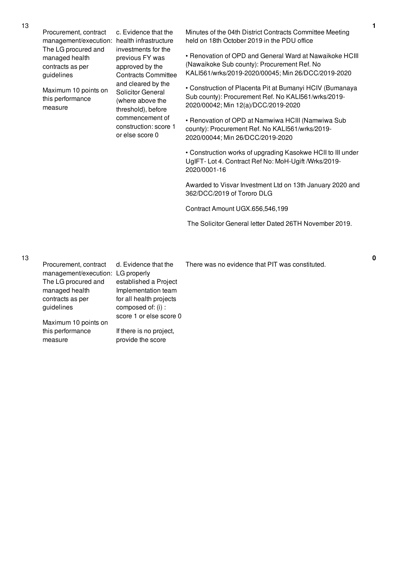Procurement, contract management/execution: health infrastructure The LG procured and managed health contracts as per guidelines

Maximum 10 points on this performance measure

c. Evidence that the investments for the previous FY was approved by the Contracts Committee and cleared by the Solicitor General (where above the threshold), before commencement of construction: score 1 or else score 0

Minutes of the 04th District Contracts Committee Meeting held on 18th October 2019 in the PDU office

• Renovation of OPD and General Ward at Nawaikoke HCIII (Nawaikoke Sub county): Procurement Ref. No KALI561/wrks/2019-2020/00045; Min 26/DCC/2019-2020

• Construction of Placenta Pit at Bumanyi HCIV (Bumanaya Sub county): Procurement Ref. No KALI561/wrks/2019- 2020/00042; Min 12(a)/DCC/2019-2020

• Renovation of OPD at Namwiwa HCIII (Namwiwa Sub county): Procurement Ref. No KALI561/wrks/2019- 2020/00044; Min 26/DCC/2019-2020

• Construction works of upgrading Kasokwe HCII to III under UgIFT- Lot 4. Contract Ref No: MoH-Ugift /Wrks/2019- 2020/0001-16

Awarded to Visvar Investment Ltd on 13th January 2020 and 362/DCC/2019 of Tororo DLG

Contract Amount UGX.656,546,199

The Solicitor General letter Dated 26TH November 2019.

13

| Procurement, contract             | d. Evidence that the    | There was no evidence that PIT was constituted. |
|-----------------------------------|-------------------------|-------------------------------------------------|
| management/execution: LG properly |                         |                                                 |
| The LG procured and               | established a Project   |                                                 |
| managed health                    | Implementation team     |                                                 |
| contracts as per                  | for all health projects |                                                 |
| guidelines                        | composed of: (i) :      |                                                 |
|                                   | score 1 or else score 0 |                                                 |
| Maximum 10 points on              |                         |                                                 |
| this performance                  | If there is no project, |                                                 |
| measure                           | provide the score       |                                                 |
|                                   |                         |                                                 |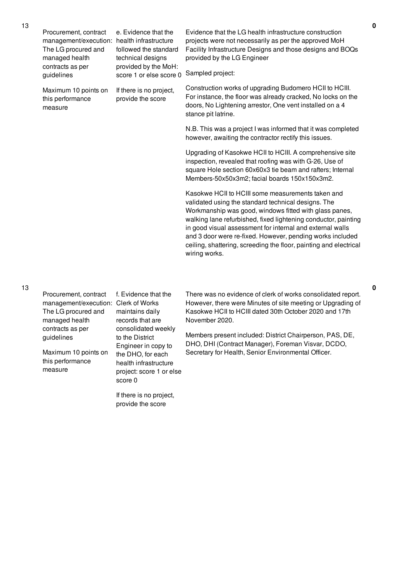| Procurement, contract<br>management/execution:<br>The LG procured and<br>managed health<br>contracts as per | e. Evidence that the<br>health infrastructure<br>followed the standard<br>technical designs<br>provided by the MoH: | Evidence that the LG health infrastructure construction<br>projects were not necessarily as per the approved MoH<br>Facility Infrastructure Designs and those designs and BOQs<br>provided by the LG Engineer                                                                                                                                                                                                                                        |
|-------------------------------------------------------------------------------------------------------------|---------------------------------------------------------------------------------------------------------------------|------------------------------------------------------------------------------------------------------------------------------------------------------------------------------------------------------------------------------------------------------------------------------------------------------------------------------------------------------------------------------------------------------------------------------------------------------|
| guidelines                                                                                                  | score 1 or else score 0                                                                                             | Sampled project:                                                                                                                                                                                                                                                                                                                                                                                                                                     |
| Maximum 10 points on<br>this performance<br>measure                                                         | If there is no project,<br>provide the score                                                                        | Construction works of upgrading Budomero HCII to HCIII.<br>For instance, the floor was already cracked, No locks on the<br>doors, No Lightening arrestor, One vent installed on a 4<br>stance pit latrine.                                                                                                                                                                                                                                           |
|                                                                                                             |                                                                                                                     | N.B. This was a project I was informed that it was completed<br>however, awaiting the contractor rectify this issues.                                                                                                                                                                                                                                                                                                                                |
|                                                                                                             |                                                                                                                     | Upgrading of Kasokwe HCII to HCIII. A comprehensive site<br>inspection, revealed that roofing was with G-26, Use of<br>square Hole section 60x60x3 tie beam and rafters; Internal<br>Members-50x50x3m2; facial boards 150x150x3m2.                                                                                                                                                                                                                   |
|                                                                                                             |                                                                                                                     | Kasokwe HCII to HCIII some measurements taken and<br>validated using the standard technical designs. The<br>Workmanship was good, windows fitted with glass panes,<br>walking lane refurbished, fixed lightening conductor, painting<br>in good visual assessment for internal and external walls<br>and 3 door were re-fixed. However, pending works included<br>ceiling, shattering, screeding the floor, painting and electrical<br>wiring works. |
|                                                                                                             |                                                                                                                     |                                                                                                                                                                                                                                                                                                                                                                                                                                                      |

| Procurement, contract<br>management/execution: Clerk of Works<br>The LG procured and<br>managed health | f. Evidence that the<br>maintains daily<br>records that are                                                                                        | There was no evidence of clerk of works consolidated report.<br>However, there were Minutes of site meeting or Upgrading of<br>Kasokwe HCII to HCIII dated 30th October 2020 and 17th<br>November 2020. |
|--------------------------------------------------------------------------------------------------------|----------------------------------------------------------------------------------------------------------------------------------------------------|---------------------------------------------------------------------------------------------------------------------------------------------------------------------------------------------------------|
| contracts as per<br>guidelines<br>Maximum 10 points on<br>this performance<br>measure                  | consolidated weekly<br>to the District<br>Engineer in copy to<br>the DHO, for each<br>health infrastructure<br>project: score 1 or else<br>score 0 | Members present included: District Chairperson, PAS, DE,<br>DHO, DHI (Contract Manager), Foreman Visvar, DCDO,<br>Secretary for Health, Senior Environmental Officer.                                   |

If there is no project, provide the score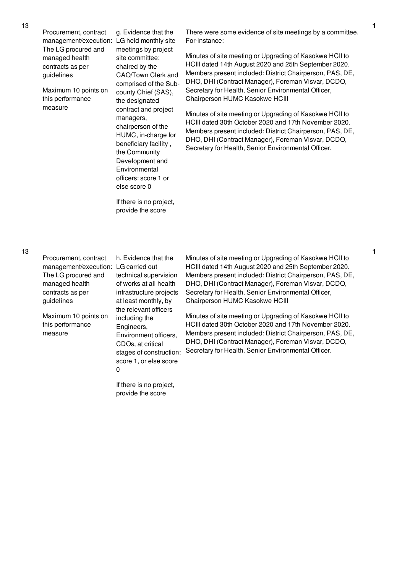Procurement, contract management/execution: LG held monthly site The LG procured and managed health contracts as per guidelines

Maximum 10 points on this performance measure

g. Evidence that the meetings by project site committee: chaired by the CAO/Town Clerk and comprised of the Subcounty Chief (SAS), the designated contract and project managers, chairperson of the HUMC, in-charge for beneficiary facility , the Community Development and Environmental officers: score 1 or else score 0

If there is no project, provide the score

There were some evidence of site meetings by a committee. For-instance:

Minutes of site meeting or Upgrading of Kasokwe HCII to HCIII dated 14th August 2020 and 25th September 2020. Members present included: District Chairperson, PAS, DE, DHO, DHI (Contract Manager), Foreman Visvar, DCDO, Secretary for Health, Senior Environmental Officer, Chairperson HUMC Kasokwe HCIII

Minutes of site meeting or Upgrading of Kasokwe HCII to HCIII dated 30th October 2020 and 17th November 2020. Members present included: District Chairperson, PAS, DE, DHO, DHI (Contract Manager), Foreman Visvar, DCDO, Secretary for Health, Senior Environmental Officer.

| Procurement, contract | h. Eviden   |
|-----------------------|-------------|
| management/execution: | LG carried  |
| The LG procured and   | technical:  |
| managed health        | of works a  |
| contracts as per      | infrastruct |
| guidelines            | at least m  |
|                       | the releva  |
| Maximum 10 points on  | including   |
| this performance      | Engineers   |
| measure               | $E$ muronma |

ce that the t out supervision at all health ture projects onthly, by **nt officers** the  $\mathsf{s}$ . Environment officers, CDOs, at critical stages of construction: score 1, or else score 0

If there is no project, provide the score

Minutes of site meeting or Upgrading of Kasokwe HCII to HCIII dated 14th August 2020 and 25th September 2020. Members present included: District Chairperson, PAS, DE, DHO, DHI (Contract Manager), Foreman Visvar, DCDO, Secretary for Health, Senior Environmental Officer, Chairperson HUMC Kasokwe HCIII

Minutes of site meeting or Upgrading of Kasokwe HCII to HCIII dated 30th October 2020 and 17th November 2020. Members present included: District Chairperson, PAS, DE, DHO, DHI (Contract Manager), Foreman Visvar, DCDO, Secretary for Health, Senior Environmental Officer.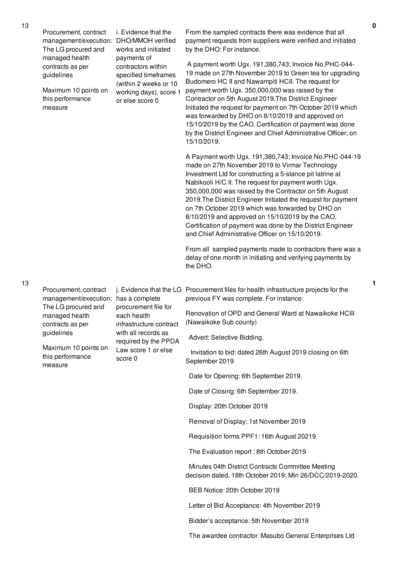| Procurement, contract<br>management/execution:<br>The LG procured and<br>managed health | i. Evidence that the<br>DHO/MMOH verified<br>works and initiated<br>payments of                                  | From the sampled contracts there was evidence that all<br>payment requests from suppliers were verified and initiated<br>by the DHO: For instance.                                                                                                                                                                                                                                                                                                                                                                                                                                   |
|-----------------------------------------------------------------------------------------|------------------------------------------------------------------------------------------------------------------|--------------------------------------------------------------------------------------------------------------------------------------------------------------------------------------------------------------------------------------------------------------------------------------------------------------------------------------------------------------------------------------------------------------------------------------------------------------------------------------------------------------------------------------------------------------------------------------|
| contracts as per<br>guidelines<br>Maximum 10 points on<br>this performance<br>measure   | contractors within<br>specified timeframes<br>(within 2 weeks or 10<br>working days), score 1<br>or else score 0 | A payment worth Ugx. 191,380,743; Invoice No.PHC-044-<br>19 made on 27th November 2019 to Green tea for upgrading<br>Budomero HC II and Nawampiti HCII. The request for<br>payment worth Ugx. 350,000,000 was raised by the<br>Contractor on 5th August 2019. The District Engineer<br>Initiated the request for payment on 7th October 2019 which<br>was forwarded by DHO on 8/10/2019 and approved on<br>15/10/2019 by the CAO. Certification of payment was done<br>by the District Engineer and Chief Administrative Officer, on<br>15/10/2019.                                  |
|                                                                                         |                                                                                                                  | A Payment worth Ugx. 191,380,743; Invoice No.PHC-044-19<br>made on 27th November 2019 to Virmar Technology<br>Investment Ltd for constructing a 5-stance pit latrine at<br>Nabikooli H/C II. The request for payment worth Ugx.<br>350,000,000 was raised by the Contractor on 5th August<br>2019. The District Engineer Initiated the request for payment<br>on 7th October 2019 which was forwarded by DHO on<br>8/10/2019 and approved on 15/10/2019 by the CAO.<br>Certification of payment was done by the District Engineer<br>and Chief Administrative Officer on 15/10/2019. |
|                                                                                         |                                                                                                                  | From all sampled payments made to contractors there was a<br>delay of one month in initiating and verifying payments by<br>the DHO.                                                                                                                                                                                                                                                                                                                                                                                                                                                  |
| Procurement, contract<br>management/execution:                                          | has a complete                                                                                                   | j. Evidence that the LG Procurement files for health infrastructure projects for the<br>previous FY was complete. For instance:                                                                                                                                                                                                                                                                                                                                                                                                                                                      |
| The LG procured and<br>managed health<br>contracts as per                               | procurement file for<br>each health<br>infrastructure contract                                                   | Renovation of OPD and General Ward at Nawaikoke HCIII<br>(Nawaikoke Sub county)                                                                                                                                                                                                                                                                                                                                                                                                                                                                                                      |
| guidelines                                                                              | with all records as<br>required by the PPDA                                                                      | Advert: Selective Bidding.                                                                                                                                                                                                                                                                                                                                                                                                                                                                                                                                                           |
| Maximum 10 points on<br>this performance<br>measure                                     | Law score 1 or else<br>score 0                                                                                   | Invitation to bid: dated 26th August 2019 closing on 6th<br>September 2019                                                                                                                                                                                                                                                                                                                                                                                                                                                                                                           |
|                                                                                         |                                                                                                                  | Date for Opening: 6th September 2019.                                                                                                                                                                                                                                                                                                                                                                                                                                                                                                                                                |
|                                                                                         |                                                                                                                  | Date of Closing: 6th September 2019.                                                                                                                                                                                                                                                                                                                                                                                                                                                                                                                                                 |
|                                                                                         |                                                                                                                  | Display: 20th October 2019                                                                                                                                                                                                                                                                                                                                                                                                                                                                                                                                                           |
|                                                                                         |                                                                                                                  | Removal of Display: 1st November 2019                                                                                                                                                                                                                                                                                                                                                                                                                                                                                                                                                |
|                                                                                         |                                                                                                                  | Requisition forms PPF1: 16th August 20219                                                                                                                                                                                                                                                                                                                                                                                                                                                                                                                                            |
|                                                                                         |                                                                                                                  | The Evaluation report: 8th October 2019                                                                                                                                                                                                                                                                                                                                                                                                                                                                                                                                              |
|                                                                                         |                                                                                                                  | Minutes 04th District Contracts Committee Meeting<br>decision dated, 18th October 2019; Min 26/DCC/2019-2020.                                                                                                                                                                                                                                                                                                                                                                                                                                                                        |
|                                                                                         |                                                                                                                  | BEB Notice: 20th October 2019                                                                                                                                                                                                                                                                                                                                                                                                                                                                                                                                                        |
|                                                                                         |                                                                                                                  | Letter of Bid Acceptance: 4th November 2019                                                                                                                                                                                                                                                                                                                                                                                                                                                                                                                                          |
|                                                                                         |                                                                                                                  | Bidder's acceptance: 5th November 2019                                                                                                                                                                                                                                                                                                                                                                                                                                                                                                                                               |
|                                                                                         |                                                                                                                  | The awardee contractor : Masubo General Enterprises Ltd                                                                                                                                                                                                                                                                                                                                                                                                                                                                                                                              |

13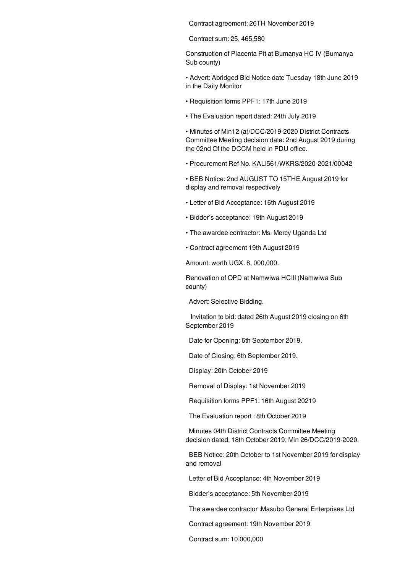Contract agreement: 26TH November 2019

Contract sum: 25, 465,580

Construction of Placenta Pit at Bumanya HC IV (Bumanya Sub county)

• Advert: Abridged Bid Notice date Tuesday 18th June 2019 in the Daily Monitor

- Requisition forms PPF1: 17th June 2019
- The Evaluation report dated: 24th July 2019

• Minutes of Min12 (a)/DCC/2019-2020 District Contracts Committee Meeting decision date: 2nd August 2019 during the 02nd Of the DCCM held in PDU office.

• Procurement Ref No. KALI561/WKRS/2020-2021/00042

• BEB Notice: 2nd AUGUST TO 15THE August 2019 for display and removal respectively

- Letter of Bid Acceptance: 16th August 2019
- Bidder's acceptance: 19th August 2019
- The awardee contractor: Ms. Mercy Uganda Ltd
- Contract agreement 19th August 2019

Amount: worth UGX. 8, 000,000.

Renovation of OPD at Namwiwa HCIII (Namwiwa Sub county)

Advert: Selective Bidding.

Invitation to bid: dated 26th August 2019 closing on 6th September 2019

Date for Opening: 6th September 2019.

Date of Closing: 6th September 2019.

Display: 20th October 2019

Removal of Display: 1st November 2019

Requisition forms PPF1: 16th August 20219

The Evaluation report : 8th October 2019

Minutes 04th District Contracts Committee Meeting decision dated, 18th October 2019; Min 26/DCC/2019-2020.

BEB Notice: 20th October to 1st November 2019 for display and removal

Letter of Bid Acceptance: 4th November 2019

Bidder's acceptance: 5th November 2019

The awardee contractor :Masubo General Enterprises Ltd

Contract agreement: 19th November 2019

Contract sum: 10,000,000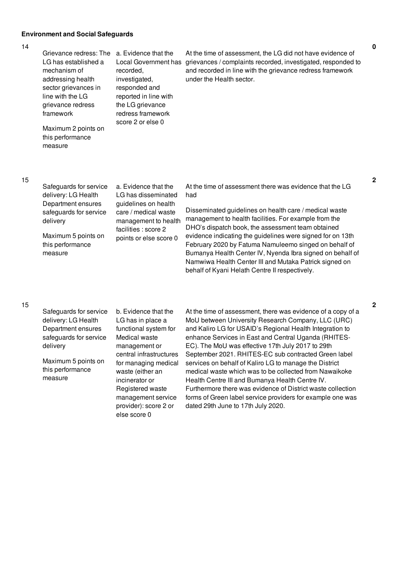## **Environment and Social Safeguards**

#### 14

| Grievance redress: The<br>LG has established a<br>mechanism of<br>addressing health<br>sector grievances in<br>line with the LG<br>grievance redress<br>framework<br>Maximum 2 points on<br>this performance<br>measure | a. Evidence that the<br>recorded.<br>investigated,<br>responded and<br>reported in line with<br>the LG grievance<br>redress framework<br>score 2 or else 0            | At the time of assessment, the LG did not have evidence of<br>Local Government has grievances / complaints recorded, investigated, responded to<br>and recorded in line with the grievance redress framework<br>under the Health sector.                                                                                                                                                                                                                                                                                                |
|-------------------------------------------------------------------------------------------------------------------------------------------------------------------------------------------------------------------------|-----------------------------------------------------------------------------------------------------------------------------------------------------------------------|-----------------------------------------------------------------------------------------------------------------------------------------------------------------------------------------------------------------------------------------------------------------------------------------------------------------------------------------------------------------------------------------------------------------------------------------------------------------------------------------------------------------------------------------|
| Safeguards for service<br>delivery: LG Health<br>Department ensures<br>safeguards for service<br>delivery<br>Maximum 5 points on<br>this performance<br>measure                                                         | a. Evidence that the<br>LG has disseminated<br>guidelines on health<br>care / medical waste<br>management to health<br>facilities : score 2<br>points or else score 0 | At the time of assessment there was evidence that the LG<br>had<br>Disseminated guidelines on health care / medical waste<br>management to health facilities. For example from the<br>DHO's dispatch book, the assessment team obtained<br>evidence indicating the guidelines were signed for on 13th<br>February 2020 by Fatuma Namuleemo singed on behalf of<br>Bumanya Health Center IV, Nyenda Ibra signed on behalf of<br>Namwiwa Health Center III and Mutaka Patrick signed on<br>behalf of Kyani Helath Centre II respectively. |
| Safeguards for service<br>delivery: LG Health                                                                                                                                                                           | b. Evidence that the<br>LG has in place a                                                                                                                             | At the time of assessment, there was evidence of a copy of a<br>MoU between University Research Company, LLC (URC)                                                                                                                                                                                                                                                                                                                                                                                                                      |

15

15

Department ensures safeguards for service delivery

Maximum 5 points on this performance measure

functional system for Medical waste management or central infrastructures for managing medical waste (either an incinerator or Registered waste management service provider): score 2 or else score 0

and Kaliro LG for USAID's Regional Health Integration to enhance Services in East and Central Uganda (RHITES-EC). The MoU was effective 17th July 2017 to 29th September 2021. RHITES-EC sub contracted Green label services on behalf of Kaliro LG to manage the District medical waste which was to be collected from Nawaikoke Health Centre III and Bumanya Health Centre IV. Furthermore there was evidence of District waste collection forms of Green label service providers for example one was dated 29th June to 17th July 2020.

**2**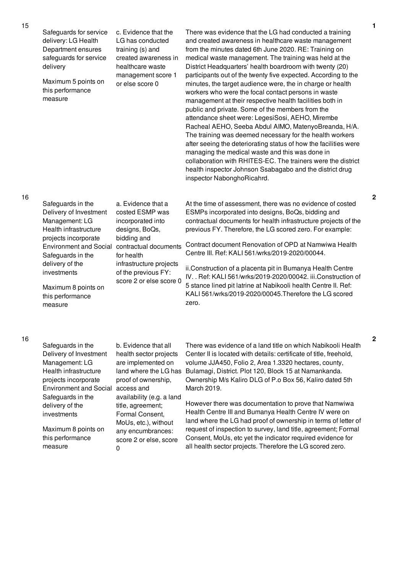|    | Safeguards for service<br>delivery: LG Health<br>Department ensures<br>safeguards for service<br>delivery<br>Maximum 5 points on<br>this performance<br>measure                                                                                              | c. Evidence that the<br>LG has conducted<br>training (s) and<br>created awareness in<br>healthcare waste<br>management score 1<br>or else score 0                                                                                                                                   | There was evidence that the LG had conducted a training<br>and created awareness in healthcare waste management<br>from the minutes dated 6th June 2020. RE: Training on<br>medical waste management. The training was held at the<br>District Headquarters' health boardroom with twenty (20)<br>participants out of the twenty five expected. According to the<br>minutes, the target audience were, the in charge or health<br>workers who were the focal contact persons in waste<br>management at their respective health facilities both in<br>public and private. Some of the members from the<br>attendance sheet were: LegesiSosi, AEHO, Mirembe<br>Racheal AEHO, Seeba Abdul AIMO, MatenyoBreanda, H/A.<br>The training was deemed necessary for the health workers<br>after seeing the deteriorating status of how the facilities were<br>managing the medical waste and this was done in<br>collaboration with RHITES-EC. The trainers were the district<br>health inspector Johnson Ssabagabo and the district drug<br>inspector NabonghoRicahrd. |
|----|--------------------------------------------------------------------------------------------------------------------------------------------------------------------------------------------------------------------------------------------------------------|-------------------------------------------------------------------------------------------------------------------------------------------------------------------------------------------------------------------------------------------------------------------------------------|----------------------------------------------------------------------------------------------------------------------------------------------------------------------------------------------------------------------------------------------------------------------------------------------------------------------------------------------------------------------------------------------------------------------------------------------------------------------------------------------------------------------------------------------------------------------------------------------------------------------------------------------------------------------------------------------------------------------------------------------------------------------------------------------------------------------------------------------------------------------------------------------------------------------------------------------------------------------------------------------------------------------------------------------------------------|
| 16 | Safeguards in the<br>Delivery of Investment<br>Management: LG<br>Health infrastructure<br>projects incorporate<br><b>Environment and Social</b><br>Safeguards in the<br>delivery of the<br>investments<br>Maximum 8 points on<br>this performance<br>measure | a. Evidence that a<br>costed ESMP was<br>incorporated into<br>designs, BoQs,<br>bidding and<br>contractual documents<br>for health<br>infrastructure projects<br>of the previous FY:<br>score 2 or else score 0                                                                     | At the time of assessment, there was no evidence of costed<br>ESMPs incorporated into designs, BoQs, bidding and<br>contractual documents for health infrastructure projects of the<br>previous FY. Therefore, the LG scored zero. For example:<br>Contract document Renovation of OPD at Namwiwa Health<br>Centre III. Ref: KALI 561/wrks/2019-2020/00044.<br>ii.Construction of a placenta pit in Bumanya Health Centre<br>IV. . Ref: KALI 561/wrks/2019-2020/00042. iii.Construction of<br>5 stance lined pit latrine at Nabikooli health Centre II. Ref:<br>KALI 561/wrks/2019-2020/00045. Therefore the LG scored<br>zero.                                                                                                                                                                                                                                                                                                                                                                                                                                |
| 16 | Safeguards in the<br>Delivery of Investment<br>Management: LG<br>Health infrastructure<br>projects incorporate<br><b>Environment and Social</b><br>Safeguards in the<br>delivery of the<br>investments<br>Maximum 8 points on<br>this performance<br>measure | b. Evidence that all<br>health sector projects<br>are implemented on<br>land where the LG has<br>proof of ownership,<br>access and<br>availability (e.g. a land<br>title, agreement;<br>Formal Consent,<br>MoUs, etc.), without<br>any encumbrances:<br>score 2 or else, score<br>0 | There was evidence of a land title on which Nabikooli Health<br>Center II is located with details: certificate of title, freehold,<br>volume JJA450, Folio 2, Area 1.3320 hectares, county,<br>Bulamagi, District. Plot 120, Block 15 at Namankanda.<br>Ownership M/s Kaliro DLG of P.o Box 56, Kaliro dated 5th<br>March 2019.<br>However there was documentation to prove that Namwiwa<br>Health Centre III and Bumanya Health Centre IV were on<br>land where the LG had proof of ownership in terms of letter of<br>request of inspection to survey, land title, agreement; Formal<br>Consent, MoUs, etc yet the indicator required evidence for<br>all health sector projects. Therefore the LG scored zero.                                                                                                                                                                                                                                                                                                                                              |

15

**2**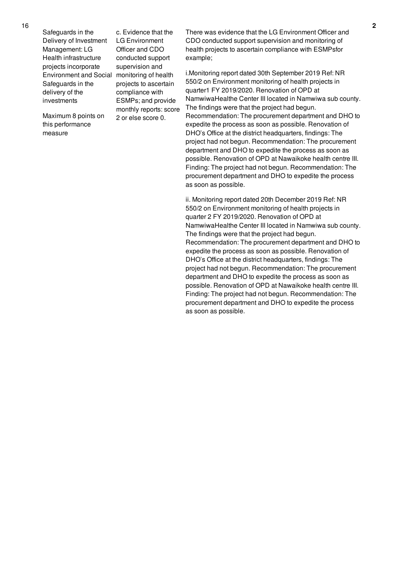| Safeguards in the             |
|-------------------------------|
| Delivery of Investment        |
| Management: LG                |
| Health infrastructure         |
| projects incorporate          |
| <b>Environment and Social</b> |
| Safeguards in the             |
| delivery of the               |
| investments                   |
|                               |

Maximum 8 points on this performance measure

c. Evidence that the LG Environment Officer and CDO conducted support supervision and monitoring of health projects to ascertain compliance with ESMPs; and provide monthly reports: score 2 or else score 0.

There was evidence that the LG Environment Officer and CDO conducted support supervision and monitoring of health projects to ascertain compliance with ESMPsfor example;

i.Monitoring report dated 30th September 2019 Ref: NR 550/2 on Environment monitoring of health projects in quarter1 FY 2019/2020. Renovation of OPD at NamwiwaHealthe Center III located in Namwiwa sub county. The findings were that the project had begun. Recommendation: The procurement department and DHO to expedite the process as soon as possible. Renovation of DHO's Office at the district headquarters, findings: The project had not begun. Recommendation: The procurement department and DHO to expedite the process as soon as possible. Renovation of OPD at Nawaikoke health centre III. Finding: The project had not begun. Recommendation: The procurement department and DHO to expedite the process as soon as possible.

ii. Monitoring report dated 20th December 2019 Ref: NR 550/2 on Environment monitoring of health projects in quarter 2 FY 2019/2020. Renovation of OPD at NamwiwaHealthe Center III located in Namwiwa sub county. The findings were that the project had begun. Recommendation: The procurement department and DHO to expedite the process as soon as possible. Renovation of DHO's Office at the district headquarters, findings: The project had not begun. Recommendation: The procurement department and DHO to expedite the process as soon as possible. Renovation of OPD at Nawaikoke health centre III. Finding: The project had not begun. Recommendation: The procurement department and DHO to expedite the process as soon as possible.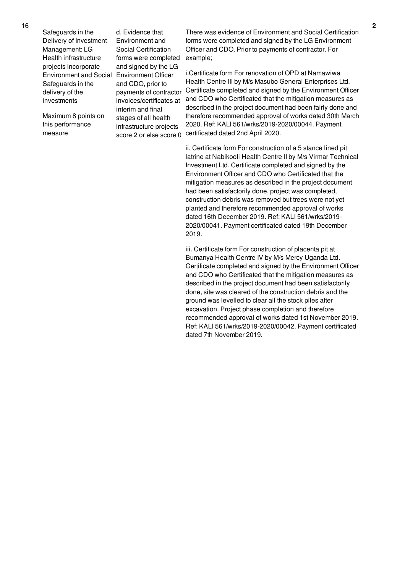Safeguards in the Delivery of Investment Management: LG Health infrastructure projects incorporate Environment and Social Environment Officer Safeguards in the delivery of the investments

Maximum 8 points on this performance measure

d. Evidence that Environment and Social Certification forms were completed and signed by the LG and CDO, prior to payments of contractor invoices/certificates at interim and final stages of all health infrastructure projects score 2 or else score 0

There was evidence of Environment and Social Certification forms were completed and signed by the LG Environment Officer and CDO. Prior to payments of contractor. For example;

i.Certificate form For renovation of OPD at Namawiwa Health Centre III by M/s Masubo General Enterprises Ltd. Certificate completed and signed by the Environment Officer and CDO who Certificated that the mitigation measures as described in the project document had been fairly done and therefore recommended approval of works dated 30th March 2020. Ref: KALI 561/wrks/2019-2020/00044. Payment certificated dated 2nd April 2020.

ii. Certificate form For construction of a 5 stance lined pit latrine at Nabikooli Health Centre II by M/s Virmar Technical Investment Ltd. Certificate completed and signed by the Environment Officer and CDO who Certificated that the mitigation measures as described in the project document had been satisfactorily done, project was completed, construction debris was removed but trees were not yet planted and therefore recommended approval of works dated 16th December 2019. Ref: KALI 561/wrks/2019- 2020/00041. Payment certificated dated 19th December 2019.

iii. Certificate form For construction of placenta pit at Bumanya Health Centre IV by M/s Mercy Uganda Ltd. Certificate completed and signed by the Environment Officer and CDO who Certificated that the mitigation measures as described in the project document had been satisfactorily done, site was cleared of the construction debris and the ground was levelled to clear all the stock piles after excavation. Project phase completion and therefore recommended approval of works dated 1st November 2019. Ref: KALI 561/wrks/2019-2020/00042. Payment certificated dated 7th November 2019.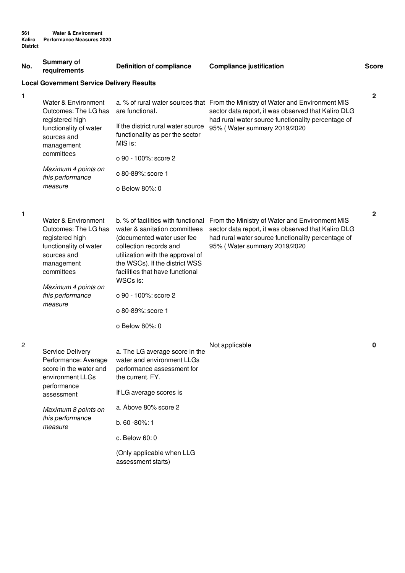| No.                                                                                                                                      | <b>Summary of</b><br>requirements                                                                                                                                                         | <b>Definition of compliance</b>                                                                                                                                                                                                                                                               | <b>Compliance justification</b>                                                                                                                                                             | <b>Score</b> |  |  |
|------------------------------------------------------------------------------------------------------------------------------------------|-------------------------------------------------------------------------------------------------------------------------------------------------------------------------------------------|-----------------------------------------------------------------------------------------------------------------------------------------------------------------------------------------------------------------------------------------------------------------------------------------------|---------------------------------------------------------------------------------------------------------------------------------------------------------------------------------------------|--------------|--|--|
|                                                                                                                                          | <b>Local Government Service Delivery Results</b>                                                                                                                                          |                                                                                                                                                                                                                                                                                               |                                                                                                                                                                                             |              |  |  |
| 1<br>Water & Environment<br>Outcomes: The LG has<br>registered high<br>functionality of water<br>sources and<br>management<br>committees | are functional.<br>If the district rural water source<br>functionality as per the sector<br>MIS is:<br>o 90 - 100%: score 2                                                               | a. % of rural water sources that From the Ministry of Water and Environment MIS<br>sector data report, it was observed that Kaliro DLG<br>had rural water source functionality percentage of<br>95% (Water summary 2019/2020                                                                  | $\mathbf{2}$                                                                                                                                                                                |              |  |  |
|                                                                                                                                          | Maximum 4 points on<br>this performance<br>measure                                                                                                                                        | o 80-89%: score 1                                                                                                                                                                                                                                                                             |                                                                                                                                                                                             |              |  |  |
|                                                                                                                                          |                                                                                                                                                                                           | o Below 80%: 0                                                                                                                                                                                                                                                                                |                                                                                                                                                                                             |              |  |  |
|                                                                                                                                          |                                                                                                                                                                                           |                                                                                                                                                                                                                                                                                               |                                                                                                                                                                                             |              |  |  |
| $\mathbf{1}$                                                                                                                             | Water & Environment<br>Outcomes: The LG has<br>registered high<br>functionality of water<br>sources and<br>management<br>committees<br>Maximum 4 points on<br>this performance<br>measure | b. % of facilities with functional<br>water & sanitation committees<br>(documented water user fee<br>collection records and<br>utilization with the approval of<br>the WSCs). If the district WSS<br>facilities that have functional<br>WSCs is:<br>o 90 - 100%: score 2<br>o 80-89%: score 1 | From the Ministry of Water and Environment MIS<br>sector data report, it was observed that Kaliro DLG<br>had rural water source functionality percentage of<br>95% (Water summary 2019/2020 | $\mathbf 2$  |  |  |
|                                                                                                                                          |                                                                                                                                                                                           | o Below 80%: 0                                                                                                                                                                                                                                                                                |                                                                                                                                                                                             |              |  |  |
| $\overline{c}$                                                                                                                           | <b>Service Delivery</b><br>score in the water and<br>environment LLGs<br>performance<br>assessment                                                                                        | a. The LG average score in the<br>Performance: Average water and environment LLGs<br>performance assessment for<br>the current. FY.                                                                                                                                                           | Not applicable                                                                                                                                                                              | 0            |  |  |
|                                                                                                                                          |                                                                                                                                                                                           | If LG average scores is                                                                                                                                                                                                                                                                       |                                                                                                                                                                                             |              |  |  |
|                                                                                                                                          | Maximum 8 points on<br>this performance<br>measure                                                                                                                                        | a. Above 80% score 2                                                                                                                                                                                                                                                                          |                                                                                                                                                                                             |              |  |  |
|                                                                                                                                          |                                                                                                                                                                                           | b. 60 - 80%: 1                                                                                                                                                                                                                                                                                |                                                                                                                                                                                             |              |  |  |
|                                                                                                                                          |                                                                                                                                                                                           | c. Below 60: 0                                                                                                                                                                                                                                                                                |                                                                                                                                                                                             |              |  |  |
|                                                                                                                                          |                                                                                                                                                                                           | (Only applicable when LLG<br>assessment starts)                                                                                                                                                                                                                                               |                                                                                                                                                                                             |              |  |  |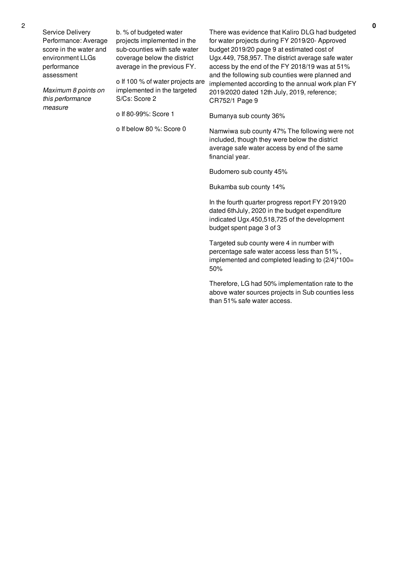Service Delivery Performance: Average score in the water and environment LLGs performance assessment

*Maximum 8 points on this performance measure*

b. % of budgeted water projects implemented in the sub-counties with safe water coverage below the district average in the previous FY.

o If 100 % of water projects are implemented in the targeted S/Cs: Score 2

o If 80-99%: Score 1

o If below 80 %: Score 0

There was evidence that Kaliro DLG had budgeted for water projects during FY 2019/20- Approved budget 2019/20 page 9 at estimated cost of Ugx.449, 758,957. The district average safe water access by the end of the FY 2018/19 was at 51% and the following sub counties were planned and implemented according to the annual work plan FY 2019/2020 dated 12th July, 2019, reference; CR752/1 Page 9

Bumanya sub county 36%

Namwiwa sub county 47% The following were not included, though they were below the district average safe water access by end of the same financial year.

Budomero sub county 45%

Bukamba sub county 14%

In the fourth quarter progress report FY 2019/20 dated 6thJuly, 2020 in the budget expenditure indicated Ugx.450,518,725 of the development budget spent page 3 of 3

Targeted sub county were 4 in number with percentage safe water access less than 51% , implemented and completed leading to (2/4)\*100= 50%

Therefore, LG had 50% implementation rate to the above water sources projects in Sub counties less than 51% safe water access.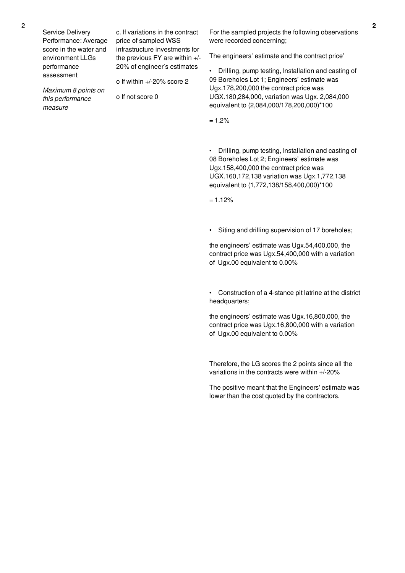Service Delivery Performance: Average score in the water and environment LLGs performance assessment

*Maximum 8 points on this performance*

*measure*

c. If variations in the contract price of sampled WSS infrastructure investments for the previous FY are within +/- 20% of engineer's estimates

o If within +/-20% score 2

o If not score 0

For the sampled projects the following observations were recorded concerning;

The engineers' estimate and the contract price'

• Drilling, pump testing, Installation and casting of 09 Boreholes Lot 1; Engineers' estimate was Ugx.178,200,000 the contract price was UGX.180,284,000, variation was Ugx. 2,084,000 equivalent to (2,084,000/178,200,000)\*100

 $= 1.2%$ 

• Drilling, pump testing, Installation and casting of 08 Boreholes Lot 2; Engineers' estimate was Ugx.158,400,000 the contract price was UGX.160,172,138 variation was Ugx.1,772,138 equivalent to (1,772,138/158,400,000)\*100

 $= 1.12%$ 

Siting and drilling supervision of 17 boreholes;

the engineers' estimate was Ugx.54,400,000, the contract price was Ugx.54,400,000 with a variation of Ugx.00 equivalent to 0.00%

• Construction of a 4-stance pit latrine at the district headquarters;

the engineers' estimate was Ugx.16,800,000, the contract price was Ugx.16,800,000 with a variation of Ugx.00 equivalent to 0.00%

Therefore, the LG scores the 2 points since all the variations in the contracts were within +/-20%

The positive meant that the Engineers' estimate was lower than the cost quoted by the contractors.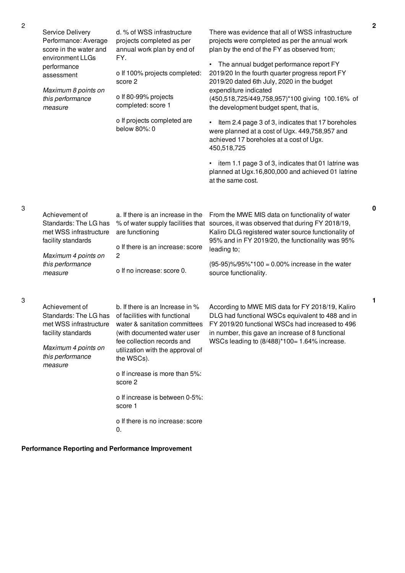| Service Delivery<br>Performance: Average<br>score in the water and<br>environment LLGs<br>performance<br>assessment<br>Maximum 8 points on<br>this performance | d. % of WSS infrastructure<br>projects completed as per<br>annual work plan by end of<br>FY.<br>o If 100% projects completed:<br>score 2<br>o If 80-99% projects                                                                                                                                                                               | There was evidence that all of WSS infrastructure<br>projects were completed as per the annual work<br>plan by the end of the FY as observed from;<br>• The annual budget performance report FY<br>2019/20 In the fourth quarter progress report FY<br>2019/20 dated 6th July, 2020 in the budget<br>expenditure indicated<br>(450,518,725/449,758,957)*100 giving 100.16% of |
|----------------------------------------------------------------------------------------------------------------------------------------------------------------|------------------------------------------------------------------------------------------------------------------------------------------------------------------------------------------------------------------------------------------------------------------------------------------------------------------------------------------------|-------------------------------------------------------------------------------------------------------------------------------------------------------------------------------------------------------------------------------------------------------------------------------------------------------------------------------------------------------------------------------|
| measure                                                                                                                                                        | completed: score 1<br>o If projects completed are<br>below 80%: 0                                                                                                                                                                                                                                                                              | the development budget spent, that is,<br>Item 2.4 page 3 of 3, indicates that 17 boreholes<br>were planned at a cost of Ugx. 449,758,957 and<br>achieved 17 boreholes at a cost of Ugx.<br>450,518,725<br>item 1.1 page 3 of 3, indicates that 01 latrine was<br>planned at Ugx.16,800,000 and achieved 01 latrine<br>at the same cost.                                      |
| Achievement of<br>Standards: The LG has<br>met WSS infrastructure<br>facility standards<br>Maximum 4 points on<br>this performance<br>measure                  | a. If there is an increase in the<br>are functioning<br>o If there is an increase: score<br>$\overline{c}$<br>o If no increase: score 0.                                                                                                                                                                                                       | From the MWE MIS data on functionality of water<br>% of water supply facilities that sources, it was observed that during FY 2018/19,<br>Kaliro DLG registered water source functionality of<br>95% and in FY 2019/20, the functionality was 95%<br>leading to;<br>$(95-95)\% / 95\% * 100 = 0.00\%$ increase in the water<br>source functionality.                           |
| Achievement of<br>Standards: The LG has<br>met WSS infrastructure<br>facility standards<br>Maximum 4 points on<br>this performance<br>measure                  | b. If there is an Increase in %<br>of facilities with functional<br>water & sanitation committees<br>(with documented water user<br>fee collection records and<br>utilization with the approval of<br>the WSCs).<br>o If increase is more than 5%:<br>score 2<br>o If increase is between 0-5%:<br>score 1<br>o If there is no increase: score | According to MWE MIS data for FY 2018/19, Kaliro<br>DLG had functional WSCs equivalent to 488 and in<br>FY 2019/20 functional WSCs had increased to 496<br>in number, this gave an increase of 8 functional<br>WSCs leading to (8/488)*100= 1.64% increase.                                                                                                                   |

0.

**Performance Reporting and Performance Improvement**

3

3

- **1**
- 
-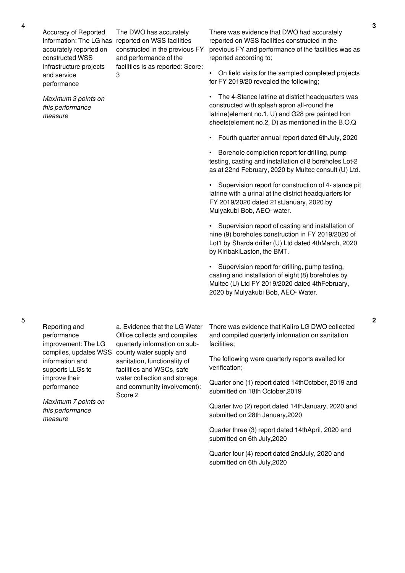Accuracy of Reported accurately reported on constructed WSS infrastructure projects and service performance

*Maximum 3 points on this performance measure*

Information: The LG has reported on WSS facilities The DWO has accurately constructed in the previous FY and performance of the facilities is as reported: Score: 3

There was evidence that DWO had accurately reported on WSS facilities constructed in the previous FY and performance of the facilities was as reported according to;

• On field visits for the sampled completed projects for FY 2019/20 revealed the following;

• The 4-Stance latrine at district headquarters was constructed with splash apron all-round the latrine(element no.1, U) and G28 pre painted Iron sheets(element no.2, D) as mentioned in the B.O.Q

• Fourth quarter annual report dated 6thJuly, 2020

• Borehole completion report for drilling, pump testing, casting and installation of 8 boreholes Lot-2 as at 22nd February, 2020 by Multec consult (U) Ltd.

• Supervision report for construction of 4- stance pit latrine with a urinal at the district headquarters for FY 2019/2020 dated 21stJanuary, 2020 by Mulyakubi Bob, AEO- water.

• Supervision report of casting and installation of nine (9) boreholes construction in FY 2019/2020 of Lot1 by Sharda driller (U) Ltd dated 4thMarch, 2020 by KiribakiLaston, the BMT.

Supervision report for drilling, pump testing, casting and installation of eight (8) boreholes by Multec (U) Ltd FY 2019/2020 dated 4thFebruary, 2020 by Mulyakubi Bob, AEO- Water.

There was evidence that Kaliro LG DWO collected and compiled quarterly information on sanitation facilities;

The following were quarterly reports availed for verification;

Quarter one (1) report dated 14thOctober, 2019 and submitted on 18th October,2019

Quarter two (2) report dated 14thJanuary, 2020 and submitted on 28th January,2020

Quarter three (3) report dated 14thApril, 2020 and submitted on 6th July,2020

Quarter four (4) report dated 2ndJuly, 2020 and submitted on 6th July,2020

Reporting and performance improvement: The LG information and supports LLGs to improve their performance

*Maximum 7 points on this performance measure*

compiles, updates WSS county water supply and a. Evidence that the LG Water Office collects and compiles quarterly information on subsanitation, functionality of facilities and WSCs, safe water collection and storage and community involvement):

Score 2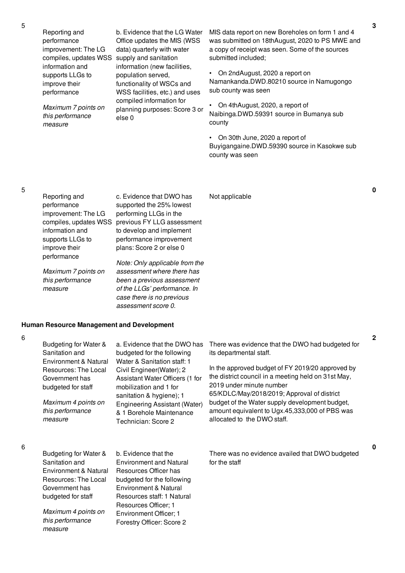Reporting and performance improvement: The LG compiles, updates WSS supply and sanitation information and supports LLGs to improve their performance

*Maximum 7 points on this performance measure*

b. Evidence that the LG Water Office updates the MIS (WSS data) quarterly with water information (new facilities, population served, functionality of WSCs and WSS facilities, etc.) and uses compiled information for planning purposes: Score 3 or else 0

MIS data report on new Boreholes on form 1 and 4 was submitted on 18thAugust, 2020 to PS MWE and a copy of receipt was seen. Some of the sources submitted included;

• On 2ndAugust, 2020 a report on Namankanda.DWD.80210 source in Namugongo sub county was seen

• On 4thAugust, 2020, a report of Naibinga.DWD.59391 source in Bumanya sub county

• On 30th June, 2020 a report of Buyigangaine.DWD.59390 source in Kasokwe sub county was seen

# 5

| Reporting and         | c. Evidence that DWO has       | Not applicable |
|-----------------------|--------------------------------|----------------|
| performance           | supported the 25% lowest       |                |
| improvement: The LG   | performing LLGs in the         |                |
| compiles, updates WSS | previous FY LLG assessment     |                |
| information and       | to develop and implement       |                |
| supports LLGs to      | performance improvement        |                |
| improve their         | plans: Score 2 or else 0       |                |
| performance           |                                |                |
|                       | Note: Only applicable from the |                |
| Maximum 7 points on   | assessment where there has     |                |
| this performance      | been a previous assessment     |                |

*been a previous assessment of the LLGs' performance. In case there is no previous assessment score 0.*

Forestry Officer: Score 2

# **Human Resource Management and Development**

6

6

*measure*

*this performance*

*measure*

| Budgeting for Water &<br>Sanitation and                                               | a. Evidence that the DWO has<br>budgeted for the following                                                                                       | There was evidence that the DWO had budgeted for<br>its departmental staff.                                                                                                        |
|---------------------------------------------------------------------------------------|--------------------------------------------------------------------------------------------------------------------------------------------------|------------------------------------------------------------------------------------------------------------------------------------------------------------------------------------|
| Environment & Natural<br>Resources: The Local<br>Government has<br>budgeted for staff | Water & Sanitation staff: 1<br>Civil Engineer(Water); 2<br>Assistant Water Officers (1 for<br>mobilization and 1 for<br>sanitation & hygiene); 1 | In the approved budget of FY 2019/20 approved by<br>the district council in a meeting held on 31st May,<br>2019 under minute number<br>65/KDLC/May/2018/2019; Approval of district |
| Maximum 4 points on<br>this performance<br>measure                                    | Engineering Assistant (Water)<br>& 1 Borehole Maintenance<br>Technician: Score 2                                                                 | budget of the Water supply development budget,<br>amount equivalent to Ugx.45,333,000 of PBS was<br>allocated to the DWO staff.                                                    |
| Budgeting for Water &                                                                 | b. Evidence that the                                                                                                                             | There was no evidence availed that DWO budgeted                                                                                                                                    |
| Sanitation and                                                                        | <b>Environment and Natural</b>                                                                                                                   | for the staff                                                                                                                                                                      |
| Environment & Natural                                                                 | Resources Officer has                                                                                                                            |                                                                                                                                                                                    |
| Resources: The Local                                                                  | budgeted for the following                                                                                                                       |                                                                                                                                                                                    |
| Government has                                                                        | Environment & Natural                                                                                                                            |                                                                                                                                                                                    |
| budgeted for staff                                                                    | Resources staff: 1 Natural                                                                                                                       |                                                                                                                                                                                    |
| Maximum 4 points on                                                                   | Resources Officer; 1<br>Environment Officer: 1                                                                                                   |                                                                                                                                                                                    |

**3**

**0**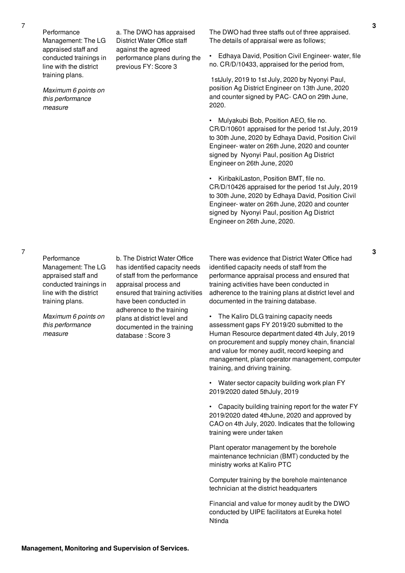Performance Management: The LG appraised staff and conducted trainings in line with the district training plans.

*Maximum 6 points on this performance measure*

a. The DWO has appraised District Water Office staff against the agreed performance plans during the previous FY: Score 3

The DWO had three staffs out of three appraised. The details of appraisal were as follows;

• Edhaya David, Position Civil Engineer- water, file no. CR/D/10433, appraised for the period from,

1stJuly, 2019 to 1st July, 2020 by Nyonyi Paul, position Ag District Engineer on 13th June, 2020 and counter signed by PAC- CAO on 29th June, 2020.

• Mulyakubi Bob, Position AEO, file no. CR/D/10601 appraised for the period 1st July, 2019 to 30th June, 2020 by Edhaya David, Position Civil Engineer- water on 26th June, 2020 and counter signed by Nyonyi Paul, position Ag District Engineer on 26th June, 2020

• KiribakiLaston, Position BMT, file no. CR/D/10426 appraised for the period 1st July, 2019 to 30th June, 2020 by Edhaya David, Position Civil Engineer- water on 26th June, 2020 and counter signed by Nyonyi Paul, position Ag District Engineer on 26th June, 2020.

7

**Performance** Management: The LG appraised staff and conducted trainings in line with the district training plans.

*Maximum 6 points on this performance measure*

b. The District Water Office has identified capacity needs of staff from the performance appraisal process and ensured that training activities have been conducted in adherence to the training plans at district level and documented in the training database : Score 3

There was evidence that District Water Office had identified capacity needs of staff from the performance appraisal process and ensured that training activities have been conducted in adherence to the training plans at district level and documented in the training database.

• The Kaliro DLG training capacity needs assessment gaps FY 2019/20 submitted to the Human Resource department dated 4th July, 2019 on procurement and supply money chain, financial and value for money audit, record keeping and management, plant operator management, computer training, and driving training.

• Water sector capacity building work plan FY 2019/2020 dated 5thJuly, 2019

• Capacity building training report for the water FY 2019/2020 dated 4thJune, 2020 and approved by CAO on 4th July, 2020. Indicates that the following training were under taken

Plant operator management by the borehole maintenance technician (BMT) conducted by the ministry works at Kaliro PTC

Computer training by the borehole maintenance technician at the district headquarters

Financial and value for money audit by the DWO conducted by UIPE facilitators at Eureka hotel Ntinda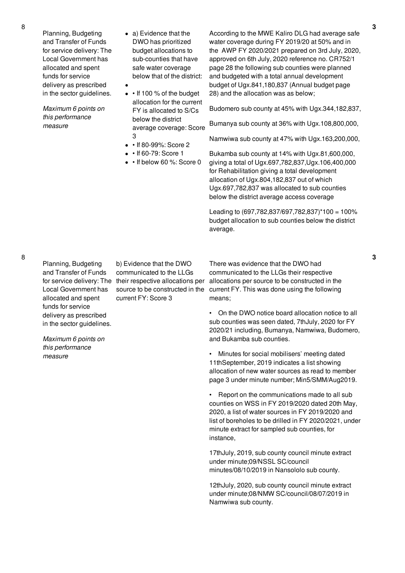Planning, Budgeting and Transfer of Funds for service delivery: The Local Government has allocated and spent funds for service delivery as prescribed in the sector guidelines.

*Maximum 6 points on this performance measure*

- a) Evidence that the DWO has prioritized budget allocations to sub-counties that have safe water coverage below that of the district:
- $\bullet$   $\cdot$  If 100 % of the budget allocation for the current FY is allocated to S/Cs below the district average coverage: Score 3

 $\bullet$ 

- • If 80-99%: Score 2
- $\cdot$  If 60-79: Score 1

b) Evidence that the DWO communicated to the LLGs

current FY: Score 3

• If below 60 %: Score 0

According to the MWE Kaliro DLG had average safe water coverage during FY 2019/20 at 50% and in the AWP FY 2020/2021 prepared on 3rd July, 2020, approved on 6th July, 2020 reference no. CR752/1 page 28 the following sub counties were planned and budgeted with a total annual development budget of Ugx.841,180,837 (Annual budget page 28) and the allocation was as below;

Budomero sub county at 45% with Ugx.344,182,837,

Bumanya sub county at 36% with Ugx.108,800,000,

Namwiwa sub county at 47% with Ugx.163,200,000,

Bukamba sub county at 14% with Ugx.81,600,000, giving a total of Ugx.697,782,837,Ugx.106,400,000 for Rehabilitation giving a total development allocation of Ugx.804,182,837 out of which Ugx.697,782,837 was allocated to sub counties below the district average access coverage

Leading to (697,782,837/697,782,837)\*100 = 100% budget allocation to sub counties below the district average.

8

Planning, Budgeting and Transfer of Funds for service delivery: The their respective allocations per Local Government has allocated and spent funds for service delivery as prescribed in the sector guidelines.

*Maximum 6 points on this performance measure*

source to be constructed in the There was evidence that the DWO had communicated to the LLGs their respective allocations per source to be constructed in the current FY. This was done using the following means;

> • On the DWO notice board allocation notice to all sub counties was seen dated, 7thJuly, 2020 for FY 2020/21 including, Bumanya, Namwiwa, Budomero, and Bukamba sub counties.

• Minutes for social mobilisers' meeting dated 11thSeptember, 2019 indicates a list showing allocation of new water sources as read to member page 3 under minute number; Min5/SMM/Aug2019.

• Report on the communications made to all sub counties on WSS in FY 2019/2020 dated 20th May, 2020, a list of water sources in FY 2019/2020 and list of boreholes to be drilled in FY 2020/2021, under minute extract for sampled sub counties, for instance,

17thJuly, 2019, sub county council minute extract under minute;09/NSSL SC/council minutes/08/10/2019 in Nansololo sub county.

12thJuly, 2020, sub county council minute extract under minute;08/NMW SC/council/08/07/2019 in Namwiwa sub county.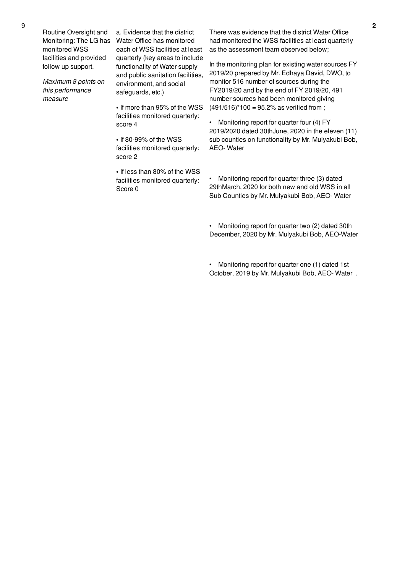Routine Oversight and Monitoring: The LG has monitored WSS facilities and provided follow up support.

*Maximum 8 points on this performance measure*

a. Evidence that the district Water Office has monitored each of WSS facilities at least quarterly (key areas to include functionality of Water supply and public sanitation facilities, environment, and social safeguards, etc.)

**•** If more than 95% of the WSS facilities monitored quarterly: score 4

**•** If 80-99% of the WSS facilities monitored quarterly: score 2

**•** If less than 80% of the WSS facilities monitored quarterly: Score 0

There was evidence that the district Water Office had monitored the WSS facilities at least quarterly as the assessment team observed below;

In the monitoring plan for existing water sources FY 2019/20 prepared by Mr. Edhaya David, DWO, to monitor 516 number of sources during the FY2019/20 and by the end of FY 2019/20, 491 number sources had been monitored giving  $(491/516)$ <sup>\*</sup>100 = 95.2% as verified from ;

Monitoring report for quarter four (4) FY 2019/2020 dated 30thJune, 2020 in the eleven (11) sub counties on functionality by Mr. Mulyakubi Bob, AEO- Water

• Monitoring report for quarter three (3) dated 29thMarch, 2020 for both new and old WSS in all Sub Counties by Mr. Mulyakubi Bob, AEO- Water

• Monitoring report for quarter two (2) dated 30th December, 2020 by Mr. Mulyakubi Bob, AEO-Water

Monitoring report for quarter one (1) dated 1st October, 2019 by Mr. Mulyakubi Bob, AEO- Water .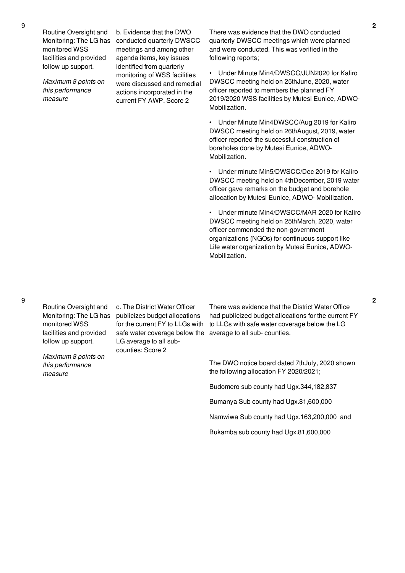Routine Oversight and Monitoring: The LG has monitored WSS facilities and provided follow up support.

*Maximum 8 points on this performance measure*

b. Evidence that the DWO conducted quarterly DWSCC meetings and among other agenda items, key issues identified from quarterly monitoring of WSS facilities were discussed and remedial actions incorporated in the current FY AWP. Score 2

There was evidence that the DWO conducted quarterly DWSCC meetings which were planned and were conducted. This was verified in the following reports;

• Under Minute Min4/DWSCC/JUN2020 for Kaliro DWSCC meeting held on 25thJune, 2020, water officer reported to members the planned FY 2019/2020 WSS facilities by Mutesi Eunice, ADWO-Mobilization.

• Under Minute Min4DWSCC/Aug 2019 for Kaliro DWSCC meeting held on 26thAugust, 2019, water officer reported the successful construction of boreholes done by Mutesi Eunice, ADWO-Mobilization.

• Under minute Min5/DWSCC/Dec 2019 for Kaliro DWSCC meeting held on 4thDecember, 2019 water officer gave remarks on the budget and borehole allocation by Mutesi Eunice, ADWO- Mobilization.

• Under minute Min4/DWSCC/MAR 2020 for Kaliro DWSCC meeting held on 25thMarch, 2020, water officer commended the non-government organizations (NGOs) for continuous support like Life water organization by Mutesi Eunice, ADWO-Mobilization.

9

Routine Oversight and Monitoring: The LG has monitored WSS facilities and provided follow up support.

*Maximum 8 points on this performance measure*

c. The District Water Officer publicizes budget allocations for the current FY to LLGs with safe water coverage below the LG average to all subcounties: Score 2

There was evidence that the District Water Office had publicized budget allocations for the current FY to LLGs with safe water coverage below the LG average to all sub- counties.

The DWO notice board dated 7thJuly, 2020 shown the following allocation FY 2020/2021;

Budomero sub county had Ugx.344,182,837

Bumanya Sub county had Ugx.81,600,000

Namwiwa Sub county had Ugx.163,200,000 and

Bukamba sub county had Ugx.81,600,000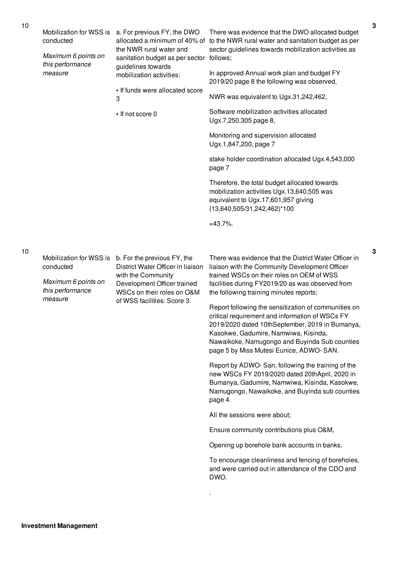|  | Mobilization for WSS is<br>conducted               | a. For previous FY, the DWO<br>the NWR rural water and<br>sanitation budget as per sector follows;<br>guidelines towards<br>mobilization activities:                               | There was evidence that the DWO allocated budget<br>allocated a minimum of 40% of to the NWR rural water and sanitation budget as per<br>sector guidelines towards mobilization activities as                                                                                                  |  |
|--|----------------------------------------------------|------------------------------------------------------------------------------------------------------------------------------------------------------------------------------------|------------------------------------------------------------------------------------------------------------------------------------------------------------------------------------------------------------------------------------------------------------------------------------------------|--|
|  | Maximum 6 points on<br>this performance<br>measure |                                                                                                                                                                                    |                                                                                                                                                                                                                                                                                                |  |
|  |                                                    |                                                                                                                                                                                    | In approved Annual work plan and budget FY<br>2019/20 page 8 the following was observed,                                                                                                                                                                                                       |  |
|  |                                                    | • If funds were allocated score<br>3                                                                                                                                               | NWR was equivalent to Ugx.31,242,462,                                                                                                                                                                                                                                                          |  |
|  |                                                    | • If not score 0                                                                                                                                                                   | Software mobilization activities allocated<br>Ugx.7,250,305 page 8,                                                                                                                                                                                                                            |  |
|  |                                                    |                                                                                                                                                                                    | Monitoring and supervision allocated<br>Ugx.1,847,200, page 7                                                                                                                                                                                                                                  |  |
|  |                                                    |                                                                                                                                                                                    | stake holder coordination allocated Ugx.4,543,000<br>page 7                                                                                                                                                                                                                                    |  |
|  |                                                    |                                                                                                                                                                                    | Therefore, the total budget allocated towards<br>mobilization activities Ugx.13,640,505 was<br>equivalent to Ugx.17,601,957 giving<br>(13,640,505/31,242,462)*100                                                                                                                              |  |
|  |                                                    |                                                                                                                                                                                    | $=43.7\%$ .                                                                                                                                                                                                                                                                                    |  |
|  |                                                    |                                                                                                                                                                                    |                                                                                                                                                                                                                                                                                                |  |
|  | Mobilization for WSS is<br>conducted               | b. For the previous FY, the<br>District Water Officer in liaison<br>with the Community<br>Development Officer trained<br>WSCs on their roles on O&M<br>of WSS facilities: Score 3. | There was evidence that the District Water Officer in<br>liaison with the Community Development Officer                                                                                                                                                                                        |  |
|  | Maximum 6 points on<br>this performance<br>measure |                                                                                                                                                                                    | trained WSCs on their roles on OEM of WSS<br>facilities during FY2019/20 as was observed from<br>the following training minutes reports;                                                                                                                                                       |  |
|  |                                                    |                                                                                                                                                                                    | Report following the sensitization of communities on<br>critical requirement and information of WSCs FY<br>2019/2020 dated 10thSeptember, 2019 in Bumanya,<br>Kasokwe, Gadumire, Namwiwa, Kisinda,<br>Nawaikoke, Namugongo and Buyinda Sub counties<br>page 5 by Miss Mutesi Eunice, ADWO-SAN. |  |
|  |                                                    |                                                                                                                                                                                    | Report by ADWO-San, following the training of the<br>new WSCs FY 2019/2020 dated 20thApril, 2020 in<br>Bumanya, Gadumire, Namwiwa, Kisinda, Kasokwe,<br>Namugongo, Nawaikoke, and Buyinda sub counties<br>page 4.                                                                              |  |
|  |                                                    |                                                                                                                                                                                    | All the sessions were about;                                                                                                                                                                                                                                                                   |  |
|  |                                                    |                                                                                                                                                                                    | Ensure community contributions plus O&M,                                                                                                                                                                                                                                                       |  |
|  |                                                    |                                                                                                                                                                                    | Opening up borehole bank accounts in banks,                                                                                                                                                                                                                                                    |  |
|  |                                                    |                                                                                                                                                                                    | To encourage cleanliness and fencing of boreholes,<br>and were carried out in attendance of the CDO and<br>DWO.                                                                                                                                                                                |  |
|  |                                                    |                                                                                                                                                                                    |                                                                                                                                                                                                                                                                                                |  |

**3**

**3**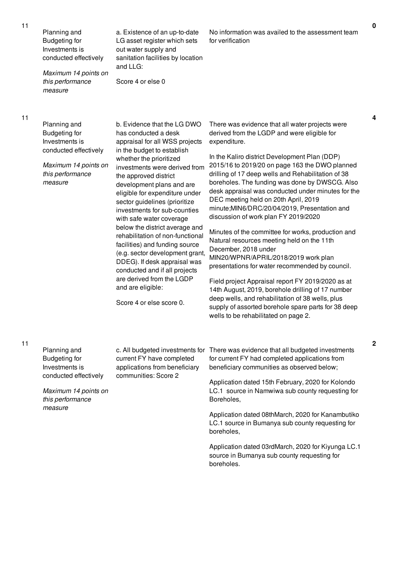Planning and Budgeting for Investments is conducted effectively

*Maximum 14 points on this performance measure*

a. Existence of an up-to-date LG asset register which sets out water supply and sanitation facilities by location and LLG:

Score 4 or else 0

No information was availed to the assessment team for verification

11

Planning and Budgeting for Investments is conducted effectively

*Maximum 14 points on this performance measure*

b. Evidence that the LG DWO has conducted a desk appraisal for all WSS projects in the budget to establish whether the prioritized investments were derived from the approved district development plans and are eligible for expenditure under sector guidelines (prioritize investments for sub-counties with safe water coverage below the district average and rehabilitation of non-functional facilities) and funding source (e.g. sector development grant, DDEG). If desk appraisal was conducted and if all projects are derived from the LGDP and are eligible:

Score 4 or else score 0.

There was evidence that all water projects were derived from the LGDP and were eligible for expenditure.

In the Kaliro district Development Plan (DDP) 2015/16 to 2019/20 on page 163 the DWO planned drilling of 17 deep wells and Rehabilitation of 38 boreholes. The funding was done by DWSCG. Also desk appraisal was conducted under minutes for the DEC meeting held on 20th April, 2019 minute;MIN6/DRC/20/04/2019, Presentation and discussion of work plan FY 2019/2020

Minutes of the committee for works, production and Natural resources meeting held on the 11th December, 2018 under MIN20/WPNR/APRIL/2018/2019 work plan presentations for water recommended by council.

Field project Appraisal report FY 2019/2020 as at 14th August, 2019, borehole drilling of 17 number deep wells, and rehabilitation of 38 wells, plus supply of assorted borehole spare parts for 38 deep wells to be rehabilitated on page 2.

11

*measure*

Planning and Budgeting for Investments is conducted effectively *Maximum 14 points on this performance* c. All budgeted investments for current FY have completed applications from beneficiary communities: Score 2 There was evidence that all budgeted investments for current FY had completed applications from beneficiary communities as observed below; Application dated 15th February, 2020 for Kolondo LC.1 source in Namwiwa sub county requesting for Boreholes,

> Application dated 08thMarch, 2020 for Kanambutiko LC.1 source in Bumanya sub county requesting for boreholes,

> Application dated 03rdMarch, 2020 for Kiyunga LC.1 source in Bumanya sub county requesting for boreholes.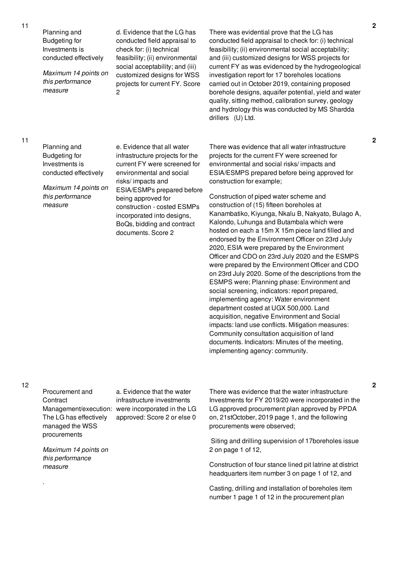11

| Planning and<br><b>Budgeting for</b><br>Investments is<br>conducted effectively<br>Maximum 14 points on<br>this performance<br>measure | d. Evidence that the LG has<br>conducted field appraisal to<br>check for: (i) technical<br>feasibility; (ii) environmental<br>social acceptability; and (iii)<br>customized designs for WSS<br>projects for current FY. Score<br>$\overline{c}$                                                                     | There was evidential prove that the LG has<br>conducted field appraisal to check for: (i) technical<br>feasibility; (ii) environmental social acceptability;<br>and (iii) customized designs for WSS projects for<br>current FY as was evidenced by the hydrogeological<br>investigation report for 17 boreholes locations<br>carried out in October 2019, containing proposed<br>borehole designs, aquaifer potential, yield and water<br>quality, sitting method, calibration survey, geology<br>and hydrology this was conducted by MS Shardda<br>drillers (U) Ltd.                                                                                                                                                                                                                                                                                                                                                            |
|----------------------------------------------------------------------------------------------------------------------------------------|---------------------------------------------------------------------------------------------------------------------------------------------------------------------------------------------------------------------------------------------------------------------------------------------------------------------|-----------------------------------------------------------------------------------------------------------------------------------------------------------------------------------------------------------------------------------------------------------------------------------------------------------------------------------------------------------------------------------------------------------------------------------------------------------------------------------------------------------------------------------------------------------------------------------------------------------------------------------------------------------------------------------------------------------------------------------------------------------------------------------------------------------------------------------------------------------------------------------------------------------------------------------|
| Planning and<br><b>Budgeting for</b><br>Investments is<br>conducted effectively<br>Maximum 14 points on<br>this performance<br>measure | e. Evidence that all water<br>infrastructure projects for the<br>current FY were screened for<br>environmental and social<br>risks/impacts and<br>ESIA/ESMPs prepared before<br>being approved for<br>construction - costed ESMPs<br>incorporated into designs,<br>BoQs, bidding and contract<br>documents. Score 2 | There was evidence that all water infrastructure<br>projects for the current FY were screened for<br>environmental and social risks/impacts and<br>ESIA/ESMPS prepared before being approved for<br>construction for example;<br>Construction of piped water scheme and<br>construction of (15) fifteen boreholes at<br>Kanambatiko, Kiyunga, Nkalu B, Nakyato, Bulago A,<br>Kalondo, Luhunga and Butambala which were<br>hosted on each a 15m X 15m piece land filled and<br>endorsed by the Environment Officer on 23rd July<br>2020, ESIA were prepared by the Environment<br>Officer and CDO on 23rd July 2020 and the ESMPS<br>were prepared by the Environment Officer and CDO<br>on 23rd July 2020. Some of the descriptions from the<br>ESMPS were; Planning phase: Environment and<br>social screening, indicators: report prepared,<br>implementing agency: Water environment<br>department costed at UGX 500,000. Land |

acquisition, negative Environment and Social impacts: land use conflicts. Mitigation measures: Community consultation acquisition of land documents. Indicators: Minutes of the meeting, implementing agency: community.

12

.

Procurement and **Contract** The LG has effectively managed the WSS procurements

Management/execution: were incorporated in the LG a. Evidence that the water infrastructure investments approved: Score 2 or else 0

*Maximum 14 points on this performance measure*

There was evidence that the water infrastructure Investments for FY 2019/20 were incorporated in the LG approved procurement plan approved by PPDA on, 21stOctober, 2019 page 1, and the following procurements were observed;

Siting and drilling supervision of 17boreholes issue 2 on page 1 of 12,

Construction of four stance lined pit latrine at district headquarters item number 3 on page 1 of 12, and

Casting, drilling and installation of boreholes item number 1 page 1 of 12 in the procurement plan

**2**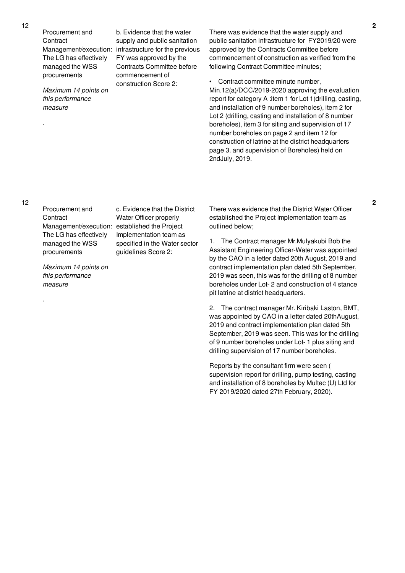Procurement and **Contract** The LG has effectively managed the WSS procurements

*Maximum 14 points on this performance measure*

Management/execution: infrastructure for the previous b. Evidence that the water supply and public sanitation FY was approved by the Contracts Committee before commencement of construction Score 2:

There was evidence that the water supply and public sanitation infrastructure for FY2019/20 were approved by the Contracts Committee before commencement of construction as verified from the following Contract Committee minutes;

• Contract committee minute number, Min.12(a)/DCC/2019-2020 approving the evaluation report for category A :item 1 for Lot 1(drilling, casting, and installation of 9 number boreholes), item 2 for Lot 2 (drilling, casting and installation of 8 number boreholes), item 3 for siting and supervision of 17 number boreholes on page 2 and item 12 for construction of latrine at the district headquarters page 3. and supervision of Boreholes) held on 2ndJuly, 2019.

12

.

.

Procurement and **Contract** Management/execution: established the Project The LG has effectively managed the WSS procurements

*Maximum 14 points on this performance measure*

c. Evidence that the District Water Officer properly Implementation team as specified in the Water sector guidelines Score 2:

There was evidence that the District Water Officer established the Project Implementation team as outlined below;

1. The Contract manager Mr.Mulyakubi Bob the Assistant Engineering Officer-Water was appointed by the CAO in a letter dated 20th August, 2019 and contract implementation plan dated 5th September, 2019 was seen, this was for the drilling of 8 number boreholes under Lot- 2 and construction of 4 stance pit latrine at district headquarters.

2. The contract manager Mr. Kiribaki Laston, BMT, was appointed by CAO in a letter dated 20thAugust, 2019 and contract implementation plan dated 5th September, 2019 was seen. This was for the drilling of 9 number boreholes under Lot- 1 plus siting and drilling supervision of 17 number boreholes.

Reports by the consultant firm were seen ( supervision report for drilling, pump testing, casting and installation of 8 boreholes by Multec (U) Ltd for FY 2019/2020 dated 27th February, 2020).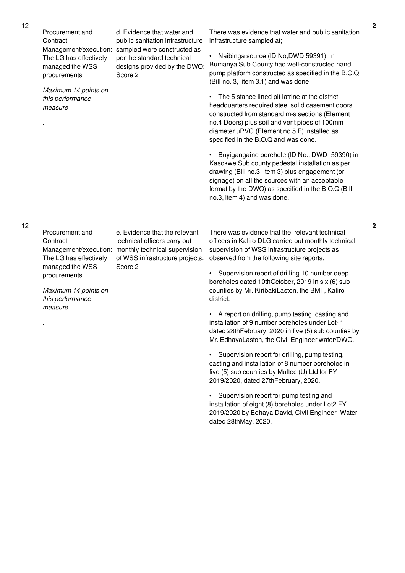Procurement and **Contract** Management/execution: sampled were constructed as The LG has effectively managed the WSS procurements

Score 2

*Maximum 14 points on this performance measure*

.

d. Evidence that water and public sanitation infrastructure per the standard technical designs provided by the DWO: There was evidence that water and public sanitation

infrastructure sampled at;

• Naibinga source (ID No;DWD 59391), in Bumanya Sub County had well-constructed hand pump platform constructed as specified in the B.O.Q (Bill no. 3, item 3.1) and was done

• The 5 stance lined pit latrine at the district headquarters required steel solid casement doors constructed from standard m-s sections (Element no.4 Doors) plus soil and vent pipes of 100mm diameter uPVC (Element no.5,F) installed as specified in the B.O.Q and was done.

• Buyigangaine borehole (ID No.; DWD- 59390) in Kasokwe Sub county pedestal installation as per drawing (Bill no.3, item 3) plus engagement (or signage) on all the sources with an acceptable format by the DWO) as specified in the B.O.Q (Bill no.3, item 4) and was done.

Procurement and **Contract** The LG has effectively managed the WSS procurements

*Maximum 14 points on this performance measure*

.

Management/execution: monthly technical supervision e. Evidence that the relevant technical officers carry out of WSS infrastructure projects: Score 2

There was evidence that the relevant technical officers in Kaliro DLG carried out monthly technical supervision of WSS infrastructure projects as observed from the following site reports;

• Supervision report of drilling 10 number deep boreholes dated 10thOctober, 2019 in six (6) sub counties by Mr. KiribakiLaston, the BMT, Kaliro district.

• A report on drilling, pump testing, casting and installation of 9 number boreholes under Lot- 1 dated 28thFebruary, 2020 in five (5) sub counties by Mr. EdhayaLaston, the Civil Engineer water/DWO.

Supervision report for drilling, pump testing, casting and installation of 8 number boreholes in five (5) sub counties by Multec (U) Ltd for FY 2019/2020, dated 27thFebruary, 2020.

• Supervision report for pump testing and installation of eight (8) boreholes under Lot2 FY 2019/2020 by Edhaya David, Civil Engineer- Water dated 28thMay, 2020.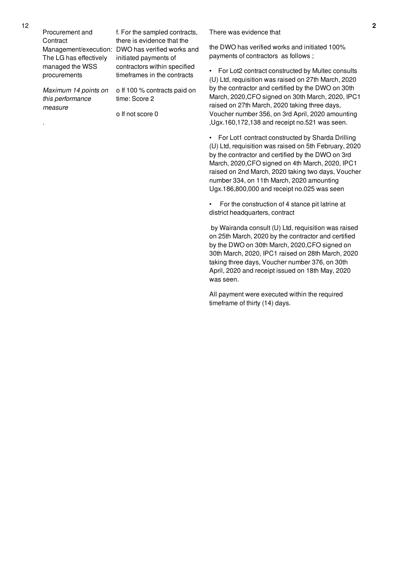Procurement and **Contract** The LG has effectively managed the WSS procurements

*Maximum 14 points on this performance measure*

.

Management/execution: DWO has verified works and f. For the sampled contracts, there is evidence that the initiated payments of contractors within specified timeframes in the contracts

> o If 100 % contracts paid on time: Score 2

o If not score 0

There was evidence that

the DWO has verified works and initiated 100% payments of contractors as follows ;

• For Lot2 contract constructed by Multec consults (U) Ltd, requisition was raised on 27th March, 2020 by the contractor and certified by the DWO on 30th March, 2020,CFO signed on 30th March, 2020, IPC1 raised on 27th March, 2020 taking three days, Voucher number 356, on 3rd April, 2020 amounting ,Ugx.160,172,138 and receipt no.521 was seen.

• For Lot1 contract constructed by Sharda Drilling (U) Ltd, requisition was raised on 5th February, 2020 by the contractor and certified by the DWO on 3rd March, 2020,CFO signed on 4th March, 2020, IPC1 raised on 2nd March, 2020 taking two days, Voucher number 334, on 11th March, 2020 amounting Ugx.186,800,000 and receipt no.025 was seen

• For the construction of 4 stance pit latrine at district headquarters, contract

by Wairanda consult (U) Ltd, requisition was raised on 25th March, 2020 by the contractor and certified by the DWO on 30th March, 2020,CFO signed on 30th March, 2020, IPC1 raised on 28th March, 2020 taking three days, Voucher number 376, on 30th April, 2020 and receipt issued on 18th May, 2020 was seen.

All payment were executed within the required timeframe of thirty (14) days.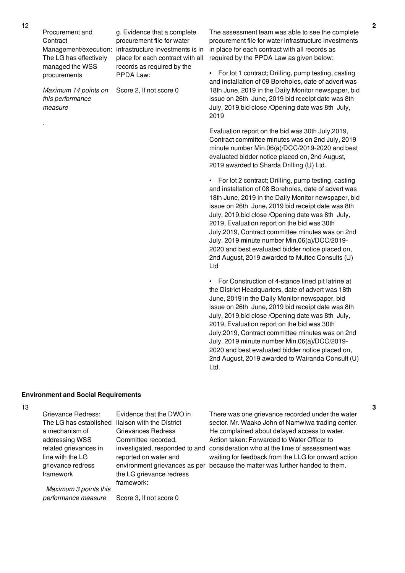Procurement and **Contract** The LG has effectively managed the WSS procurements

Management/execution: infrastructure investments is in g. Evidence that a complete procurement file for water place for each contract with all records as required by the PPDA Law:

Score 2, If not score 0

*Maximum 14 points on this performance measure*

.

The assessment team was able to see the complete procurement file for water infrastructure investments in place for each contract with all records as required by the PPDA Law as given below;

• For lot 1 contract; Drilling, pump testing, casting and installation of 09 Boreholes, date of advert was 18th June, 2019 in the Daily Monitor newspaper, bid issue on 26th June, 2019 bid receipt date was 8th July, 2019,bid close /Opening date was 8th July, 2019

Evaluation report on the bid was 30th July,2019, Contract committee minutes was on 2nd July, 2019 minute number Min.06(a)/DCC/2019-2020 and best evaluated bidder notice placed on, 2nd August, 2019 awarded to Sharda Drilling (U) Ltd.

• For lot 2 contract; Drilling, pump testing, casting and installation of 08 Boreholes, date of advert was 18th June, 2019 in the Daily Monitor newspaper, bid issue on 26th June, 2019 bid receipt date was 8th July, 2019,bid close /Opening date was 8th July, 2019, Evaluation report on the bid was 30th July,2019, Contract committee minutes was on 2nd July, 2019 minute number Min.06(a)/DCC/2019- 2020 and best evaluated bidder notice placed on, 2nd August, 2019 awarded to Multec Consults (U) Ltd

• For Construction of 4-stance lined pit latrine at the District Headquarters, date of advert was 18th June, 2019 in the Daily Monitor newspaper, bid issue on 26th June, 2019 bid receipt date was 8th July, 2019,bid close /Opening date was 8th July, 2019, Evaluation report on the bid was 30th July,2019, Contract committee minutes was on 2nd July, 2019 minute number Min.06(a)/DCC/2019- 2020 and best evaluated bidder notice placed on, 2nd August, 2019 awarded to Wairanda Consult (U) Ltd.

### **Environment and Social Requirements**

Grievance Redress:

The LG has established liaison with the District a mechanism of addressing WSS related grievances in line with the LG grievance redress framework

*Maximum 3 points this*

Evidence that the DWO in Grievances Redress Committee recorded, reported on water and the LG grievance redress framework:

investigated, responded to and consideration who at the time of assessment was environment grievances as per because the matter was further handed to them. There was one grievance recorded under the water sector. Mr. Waako John of Namwiwa trading center. He complained about delayed access to water. Action taken: Forwarded to Water Officer to waiting for feedback from the LLG for onward action

*performance measure* Score 3, If not score 0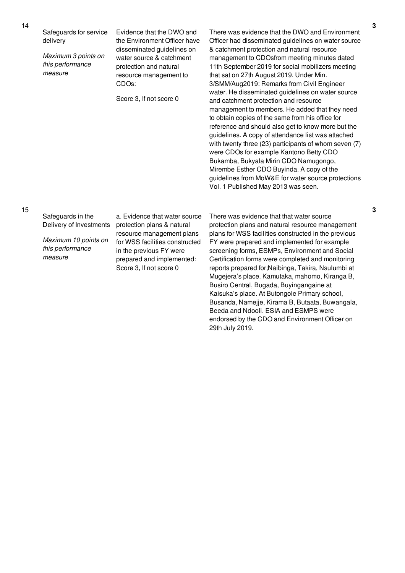Safeguards for service delivery

*Maximum 3 points on this performance measure*

Evidence that the DWO and the Environment Officer have disseminated guidelines on water source & catchment protection and natural resource management to CDOs:

Score 3, If not score 0

There was evidence that the DWO and Environment Officer had disseminated guidelines on water source & catchment protection and natural resource management to CDOsfrom meeting minutes dated 11th September 2019 for social mobilizers meeting that sat on 27th August 2019. Under Min. 3/SMM/Aug2019: Remarks from Civil Engineer water. He disseminated guidelines on water source and catchment protection and resource management to members. He added that they need to obtain copies of the same from his office for reference and should also get to know more but the guidelines. A copy of attendance list was attached with twenty three (23) participants of whom seven (7) were CDOs for example Kantono Betty CDO Bukamba, Bukyala Mirin CDO Namugongo, Mirembe Esther CDO Buyinda. A copy of the guidelines from MoW&E for water source protections Vol. 1 Published May 2013 was seen.

### 15

Safeguards in the Delivery of Investments

*Maximum 10 points on this performance measure*

a. Evidence that water source protection plans & natural resource management plans for WSS facilities constructed in the previous FY were prepared and implemented: Score 3, If not score 0

There was evidence that that water source protection plans and natural resource management plans for WSS facilities constructed in the previous FY were prepared and implemented for example screening forms, ESMPs, Environment and Social Certification forms were completed and monitoring reports prepared for;Naibinga, Takira, Nsulumbi at Mugejera's place. Kamutaka, mahomo, Kiranga B, Busiro Central, Bugada, Buyingangaine at Kaisuka's place. At Butongole Primary school, Busanda, Namejje, Kirama B, Butaata, Buwangala, Beeda and Ndooli. ESIA and ESMPS were endorsed by the CDO and Environment Officer on 29th July 2019.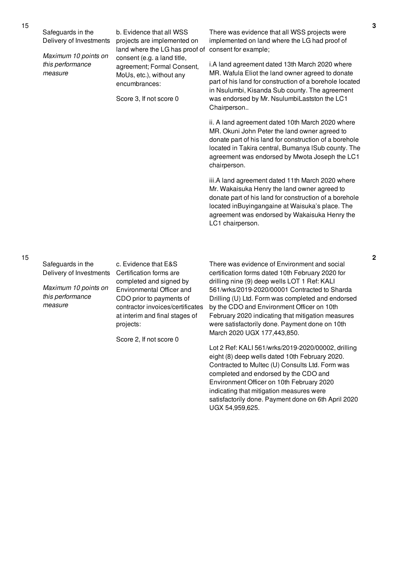Safeguards in the Delivery of Investments

*Maximum 10 points on this performance measure*

b. Evidence that all WSS projects are implemented on land where the LG has proof of consent (e.g. a land title, agreement; Formal Consent, MoUs, etc.), without any encumbrances:

Score 3, If not score 0

There was evidence that all WSS projects were implemented on land where the LG had proof of consent for example;

i.A land agreement dated 13th March 2020 where MR. Wafula Eliot the land owner agreed to donate part of his land for construction of a borehole located in Nsulumbi, Kisanda Sub county. The agreement was endorsed by Mr. NsulumbiLastston the LC1 Chairperson..

ii. A land agreement dated 10th March 2020 where MR. Okuni John Peter the land owner agreed to donate part of his land for construction of a borehole located in Takira central, Bumanya lSub county. The agreement was endorsed by Mwota Joseph the LC1 chairperson.

iii.A land agreement dated 11th March 2020 where Mr. Wakaisuka Henry the land owner agreed to donate part of his land for construction of a borehole located inBuyingangaine at Waisuka's place. The agreement was endorsed by Wakaisuka Henry the LC1 chairperson.

Safeguards in the Delivery of Investments Certification forms are

*Maximum 10 points on this performance measure*

c. Evidence that E&S completed and signed by Environmental Officer and CDO prior to payments of contractor invoices/certificates at interim and final stages of projects:

Score 2, If not score 0

There was evidence of Environment and social certification forms dated 10th February 2020 for drilling nine (9) deep wells LOT 1 Ref: KALI 561/wrks/2019-2020/00001 Contracted to Sharda Drilling (U) Ltd. Form was completed and endorsed by the CDO and Environment Officer on 10th February 2020 indicating that mitigation measures were satisfactorily done. Payment done on 10th March 2020 UGX 177,443,850.

Lot 2 Ref: KALI 561/wrks/2019-2020/00002, drilling eight (8) deep wells dated 10th February 2020. Contracted to Multec (U) Consults Ltd. Form was completed and endorsed by the CDO and Environment Officer on 10th February 2020 indicating that mitigation measures were satisfactorily done. Payment done on 6th April 2020 UGX 54,959,625.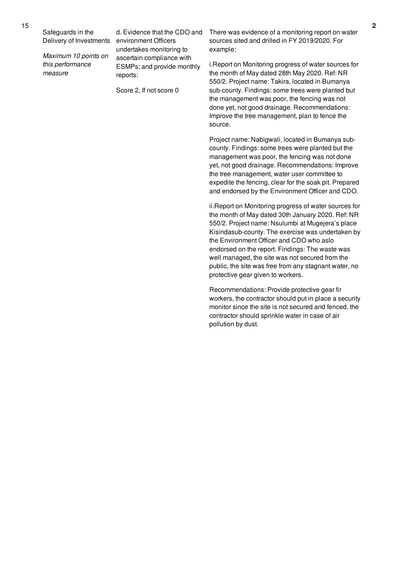Safeguards in the Delivery of Investments

*Maximum 10 points on this performance measure*

d. Evidence that the CDO and environment Officers undertakes monitoring to ascertain compliance with ESMPs; and provide monthly reports:

Score 2, If not score 0

There was evidence of a monitoring report on water sources sited and drilled in FY 2019/2020. For example;

i.Report on Monitoring progress of water sources for the month of May dated 28th May 2020. Ref: NR 550/2. Project name: Takira, located in Bumanya sub-county. Findings: some trees were planted but the management was poor, the fencing was not done yet, not good drainage. Recommendations: Improve the tree management, plan to fence the source.

Project name: Nabigwali, located in Bumanya subcounty. Findings: some trees were planted but the management was poor, the fencing was not done yet, not good drainage. Recommendations: Improve the tree management, water user committee to expedite the fencing, clear for the soak pit. Prepared and endorsed by the Environment Officer and CDO.

ii.Report on Monitoring progress of water sources for the month of May dated 30th January 2020. Ref: NR 550/2. Project name: Nsulumbi at Mugejera's place Kisindasub-county. The exercise was undertaken by the Environment Officer and CDO who aslo endorsed on the report. Findings: The waste was well managed, the site was not secured from the public, the site was free from any stagnant water, no protective gear given to workers.

Recommendations: Provide protective gear fir workers, the contractor should put in place a security monitor since the site is not secured and fenced, the contractor should sprinkle water in case of air pollution by dust.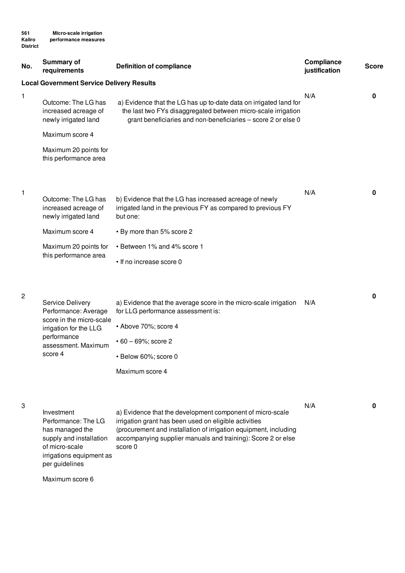| No. | <b>Summary of</b><br>requirements                                                                                                               | <b>Definition of compliance</b>                                                                                                                                                                                                                                                      | Compliance<br>justification | <b>Score</b> |
|-----|-------------------------------------------------------------------------------------------------------------------------------------------------|--------------------------------------------------------------------------------------------------------------------------------------------------------------------------------------------------------------------------------------------------------------------------------------|-----------------------------|--------------|
|     | <b>Local Government Service Delivery Results</b>                                                                                                |                                                                                                                                                                                                                                                                                      |                             |              |
| 1   | Outcome: The LG has<br>increased acreage of<br>newly irrigated land                                                                             | a) Evidence that the LG has up to-date data on irrigated land for<br>the last two FYs disaggregated between micro-scale irrigation<br>grant beneficiaries and non-beneficiaries - score 2 or else 0                                                                                  | N/A                         | 0            |
|     | Maximum score 4                                                                                                                                 |                                                                                                                                                                                                                                                                                      |                             |              |
|     | Maximum 20 points for<br>this performance area                                                                                                  |                                                                                                                                                                                                                                                                                      |                             |              |
| 1   | Outcome: The LG has<br>increased acreage of<br>newly irrigated land                                                                             | b) Evidence that the LG has increased acreage of newly<br>irrigated land in the previous FY as compared to previous FY<br>but one:                                                                                                                                                   | N/A                         | 0            |
|     | Maximum score 4                                                                                                                                 | • By more than 5% score 2                                                                                                                                                                                                                                                            |                             |              |
|     | Maximum 20 points for<br>this performance area                                                                                                  | • Between 1% and 4% score 1<br>• If no increase score 0                                                                                                                                                                                                                              |                             |              |
| 2   | Service Delivery<br>Performance: Average<br>score in the micro-scale<br>irrigation for the LLG<br>performance<br>assessment. Maximum<br>score 4 | a) Evidence that the average score in the micro-scale irrigation<br>for LLG performance assessment is:<br>• Above 70%; score 4<br>$\cdot$ 60 – 69%; score 2<br>· Below 60%; score 0                                                                                                  | N/A                         | 0            |
| 3   | Investment<br>Performance: The LG<br>has managed the<br>supply and installation<br>of micro-scale                                               | Maximum score 4<br>a) Evidence that the development component of micro-scale<br>irrigation grant has been used on eligible activities<br>(procurement and installation of irrigation equipment, including<br>accompanying supplier manuals and training): Score 2 or else<br>score 0 | N/A                         | 0            |

Maximum score 6

per guidelines

irrigations equipment as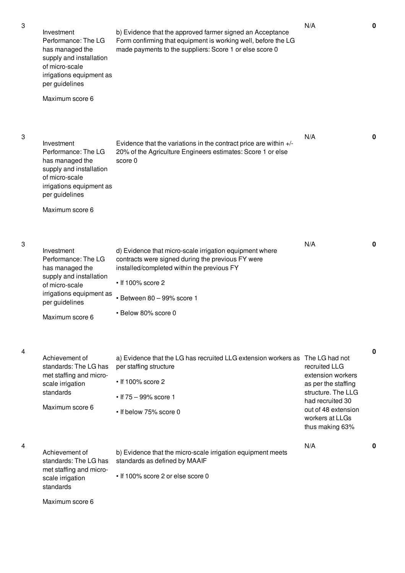3

3

4

| Investment<br>Performance: The LG<br>has managed the<br>supply and installation<br>of micro-scale<br>irrigations equipment as<br>per guidelines<br>Maximum score 6 | b) Evidence that the approved farmer signed an Acceptance<br>Form confirming that equipment is working well, before the LG<br>made payments to the suppliers: Score 1 or else score 0                                                      | N/A                                                                                                                                                              | $\mathbf 0$ |
|--------------------------------------------------------------------------------------------------------------------------------------------------------------------|--------------------------------------------------------------------------------------------------------------------------------------------------------------------------------------------------------------------------------------------|------------------------------------------------------------------------------------------------------------------------------------------------------------------|-------------|
| Investment<br>Performance: The LG<br>has managed the<br>supply and installation<br>of micro-scale<br>irrigations equipment as<br>per guidelines                    | Evidence that the variations in the contract price are within $+/-$<br>20% of the Agriculture Engineers estimates: Score 1 or else<br>score 0                                                                                              | N/A                                                                                                                                                              | 0           |
| Maximum score 6                                                                                                                                                    |                                                                                                                                                                                                                                            |                                                                                                                                                                  |             |
| Investment<br>Performance: The LG<br>has managed the<br>supply and installation<br>of micro-scale<br>irrigations equipment as<br>per guidelines<br>Maximum score 6 | d) Evidence that micro-scale irrigation equipment where<br>contracts were signed during the previous FY were<br>installed/completed within the previous FY<br>$\cdot$ If 100% score 2<br>• Between 80 - 99% score 1<br>• Below 80% score 0 | N/A                                                                                                                                                              | $\mathbf 0$ |
| Achievement of<br>standards: The LG has<br>met staffing and micro-<br>scale irrigation<br>standards<br>Maximum score 6                                             | a) Evidence that the LG has recruited LLG extension workers as The LG had not<br>per staffing structure<br>$\cdot$ If 100% score 2<br>• If $75 - 99\%$ score 1<br>• If below 75% score 0                                                   | recruited LLG<br>extension workers<br>as per the staffing<br>structure. The LLG<br>had recruited 30<br>out of 48 extension<br>workers at LLGs<br>thus making 63% | 0           |
| Achievement of<br>standards: The LG has<br>met staffing and micro-<br>scale irrigation<br>standards                                                                | b) Evidence that the micro-scale irrigation equipment meets<br>standards as defined by MAAIF<br>• If 100% score 2 or else score 0                                                                                                          | N/A                                                                                                                                                              | 0           |
| Maximum score 6                                                                                                                                                    |                                                                                                                                                                                                                                            |                                                                                                                                                                  |             |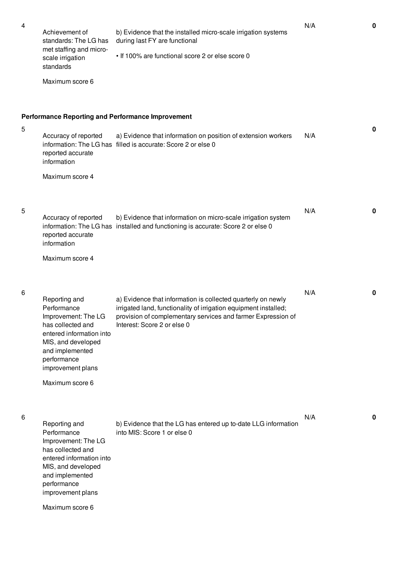5

6

| 4 | Achievement of<br>standards: The LG has<br>met staffing and micro-<br>scale irrigation<br>standards<br>Maximum score 6                                                                               | b) Evidence that the installed micro-scale irrigation systems<br>during last FY are functional<br>. If 100% are functional score 2 or else score 0                                                                              | N/A | $\mathbf 0$ |
|---|------------------------------------------------------------------------------------------------------------------------------------------------------------------------------------------------------|---------------------------------------------------------------------------------------------------------------------------------------------------------------------------------------------------------------------------------|-----|-------------|
| 5 | Accuracy of reported<br>reported accurate<br>information<br>Maximum score 4                                                                                                                          | <b>Performance Reporting and Performance Improvement</b><br>a) Evidence that information on position of extension workers<br>information: The LG has filled is accurate: Score 2 or else 0                                      | N/A | 0           |
| 5 | Accuracy of reported<br>reported accurate<br>information<br>Maximum score 4                                                                                                                          | b) Evidence that information on micro-scale irrigation system<br>information: The LG has installed and functioning is accurate: Score 2 or else 0                                                                               | N/A | 0           |
| 6 | Reporting and<br>Performance<br>Improvement: The LG<br>has collected and<br>entered information into<br>MIS, and developed<br>and implemented<br>performance<br>improvement plans<br>Maximum score 6 | a) Evidence that information is collected quarterly on newly<br>irrigated land, functionality of irrigation equipment installed;<br>provision of complementary services and farmer Expression of<br>Interest: Score 2 or else 0 | N/A | 0           |
| 6 | Reporting and<br>Performance<br>Improvement: The LG<br>has collected and<br>entered information into<br>MIS, and developed<br>and implemented<br>performance<br>improvement plans<br>Maximum score 6 | b) Evidence that the LG has entered up to-date LLG information<br>into MIS: Score 1 or else 0                                                                                                                                   | N/A | 0           |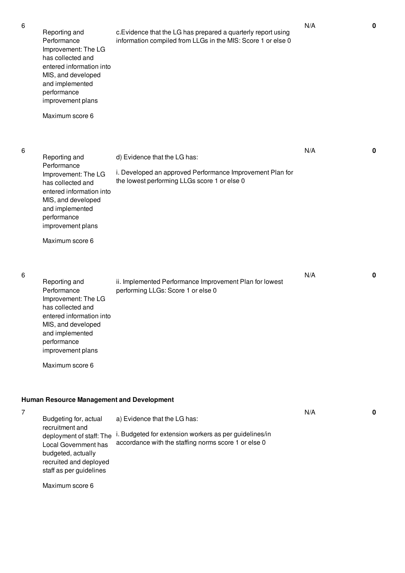6

6

| 6 | Reporting and<br>Performance<br>Improvement: The LG<br>has collected and<br>entered information into<br>MIS, and developed<br>and implemented<br>performance<br>improvement plans | c. Evidence that the LG has prepared a quarterly report using<br>information compiled from LLGs in the MIS: Score 1 or else 0 | N/A | $\mathbf{0}$ |
|---|-----------------------------------------------------------------------------------------------------------------------------------------------------------------------------------|-------------------------------------------------------------------------------------------------------------------------------|-----|--------------|
|   | Maximum score 6                                                                                                                                                                   |                                                                                                                               |     |              |
| 6 | Reporting and<br>Performance                                                                                                                                                      | d) Evidence that the LG has:                                                                                                  | N/A | 0            |
|   | Improvement: The LG<br>has collected and<br>entered information into<br>MIS, and developed<br>and implemented<br>performance<br>improvement plans                                 | i. Developed an approved Performance Improvement Plan for<br>the lowest performing LLGs score 1 or else 0                     |     |              |
|   | Maximum score 6                                                                                                                                                                   |                                                                                                                               |     |              |
| 6 |                                                                                                                                                                                   |                                                                                                                               | N/A | $\mathbf 0$  |
|   | Reporting and<br>Performance<br>Improvement: The LG<br>has collected and<br>entered information into<br>MIS, and developed<br>and implemented<br>performance<br>improvement plans | ii. Implemented Performance Improvement Plan for lowest<br>performing LLGs: Score 1 or else 0                                 |     |              |
|   | Maximum score 6                                                                                                                                                                   |                                                                                                                               |     |              |
|   | <b>Human Resource Management and Development</b>                                                                                                                                  |                                                                                                                               |     |              |
| 7 |                                                                                                                                                                                   |                                                                                                                               | N/A | $\mathbf 0$  |
|   | Budgeting for, actual<br>recruitment and                                                                                                                                          | a) Evidence that the LG has:                                                                                                  |     |              |
|   | deployment of staff: The<br>Local Government has<br>budgeted, actually<br>recruited and deployed<br>staff as per guidelines                                                       | i. Budgeted for extension workers as per guidelines/in<br>accordance with the staffing norms score 1 or else 0                |     |              |
|   | Maximum score 6                                                                                                                                                                   |                                                                                                                               |     |              |
|   |                                                                                                                                                                                   |                                                                                                                               |     |              |
|   |                                                                                                                                                                                   |                                                                                                                               |     |              |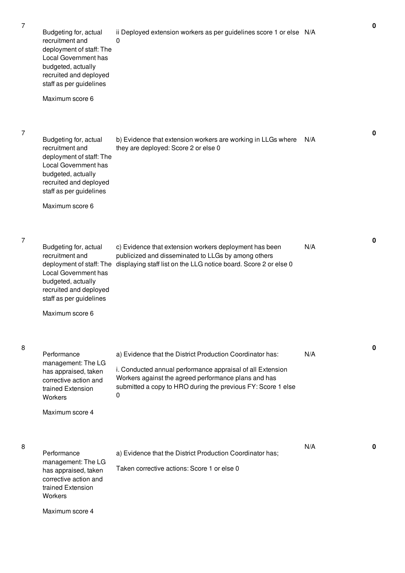7

7

8

8

| Budgeting for, actual<br>recruitment and<br>deployment of staff: The<br>Local Government has<br>budgeted, actually<br>recruited and deployed<br>staff as per guidelines<br>Maximum score 6 | ii Deployed extension workers as per guidelines score 1 or else N/A<br>0                                                                                                                                                                             |     | 0 |
|--------------------------------------------------------------------------------------------------------------------------------------------------------------------------------------------|------------------------------------------------------------------------------------------------------------------------------------------------------------------------------------------------------------------------------------------------------|-----|---|
| Budgeting for, actual<br>recruitment and<br>deployment of staff: The<br>Local Government has<br>budgeted, actually<br>recruited and deployed<br>staff as per guidelines<br>Maximum score 6 | b) Evidence that extension workers are working in LLGs where<br>they are deployed: Score 2 or else 0                                                                                                                                                 | N/A | 0 |
| Budgeting for, actual<br>recruitment and<br>deployment of staff: The<br>Local Government has<br>budgeted, actually<br>recruited and deployed<br>staff as per guidelines<br>Maximum score 6 | c) Evidence that extension workers deployment has been<br>publicized and disseminated to LLGs by among others<br>displaying staff list on the LLG notice board. Score 2 or else 0                                                                    | N/A | 0 |
| Performance<br>management: The LG<br>has appraised, taken<br>corrective action and<br>trained Extension<br>Workers<br>Maximum score 4                                                      | a) Evidence that the District Production Coordinator has:<br>i. Conducted annual performance appraisal of all Extension<br>Workers against the agreed performance plans and has<br>submitted a copy to HRO during the previous FY: Score 1 else<br>0 | N/A | 0 |
| Performance<br>management: The LG<br>has appraised, taken<br>corrective action and<br>trained Extension<br>Workers<br>Maximum score 4                                                      | a) Evidence that the District Production Coordinator has;<br>Taken corrective actions: Score 1 or else 0                                                                                                                                             | N/A | 0 |

**0**

**0**

**0**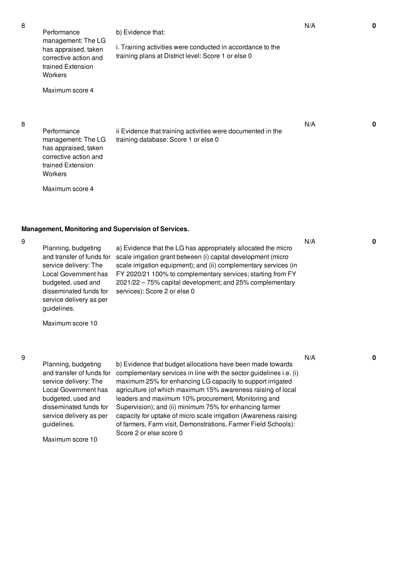Performance management: The LG has appraised, taken corrective action and trained Extension **Workers** Maximum score 4 b) Evidence that: i. Training activities were conducted in accordance to the training plans at District level: Score 1 or else 0 Performance management: The LG has appraised, taken corrective action and ii Evidence that training activities were documented in the training database: Score 1 or else 0

Maximum score 4

trained Extension

**Workers** 

## **Management, Monitoring and Supervision of Services.**

9

Planning, budgeting service delivery: The Local Government has budgeted, used and disseminated funds for service delivery as per guidelines.

and transfer of funds for scale irrigation grant between (i) capital development (micro a) Evidence that the LG has appropriately allocated the micro scale irrigation equipment); and (ii) complementary services (in FY 2020/21 100% to complementary services; starting from FY 2021/22 – 75% capital development; and 25% complementary services): Score 2 or else 0

Maximum score 10

9

Planning, budgeting and transfer of funds for service delivery: The Local Government has budgeted, used and disseminated funds for service delivery as per guidelines.

Maximum score 10

b) Evidence that budget allocations have been made towards complementary services in line with the sector guidelines i.e. (i) maximum 25% for enhancing LG capacity to support irrigated agriculture (of which maximum 15% awareness raising of local leaders and maximum 10% procurement, Monitoring and Supervision); and (ii) minimum 75% for enhancing farmer capacity for uptake of micro scale irrigation (Awareness raising of farmers, Farm visit, Demonstrations, Farmer Field Schools): Score 2 or else score 0

N/A **0**

N/A **0**

N/A **0**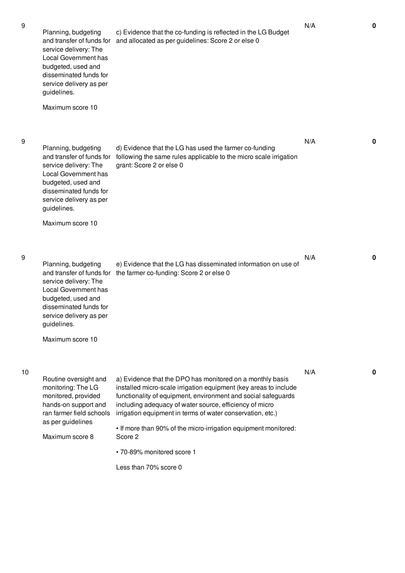9

10

| Planning, budgeting<br>and transfer of funds for<br>service delivery: The<br>Local Government has<br>budgeted, used and<br>disseminated funds for<br>service delivery as per<br>guidelines.<br>Maximum score 10 | c) Evidence that the co-funding is reflected in the LG Budget<br>and allocated as per guidelines: Score 2 or else 0                                                                                                                                                                                                                                                                                                                                          | N/A | 0 |
|-----------------------------------------------------------------------------------------------------------------------------------------------------------------------------------------------------------------|--------------------------------------------------------------------------------------------------------------------------------------------------------------------------------------------------------------------------------------------------------------------------------------------------------------------------------------------------------------------------------------------------------------------------------------------------------------|-----|---|
| Planning, budgeting<br>and transfer of funds for<br>service delivery: The<br>Local Government has<br>budgeted, used and<br>disseminated funds for<br>service delivery as per<br>guidelines.<br>Maximum score 10 | d) Evidence that the LG has used the farmer co-funding<br>following the same rules applicable to the micro scale irrigation<br>grant: Score 2 or else 0                                                                                                                                                                                                                                                                                                      | N/A | 0 |
| Planning, budgeting<br>and transfer of funds for<br>service delivery: The<br>Local Government has<br>budgeted, used and<br>disseminated funds for<br>service delivery as per<br>guidelines.<br>Maximum score 10 | e) Evidence that the LG has disseminated information on use of<br>the farmer co-funding: Score 2 or else 0                                                                                                                                                                                                                                                                                                                                                   | N/A | 0 |
| Routine oversight and<br>monitoring: The LG<br>monitored, provided<br>hands-on support and<br>ran farmer field schools<br>as per guidelines<br>Maximum score 8                                                  | a) Evidence that the DPO has monitored on a monthly basis<br>installed micro-scale irrigation equipment (key areas to include<br>functionality of equipment, environment and social safeguards<br>including adequacy of water source, efficiency of micro<br>irrigation equipment in terms of water conservation, etc.)<br>. If more than 90% of the micro-irrigation equipment monitored:<br>Score 2<br>· 70-89% monitored score 1<br>Less than 70% score 0 | N/A | 0 |

N/A **0**

N/A **0**

N/A **0**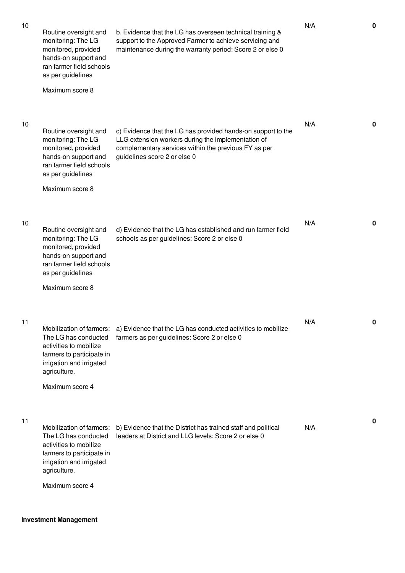| 10 | Routine oversight and<br>monitoring: The LG<br>monitored, provided<br>hands-on support and<br>ran farmer field schools<br>as per guidelines<br>Maximum score 8         | b. Evidence that the LG has overseen technical training &<br>support to the Approved Farmer to achieve servicing and<br>maintenance during the warranty period: Score 2 or else 0                          | N/A | 0            |
|----|------------------------------------------------------------------------------------------------------------------------------------------------------------------------|------------------------------------------------------------------------------------------------------------------------------------------------------------------------------------------------------------|-----|--------------|
| 10 | Routine oversight and<br>monitoring: The LG<br>monitored, provided<br>hands-on support and<br>ran farmer field schools<br>as per guidelines<br>Maximum score 8         | c) Evidence that the LG has provided hands-on support to the<br>LLG extension workers during the implementation of<br>complementary services within the previous FY as per<br>guidelines score 2 or else 0 | N/A | $\mathbf{0}$ |
| 10 | Routine oversight and<br>monitoring: The LG<br>monitored, provided<br>hands-on support and<br>ran farmer field schools<br>as per guidelines<br>Maximum score 8         | d) Evidence that the LG has established and run farmer field<br>schools as per guidelines: Score 2 or else 0                                                                                               | N/A | $\mathbf{0}$ |
| 11 | Mobilization of farmers:<br>The LG has conducted<br>activities to mobilize<br>farmers to participate in<br>irrigation and irrigated<br>agriculture.<br>Maximum score 4 | a) Evidence that the LG has conducted activities to mobilize<br>farmers as per guidelines: Score 2 or else 0                                                                                               | N/A | 0            |
| 11 | Mobilization of farmers:<br>The LG has conducted<br>activities to mobilize<br>farmers to participate in<br>irrigation and irrigated<br>agriculture.<br>Maximum score 4 | b) Evidence that the District has trained staff and political<br>leaders at District and LLG levels: Score 2 or else 0                                                                                     | N/A | 0            |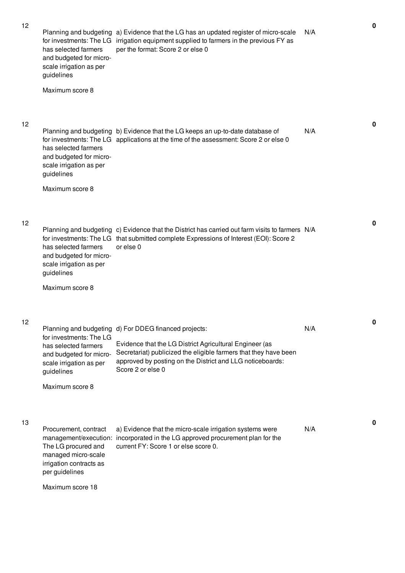12

12

13

Planning and budgeting a) Evidence that the LG has an updated register of micro-scale for investments: The LG irrigation equipment supplied to farmers in the previous FY as has selected farmers and budgeted for microscale irrigation as per guidelines Maximum score 8 per the format: Score 2 or else 0 N/A Planning and budgeting b) Evidence that the LG keeps an up-to-date database of for investments: The LG applications at the time of the assessment: Score 2 or else 0 has selected farmers and budgeted for microscale irrigation as per guidelines Maximum score 8 N/A Planning and budgeting c) Evidence that the District has carried out farm visits to farmers N/A for investments: The LG that submitted complete Expressions of Interest (EOI): Score 2 has selected farmers and budgeted for microscale irrigation as per guidelines Maximum score 8 or else 0 Planning and budgeting d) For DDEG financed projects: for investments: The LG has selected farmers and budgeted for micro-Secretariat) publicized the eligible farmers that they have been scale irrigation as per guidelines Maximum score 8 Evidence that the LG District Agricultural Engineer (as approved by posting on the District and LLG noticeboards: Score 2 or else 0 N/A Procurement, contract management/execution: incorporated in the LG approved procurement plan for the The LG procured and managed micro-scale irrigation contracts as per guidelines Maximum score 18 a) Evidence that the micro-scale irrigation systems were current FY: Score 1 or else score 0. N/A

**0**

**0**

**0**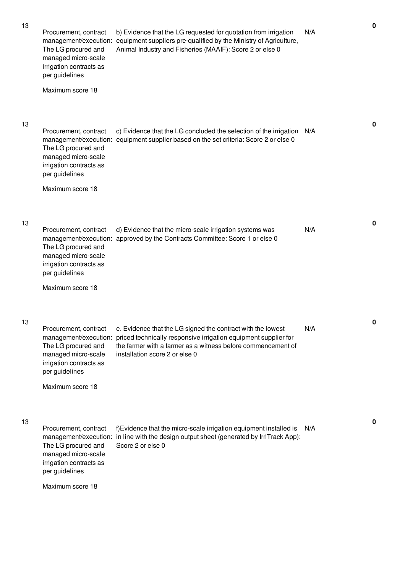| 13 | Procurement, contract<br>The LG procured and<br>managed micro-scale<br>irrigation contracts as<br>per guidelines<br>Maximum score 18 | b) Evidence that the LG requested for quotation from irrigation<br>management/execution: equipment suppliers pre-qualified by the Ministry of Agriculture,<br>Animal Industry and Fisheries (MAAIF): Score 2 or else 0                                 | N/A | 0           |
|----|--------------------------------------------------------------------------------------------------------------------------------------|--------------------------------------------------------------------------------------------------------------------------------------------------------------------------------------------------------------------------------------------------------|-----|-------------|
| 13 | Procurement, contract<br>The LG procured and<br>managed micro-scale<br>irrigation contracts as<br>per guidelines<br>Maximum score 18 | c) Evidence that the LG concluded the selection of the irrigation<br>management/execution: equipment supplier based on the set criteria: Score 2 or else 0                                                                                             | N/A | $\mathbf 0$ |
| 13 | Procurement, contract<br>The LG procured and<br>managed micro-scale<br>irrigation contracts as<br>per guidelines<br>Maximum score 18 | d) Evidence that the micro-scale irrigation systems was<br>management/execution: approved by the Contracts Committee: Score 1 or else 0                                                                                                                | N/A | 0           |
| 13 | Procurement, contract<br>The LG procured and<br>managed micro-scale<br>irrigation contracts as<br>per guidelines<br>Maximum score 18 | e. Evidence that the LG signed the contract with the lowest<br>management/execution: priced technically responsive irrigation equipment supplier for<br>the farmer with a farmer as a witness before commencement of<br>installation score 2 or else 0 | N/A | 0           |
| 13 | Procurement, contract<br>The LG procured and<br>managed micro-scale<br>irrigation contracts as<br>per guidelines<br>Maximum score 18 | f)Evidence that the micro-scale irrigation equipment installed is<br>management/execution: in line with the design output sheet (generated by IrriTrack App):<br>Score 2 or else 0                                                                     | N/A | 0           |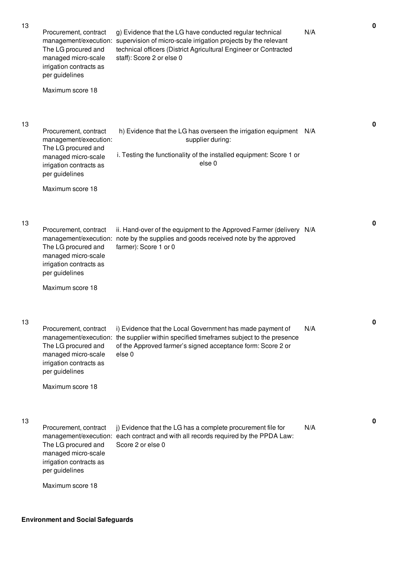| 13 | Procurement, contract<br>The LG procured and<br>managed micro-scale<br>irrigation contracts as<br>per guidelines<br>Maximum score 18                          | g) Evidence that the LG have conducted regular technical<br>management/execution: supervision of micro-scale irrigation projects by the relevant<br>technical officers (District Agricultural Engineer or Contracted<br>staff): Score 2 or else 0 | N/A | 0            |
|----|---------------------------------------------------------------------------------------------------------------------------------------------------------------|---------------------------------------------------------------------------------------------------------------------------------------------------------------------------------------------------------------------------------------------------|-----|--------------|
| 13 | Procurement, contract<br>management/execution:<br>The LG procured and<br>managed micro-scale<br>irrigation contracts as<br>per guidelines<br>Maximum score 18 | h) Evidence that the LG has overseen the irrigation equipment N/A<br>supplier during:<br>i. Testing the functionality of the installed equipment: Score 1 or<br>else <sub>0</sub>                                                                 |     | 0            |
| 13 | Procurement, contract<br>management/execution:<br>The LG procured and<br>managed micro-scale<br>irrigation contracts as<br>per guidelines<br>Maximum score 18 | ii. Hand-over of the equipment to the Approved Farmer (delivery N/A<br>note by the supplies and goods received note by the approved<br>farmer): Score 1 or 0                                                                                      |     | $\mathbf{0}$ |
| 13 | Procurement, contract<br>The LG procured and<br>managed micro-scale<br>irrigation contracts as<br>per guidelines<br>Maximum score 18                          | i) Evidence that the Local Government has made payment of<br>management/execution: the supplier within specified timeframes subject to the presence<br>of the Approved farmer's signed acceptance form: Score 2 or<br>else <sub>0</sub>           | N/A | 0            |
| 13 | Procurement, contract<br>The LG procured and<br>managed micro-scale<br>irrigation contracts as<br>per guidelines<br>Maximum score 18                          | j) Evidence that the LG has a complete procurement file for<br>management/execution: each contract and with all records required by the PPDA Law:<br>Score 2 or else 0                                                                            | N/A | $\mathbf 0$  |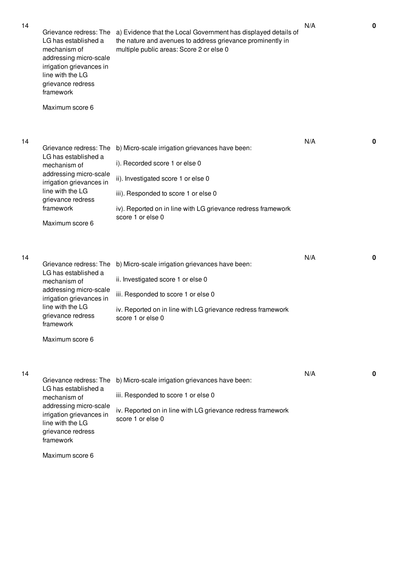| 14 | Grievance redress: The<br>LG has established a<br>mechanism of<br>addressing micro-scale<br>irrigation grievances in<br>line with the LG<br>grievance redress<br>framework<br>Maximum score 6 | a) Evidence that the Local Government has displayed details of<br>the nature and avenues to address grievance prominently in<br>multiple public areas: Score 2 or else 0                                                                              | N/A | 0           |
|----|-----------------------------------------------------------------------------------------------------------------------------------------------------------------------------------------------|-------------------------------------------------------------------------------------------------------------------------------------------------------------------------------------------------------------------------------------------------------|-----|-------------|
| 14 | Grievance redress: The<br>LG has established a<br>mechanism of<br>addressing micro-scale<br>irrigation grievances in<br>line with the LG<br>grievance redress<br>framework<br>Maximum score 6 | b) Micro-scale irrigation grievances have been:<br>i). Recorded score 1 or else 0<br>ii). Investigated score 1 or else 0<br>iii). Responded to score 1 or else 0<br>iv). Reported on in line with LG grievance redress framework<br>score 1 or else 0 | N/A | $\mathbf 0$ |
| 14 | Grievance redress: The<br>LG has established a<br>mechanism of<br>addressing micro-scale<br>irrigation grievances in<br>line with the LG<br>grievance redress<br>framework<br>Maximum score 6 | b) Micro-scale irrigation grievances have been:<br>ii. Investigated score 1 or else 0<br>iii. Responded to score 1 or else 0<br>iv. Reported on in line with LG grievance redress framework<br>score 1 or else 0                                      | N/A | $\mathbf 0$ |
| 14 | Grievance redress: The<br>LG has established a<br>mechanism of<br>addressing micro-scale<br>irrigation grievances in<br>line with the LG<br>grievance redress<br>framework                    | b) Micro-scale irrigation grievances have been:<br>iii. Responded to score 1 or else 0<br>iv. Reported on in line with LG grievance redress framework<br>score 1 or else 0                                                                            | N/A | 0           |

Maximum score 6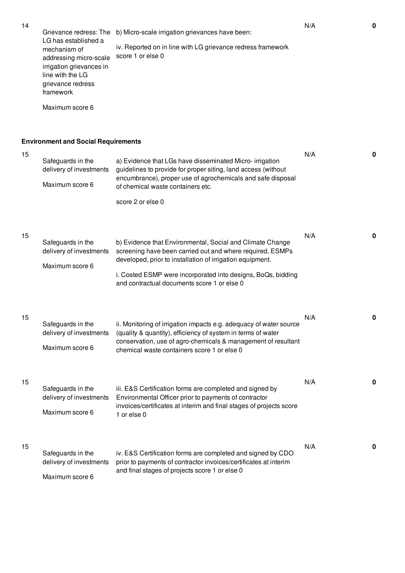Grievance redress: The b) Micro-scale irrigation grievances have been: LG has established a mechanism of addressing micro-scale score 1 or else 0 irrigation grievances in line with the LG grievance redress framework Maximum score 6 iv. Reported on in line with LG grievance redress framework N/A **0**

## **Environment and Social Requirements**

| 15 | Safeguards in the<br>delivery of investments<br>Maximum score 6 | a) Evidence that LGs have disseminated Micro- irrigation<br>guidelines to provide for proper siting, land access (without<br>encumbrance), proper use of agrochemicals and safe disposal<br>of chemical waste containers etc.                                                                                           | N/A | 0           |
|----|-----------------------------------------------------------------|-------------------------------------------------------------------------------------------------------------------------------------------------------------------------------------------------------------------------------------------------------------------------------------------------------------------------|-----|-------------|
| 15 | Safeguards in the<br>delivery of investments<br>Maximum score 6 | score 2 or else 0<br>b) Evidence that Environmental, Social and Climate Change<br>screening have been carried out and where required, ESMPs<br>developed, prior to installation of irrigation equipment.<br>i. Costed ESMP were incorporated into designs, BoQs, bidding<br>and contractual documents score 1 or else 0 | N/A | 0           |
| 15 | Safeguards in the<br>delivery of investments<br>Maximum score 6 | ii. Monitoring of irrigation impacts e.g. adequacy of water source<br>(quality & quantity), efficiency of system in terms of water<br>conservation, use of agro-chemicals & management of resultant<br>chemical waste containers score 1 or else 0                                                                      | N/A | 0           |
| 15 | Safeguards in the<br>delivery of investments<br>Maximum score 6 | iii. E&S Certification forms are completed and signed by<br>Environmental Officer prior to payments of contractor<br>invoices/certificates at interim and final stages of projects score<br>1 or else 0                                                                                                                 | N/A | 0           |
| 15 | Safeguards in the<br>delivery of investments<br>Maximum score 6 | iv. E&S Certification forms are completed and signed by CDO<br>prior to payments of contractor invoices/certificates at interim<br>and final stages of projects score 1 or else 0                                                                                                                                       | N/A | $\mathbf 0$ |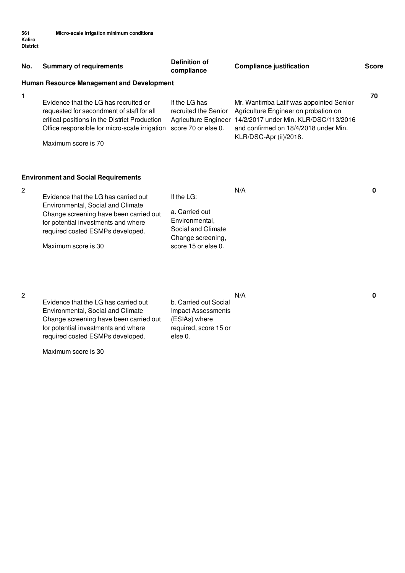| No. | <b>Summary of requirements</b>                                                                                                                                                                                        | Definition of<br>compliance                                                                                         | <b>Compliance justification</b>                                                                                                                                                             | <b>Score</b> |
|-----|-----------------------------------------------------------------------------------------------------------------------------------------------------------------------------------------------------------------------|---------------------------------------------------------------------------------------------------------------------|---------------------------------------------------------------------------------------------------------------------------------------------------------------------------------------------|--------------|
|     | <b>Human Resource Management and Development</b>                                                                                                                                                                      |                                                                                                                     |                                                                                                                                                                                             |              |
| 1   | Evidence that the LG has recruited or<br>requested for secondment of staff for all<br>critical positions in the District Production<br>Office responsible for micro-scale irrigation<br>Maximum score is 70           | If the LG has<br>recruited the Senior<br>Agriculture Engineer<br>score 70 or else 0.                                | Mr. Wantimba Latif was appointed Senior<br>Agriculture Engineer on probation on<br>14/2/2017 under Min. KLR/DSC/113/2016<br>and confirmed on 18/4/2018 under Min.<br>KLR/DSC-Apr (ii)/2018. | 70           |
|     | <b>Environment and Social Requirements</b>                                                                                                                                                                            |                                                                                                                     |                                                                                                                                                                                             |              |
| 2   | Evidence that the LG has carried out<br>Environmental, Social and Climate<br>Change screening have been carried out<br>for potential investments and where<br>required costed ESMPs developed.<br>Maximum score is 30 | If the $LG$ :<br>a. Carried out<br>Environmental,<br>Social and Climate<br>Change screening,<br>score 15 or else 0. | N/A                                                                                                                                                                                         | 0            |

Evidence that the LG has carried out Environmental, Social and Climate Change screening have been carried out for potential investments and where required costed ESMPs developed.

Maximum score is 30

N/A **0**

b. Carried out Social Impact Assessments (ESIAs) where required, score 15 or else 0.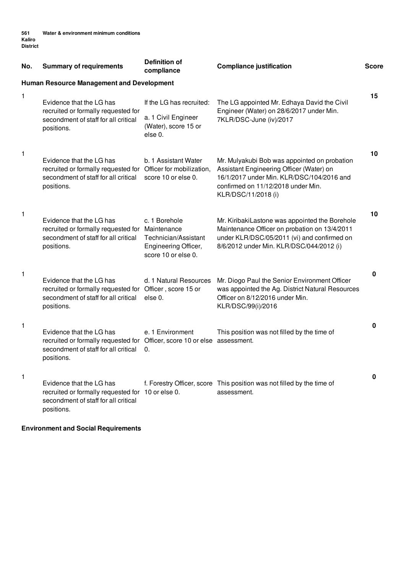| No. | <b>Summary of requirements</b>                                                                                                                              | <b>Definition of</b><br>compliance                                                   | <b>Compliance justification</b>                                                                                                                                                                    | <b>Score</b> |
|-----|-------------------------------------------------------------------------------------------------------------------------------------------------------------|--------------------------------------------------------------------------------------|----------------------------------------------------------------------------------------------------------------------------------------------------------------------------------------------------|--------------|
|     | <b>Human Resource Management and Development</b>                                                                                                            |                                                                                      |                                                                                                                                                                                                    |              |
| 1   | Evidence that the LG has<br>recruited or formally requested for<br>secondment of staff for all critical<br>positions.                                       | If the LG has recruited:<br>a. 1 Civil Engineer<br>(Water), score 15 or<br>else 0.   | The LG appointed Mr. Edhaya David the Civil<br>Engineer (Water) on 28/6/2017 under Min.<br>7KLR/DSC-June (iv)/2017                                                                                 | 15           |
| 1   | Evidence that the LG has<br>recruited or formally requested for Officer for mobilization,<br>secondment of staff for all critical<br>positions.             | b. 1 Assistant Water<br>score 10 or else 0.                                          | Mr. Mulyakubi Bob was appointed on probation<br>Assistant Engineering Officer (Water) on<br>16/1/2017 under Min. KLR/DSC/104/2016 and<br>confirmed on 11/12/2018 under Min.<br>KLR/DSC/11/2018 (i) | 10           |
| 1   | Evidence that the LG has<br>recruited or formally requested for Maintenance<br>secondment of staff for all critical<br>positions.                           | c. 1 Borehole<br>Technician/Assistant<br>Engineering Officer,<br>score 10 or else 0. | Mr. KiribakiLastone was appointed the Borehole<br>Maintenance Officer on probation on 13/4/2011<br>under KLR/DSC/05/2011 (vi) and confirmed on<br>8/6/2012 under Min. KLR/DSC/044/2012 (i)         | 10           |
| 1   | Evidence that the LG has<br>recruited or formally requested for Officer, score 15 or<br>secondment of staff for all critical<br>positions.                  | d. 1 Natural Resources<br>else 0.                                                    | Mr. Diogo Paul the Senior Environment Officer<br>was appointed the Ag. District Natural Resources<br>Officer on 8/12/2016 under Min.<br>KLR/DSC/99(i)/2016                                         | 0            |
| 1   | Evidence that the LG has<br>recruited or formally requested for Officer, score 10 or else assessment.<br>secondment of staff for all critical<br>positions. | e. 1 Environment<br>0.                                                               | This position was not filled by the time of                                                                                                                                                        | 0            |
| 1   | Evidence that the LG has<br>recruited or formally requested for 10 or else 0.<br>secondment of staff for all critical<br>positions.                         |                                                                                      | f. Forestry Officer, score This position was not filled by the time of<br>assessment.                                                                                                              | 0            |

**Environment and Social Requirements**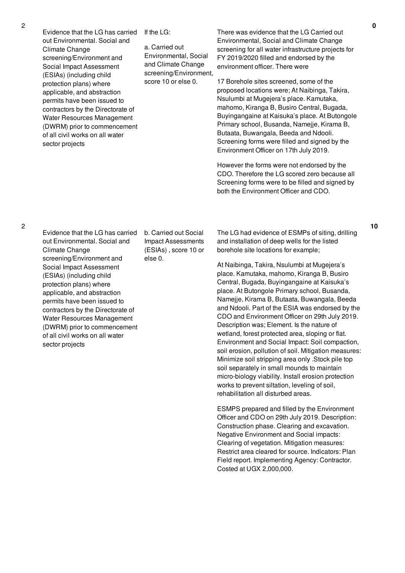Evidence that the LG has carried out Environmental. Social and Climate Change screening/Environment and Social Impact Assessment (ESIAs) (including child protection plans) where applicable, and abstraction permits have been issued to contractors by the Directorate of Water Resources Management (DWRM) prior to commencement of all civil works on all water sector projects

If the LG:

a. Carried out Environmental, Social and Climate Change screening/Environment, score 10 or else 0.

There was evidence that the LG Carried out Environmental, Social and Climate Change screening for all water infrastructure projects for FY 2019/2020 filled and endorsed by the environment officer. There were

17 Borehole sites screened, some of the proposed locations were; At Naibinga, Takira, Nsulumbi at Mugejera's place. Kamutaka, mahomo, Kiranga B, Busiro Central, Bugada, Buyingangaine at Kaisuka's place. At Butongole Primary school, Busanda, Namejje, Kirama B, Butaata, Buwangala, Beeda and Ndooli. Screening forms were filled and signed by the Environment Officer on 17th July 2019.

However the forms were not endorsed by the CDO. Therefore the LG scored zero because all Screening forms were to be filled and signed by both the Environment Officer and CDO.

Evidence that the LG has carried out Environmental. Social and Climate Change screening/Environment and Social Impact Assessment (ESIAs) (including child protection plans) where applicable, and abstraction permits have been issued to contractors by the Directorate of Water Resources Management (DWRM) prior to commencement of all civil works on all water sector projects

b. Carried out Social Impact Assessments (ESIAs) , score 10 or else 0.

The LG had evidence of ESMPs of siting, drilling and installation of deep wells for the listed borehole site locations for example;

At Naibinga, Takira, Nsulumbi at Mugejera's place. Kamutaka, mahomo, Kiranga B, Busiro Central, Bugada, Buyingangaine at Kaisuka's place. At Butongole Primary school, Busanda, Namejje, Kirama B, Butaata, Buwangala, Beeda and Ndooli. Part of the ESIA was endorsed by the CDO and Environment Officer on 29th July 2019. Description was; Element. Is the nature of wetland, forest protected area, sloping or flat. Environment and Social Impact: Soil compaction, soil erosion, pollution of soil. Mitigation measures: Minimize soil stripping area only .Stock pile top soil separately in small mounds to maintain micro-biology viability. Install erosion protection works to prevent siltation, leveling of soil, rehabilitation all disturbed areas.

ESMPS prepared and filled by the Environment Officer and CDO on 29th July 2019. Description: Construction phase. Clearing and excavation. Negative Environment and Social impacts: Clearing of vegetation. Mitigation measures: Restrict area cleared for source. Indicators: Plan Field report. Implementing Agency: Contractor. Costed at UGX 2,000,000.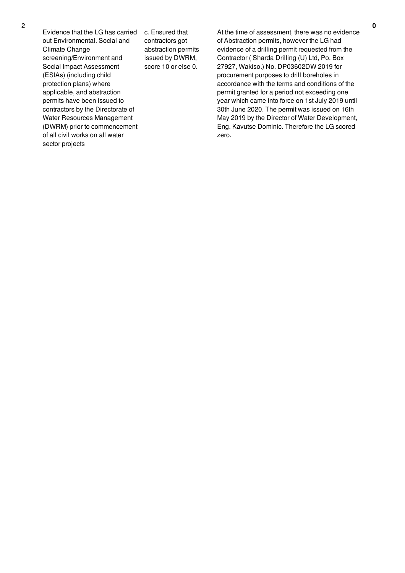Evidence that the LG has carried out Environmental. Social and Climate Change screening/Environment and Social Impact Assessment (ESIAs) (including child protection plans) where applicable, and abstraction permits have been issued to contractors by the Directorate of Water Resources Management (DWRM) prior to commencement of all civil works on all water sector projects

c. Ensured that contractors got abstraction permits issued by DWRM, score 10 or else 0.

At the time of assessment, there was no evidence of Abstraction permits, however the LG had evidence of a drilling permit requested from the Contractor ( Sharda Drilling (U) Ltd, Po. Box 27927, Wakiso.) No. DP03602DW 2019 for procurement purposes to drill boreholes in accordance with the terms and conditions of the permit granted for a period not exceeding one year which came into force on 1st July 2019 until 30th June 2020. The permit was issued on 16th May 2019 by the Director of Water Development, Eng. Kavutse Dominic. Therefore the LG scored zero.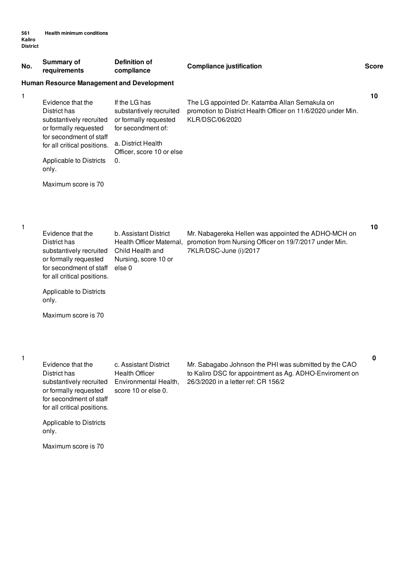| No.          | <b>Summary of</b><br>requirements                                                                                                                                          | <b>Definition of</b><br>compliance                                                                                                               | <b>Compliance justification</b>                                                                                                                         | <b>Score</b> |
|--------------|----------------------------------------------------------------------------------------------------------------------------------------------------------------------------|--------------------------------------------------------------------------------------------------------------------------------------------------|---------------------------------------------------------------------------------------------------------------------------------------------------------|--------------|
|              | <b>Human Resource Management and Development</b>                                                                                                                           |                                                                                                                                                  |                                                                                                                                                         |              |
| 1            | Evidence that the<br>District has<br>substantively recruited<br>or formally requested<br>for secondment of staff<br>for all critical positions.<br>Applicable to Districts | If the LG has<br>substantively recruited<br>or formally requested<br>for secondment of:<br>a. District Health<br>Officer, score 10 or else<br>0. | The LG appointed Dr. Katamba Allan Semakula on<br>promotion to District Health Officer on 11/6/2020 under Min.<br>KLR/DSC/06/2020                       | 10           |
|              | only.                                                                                                                                                                      |                                                                                                                                                  |                                                                                                                                                         |              |
|              | Maximum score is 70                                                                                                                                                        |                                                                                                                                                  |                                                                                                                                                         |              |
| $\mathbf{1}$ | Evidence that the<br>District has<br>substantively recruited<br>or formally requested<br>for secondment of staff<br>for all critical positions.                            | b. Assistant District<br>Health Officer Maternal,<br>Child Health and<br>Nursing, score 10 or<br>else 0                                          | Mr. Nabagereka Hellen was appointed the ADHO-MCH on<br>promotion from Nursing Officer on 19/7/2017 under Min.<br>7KLR/DSC-June (i)/2017                 | 10           |
|              | Applicable to Districts<br>only.                                                                                                                                           |                                                                                                                                                  |                                                                                                                                                         |              |
|              | Maximum score is 70                                                                                                                                                        |                                                                                                                                                  |                                                                                                                                                         |              |
| Т.           | Evidence that the<br>District has<br>substantively recruited<br>or formally requested<br>for secondment of staff<br>for all critical positions.                            | c. Assistant District<br><b>Health Officer</b><br>Environmental Health,<br>score 10 or else 0.                                                   | Mr. Sabagabo Johnson the PHI was submitted by the CAO<br>to Kaliro DSC for appointment as Ag. ADHO-Enviroment on<br>26/3/2020 in a letter ref: CR 156/2 | 0            |
|              | Applicable to Districts<br>only.                                                                                                                                           |                                                                                                                                                  |                                                                                                                                                         |              |
|              | Maximum score is 70                                                                                                                                                        |                                                                                                                                                  |                                                                                                                                                         |              |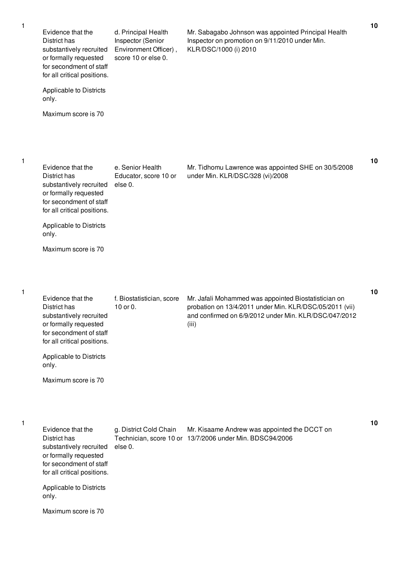| Evidence that the<br>District has<br>substantively recruited<br>or formally requested<br>for secondment of staff<br>for all critical positions.<br>Applicable to Districts | d. Principal Health<br>Inspector (Senior<br>Environment Officer),<br>score 10 or else 0. | Mr. Sabagabo Johnson was appointed Principal Health<br>Inspector on promotion on 9/11/2010 under Min.<br>KLR/DSC/1000 (i) 2010                                                    | 10 |
|----------------------------------------------------------------------------------------------------------------------------------------------------------------------------|------------------------------------------------------------------------------------------|-----------------------------------------------------------------------------------------------------------------------------------------------------------------------------------|----|
| only.<br>Maximum score is 70                                                                                                                                               |                                                                                          |                                                                                                                                                                                   |    |
| Evidence that the<br>District has<br>substantively recruited<br>or formally requested<br>for secondment of staff<br>for all critical positions.                            | e. Senior Health<br>Educator, score 10 or<br>else 0.                                     | Mr. Tidhomu Lawrence was appointed SHE on 30/5/2008<br>under Min. KLR/DSC/328 (vi)/2008                                                                                           | 10 |
| Applicable to Districts<br>only.<br>Maximum score is 70                                                                                                                    |                                                                                          |                                                                                                                                                                                   |    |
| Evidence that the<br>District has<br>substantively recruited<br>or formally requested<br>for secondment of staff<br>for all critical positions.                            | f. Biostatistician, score<br>10 or 0.                                                    | Mr. Jafali Mohammed was appointed Biostatistician on<br>probation on 13/4/2011 under Min. KLR/DSC/05/2011 (vii)<br>and confirmed on 6/9/2012 under Min. KLR/DSC/047/2012<br>(iii) | 10 |
| Applicable to Districts<br>only.<br>Maximum score is 70                                                                                                                    |                                                                                          |                                                                                                                                                                                   |    |
| Evidence that the<br>District has<br>substantively recruited<br>or formally requested<br>for secondment of staff<br>for all critical positions.                            | g. District Cold Chain<br>else 0.                                                        | Mr. Kisaame Andrew was appointed the DCCT on<br>Technician, score 10 or 13/7/2006 under Min. BDSC94/2006                                                                          | 10 |
| Applicable to Districts<br>only.<br>Maximum score is 70                                                                                                                    |                                                                                          |                                                                                                                                                                                   |    |
|                                                                                                                                                                            |                                                                                          |                                                                                                                                                                                   |    |

1

1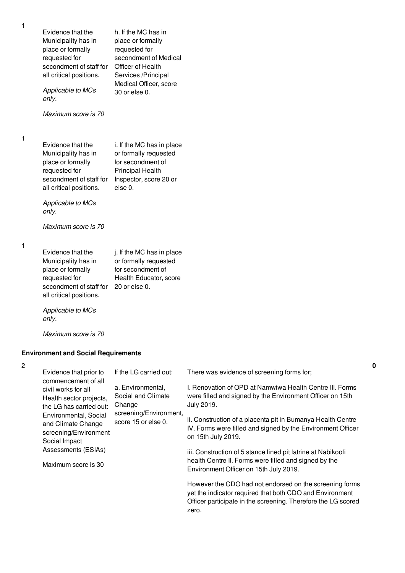Evidence that the Municipality has in place or formally requested for secondment of staff for all critical positions. *Applicable to MCs only. Maximum score is 70* h. If the MC has in place or formally requested for secondment of Medical Officer of Health Services /Principal Medical Officer, score 30 or else 0. Evidence that the Municipality has in place or formally requested for secondment of staff for all critical positions. *Applicable to MCs only. Maximum score is 70* i. If the MC has in place or formally requested for secondment of Principal Health Inspector, score 20 or else 0. Evidence that the Municipality has in place or formally requested for secondment of staff for 20 or else 0. all critical positions. *Applicable to MCs only. Maximum score is 70* j. If the MC has in place or formally requested for secondment of Health Educator, score **Environment and Social Requirements** Evidence that prior to commencement of all civil works for all Health sector projects, the LG has carried out: Environmental, Social and Climate Change screening/Environment Social Impact Assessments (ESIAs) Maximum score is 30 If the LG carried out: a. Environmental, Social and Climate Change screening/Environment, score 15 or else 0. There was evidence of screening forms for: I. Renovation of OPD at Namwiwa Health Centre III. Forms were filled and signed by the Environment Officer on 15th July 2019. ii. Construction of a placenta pit in Bumanya Health Centre IV. Forms were filled and signed by the Environment Officer on 15th July 2019. iii. Construction of 5 stance lined pit latrine at Nabikooli health Centre II. Forms were filled and signed by the

> However the CDO had not endorsed on the screening forms yet the indicator required that both CDO and Environment Officer participate in the screening. Therefore the LG scored zero.

**0**

Environment Officer on 15th July 2019.

1

1

1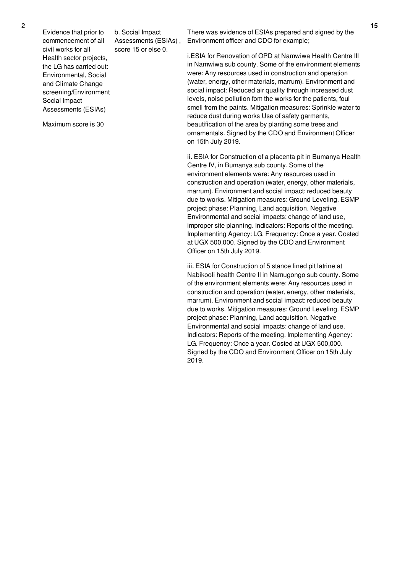Evidence that prior to commencement of all civil works for all Health sector projects, the LG has carried out: Environmental, Social and Climate Change screening/Environment

Social Impact

Assessments (ESIAs)

Maximum score is 30

b. Social Impact Assessments (ESIAs) , score 15 or else 0.

There was evidence of ESIAs prepared and signed by the Environment officer and CDO for example;

i.ESIA for Renovation of OPD at Namwiwa Health Centre III in Namwiwa sub county. Some of the environment elements were: Any resources used in construction and operation (water, energy, other materials, marrum). Environment and social impact: Reduced air quality through increased dust levels, noise pollution fom the works for the patients, foul smell from the paints. Mitigation measures: Sprinkle water to reduce dust during works Use of safety garments, beautification of the area by planting some trees and ornamentals. Signed by the CDO and Environment Officer on 15th July 2019.

ii. ESIA for Construction of a placenta pit in Bumanya Health Centre IV, in Bumanya sub county. Some of the environment elements were: Any resources used in construction and operation (water, energy, other materials, marrum). Environment and social impact: reduced beauty due to works. Mitigation measures: Ground Leveling. ESMP project phase: Planning, Land acquisition. Negative Environmental and social impacts: change of land use, improper site planning. Indicators: Reports of the meeting. Implementing Agency: LG. Frequency: Once a year. Costed at UGX 500,000. Signed by the CDO and Environment Officer on 15th July 2019.

iii. ESIA for Construction of 5 stance lined pit latrine at Nabikooli health Centre II in Namugongo sub county. Some of the environment elements were: Any resources used in construction and operation (water, energy, other materials, marrum). Environment and social impact: reduced beauty due to works. Mitigation measures: Ground Leveling. ESMP project phase: Planning, Land acquisition. Negative Environmental and social impacts: change of land use. Indicators: Reports of the meeting. Implementing Agency: LG. Frequency: Once a year. Costed at UGX 500,000. Signed by the CDO and Environment Officer on 15th July 2019.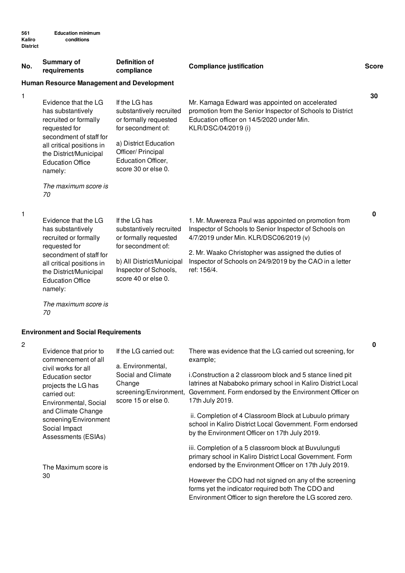| No. | <b>Summary of</b><br>requirements                                                                                                                                                                                                         | <b>Definition of</b><br>compliance                                                                                                                                                  | <b>Compliance justification</b>                                                                                                                                                                                                                                                            | <b>Score</b> |  |  |  |
|-----|-------------------------------------------------------------------------------------------------------------------------------------------------------------------------------------------------------------------------------------------|-------------------------------------------------------------------------------------------------------------------------------------------------------------------------------------|--------------------------------------------------------------------------------------------------------------------------------------------------------------------------------------------------------------------------------------------------------------------------------------------|--------------|--|--|--|
|     | <b>Human Resource Management and Development</b>                                                                                                                                                                                          |                                                                                                                                                                                     |                                                                                                                                                                                                                                                                                            |              |  |  |  |
| 1   | Evidence that the LG<br>has substantively<br>recruited or formally<br>requested for<br>secondment of staff for<br>all critical positions in<br>the District/Municipal<br><b>Education Office</b><br>namely:<br>The maximum score is<br>70 | If the LG has<br>substantively recruited<br>or formally requested<br>for secondment of:<br>a) District Education<br>Officer/ Principal<br>Education Officer,<br>score 30 or else 0. | Mr. Kamaga Edward was appointed on accelerated<br>promotion from the Senior Inspector of Schools to District<br>Education officer on 14/5/2020 under Min.<br>KLR/DSC/04/2019 (i)                                                                                                           | 30           |  |  |  |
| 1   | Evidence that the LG<br>has substantively<br>recruited or formally<br>requested for<br>secondment of staff for<br>all critical positions in<br>the District/Municipal<br><b>Education Office</b><br>namely:                               | If the LG has<br>substantively recruited<br>or formally requested<br>for secondment of:<br>b) All District/Municipal<br>Inspector of Schools,<br>score 40 or else 0.                | 1. Mr. Muwereza Paul was appointed on promotion from<br>Inspector of Schools to Senior Inspector of Schools on<br>4/7/2019 under Min. KLR/DSC06/2019 (v)<br>2. Mr. Waako Christopher was assigned the duties of<br>Inspector of Schools on 24/9/2019 by the CAO in a letter<br>ref: 156/4. | $\mathbf 0$  |  |  |  |

*The maximum score is 70*

## **Environment and Social Requirements**

| $\overline{2}$ |                                                                                                                                                                                                                                                 |                                                                                                                              |                                                                                                                                                                                                         |
|----------------|-------------------------------------------------------------------------------------------------------------------------------------------------------------------------------------------------------------------------------------------------|------------------------------------------------------------------------------------------------------------------------------|---------------------------------------------------------------------------------------------------------------------------------------------------------------------------------------------------------|
|                | Evidence that prior to<br>commencement of all<br>civil works for all<br>Education sector<br>projects the LG has<br>carried out:<br>Environmental, Social<br>and Climate Change<br>screening/Environment<br>Social Impact<br>Assessments (ESIAs) | If the LG carried out:<br>a. Environmental,<br>Social and Climate<br>Change<br>screening/Environment,<br>score 15 or else 0. | There was evidence that the LG carried out screening, for<br>example;                                                                                                                                   |
|                |                                                                                                                                                                                                                                                 |                                                                                                                              | i.Construction a 2 classroom block and 5 stance lined pit<br>latrines at Nababoko primary school in Kaliro District Local<br>Government. Form endorsed by the Environment Officer on<br>17th July 2019. |
|                |                                                                                                                                                                                                                                                 |                                                                                                                              | ii. Completion of 4 Classroom Block at Lubuulo primary<br>school in Kaliro District Local Government. Form endorsed<br>by the Environment Officer on 17th July 2019.                                    |
|                | The Maximum score is<br>30                                                                                                                                                                                                                      |                                                                                                                              | iii. Completion of a 5 classroom block at Buvulunguti<br>primary school in Kaliro District Local Government. Form<br>endorsed by the Environment Officer on 17th July 2019.                             |
|                |                                                                                                                                                                                                                                                 |                                                                                                                              | However the CDO had not signed on any of the screening<br>forms yet the indicator required both The CDO and<br>Environment Officer to sign therefore the LG scored zero.                                |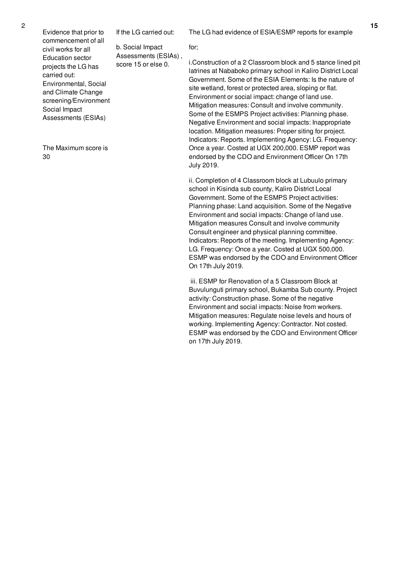Evidence that prior to commencement of all civil works for all Education sector projects the LG has

Environmental, Social and Climate Change screening/Environment

Assessments (ESIAs)

The Maximum score is

carried out:

Social Impact

30

If the LG carried out:

b. Social Impact Assessments (ESIAs) , score 15 or else 0.

The LG had evidence of ESIA/ESMP reports for example

for;

i.Construction of a 2 Classroom block and 5 stance lined pit latrines at Nababoko primary school in Kaliro District Local Government. Some of the ESIA Elements: Is the nature of site wetland, forest or protected area, sloping or flat. Environment or social impact: change of land use. Mitigation measures: Consult and involve community. Some of the ESMPS Project activities: Planning phase. Negative Environment and social impacts: Inappropriate location. Mitigation measures: Proper siting for project. Indicators: Reports. Implementing Agency: LG. Frequency: Once a year. Costed at UGX 200,000. ESMP report was endorsed by the CDO and Environment Officer On 17th July 2019.

ii. Completion of 4 Classroom block at Lubuulo primary school in Kisinda sub county, Kaliro District Local Government. Some of the ESMPS Project activities: Planning phase: Land acquisition. Some of the Negative Environment and social impacts: Change of land use. Mitigation measures Consult and involve community Consult engineer and physical planning committee. Indicators: Reports of the meeting. Implementing Agency: LG. Frequency: Once a year. Costed at UGX 500,000. ESMP was endorsed by the CDO and Environment Officer On 17th July 2019.

iii. ESMP for Renovation of a 5 Classroom Block at Buvulunguti primary school, Bukamba Sub county. Project activity: Construction phase. Some of the negative Environment and social impacts: Noise from workers. Mitigation measures: Regulate noise levels and hours of working. Implementing Agency: Contractor. Not costed. ESMP was endorsed by the CDO and Environment Officer on 17th July 2019.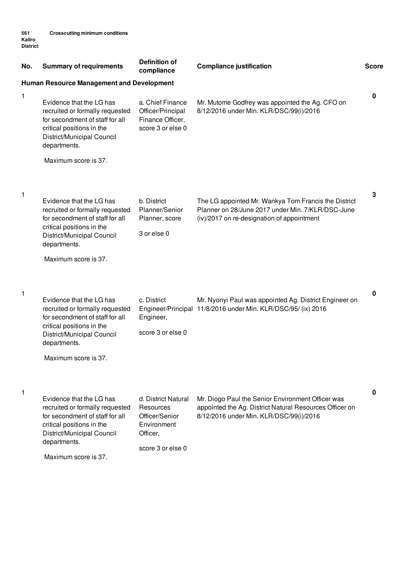| No. | <b>Summary of requirements</b>                                                                                                                                                                    | <b>Definition of</b><br>compliance                                                                 | <b>Compliance justification</b>                                                                                                                         | <b>Score</b> |
|-----|---------------------------------------------------------------------------------------------------------------------------------------------------------------------------------------------------|----------------------------------------------------------------------------------------------------|---------------------------------------------------------------------------------------------------------------------------------------------------------|--------------|
|     | <b>Human Resource Management and Development</b>                                                                                                                                                  |                                                                                                    |                                                                                                                                                         |              |
| 1   | Evidence that the LG has<br>recruited or formally requested<br>for secondment of staff for all<br>critical positions in the<br>District/Municipal Council<br>departments.                         | a. Chief Finance<br>Officer/Principal<br>Finance Officer,<br>score 3 or else 0                     | Mr. Mutome Godfrey was appointed the Ag. CFO on<br>8/12/2016 under Min. KLR/DSC/99(i)/2016                                                              | 0            |
|     | Maximum score is 37.                                                                                                                                                                              |                                                                                                    |                                                                                                                                                         |              |
| 1   | Evidence that the LG has<br>recruited or formally requested<br>for secondment of staff for all<br>critical positions in the<br>District/Municipal Council<br>departments.<br>Maximum score is 37. | b. District<br>Planner/Senior<br>Planner, score<br>3 or else 0                                     | The LG appointed Mr. Wankya Tom Francis the District<br>Planner on 28/June 2017 under Min. 7/KLR/DSC-June<br>(iv)/2017 on re-designation of appointment | 3            |
| 1   | Evidence that the LG has<br>recruited or formally requested<br>for secondment of staff for all<br>critical positions in the<br>District/Municipal Council<br>departments.<br>Maximum score is 37. | c. District<br>Engineer,<br>score 3 or else 0                                                      | Mr. Nyonyi Paul was appointed Ag. District Engineer on<br>Engineer/Principal 11/8/2016 under Min. KLR/DSC/95/ (ix) 2016                                 | 0            |
| 1   | Evidence that the LG has<br>recruited or formally requested<br>for secondment of staff for all<br>critical positions in the<br>District/Municipal Council<br>departments.<br>Maximum score is 37. | d. District Natural<br>Resources<br>Officer/Senior<br>Environment<br>Officer,<br>score 3 or else 0 | Mr. Diogo Paul the Senior Environment Officer was<br>appointed the Ag. District Natural Resources Officer on<br>8/12/2016 under Min. KLR/DSC/99(i)/2016 | 0            |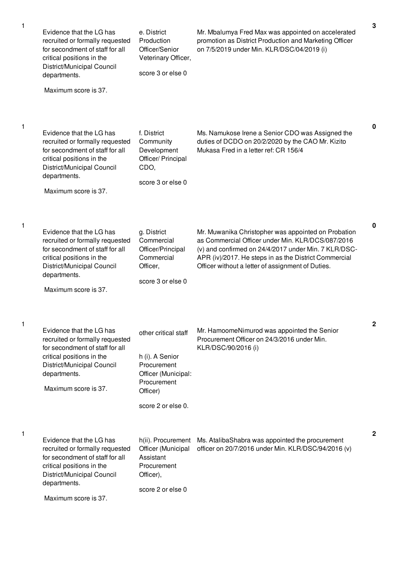| 1 | Evidence that the LG has<br>recruited or formally requested<br>for secondment of staff for all<br>critical positions in the<br>District/Municipal Council<br>departments.<br>Maximum score is 37. | e. District<br>Production<br>Officer/Senior<br>Veterinary Officer,<br>score 3 or else 0                                        | Mr. Mbalumya Fred Max was appointed on accelerated<br>promotion as District Production and Marketing Officer<br>on 7/5/2019 under Min. KLR/DSC/04/2019 (i)                                                                                                                     | 3 |
|---|---------------------------------------------------------------------------------------------------------------------------------------------------------------------------------------------------|--------------------------------------------------------------------------------------------------------------------------------|--------------------------------------------------------------------------------------------------------------------------------------------------------------------------------------------------------------------------------------------------------------------------------|---|
| 1 | Evidence that the LG has<br>recruited or formally requested<br>for secondment of staff for all<br>critical positions in the<br>District/Municipal Council<br>departments.<br>Maximum score is 37. | f. District<br>Community<br>Development<br>Officer/ Principal<br>CDO,<br>score 3 or else 0                                     | Ms. Namukose Irene a Senior CDO was Assigned the<br>duties of DCDO on 20/2/2020 by the CAO Mr. Kizito<br>Mukasa Fred in a letter ref: CR 156/4                                                                                                                                 | 0 |
| 1 | Evidence that the LG has<br>recruited or formally requested<br>for secondment of staff for all<br>critical positions in the<br>District/Municipal Council<br>departments.<br>Maximum score is 37. | g. District<br>Commercial<br>Officer/Principal<br>Commercial<br>Officer,<br>score 3 or else 0                                  | Mr. Muwanika Christopher was appointed on Probation<br>as Commercial Officer under Min. KLR/DCS/087/2016<br>(v) and confirmed on 24/4/2017 under Min. 7 KLR/DSC-<br>APR (iv)/2017. He steps in as the District Commercial<br>Officer without a letter of assignment of Duties. | 0 |
|   | Evidence that the LG has<br>recruited or formally requested<br>for secondment of staff for all<br>critical positions in the<br>District/Municipal Council<br>departments.<br>Maximum score is 37. | other critical staff<br>h (i). A Senior<br>Procurement<br>Officer (Municipal:<br>Procurement<br>Officer)<br>score 2 or else 0. | Mr. HamoomeNimurod was appointed the Senior<br>Procurement Officer on 24/3/2016 under Min.<br>KLR/DSC/90/2016 (i)                                                                                                                                                              | 2 |
| 1 | Evidence that the LG has<br>recruited or formally requested<br>for secondment of staff for all<br>critical positions in the<br>District/Municipal Council<br>departments.<br>Maximum score is 37. | h(ii). Procurement<br>Officer (Municipal<br>Assistant<br>Procurement<br>Officer),<br>score 2 or else 0                         | Ms. AtalibaShabra was appointed the procurement<br>officer on 20/7/2016 under Min. KLR/DSC/94/2016 (v)                                                                                                                                                                         | 2 |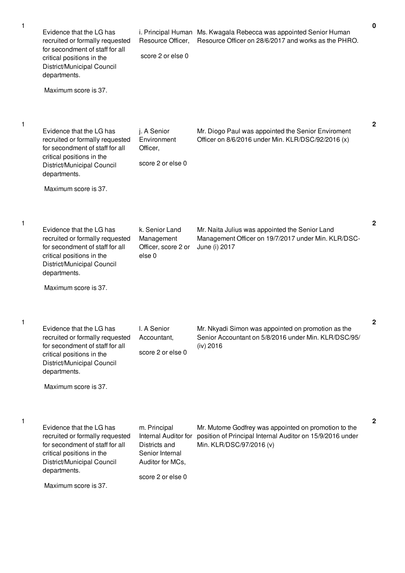| 1 | Evidence that the LG has<br>recruited or formally requested<br>for secondment of staff for all<br>critical positions in the<br>District/Municipal Council<br>departments.<br>Maximum score is 37. | Resource Officer,<br>score 2 or else 0                                                                            | i. Principal Human Ms. Kwagala Rebecca was appointed Senior Human<br>Resource Officer on 28/6/2017 and works as the PHRO.                     | 0            |
|---|---------------------------------------------------------------------------------------------------------------------------------------------------------------------------------------------------|-------------------------------------------------------------------------------------------------------------------|-----------------------------------------------------------------------------------------------------------------------------------------------|--------------|
| 1 | Evidence that the LG has<br>recruited or formally requested<br>for secondment of staff for all<br>critical positions in the<br>District/Municipal Council<br>departments.<br>Maximum score is 37. | j. A Senior<br>Environment<br>Officer,<br>score 2 or else 0                                                       | Mr. Diogo Paul was appointed the Senior Enviroment<br>Officer on 8/6/2016 under Min. KLR/DSC/92/2016 (x)                                      | $\mathbf{2}$ |
| 1 | Evidence that the LG has<br>recruited or formally requested<br>for secondment of staff for all<br>critical positions in the<br>District/Municipal Council<br>departments.<br>Maximum score is 37. | k. Senior Land<br>Management<br>Officer, score 2 or<br>else <sub>0</sub>                                          | Mr. Naita Julius was appointed the Senior Land<br>Management Officer on 19/7/2017 under Min. KLR/DSC-<br>June (i) 2017                        | $\mathbf{2}$ |
| 1 | Evidence that the LG has<br>recruited or formally requested<br>for secondment of staff for all<br>critical positions in the<br>District/Municipal Council<br>departments.<br>Maximum score is 37. | I. A Senior<br>Accountant,<br>score 2 or else 0                                                                   | Mr. Nkyadi Simon was appointed on promotion as the<br>Senior Accountant on 5/8/2016 under Min. KLR/DSC/95/<br>(iv) 2016                       | 2            |
| 1 | Evidence that the LG has<br>recruited or formally requested<br>for secondment of staff for all<br>critical positions in the<br>District/Municipal Council<br>departments.<br>Maximum score is 37. | m. Principal<br>Internal Auditor for<br>Districts and<br>Senior Internal<br>Auditor for MCs,<br>score 2 or else 0 | Mr. Mutome Godfrey was appointed on promotion to the<br>position of Principal Internal Auditor on 15/9/2016 under<br>Min. KLR/DSC/97/2016 (v) | $\mathbf{2}$ |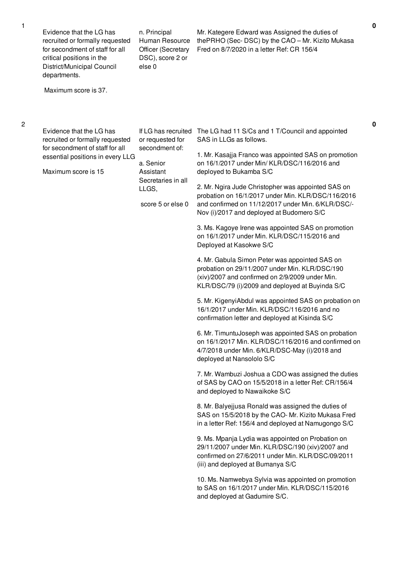| Evidence that the LG has<br>recruited or formally requested<br>for secondment of staff for all<br>critical positions in the<br>District/Municipal Council<br>departments.<br>Maximum score is 37. | n. Principal<br>Human Resource<br><b>Officer (Secretary</b><br>DSC), score 2 or<br>else <sub>0</sub>                                    | Mr. Kategere Edward was Assigned the duties of<br>thePRHO (Sec-DSC) by the CAO - Mr. Kizito Mukasa<br>Fred on 8/7/2020 in a letter Ref: CR 156/4                                                                                                                                                                                                                                                                                                                                                                                                                                                                                                                                                                                                                                                                                                                                                                                                                                                                                                                                                                                                                                                                                                                                                                                                                                                                                                                                                                                                                                                                                                                                                                                                                                                     |
|---------------------------------------------------------------------------------------------------------------------------------------------------------------------------------------------------|-----------------------------------------------------------------------------------------------------------------------------------------|------------------------------------------------------------------------------------------------------------------------------------------------------------------------------------------------------------------------------------------------------------------------------------------------------------------------------------------------------------------------------------------------------------------------------------------------------------------------------------------------------------------------------------------------------------------------------------------------------------------------------------------------------------------------------------------------------------------------------------------------------------------------------------------------------------------------------------------------------------------------------------------------------------------------------------------------------------------------------------------------------------------------------------------------------------------------------------------------------------------------------------------------------------------------------------------------------------------------------------------------------------------------------------------------------------------------------------------------------------------------------------------------------------------------------------------------------------------------------------------------------------------------------------------------------------------------------------------------------------------------------------------------------------------------------------------------------------------------------------------------------------------------------------------------------|
| Evidence that the LG has<br>recruited or formally requested<br>for secondment of staff for all<br>essential positions in every LLG<br>Maximum score is 15                                         | If LG has recruited<br>or requested for<br>secondment of:<br>a. Senior<br>Assistant<br>Secretaries in all<br>LLGS,<br>score 5 or else 0 | The LG had 11 S/Cs and 1 T/Council and appointed<br>SAS in LLGs as follows.<br>1. Mr. Kasajja Franco was appointed SAS on promotion<br>on 16/1/2017 under Min/ KLR/DSC/116/2016 and<br>deployed to Bukamba S/C<br>2. Mr. Ngira Jude Christopher was appointed SAS on<br>probation on 16/1/2017 under Min. KLR/DSC/116/2016<br>and confirmed on 11/12/2017 under Min. 6/KLR/DSC/-<br>Nov (i)/2017 and deployed at Budomero S/C<br>3. Ms. Kagoye Irene was appointed SAS on promotion<br>on 16/1/2017 under Min. KLR/DSC/115/2016 and<br>Deployed at Kasokwe S/C<br>4. Mr. Gabula Simon Peter was appointed SAS on<br>probation on 29/11/2007 under Min. KLR/DSC/190<br>(xiv)/2007 and confirmed on 2/9/2009 under Min.<br>KLR/DSC/79 (i)/2009 and deployed at Buyinda S/C<br>5. Mr. KigenyiAbdul was appointed SAS on probation on<br>16/1/2017 under Min. KLR/DSC/116/2016 and no<br>confirmation letter and deployed at Kisinda S/C<br>6. Mr. TimuntuJoseph was appointed SAS on probation<br>on 16/1/2017 Min. KLR/DSC/116/2016 and confirmed on<br>4/7/2018 under Min. 6/KLR/DSC-May (i)/2018 and<br>deployed at Nansololo S/C<br>7. Mr. Wambuzi Joshua a CDO was assigned the duties<br>of SAS by CAO on 15/5/2018 in a letter Ref: CR/156/4<br>and deployed to Nawaikoke S/C<br>8. Mr. Balyejjusa Ronald was assigned the duties of<br>SAS on 15/5/2018 by the CAO- Mr. Kizito Mukasa Fred<br>in a letter Ref: 156/4 and deployed at Namugongo S/C<br>9. Ms. Mpanja Lydia was appointed on Probation on<br>29/11/2007 under Min. KLR/DSC/190 (xiv)/2007 and<br>confirmed on 27/6/2011 under Min. KLR/DSC/09/2011<br>(iii) and deployed at Bumanya S/C<br>10. Ms. Namwebya Sylvia was appointed on promotion<br>to SAS on 16/1/2017 under Min. KLR/DSC/115/2016<br>and deployed at Gadumire S/C. |

**0**

1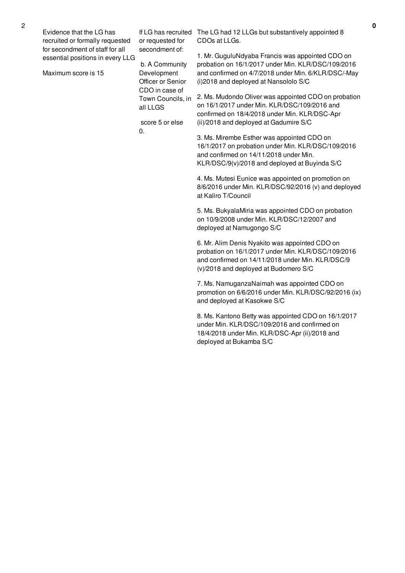| Evidence that the LG has<br>recruited or formally requested         | If LG has recruited<br>or requested for<br>secondment of: | The LG had 12 LLGs but substantively appointed 8<br>CDOs at LLGs.                                      |
|---------------------------------------------------------------------|-----------------------------------------------------------|--------------------------------------------------------------------------------------------------------|
| for secondment of staff for all<br>essential positions in every LLG | b. A Community                                            | 1. Mr. GuguluNdyaba Francis was appointed CDO on<br>probation on 16/1/2017 under Min. KLR/DSC/109/2016 |
| Maximum score is 15                                                 | Development<br>Officer or Senior<br>CDO in case of        | and confirmed on 4/7/2018 under Min. 6/KLR/DSC/-May<br>(i)2018 and deployed at Nansololo S/C           |

all LLGS

 $0<sub>l</sub>$ 

score 5 or else

Town Councils, in 2. Ms. Mudondo Oliver was appointed CDO on probation on 16/1/2017 under Min. KLR/DSC/109/2016 and confirmed on 18/4/2018 under Min. KLR/DSC-Apr (ii)/2018 and deployed at Gadumire S/C

> 3. Ms. Mirembe Esther was appointed CDO on 16/1/2017 on probation under Min. KLR/DSC/109/2016 and confirmed on 14/11/2018 under Min. KLR/DSC/9(v)/2018 and deployed at Buyinda S/C

4. Ms. Mutesi Eunice was appointed on promotion on 8/6/2016 under Min. KLR/DSC/92/2016 (v) and deployed at Kaliro T/Council

5. Ms. BukyalaMiria was appointed CDO on probation on 10/9/2008 under Min. KLR/DSC/12/2007 and deployed at Namugongo S/C

6. Mr. Alim Denis Nyakito was appointed CDO on probation on 16/1/2017 under Min. KLR/DSC/109/2016 and confirmed on 14/11/2018 under Min. KLR/DSC/9 (v)/2018 and deployed at Budomero S/C

7. Ms. NamuganzaNaimah was appointed CDO on promotion on 6/6/2016 under Min. KLR/DSC/92/2016 (ix) and deployed at Kasokwe S/C

8. Ms. Kantono Betty was appointed CDO on 16/1/2017 under Min. KLR/DSC/109/2016 and confirmed on 18/4/2018 under Min. KLR/DSC-Apr (ii)/2018 and deployed at Bukamba S/C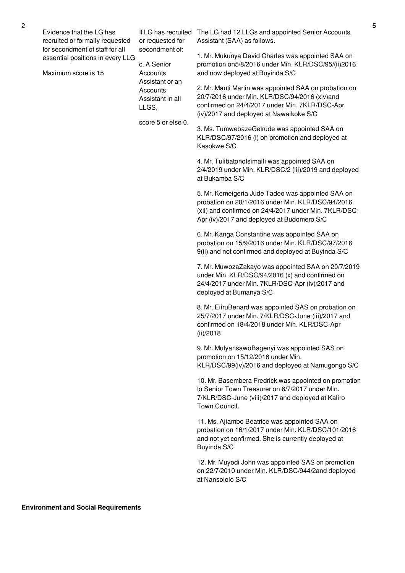Evidence that the LG has recruited or formally requested for secondment of staff for all essential positions in every LLG

Maximum score is 15

or requested for secondment of: c. A Senior

**Accounts** Assistant or an **Accounts** Assistant in all LLGS,

score 5 or else 0.

If LG has recruited The LG had 12 LLGs and appointed Senior Accounts Assistant (SAA) as follows.

> 1. Mr. Mukunya David Charles was appointed SAA on promotion on5/8/2016 under Min. KLR/DSC/95/(ii)2016 and now deployed at Buyinda S/C

> 2. Mr. Manti Martin was appointed SAA on probation on 20/7/2016 under Min. KLR/DSC/94/2016 (xiv)and confirmed on 24/4/2017 under Min. 7KLR/DSC-Apr (iv)/2017 and deployed at Nawaikoke S/C

3. Ms. TumwebazeGetrude was appointed SAA on KLR/DSC/97/2016 (i) on promotion and deployed at Kasokwe S/C

4. Mr. TulibatonoIsimaili was appointed SAA on 2/4/2019 under Min. KLR/DSC/2 (iii)/2019 and deployed at Bukamba S/C

5. Mr. Kemeigeria Jude Tadeo was appointed SAA on probation on 20/1/2016 under Min. KLR/DSC/94/2016 (xii) and confirmed on 24/4/2017 under Min. 7KLR/DSC-Apr (iv)/2017 and deployed at Budomero S/C

6. Mr. Kanga Constantine was appointed SAA on probation on 15/9/2016 under Min. KLR/DSC/97/2016 9(ii) and not confirmed and deployed at Buyinda S/C

7. Mr. MuwozaZakayo was appointed SAA on 20/7/2019 under Min. KLR/DSC/94/2016 (x) and confirmed on 24/4/2017 under Min. 7KLR/DSC-Apr (iv)/2017 and deployed at Bumanya S/C

8. Mr. EiiruBenard was appointed SAS on probation on 25/7/2017 under Min. 7/KLR/DSC-June (iii)/2017 and confirmed on 18/4/2018 under Min. KLR/DSC-Apr (ii)/2018

9. Mr. MulyansawoBagenyi was appointed SAS on promotion on 15/12/2016 under Min. KLR/DSC/99(iv)/2016 and deployed at Namugongo S/C

10. Mr. Basembera Fredrick was appointed on promotion to Senior Town Treasurer on 6/7/2017 under Min. 7/KLR/DSC-June (viii)/2017 and deployed at Kaliro Town Council.

11. Ms. Ajiambo Beatrice was appointed SAA on probation on 16/1/2017 under Min. KLR/DSC/101/2016 and not yet confirmed. She is currently deployed at Buyinda S/C

12. Mr. Muyodi John was appointed SAS on promotion on 22/7/2010 under Min. KLR/DSC/944/2and deployed at Nansololo S/C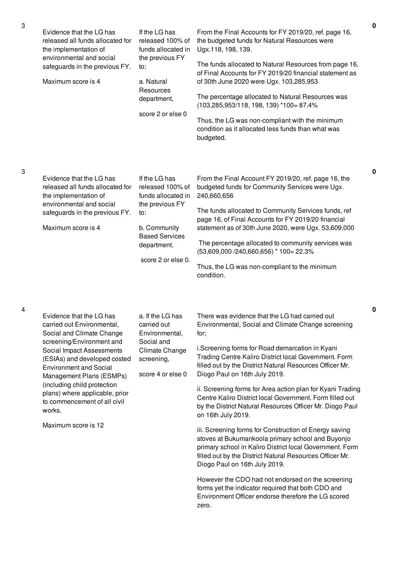| Evidence that the LG has<br>released all funds allocated for<br>the implementation of<br>environmental and social<br>safeguards in the previous FY.<br>Maximum score is 4                                                                                                                                                                                                    | If the LG has<br>released 100% of<br>funds allocated in<br>the previous FY<br>to:<br>a. Natural<br>Resources<br>department,<br>score 2 or else 0                | From the Final Accounts for FY 2019/20, ref. page 16,<br>the budgeted funds for Natural Resources were<br>Ugx.118, 198, 139.<br>The funds allocated to Natural Resources from page 16,<br>of Final Accounts for FY 2019/20 financial statement as<br>of 30th June 2020 were Ugx. 103,285,953<br>The percentage allocated to Natural Resources was<br>$(103, 285, 953/118, 198, 139)$ *100= 87.4%<br>Thus, the LG was non-compliant with the minimum<br>condition as it allocated less funds than what was<br>budgeted.                                                                                                                                                                                                                                                                                                                                                                                                                                                      |
|------------------------------------------------------------------------------------------------------------------------------------------------------------------------------------------------------------------------------------------------------------------------------------------------------------------------------------------------------------------------------|-----------------------------------------------------------------------------------------------------------------------------------------------------------------|-----------------------------------------------------------------------------------------------------------------------------------------------------------------------------------------------------------------------------------------------------------------------------------------------------------------------------------------------------------------------------------------------------------------------------------------------------------------------------------------------------------------------------------------------------------------------------------------------------------------------------------------------------------------------------------------------------------------------------------------------------------------------------------------------------------------------------------------------------------------------------------------------------------------------------------------------------------------------------|
| Evidence that the LG has<br>released all funds allocated for<br>the implementation of<br>environmental and social<br>safeguards in the previous FY.<br>Maximum score is 4                                                                                                                                                                                                    | If the LG has<br>released 100% of<br>funds allocated in<br>the previous FY<br>to:<br>b. Community<br><b>Based Services</b><br>department.<br>score 2 or else 0. | From the Final Account FY 2019/20, ref. page 16, the<br>budgeted funds for Community Services were Ugx.<br>240,660,656<br>The funds allocated to Community Services funds, ref<br>page 16, of Final Accounts for FY 2019/20 financial<br>statement as of 30th June 2020, were Ugx. 53,609,000<br>The percentage allocated to community services was<br>$(53,609,000/240,660,656)$ * 100 = 22.3%<br>Thus, the LG was non-compliant to the minimum<br>condition.                                                                                                                                                                                                                                                                                                                                                                                                                                                                                                              |
| Evidence that the LG has<br>carried out Environmental,<br>Social and Climate Change<br>screening/Environment and<br>Social Impact Assessments<br>(ESIAs) and developed costed<br><b>Environment and Social</b><br>Management Plans (ESMPs)<br>(including child protection<br>plans) where applicable, prior<br>to commencement of all civil<br>works.<br>Maximum score is 12 | a. If the LG has<br>carried out<br>Environmental,<br>Social and<br>Climate Change<br>screening,<br>score 4 or else 0                                            | There was evidence that the LG had carried out<br>Environmental, Social and Climate Change screening<br>for:<br>i.Screening forms for Road demarcation in Kyani<br>Trading Centre Kaliro District local Government. Form<br>filled out by the District Natural Resources Officer Mr.<br>Diogo Paul on 16th July 2019.<br>ii. Screening forms for Area action plan for Kyani Trading<br>Centre Kaliro District local Government. Form filled out<br>by the District Natural Resources Officer Mr. Diogo Paul<br>on 16th July 2019.<br>iii. Screening forms for Construction of Energy saving<br>stoves at Bukumankoola primary school and Buyonjo<br>primary school in Kaliro District local Government. Form<br>filled out by the District Natural Resources Officer Mr.<br>Diogo Paul on 16th July 2019.<br>However the CDO had not endorsed on the screening<br>forms yet the indicator required that both CDO and<br>Environment Officer endorse therefore the LG scored |

zero.

3

4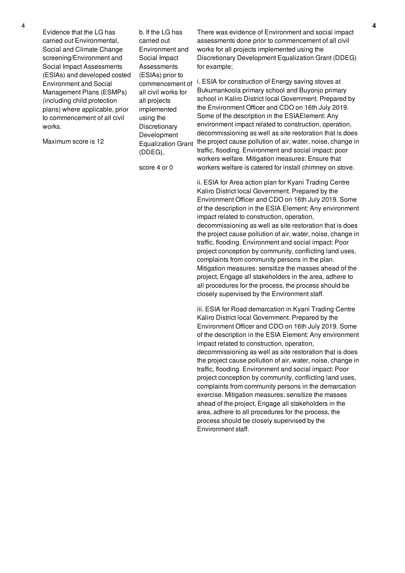Evidence that the LG has carried out Environmental, Social and Climate Change screening/Environment and Social Impact Assessments (ESIAs) and developed costed Environment and Social Management Plans (ESMPs) (including child protection plans) where applicable, prior to commencement of all civil works.

Maximum score is 12

b. If the LG has carried out Environment and Social Impact **Assessments** (ESIAs) prior to commencement of all civil works for all projects implemented using the **Discretionary** Development Equalization Grant (DDEG),

score 4 or 0

There was evidence of Environment and social impact assessments done prior to commencement of all civil works for all projects implemented using the Discretionary Development Equalization Grant (DDEG) for example;

i. ESIA for construction of Energy saving stoves at Bukumankoola primary school and Buyonjo primary school in Kaliro District local Government. Prepared by the Environment Officer and CDO on 16th July 2019. Some of the description in the ESIAElement: Any environment impact related to construction, operation, decommissioning as well as site restoration that is does the project cause pollution of air, water, noise, change in traffic, flooding. Environment and social impact: poor workers welfare. Mitigation measures: Ensure that workers welfare is catered for install chimney on stove.

ii. ESIA for Area action plan for Kyani Trading Centre Kaliro District local Government. Prepared by the Environment Officer and CDO on 16th July 2019. Some of the description in the ESIA Element: Any environment impact related to construction, operation, decommissioning as well as site restoration that is does the project cause pollution of air, water, noise, change in traffic, flooding. Environment and social impact: Poor project conception by community, conflicting land uses, complaints from community persons in the plan. Mitigation measures: sensitize the masses ahead of the project, Engage all stakeholders in the area, adhere to all procedures for the process, the process should be closely supervised by the Environment staff.

iii. ESIA for Road demarcation in Kyani Trading Centre Kaliro District local Government. Prepared by the Environment Officer and CDO on 16th July 2019. Some of the description in the ESIA Element: Any environment impact related to construction, operation, decommissioning as well as site restoration that is does the project cause pollution of air, water, noise, change in traffic, flooding. Environment and social impact: Poor project conception by community, conflicting land uses, complaints from community persons in the demarcation exercise. Mitigation measures: sensitize the masses ahead of the project, Engage all stakeholders in the area, adhere to all procedures for the process, the process should be closely supervised by the Environment staff.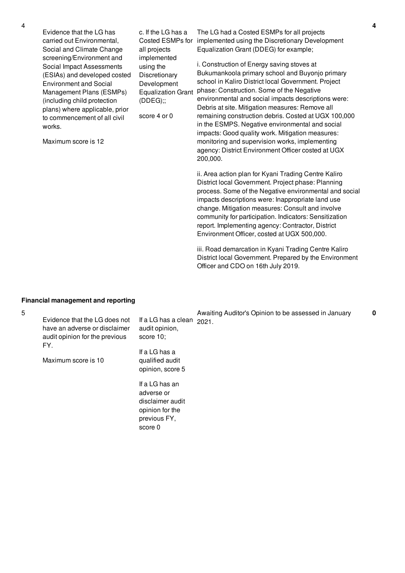Evidence that the LG has carried out Environmental, Social and Climate Change screening/Environment and Social Impact Assessments (ESIAs) and developed costed Environment and Social Management Plans (ESMPs) (including child protection plans) where applicable, prior to commencement of all civil works.

all projects implemented using the Discretionary Development Equalization Grant

(DDEG);;

score 4 or 0

Maximum score is 12

c. If the LG has a Costed ESMPs for implemented using the Discretionary Development The LG had a Costed ESMPs for all projects Equalization Grant (DDEG) for example;

> i. Construction of Energy saving stoves at Bukumankoola primary school and Buyonjo primary school in Kaliro District local Government. Project phase: Construction. Some of the Negative environmental and social impacts descriptions were: Debris at site. Mitigation measures: Remove all remaining construction debris. Costed at UGX 100,000 in the ESMPS. Negative environmental and social impacts: Good quality work. Mitigation measures: monitoring and supervision works, implementing agency: District Environment Officer costed at UGX 200,000.

ii. Area action plan for Kyani Trading Centre Kaliro District local Government. Project phase: Planning process. Some of the Negative environmental and social impacts descriptions were: Inappropriate land use change. Mitigation measures: Consult and involve community for participation. Indicators: Sensitization report. Implementing agency: Contractor, District Environment Officer, costed at UGX 500,000.

iii. Road demarcation in Kyani Trading Centre Kaliro District local Government. Prepared by the Environment Officer and CDO on 16th July 2019.

## **Financial management and reporting**

| 5 | Evidence that the LG does not<br>have an adverse or disclaimer<br>audit opinion for the previous<br>FY.<br>Maximum score is 10 | If a LG has a clean<br>audit opinion,<br>score 10:<br>If a LG has a<br>qualified audit         | Awaiting Auditor's Opinion to be assessed in January<br>2021. | 0 |
|---|--------------------------------------------------------------------------------------------------------------------------------|------------------------------------------------------------------------------------------------|---------------------------------------------------------------|---|
|   |                                                                                                                                | opinion, score 5                                                                               |                                                               |   |
|   |                                                                                                                                | If a LG has an<br>adverse or<br>disclaimer audit<br>opinion for the<br>previous FY,<br>score 0 |                                                               |   |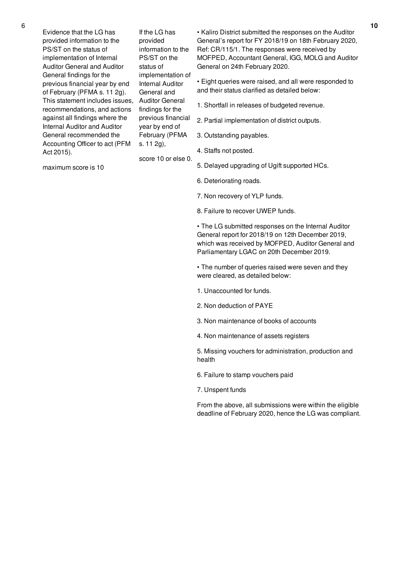Evidence that the LG has provided information to the PS/ST on the status of implementation of Internal Auditor General and Auditor General findings for the previous financial year by end of February (PFMA s. 11 2g). This statement includes issues, recommendations, and actions against all findings where the Internal Auditor and Auditor General recommended the Accounting Officer to act (PFM Act 2015).

If the LG has provided information to the PS/ST on the status of implementation of Internal Auditor General and Auditor General findings for the previous financial year by end of February (PFMA s. 11 2g),

score 10 or else 0.

• Kaliro District submitted the responses on the Auditor General's report for FY 2018/19 on 18th February 2020, Ref: CR/115/1. The responses were received by MOFPED, Accountant General, IGG, MOLG and Auditor General on 24th February 2020.

• Eight queries were raised, and all were responded to and their status clarified as detailed below:

- 1. Shortfall in releases of budgeted revenue.
- 2. Partial implementation of district outputs.
- 3. Outstanding payables.
- 4. Staffs not posted.
- 5. Delayed upgrading of Ugift supported HCs.
- 6. Deteriorating roads.
- 7. Non recovery of YLP funds.
- 8. Failure to recover UWEP funds.

• The LG submitted responses on the Internal Auditor General report for 2018/19 on 12th December 2019, which was received by MOFPED, Auditor General and Parliamentary LGAC on 20th December 2019.

• The number of queries raised were seven and they were cleared, as detailed below:

- 1. Unaccounted for funds.
- 2. Non deduction of PAYE
- 3. Non maintenance of books of accounts
- 4. Non maintenance of assets registers

5. Missing vouchers for administration, production and health

- 6. Failure to stamp vouchers paid
- 7. Unspent funds

From the above, all submissions were within the eligible deadline of February 2020, hence the LG was compliant.

maximum score is 10